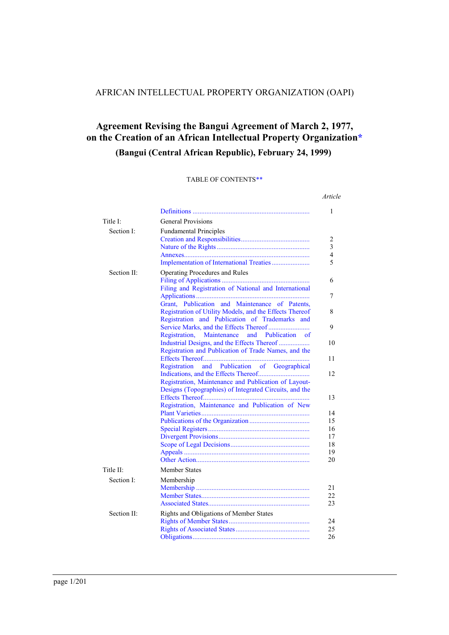# AFRICAN INTELLECTUAL PROPERTY ORGANIZATION (OAPI)

# **Agreement Revising the Bangui Agreement of March 2, 1977, on the Creation of an African Intellectual Property Organizatio[n\\*](#page-200-0)**

# **(Bangui (Central African Republic), February 24, 1999)**

#### TABLE OF CONTENT[S\\*\\*](#page-200-1)

|             |                                                         | Article  |
|-------------|---------------------------------------------------------|----------|
|             |                                                         | 1        |
| Title I:    | <b>General Provisions</b>                               |          |
| Section I:  | <b>Fundamental Principles</b>                           |          |
|             |                                                         | 2        |
|             |                                                         | 3        |
|             |                                                         | 4        |
|             |                                                         | 5        |
| Section II: | Operating Procedures and Rules                          |          |
|             |                                                         | 6        |
|             | Filing and Registration of National and International   | 7        |
|             | Grant, Publication and Maintenance of Patents,          |          |
|             | Registration of Utility Models, and the Effects Thereof | 8        |
|             | Registration and Publication of Trademarks and          |          |
|             |                                                         | 9        |
|             | Registration,<br>Maintenance and Publication of         | 10       |
|             | Registration and Publication of Trade Names, and the    |          |
|             |                                                         | 11       |
|             | and Publication of Geographical<br>Registration         |          |
|             |                                                         | 12       |
|             | Registration, Maintenance and Publication of Layout-    |          |
|             | Designs (Topographies) of Integrated Circuits, and the  | 13       |
|             | Registration, Maintenance and Publication of New        |          |
|             |                                                         | 14       |
|             |                                                         | 15       |
|             |                                                         | 16       |
|             |                                                         | 17       |
|             |                                                         | 18<br>19 |
|             |                                                         | 20       |
| Title II:   | <b>Member States</b>                                    |          |
| Section I:  | Membership                                              |          |
|             |                                                         | 21       |
|             |                                                         | 22       |
|             |                                                         | 23       |
| Section II: | Rights and Obligations of Member States                 |          |
|             |                                                         | 24       |
|             |                                                         | 25<br>26 |
|             |                                                         |          |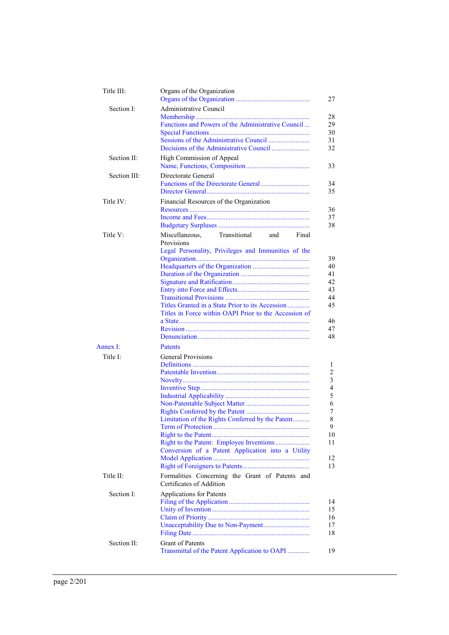| Title III:   | Organs of the Organization<br>27                                                                                                                                                                                                   |
|--------------|------------------------------------------------------------------------------------------------------------------------------------------------------------------------------------------------------------------------------------|
| Section I:   | Administrative Council                                                                                                                                                                                                             |
|              | 28<br>Functions and Powers of the Administrative Council<br>29<br>30<br>31<br>32                                                                                                                                                   |
| Section II:  | High Commission of Appeal<br>33                                                                                                                                                                                                    |
| Section III: | Directorate General<br>34<br>35                                                                                                                                                                                                    |
| Title IV:    | Financial Resources of the Organization<br>36<br>37<br>38                                                                                                                                                                          |
| Title V:     | Miscellaneous.<br>Transitional<br>Final<br>and<br>Provisions<br>Legal Personality, Privileges and Immunities of the<br>39                                                                                                          |
|              | 40<br>41<br>42<br>43<br>44<br>45<br>Titles Granted in a State Prior to its Accession<br>Titles in Force within OAPI Prior to the Accession of<br>46<br>47<br>48                                                                    |
| Annex I:     | Patents                                                                                                                                                                                                                            |
| Title I:     | <b>General Provisions</b><br>1<br>2<br>$\mathfrak{Z}$<br>$\overline{4}$<br>5<br>6<br>7<br>8<br>Limitation of the Rights Conferred by the Patent<br>9.<br>10<br>11<br>Conversion of a Patent Application into a Utility<br>12<br>13 |
| Title II:    | Formalities Concerning the Grant of Patents and<br>Certificates of Addition                                                                                                                                                        |
| Section I:   | Applications for Patents<br>14<br>15<br>16<br>17<br>18                                                                                                                                                                             |
| Section II:  | <b>Grant of Patents</b><br>Transmittal of the Patent Application to OAPI<br>19                                                                                                                                                     |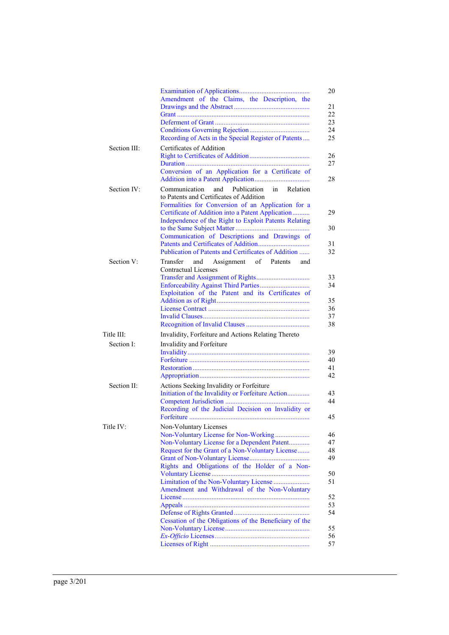|              | Amendment of the Claims, the Description, the<br>Recording of Acts in the Special Register of Patents                                                                                                                                                                                                                                                                        |
|--------------|------------------------------------------------------------------------------------------------------------------------------------------------------------------------------------------------------------------------------------------------------------------------------------------------------------------------------------------------------------------------------|
| Section III: | Certificates of Addition<br>Conversion of an Application for a Certificate of                                                                                                                                                                                                                                                                                                |
| Section IV:  | Communication<br>and<br>Publication<br>in<br>Relation<br>to Patents and Certificates of Addition<br>Formalities for Conversion of an Application for a<br>Certificate of Addition into a Patent Application<br>Independence of the Right to Exploit Patents Relating<br>Communication of Descriptions and Drawings of<br>Publication of Patents and Certificates of Addition |
| Section V:   | Transfer<br>Assignment of Patents<br>and<br>and<br><b>Contractual Licenses</b><br>Exploitation of the Patent and its Certificates of                                                                                                                                                                                                                                         |
| Title III:   | Invalidity, Forfeiture and Actions Relating Thereto                                                                                                                                                                                                                                                                                                                          |
| Section I:   | Invalidity and Forfeiture                                                                                                                                                                                                                                                                                                                                                    |
| Section II:  | Actions Seeking Invalidity or Forfeiture<br>Initiation of the Invalidity or Forfeiture Action<br>Recording of the Judicial Decision on Invalidity or                                                                                                                                                                                                                         |
| Title IV:    | Non-Voluntary Licenses<br>Non-Voluntary License for Non-Working<br>Non-Voluntary License for a Dependent Patent<br>Request for the Grant of a Non-Voluntary License<br>Rights and Obligations of the Holder of a Non-<br>Amendment and Withdrawal of the Non-Voluntary<br>Cessation of the Obligations of the Beneficiary of the                                             |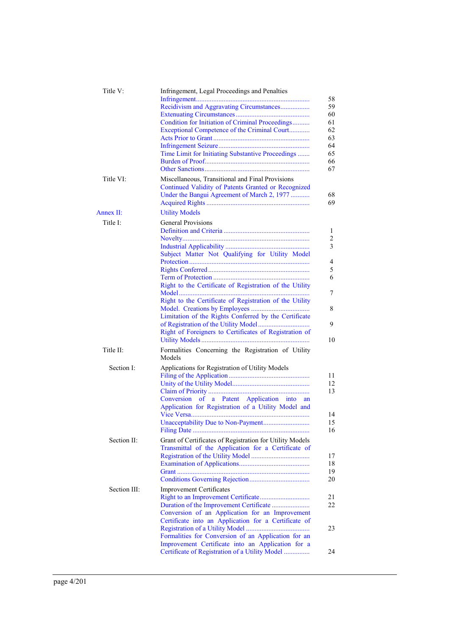| Title V:     | Infringement, Legal Proceedings and Penalties<br>58<br>Recidivism and Aggravating Circumstances<br>59<br>60<br>Condition for Initiation of Criminal Proceedings<br>61<br>62<br>Exceptional Competence of the Criminal Court<br>63<br>64<br>65<br>Time Limit for Initiating Substantive Proceedings<br>66<br>67                   |
|--------------|----------------------------------------------------------------------------------------------------------------------------------------------------------------------------------------------------------------------------------------------------------------------------------------------------------------------------------|
| Title VI:    | Miscellaneous, Transitional and Final Provisions<br>Continued Validity of Patents Granted or Recognized<br>Under the Bangui Agreement of March 2, 1977<br>68<br>69                                                                                                                                                               |
| Annex II:    | <b>Utility Models</b>                                                                                                                                                                                                                                                                                                            |
| Title I:     | <b>General Provisions</b>                                                                                                                                                                                                                                                                                                        |
|              | Subject Matter Not Qualifying for Utility Model<br>Right to the Certificate of Registration of the Utility                                                                                                                                                                                                                       |
|              | Right to the Certificate of Registration of the Utility<br>Limitation of the Rights Conferred by the Certificate<br>Right of Foreigners to Certificates of Registration of<br>10                                                                                                                                                 |
| Title II:    | Formalities Concerning the Registration of Utility<br>Models                                                                                                                                                                                                                                                                     |
| Section I:   | Applications for Registration of Utility Models<br>11<br>12<br>13<br>Conversion of a Patent Application into<br>an<br>Application for Registration of a Utility Model and<br>14<br>15<br>Unacceptability Due to Non-Payment<br>16                                                                                                |
| Section II:  | Grant of Certificates of Registration for Utility Models<br>Transmittal of the Application for a Certificate of<br>17<br>18<br>19<br>20                                                                                                                                                                                          |
| Section III: | <b>Improvement Certificates</b><br>21<br>22<br>Conversion of an Application for an Improvement<br>Certificate into an Application for a Certificate of<br>23<br>Formalities for Conversion of an Application for an<br>Improvement Certificate into an Application for a<br>Certificate of Registration of a Utility Model<br>24 |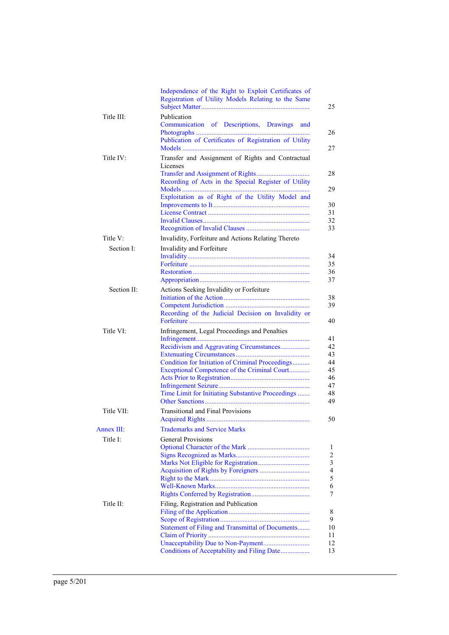|             | Independence of the Right to Exploit Certificates of<br>Registration of Utility Models Relating to the Same |
|-------------|-------------------------------------------------------------------------------------------------------------|
| Title III:  | Publication<br>Communication of Descriptions, Drawings<br>and                                               |
|             | Publication of Certificates of Registration of Utility                                                      |
| Title IV:   | Transfer and Assignment of Rights and Contractual<br>Licenses                                               |
|             | Recording of Acts in the Special Register of Utility                                                        |
|             | Exploitation as of Right of the Utility Model and                                                           |
|             |                                                                                                             |
|             |                                                                                                             |
|             |                                                                                                             |
| Title V:    | Invalidity, Forfeiture and Actions Relating Thereto                                                         |
| Section I:  | Invalidity and Forfeiture                                                                                   |
|             |                                                                                                             |
|             |                                                                                                             |
|             |                                                                                                             |
| Section II: | Actions Seeking Invalidity or Forfeiture                                                                    |
|             |                                                                                                             |
|             | Recording of the Judicial Decision on Invalidity or                                                         |
| Title VI:   | Infringement, Legal Proceedings and Penalties                                                               |
|             | Recidivism and Aggravating Circumstances                                                                    |
|             |                                                                                                             |
|             | Condition for Initiation of Criminal Proceedings<br>Exceptional Competence of the Criminal Court            |
|             |                                                                                                             |
|             |                                                                                                             |
|             | Time Limit for Initiating Substantive Proceedings                                                           |
| Title VII:  | <b>Transitional and Final Provisions</b>                                                                    |
| Annex III:  | <b>Trademarks and Service Marks</b>                                                                         |
| Title I:    | <b>General Provisions</b>                                                                                   |
|             |                                                                                                             |
|             |                                                                                                             |
|             |                                                                                                             |
|             |                                                                                                             |
|             |                                                                                                             |
|             |                                                                                                             |
| Title II:   | Filing, Registration and Publication                                                                        |
|             |                                                                                                             |
|             | Statement of Filing and Transmittal of Documents                                                            |
|             |                                                                                                             |
|             | Conditions of Acceptability and Filing Date                                                                 |
|             |                                                                                                             |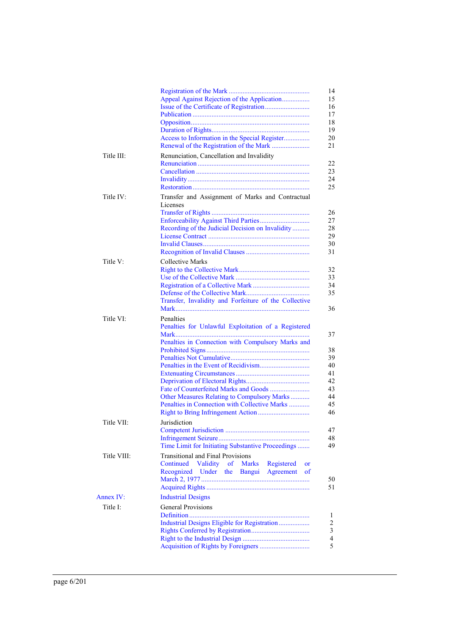|             | Appeal Against Rejection of the Application                                                                                                                                                                                                                            |
|-------------|------------------------------------------------------------------------------------------------------------------------------------------------------------------------------------------------------------------------------------------------------------------------|
|             |                                                                                                                                                                                                                                                                        |
| Title III:  | Renunciation, Cancellation and Invalidity                                                                                                                                                                                                                              |
| Title IV:   | Transfer and Assignment of Marks and Contractual<br>Licenses<br>Recording of the Judicial Decision on Invalidity                                                                                                                                                       |
| Title V:    | Collective Marks<br>Transfer, Invalidity and Forfeiture of the Collective                                                                                                                                                                                              |
| Title VI:   | Penalties<br>Penalties for Unlawful Exploitation of a Registered<br>Mark<br>Penalties in Connection with Compulsory Marks and<br>Fate of Counterfeited Marks and Goods<br>Other Measures Relating to Compulsory Marks<br>Penalties in Connection with Collective Marks |
| Title VII:  | Jurisdiction<br>Time Limit for Initiating Substantive Proceedings                                                                                                                                                                                                      |
| Title VIII: | <b>Transitional and Final Provisions</b><br>Validity<br>Continued<br>of<br>Marks<br>Registered<br>or<br>Under<br>Bangui<br>Agreement<br>Recognized<br>the<br>of                                                                                                        |
| Annex IV:   | <b>Industrial Designs</b>                                                                                                                                                                                                                                              |
| Title I:    | <b>General Provisions</b><br>Industrial Designs Eligible for Registration                                                                                                                                                                                              |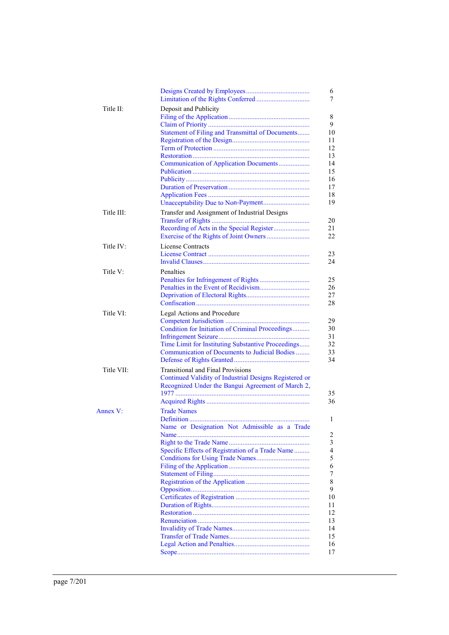| Title II:  | Deposit and Publicity                                  |
|------------|--------------------------------------------------------|
|            |                                                        |
|            | Statement of Filing and Transmittal of Documents       |
|            |                                                        |
|            |                                                        |
|            |                                                        |
|            |                                                        |
|            | Communication of Application Documents                 |
|            |                                                        |
|            |                                                        |
|            |                                                        |
|            | Unacceptability Due to Non-Payment                     |
|            |                                                        |
| Title III: | Transfer and Assignment of Industrial Designs          |
|            |                                                        |
|            |                                                        |
|            |                                                        |
| Title IV:  | License Contracts                                      |
|            |                                                        |
|            |                                                        |
| Title V:   | Penalties                                              |
|            |                                                        |
|            |                                                        |
|            |                                                        |
|            |                                                        |
| Title VI:  | Legal Actions and Procedure                            |
|            |                                                        |
|            | Condition for Initiation of Criminal Proceedings       |
|            |                                                        |
|            | Time Limit for Instituting Substantive Proceedings     |
|            | Communication of Documents to Judicial Bodies          |
|            |                                                        |
|            |                                                        |
| Title VII: | <b>Transitional and Final Provisions</b>               |
|            | Continued Validity of Industrial Designs Registered or |
|            | Recognized Under the Bangui Agreement of March 2,      |
|            |                                                        |
|            |                                                        |
| Annex V:   | <b>Trade Names</b>                                     |
|            |                                                        |
|            | Name or Designation Not Admissible as a Trade          |
|            |                                                        |
|            |                                                        |
|            | Specific Effects of Registration of a Trade Name       |
|            |                                                        |
|            |                                                        |
|            |                                                        |
|            |                                                        |
|            |                                                        |
|            |                                                        |
|            |                                                        |
|            |                                                        |
|            |                                                        |
|            |                                                        |
|            |                                                        |
|            |                                                        |
|            |                                                        |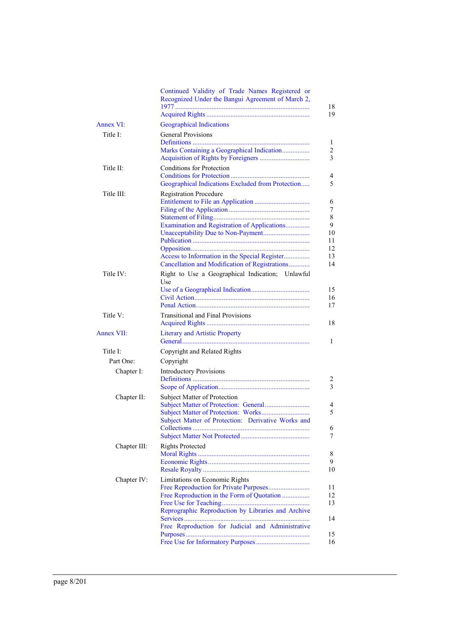|                   | Continued Validity of Trade Names Registered or<br>Recognized Under the Bangui Agreement of March 2,                                                                                    | 18                                             |
|-------------------|-----------------------------------------------------------------------------------------------------------------------------------------------------------------------------------------|------------------------------------------------|
|                   |                                                                                                                                                                                         | 19                                             |
| Annex VI:         | <b>Geographical Indications</b>                                                                                                                                                         |                                                |
| Title I:          | <b>General Provisions</b><br>Marks Containing a Geographical Indication                                                                                                                 | 1<br>2<br>3                                    |
| Title II:         | <b>Conditions for Protection</b><br>Geographical Indications Excluded from Protection                                                                                                   | 4<br>5                                         |
| Title III:        | <b>Registration Procedure</b><br>Examination and Registration of Applications<br>Access to Information in the Special Register<br>Cancellation and Modification of Registrations        | 6<br>7<br>8<br>9<br>10<br>11<br>12<br>13<br>14 |
| Title IV:         | Right to Use a Geographical Indication; Unlawful<br>Use                                                                                                                                 | 15<br>16<br>17                                 |
| Title V:          | <b>Transitional and Final Provisions</b>                                                                                                                                                | 18                                             |
| <b>Annex VII:</b> | <b>Literary and Artistic Property</b>                                                                                                                                                   | 1                                              |
| Title I:          | Copyright and Related Rights                                                                                                                                                            |                                                |
| Part One:         | Copyright                                                                                                                                                                               |                                                |
| Chapter I:        | <b>Introductory Provisions</b>                                                                                                                                                          | 2<br>3                                         |
| Chapter II:       | Subject Matter of Protection<br>Subject Matter of Protection: Derivative Works and                                                                                                      | 4<br>5<br>6<br>7                               |
| Chapter III:      | <b>Rights Protected</b>                                                                                                                                                                 | 8<br>9<br>10                                   |
| Chapter IV:       | Limitations on Economic Rights<br>Free Reproduction in the Form of Quotation<br>Reprographic Reproduction by Libraries and Archive<br>Free Reproduction for Judicial and Administrative | 11<br>12<br>13<br>14<br>15<br>16               |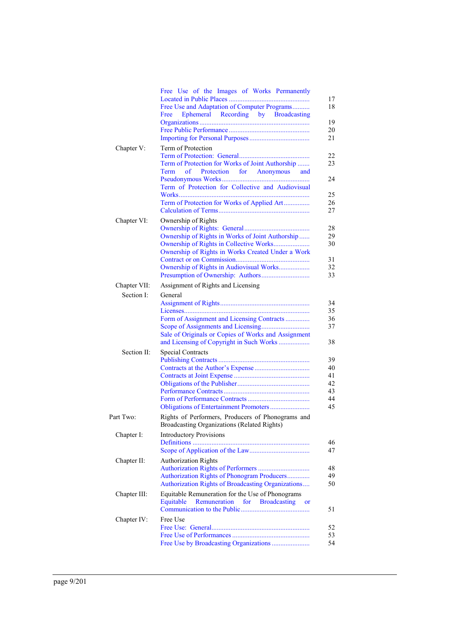|              | Free Use of the Images of Works Permanently<br>Free Use and Adaptation of Computer Programs<br>Ephemeral Recording by Broadcasting<br>Free                               |
|--------------|--------------------------------------------------------------------------------------------------------------------------------------------------------------------------|
| Chapter V:   | Term of Protection<br>Term of Protection for Works of Joint Authorship<br>Term<br>of<br>Protection for Anonymous<br>and                                                  |
|              | Term of Protection for Collective and Audiovisual<br>Term of Protection for Works of Applied Art                                                                         |
| Chapter VI:  | Ownership of Rights<br>Ownership of Rights in Works of Joint Authorship<br>Ownership of Rights in Works Created Under a Work<br>Ownership of Rights in Audiovisual Works |
| Chapter VII: | Assignment of Rights and Licensing                                                                                                                                       |
| Section I:   | General                                                                                                                                                                  |
|              | Form of Assignment and Licensing Contracts<br>Sale of Originals or Copies of Works and Assignment<br>and Licensing of Copyright in Such Works                            |
| Section II:  | <b>Special Contracts</b>                                                                                                                                                 |
| Part Two:    | Rights of Performers, Producers of Phonograms and<br>Broadcasting Organizations (Related Rights)                                                                         |
| Chapter I:   | <b>Introductory Provisions</b><br>Definitions                                                                                                                            |
| Chapter II:  | <b>Authorization Rights</b><br>Authorization Rights of Phonogram Producers<br>Authorization Rights of Broadcasting Organizations                                         |
| Chapter III: | Equitable Remuneration for the Use of Phonograms<br>Equitable<br>Remuneration<br>for Broadcasting<br>or                                                                  |
| Chapter IV:  | Free Use<br>Free Use by Broadcasting Organizations                                                                                                                       |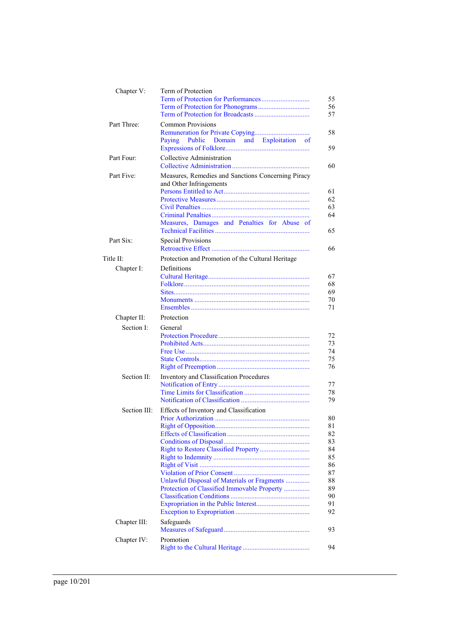| Chapter V:   | Term of Protection                                                                                                            | 55<br>56<br>57                                                             |
|--------------|-------------------------------------------------------------------------------------------------------------------------------|----------------------------------------------------------------------------|
| Part Three:  | Common Provisions<br>Public Domain and Exploitation<br>Paying<br>of                                                           | 58<br>59                                                                   |
| Part Four:   | Collective Administration                                                                                                     | 60                                                                         |
| Part Five:   | Measures, Remedies and Sanctions Concerning Piracy<br>and Other Infringements<br>Measures, Damages and Penalties for Abuse of | 61<br>62<br>63<br>64<br>65                                                 |
| Part Six:    | <b>Special Provisions</b>                                                                                                     | 66                                                                         |
| Title II:    | Protection and Promotion of the Cultural Heritage                                                                             |                                                                            |
| Chapter I:   | Definitions                                                                                                                   | 67<br>68<br>69<br>70<br>71                                                 |
| Chapter II:  | Protection                                                                                                                    |                                                                            |
| Section I:   | General                                                                                                                       | 72<br>73<br>74<br>75<br>76                                                 |
| Section II:  | Inventory and Classification Procedures                                                                                       |                                                                            |
|              |                                                                                                                               | 77<br>78<br>79                                                             |
| Section III: | Effects of Inventory and Classification                                                                                       |                                                                            |
|              | Unlawful Disposal of Materials or Fragments<br>Protection of Classified Immovable Property                                    | 80<br>81<br>82<br>83<br>84<br>85<br>86<br>87<br>88<br>89<br>90<br>91<br>92 |
| Chapter III: | Safeguards                                                                                                                    | 93                                                                         |
| Chapter IV:  | Promotion                                                                                                                     | 94                                                                         |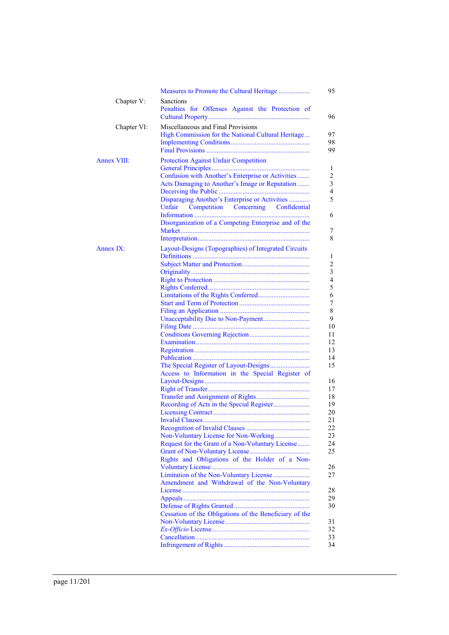|                    | Measures to Promote the Cultural Heritage                                                                                                                                                                                                                                                                                                                                                                     |
|--------------------|---------------------------------------------------------------------------------------------------------------------------------------------------------------------------------------------------------------------------------------------------------------------------------------------------------------------------------------------------------------------------------------------------------------|
| Chapter V:         | Sanctions<br>Penalties for Offenses Against the Protection of                                                                                                                                                                                                                                                                                                                                                 |
| Chapter VI:        | Miscellaneous and Final Provisions<br>High Commission for the National Cultural Heritage                                                                                                                                                                                                                                                                                                                      |
| <b>Annex VIII:</b> | <b>Protection Against Unfair Competition</b><br>Confusion with Another's Enterprise or Activities<br>Acts Damaging to Another's Image or Reputation<br>Disparaging Another's Enterprise or Activities<br>Competition Concerning Confidential<br>Unfair<br>Disorganization of a Competing Enterprise and of the                                                                                                |
| Annex IX:          | Layout-Designs (Topographies) of Integrated Circuits<br>Access to Information in the Special Register of<br>Non-Voluntary License for Non-Working<br>Request for the Grant of a Non-Voluntary License<br>Rights and Obligations of the Holder of a Non-<br>Limitation of the Non-Voluntary License<br>Amendment and Withdrawal of the Non-Voluntary<br>Cessation of the Obligations of the Beneficiary of the |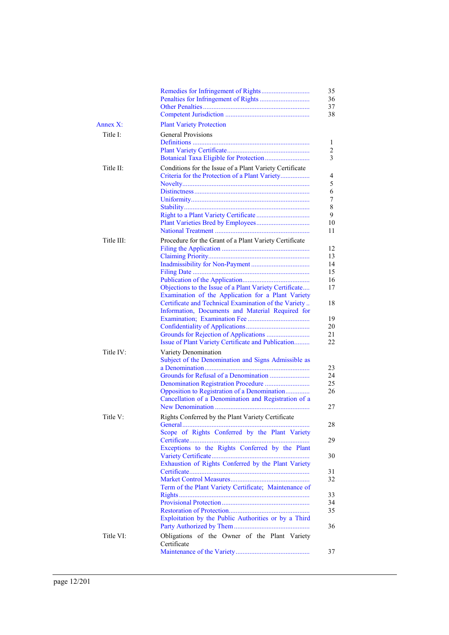| Annex X:   | <b>Plant Variety Protection</b>                              |
|------------|--------------------------------------------------------------|
| Title I:   | <b>General Provisions</b>                                    |
|            |                                                              |
|            |                                                              |
|            |                                                              |
| Title II:  | Conditions for the Issue of a Plant Variety Certificate      |
|            | Criteria for the Protection of a Plant Variety               |
|            |                                                              |
|            |                                                              |
|            |                                                              |
|            |                                                              |
|            |                                                              |
|            |                                                              |
| Title III: | Procedure for the Grant of a Plant Variety Certificate       |
|            |                                                              |
|            |                                                              |
|            |                                                              |
|            |                                                              |
|            | Objections to the Issue of a Plant Variety Certificate       |
|            | Examination of the Application for a Plant Variety           |
|            | Certificate and Technical Examination of the Variety         |
|            | Information, Documents and Material Required for             |
|            |                                                              |
|            |                                                              |
|            | Issue of Plant Variety Certificate and Publication           |
| Title IV:  | Variety Denomination                                         |
|            | Subject of the Denomination and Signs Admissible as          |
|            |                                                              |
|            |                                                              |
|            |                                                              |
|            | Opposition to Registration of a Denomination                 |
|            | Cancellation of a Denomination and Registration of a         |
|            |                                                              |
| Title V:   | Rights Conferred by the Plant Variety Certificate<br>General |
|            | Scope of Rights Conferred by the Plant Variety               |
|            | Certificate<br>.                                             |
|            | Exceptions to the Rights Conferred by the Plant              |
|            |                                                              |
|            | Exhaustion of Rights Conferred by the Plant Variety          |
|            |                                                              |
|            | Term of the Plant Variety Certificate; Maintenance of        |
|            |                                                              |
|            |                                                              |
|            |                                                              |
|            | Exploitation by the Public Authorities or by a Third         |
|            |                                                              |
| Title VI:  | Obligations of the Owner of the Plant Variety<br>Certificate |
|            |                                                              |
|            |                                                              |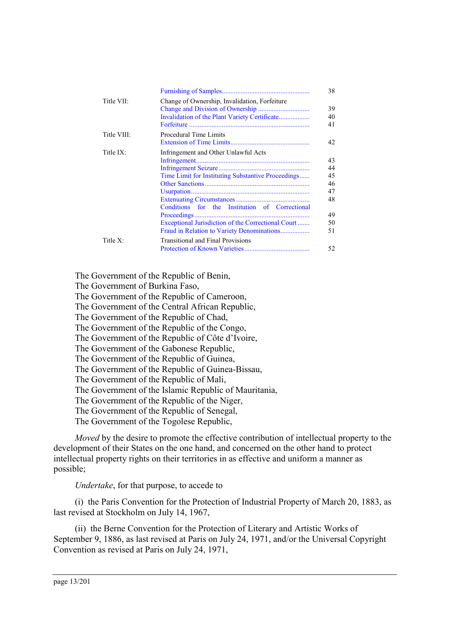|             |                                                                                                                                                                                                                                                  | 38                                                 |
|-------------|--------------------------------------------------------------------------------------------------------------------------------------------------------------------------------------------------------------------------------------------------|----------------------------------------------------|
| Title VII:  | Change of Ownership, Invalidation, Forfeiture                                                                                                                                                                                                    | 39<br>40<br>41                                     |
| Title VIII: | Procedural Time Limits                                                                                                                                                                                                                           | 42                                                 |
| Title $IX:$ | Infringement and Other Unlawful Acts<br>Time Limit for Instituting Substantive Proceedings<br>Conditions for the Institution of Correctional<br>Exceptional Jurisdiction of the Correctional Court<br>Fraud in Relation to Variety Denominations | 43<br>44<br>45<br>46<br>47<br>48<br>49<br>50<br>51 |
| Title $X$ : | <b>Transitional and Final Provisions</b>                                                                                                                                                                                                         | 52                                                 |

The Government of the Republic of Benin,

The Government of Burkina Faso,

The Government of the Republic of Cameroon,

The Government of the Central African Republic,

The Government of the Republic of Chad,

The Government of the Republic of the Congo,

The Government of the Republic of Côte d'Ivoire,

The Government of the Gabonese Republic,

The Government of the Republic of Guinea,

The Government of the Republic of Guinea-Bissau,

The Government of the Republic of Mali,

The Government of the Islamic Republic of Mauritania,

The Government of the Republic of the Niger,

The Government of the Republic of Senegal,

The Government of the Togolese Republic,

*Moved* by the desire to promote the effective contribution of intellectual property to the development of their States on the one hand, and concerned on the other hand to protect intellectual property rights on their territories in as effective and uniform a manner as possible;

*Undertake*, for that purpose, to accede to

(i)the Paris Convention for the Protection of Industrial Property of March 20, 1883, as last revised at Stockholm on July 14, 1967,

(ii) the Berne Convention for the Protection of Literary and Artistic Works of September 9, 1886, as last revised at Paris on July 24, 1971, and/or the Universal Copyright Convention as revised at Paris on July 24, 1971,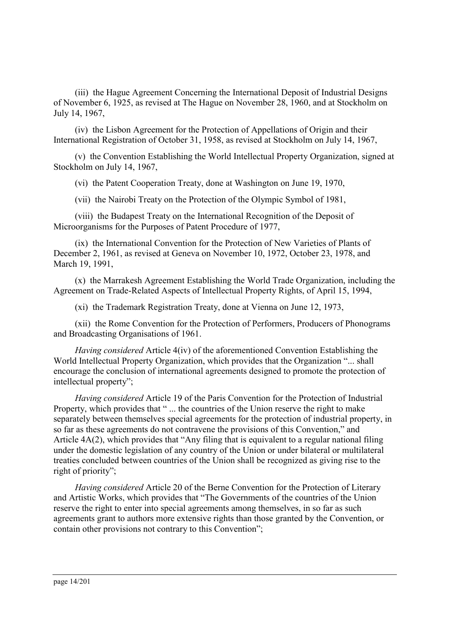(iii) the Hague Agreement Concerning the International Deposit of Industrial Designs of November 6, 1925, as revised at The Hague on November 28, 1960, and at Stockholm on July 14, 1967,

(iv) the Lisbon Agreement for the Protection of Appellations of Origin and their International Registration of October 31, 1958, as revised at Stockholm on July 14, 1967,

(v)the Convention Establishing the World Intellectual Property Organization, signed at Stockholm on July 14, 1967,

(vi) the Patent Cooperation Treaty, done at Washington on June 19, 1970,

(vii) the Nairobi Treaty on the Protection of the Olympic Symbol of 1981,

(viii) the Budapest Treaty on the International Recognition of the Deposit of Microorganisms for the Purposes of Patent Procedure of 1977,

(ix) the International Convention for the Protection of New Varieties of Plants of December 2, 1961, as revised at Geneva on November 10, 1972, October 23, 1978, and March 19, 1991,

(x)the Marrakesh Agreement Establishing the World Trade Organization, including the Agreement on Trade-Related Aspects of Intellectual Property Rights, of April 15, 1994,

(xi) the Trademark Registration Treaty, done at Vienna on June 12, 1973,

(xii) the Rome Convention for the Protection of Performers, Producers of Phonograms and Broadcasting Organisations of 1961.

*Having considered* Article 4(iv) of the aforementioned Convention Establishing the World Intellectual Property Organization, which provides that the Organization "... shall encourage the conclusion of international agreements designed to promote the protection of intellectual property";

*Having considered* Article 19 of the Paris Convention for the Protection of Industrial Property, which provides that " ... the countries of the Union reserve the right to make separately between themselves special agreements for the protection of industrial property, in so far as these agreements do not contravene the provisions of this Convention," and Article 4A(2), which provides that "Any filing that is equivalent to a regular national filing under the domestic legislation of any country of the Union or under bilateral or multilateral treaties concluded between countries of the Union shall be recognized as giving rise to the right of priority";

*Having considered* Article 20 of the Berne Convention for the Protection of Literary and Artistic Works, which provides that "The Governments of the countries of the Union reserve the right to enter into special agreements among themselves, in so far as such agreements grant to authors more extensive rights than those granted by the Convention, or contain other provisions not contrary to this Convention";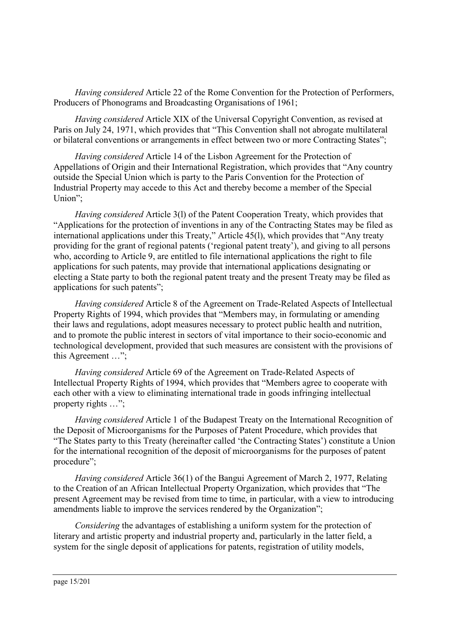*Having considered* Article 22 of the Rome Convention for the Protection of Performers, Producers of Phonograms and Broadcasting Organisations of 1961;

*Having considered* Article XIX of the Universal Copyright Convention, as revised at Paris on July 24, 1971, which provides that "This Convention shall not abrogate multilateral or bilateral conventions or arrangements in effect between two or more Contracting States";

*Having considered* Article 14 of the Lisbon Agreement for the Protection of Appellations of Origin and their International Registration, which provides that "Any country outside the Special Union which is party to the Paris Convention for the Protection of Industrial Property may accede to this Act and thereby become a member of the Special Union";

*Having considered* Article 3(l) of the Patent Cooperation Treaty, which provides that "Applications for the protection of inventions in any of the Contracting States may be filed as international applications under this Treaty," Article 45(l), which provides that "Any treaty providing for the grant of regional patents ('regional patent treaty'), and giving to all persons who, according to Article 9, are entitled to file international applications the right to file applications for such patents, may provide that international applications designating or electing a State party to both the regional patent treaty and the present Treaty may be filed as applications for such patents";

*Having considered* Article 8 of the Agreement on Trade-Related Aspects of Intellectual Property Rights of 1994, which provides that "Members may, in formulating or amending their laws and regulations, adopt measures necessary to protect public health and nutrition, and to promote the public interest in sectors of vital importance to their socio-economic and technological development, provided that such measures are consistent with the provisions of this Agreement …";

*Having considered* Article 69 of the Agreement on Trade-Related Aspects of Intellectual Property Rights of 1994, which provides that "Members agree to cooperate with each other with a view to eliminating international trade in goods infringing intellectual property rights …";

*Having considered* Article 1 of the Budapest Treaty on the International Recognition of the Deposit of Microorganisms for the Purposes of Patent Procedure, which provides that "The States party to this Treaty (hereinafter called 'the Contracting States') constitute a Union for the international recognition of the deposit of microorganisms for the purposes of patent procedure";

*Having considered* Article 36(1) of the Bangui Agreement of March 2, 1977, Relating to the Creation of an African Intellectual Property Organization, which provides that "The present Agreement may be revised from time to time, in particular, with a view to introducing amendments liable to improve the services rendered by the Organization";

*Considering* the advantages of establishing a uniform system for the protection of literary and artistic property and industrial property and, particularly in the latter field, a system for the single deposit of applications for patents, registration of utility models,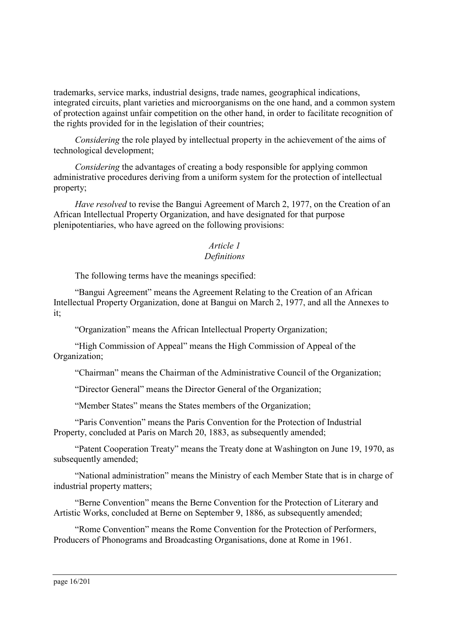trademarks, service marks, industrial designs, trade names, geographical indications, integrated circuits, plant varieties and microorganisms on the one hand, and a common system of protection against unfair competition on the other hand, in order to facilitate recognition of the rights provided for in the legislation of their countries;

*Considering* the role played by intellectual property in the achievement of the aims of technological development;

*Considering* the advantages of creating a body responsible for applying common administrative procedures deriving from a uniform system for the protection of intellectual property;

*Have resolved* to revise the Bangui Agreement of March 2, 1977, on the Creation of an African Intellectual Property Organization, and have designated for that purpose plenipotentiaries, who have agreed on the following provisions:

#### <span id="page-15-0"></span>*Article 1 Definitions*

The following terms have the meanings specified:

"Bangui Agreement" means the Agreement Relating to the Creation of an African Intellectual Property Organization, done at Bangui on March 2, 1977, and all the Annexes to it;

"Organization" means the African Intellectual Property Organization;

"High Commission of Appeal" means the High Commission of Appeal of the Organization;

"Chairman" means the Chairman of the Administrative Council of the Organization;

"Director General" means the Director General of the Organization;

"Member States" means the States members of the Organization;

"Paris Convention" means the Paris Convention for the Protection of Industrial Property, concluded at Paris on March 20, 1883, as subsequently amended;

"Patent Cooperation Treaty" means the Treaty done at Washington on June 19, 1970, as subsequently amended;

"National administration" means the Ministry of each Member State that is in charge of industrial property matters;

"Berne Convention" means the Berne Convention for the Protection of Literary and Artistic Works, concluded at Berne on September 9, 1886, as subsequently amended;

"Rome Convention" means the Rome Convention for the Protection of Performers, Producers of Phonograms and Broadcasting Organisations, done at Rome in 1961.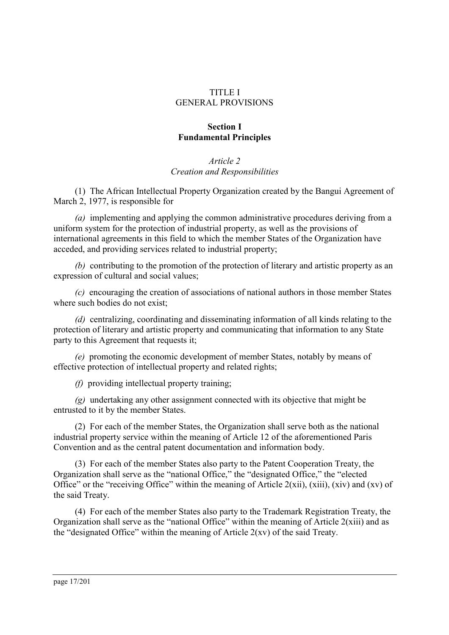### TITLE I GENERAL PROVISIONS

# **Section I Fundamental Principles**

# <span id="page-16-0"></span>*Article 2 Creation and Responsibilities*

(1) The African Intellectual Property Organization created by the Bangui Agreement of March 2, 1977, is responsible for

*(a)* implementing and applying the common administrative procedures deriving from a uniform system for the protection of industrial property, as well as the provisions of international agreements in this field to which the member States of the Organization have acceded, and providing services related to industrial property;

*(b)* contributing to the promotion of the protection of literary and artistic property as an expression of cultural and social values;

*(c)* encouraging the creation of associations of national authors in those member States where such bodies do not exist;

*(d)* centralizing, coordinating and disseminating information of all kinds relating to the protection of literary and artistic property and communicating that information to any State party to this Agreement that requests it;

*(e)* promoting the economic development of member States, notably by means of effective protection of intellectual property and related rights;

*(f)* providing intellectual property training;

*(g)* undertaking any other assignment connected with its objective that might be entrusted to it by the member States.

(2) For each of the member States, the Organization shall serve both as the national industrial property service within the meaning of Article 12 of the aforementioned Paris Convention and as the central patent documentation and information body.

(3) For each of the member States also party to the Patent Cooperation Treaty, the Organization shall serve as the "national Office," the "designated Office," the "elected Office" or the "receiving Office" within the meaning of Article 2(xii), (xiii), (xiv) and (xv) of the said Treaty.

(4) For each of the member States also party to the Trademark Registration Treaty, the Organization shall serve as the "national Office" within the meaning of Article 2(xiii) and as the "designated Office" within the meaning of Article 2(xv) of the said Treaty.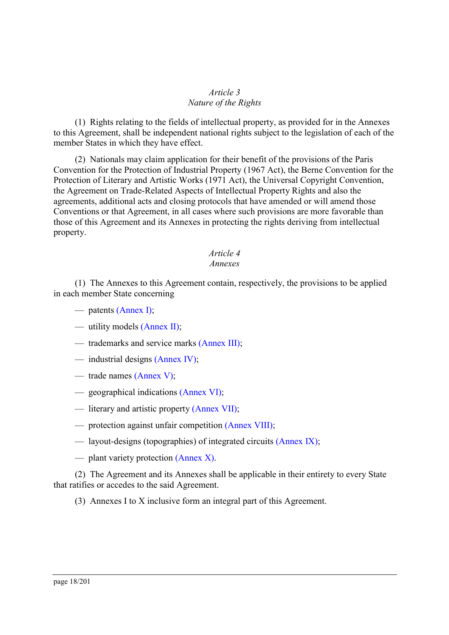### <span id="page-17-0"></span>*Article 3 Nature of the Rights*

(1) Rights relating to the fields of intellectual property, as provided for in the Annexes to this Agreement, shall be independent national rights subject to the legislation of each of the member States in which they have effect.

(2) Nationals may claim application for their benefit of the provisions of the Paris Convention for the Protection of Industrial Property (1967 Act), the Berne Convention for the Protection of Literary and Artistic Works (1971 Act), the Universal Copyright Convention, the Agreement on Trade-Related Aspects of Intellectual Property Rights and also the agreements, additional acts and closing protocols that have amended or will amend those Conventions or that Agreement, in all cases where such provisions are more favorable than those of this Agreement and its Annexes in protecting the rights deriving from intellectual property.

## <span id="page-17-1"></span>*Article 4*

#### *Annexes*

(1) The Annexes to this Agreement contain, respectively, the provisions to be applied in each member State concerning

- patents [\(Annex I\);](#page-33-0)
- utility models [\(Annex II\);](#page-59-0)
- trademarks and service marks [\(Annex III\);](#page-77-0)
- industrial designs [\(Annex IV\);](#page-95-0)
- trade names [\(Annex V\);](#page-107-0)
- geographical indications [\(Annex VI\);](#page-115-0)
- literary and artistic property [\(Annex VII\);](#page-122-0)
- protection against unfair competition [\(Annex VIII\);](#page-159-0)
- layout-designs (topographies) of integrated circuits [\(Annex IX\);](#page-164-0)
- plant variety protection [\(Annex X\).](#page-177-3)

(2) The Agreement and its Annexes shall be applicable in their entirety to every State that ratifies or accedes to the said Agreement.

(3) Annexes I to X inclusive form an integral part of this Agreement.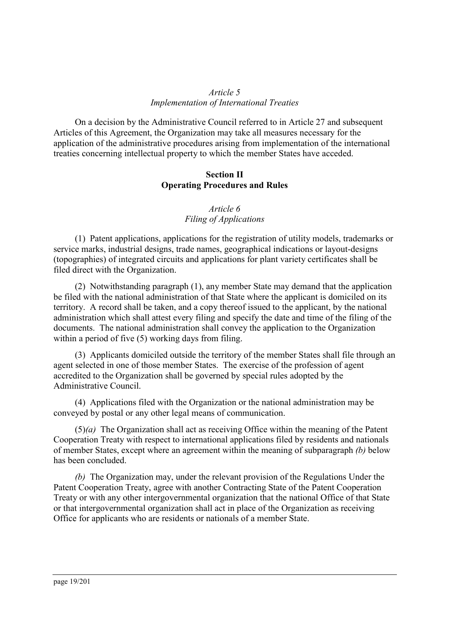# <span id="page-18-0"></span>*Article 5 Implementation of International Treaties*

On a decision by the Administrative Council referred to in Article 27 and subsequent Articles of this Agreement, the Organization may take all measures necessary for the application of the administrative procedures arising from implementation of the international treaties concerning intellectual property to which the member States have acceded.

### **Section II Operating Procedures and Rules**

# <span id="page-18-1"></span>*Article 6 Filing of Applications*

(1) Patent applications, applications for the registration of utility models, trademarks or service marks, industrial designs, trade names, geographical indications or layout-designs (topographies) of integrated circuits and applications for plant variety certificates shall be filed direct with the Organization.

(2) Notwithstanding paragraph (1), any member State may demand that the application be filed with the national administration of that State where the applicant is domiciled on its territory. A record shall be taken, and a copy thereof issued to the applicant, by the national administration which shall attest every filing and specify the date and time of the filing of the documents. The national administration shall convey the application to the Organization within a period of five (5) working days from filing.

(3) Applicants domiciled outside the territory of the member States shall file through an agent selected in one of those member States. The exercise of the profession of agent accredited to the Organization shall be governed by special rules adopted by the Administrative Council.

(4) Applications filed with the Organization or the national administration may be conveyed by postal or any other legal means of communication.

(5)*(a)* The Organization shall act as receiving Office within the meaning of the Patent Cooperation Treaty with respect to international applications filed by residents and nationals of member States, except where an agreement within the meaning of subparagraph *(b)* below has been concluded.

*(b)* The Organization may, under the relevant provision of the Regulations Under the Patent Cooperation Treaty, agree with another Contracting State of the Patent Cooperation Treaty or with any other intergovernmental organization that the national Office of that State or that intergovernmental organization shall act in place of the Organization as receiving Office for applicants who are residents or nationals of a member State.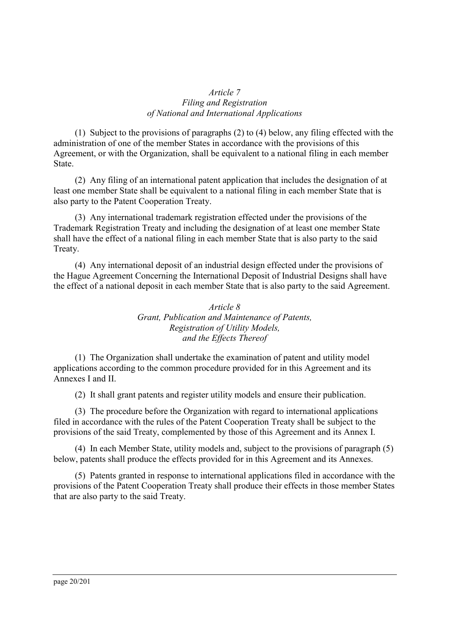# <span id="page-19-0"></span>*Article 7 Filing and Registration of National and International Applications*

(1) Subject to the provisions of paragraphs (2) to (4) below, any filing effected with the administration of one of the member States in accordance with the provisions of this Agreement, or with the Organization, shall be equivalent to a national filing in each member State.

(2) Any filing of an international patent application that includes the designation of at least one member State shall be equivalent to a national filing in each member State that is also party to the Patent Cooperation Treaty.

(3) Any international trademark registration effected under the provisions of the Trademark Registration Treaty and including the designation of at least one member State shall have the effect of a national filing in each member State that is also party to the said Treaty.

(4) Any international deposit of an industrial design effected under the provisions of the Hague Agreement Concerning the International Deposit of Industrial Designs shall have the effect of a national deposit in each member State that is also party to the said Agreement.

> <span id="page-19-1"></span>*Article 8 Grant, Publication and Maintenance of Patents, Registration of Utility Models, and the Effects Thereof*

(1) The Organization shall undertake the examination of patent and utility model applications according to the common procedure provided for in this Agreement and its Annexes I and II.

(2) It shall grant patents and register utility models and ensure their publication.

(3) The procedure before the Organization with regard to international applications filed in accordance with the rules of the Patent Cooperation Treaty shall be subject to the provisions of the said Treaty, complemented by those of this Agreement and its Annex I.

(4) In each Member State, utility models and, subject to the provisions of paragraph (5) below, patents shall produce the effects provided for in this Agreement and its Annexes.

(5) Patents granted in response to international applications filed in accordance with the provisions of the Patent Cooperation Treaty shall produce their effects in those member States that are also party to the said Treaty.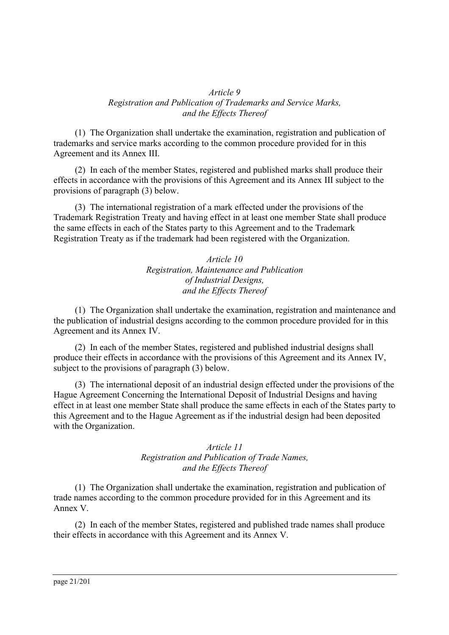### <span id="page-20-0"></span>*Article 9 Registration and Publication of Trademarks and Service Marks, and the Effects Thereof*

(1) The Organization shall undertake the examination, registration and publication of trademarks and service marks according to the common procedure provided for in this Agreement and its Annex III.

(2) In each of the member States, registered and published marks shall produce their effects in accordance with the provisions of this Agreement and its Annex III subject to the provisions of paragraph (3) below.

(3) The international registration of a mark effected under the provisions of the Trademark Registration Treaty and having effect in at least one member State shall produce the same effects in each of the States party to this Agreement and to the Trademark Registration Treaty as if the trademark had been registered with the Organization.

> <span id="page-20-1"></span>*Article 10 Registration, Maintenance and Publication of Industrial Designs, and the Effects Thereof*

(1) The Organization shall undertake the examination, registration and maintenance and the publication of industrial designs according to the common procedure provided for in this Agreement and its Annex IV.

(2) In each of the member States, registered and published industrial designs shall produce their effects in accordance with the provisions of this Agreement and its Annex IV, subject to the provisions of paragraph (3) below.

(3) The international deposit of an industrial design effected under the provisions of the Hague Agreement Concerning the International Deposit of Industrial Designs and having effect in at least one member State shall produce the same effects in each of the States party to this Agreement and to the Hague Agreement as if the industrial design had been deposited with the Organization.

## <span id="page-20-2"></span>*Article 11 Registration and Publication of Trade Names, and the Effects Thereof*

(1) The Organization shall undertake the examination, registration and publication of trade names according to the common procedure provided for in this Agreement and its Annex V.

(2) In each of the member States, registered and published trade names shall produce their effects in accordance with this Agreement and its Annex V.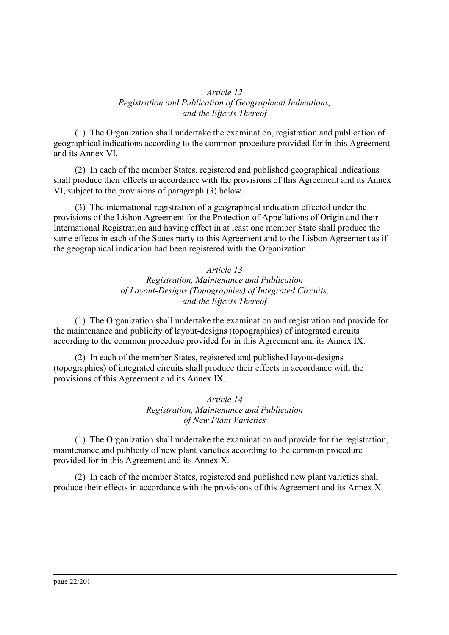### <span id="page-21-0"></span>*Article 12 Registration and Publication of Geographical Indications, and the Effects Thereof*

(1) The Organization shall undertake the examination, registration and publication of geographical indications according to the common procedure provided for in this Agreement and its Annex VI.

(2) In each of the member States, registered and published geographical indications shall produce their effects in accordance with the provisions of this Agreement and its Annex VI, subject to the provisions of paragraph (3) below.

(3) The international registration of a geographical indication effected under the provisions of the Lisbon Agreement for the Protection of Appellations of Origin and their International Registration and having effect in at least one member State shall produce the same effects in each of the States party to this Agreement and to the Lisbon Agreement as if the geographical indication had been registered with the Organization.

### <span id="page-21-1"></span>*Article 13*

# *Registration, Maintenance and Publication of Layout-Designs (Topographies) of Integrated Circuits, and the Effects Thereof*

(1) The Organization shall undertake the examination and registration and provide for the maintenance and publicity of layout-designs (topographies) of integrated circuits according to the common procedure provided for in this Agreement and its Annex IX.

(2) In each of the member States, registered and published layout-designs (topographies) of integrated circuits shall produce their effects in accordance with the provisions of this Agreement and its Annex IX.

#### <span id="page-21-2"></span>*Article 14 Registration, Maintenance and Publication of New Plant Varieties*

(1) The Organization shall undertake the examination and provide for the registration, maintenance and publicity of new plant varieties according to the common procedure provided for in this Agreement and its Annex X.

(2) In each of the member States, registered and published new plant varieties shall produce their effects in accordance with the provisions of this Agreement and its Annex X.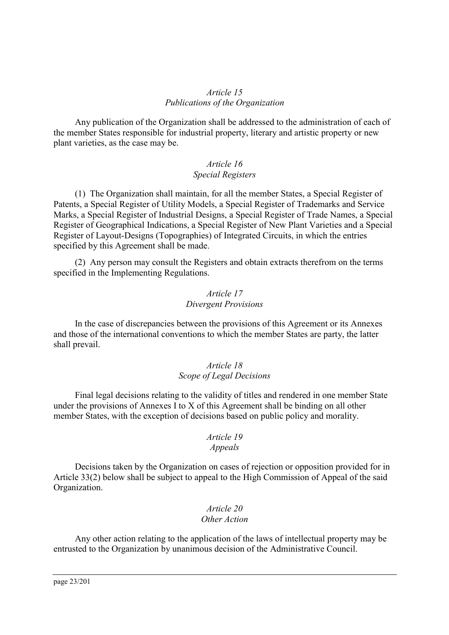### <span id="page-22-0"></span>*Article 15 Publications of the Organization*

Any publication of the Organization shall be addressed to the administration of each of the member States responsible for industrial property, literary and artistic property or new plant varieties, as the case may be.

# <span id="page-22-1"></span>*Article 16 Special Registers*

(1) The Organization shall maintain, for all the member States, a Special Register of Patents, a Special Register of Utility Models, a Special Register of Trademarks and Service Marks, a Special Register of Industrial Designs, a Special Register of Trade Names, a Special Register of Geographical Indications, a Special Register of New Plant Varieties and a Special Register of Layout-Designs (Topographies) of Integrated Circuits, in which the entries specified by this Agreement shall be made.

(2) Any person may consult the Registers and obtain extracts therefrom on the terms specified in the Implementing Regulations.

### <span id="page-22-2"></span>*Article 17 Divergent Provisions*

In the case of discrepancies between the provisions of this Agreement or its Annexes and those of the international conventions to which the member States are party, the latter shall prevail.

### <span id="page-22-3"></span>*Article 18 Scope of Legal Decisions*

Final legal decisions relating to the validity of titles and rendered in one member State under the provisions of Annexes I to X of this Agreement shall be binding on all other member States, with the exception of decisions based on public policy and morality.

# <span id="page-22-4"></span>*Article 19*

# *Appeals*

Decisions taken by the Organization on cases of rejection or opposition provided for in Article 33(2) below shall be subject to appeal to the High Commission of Appeal of the said Organization.

#### <span id="page-22-5"></span>*Article 20 Other Action*

Any other action relating to the application of the laws of intellectual property may be entrusted to the Organization by unanimous decision of the Administrative Council.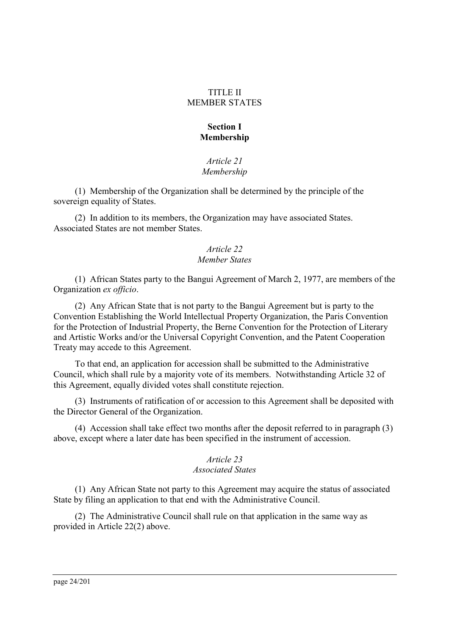### TITLE II MEMBER STATES

# **Section I Membership**

### <span id="page-23-0"></span>*Article 21 Membership*

(1) Membership of the Organization shall be determined by the principle of the sovereign equality of States.

(2) In addition to its members, the Organization may have associated States. Associated States are not member States.

#### <span id="page-23-1"></span>*Article 22 Member States*

(1) African States party to the Bangui Agreement of March 2, 1977, are members of the Organization *ex officio*.

(2) Any African State that is not party to the Bangui Agreement but is party to the Convention Establishing the World Intellectual Property Organization, the Paris Convention for the Protection of Industrial Property, the Berne Convention for the Protection of Literary and Artistic Works and/or the Universal Copyright Convention, and the Patent Cooperation Treaty may accede to this Agreement.

To that end, an application for accession shall be submitted to the Administrative Council, which shall rule by a majority vote of its members. Notwithstanding Article 32 of this Agreement, equally divided votes shall constitute rejection.

(3) Instruments of ratification of or accession to this Agreement shall be deposited with the Director General of the Organization.

(4) Accession shall take effect two months after the deposit referred to in paragraph (3) above, except where a later date has been specified in the instrument of accession.

### <span id="page-23-2"></span>*Article 23 Associated States*

(1) Any African State not party to this Agreement may acquire the status of associated State by filing an application to that end with the Administrative Council.

(2) The Administrative Council shall rule on that application in the same way as provided in Article 22(2) above.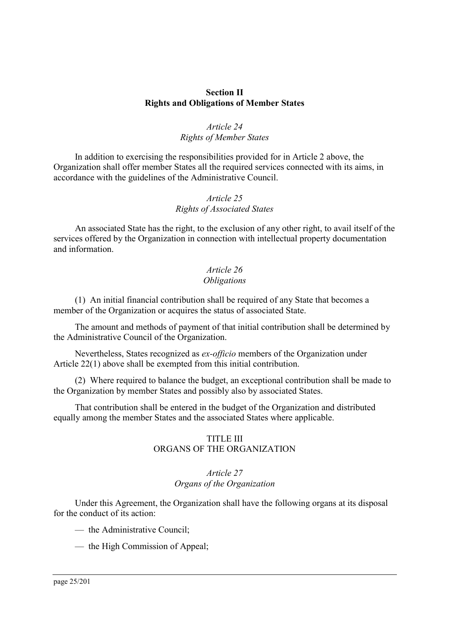### **Section II Rights and Obligations of Member States**

## <span id="page-24-0"></span>*Article 24 Rights of Member States*

In addition to exercising the responsibilities provided for in Article 2 above, the Organization shall offer member States all the required services connected with its aims, in accordance with the guidelines of the Administrative Council.

# <span id="page-24-1"></span>*Article 25 Rights of Associated States*

An associated State has the right, to the exclusion of any other right, to avail itself of the services offered by the Organization in connection with intellectual property documentation and information.

# <span id="page-24-2"></span>*Article 26 Obligations*

(1) An initial financial contribution shall be required of any State that becomes a member of the Organization or acquires the status of associated State.

The amount and methods of payment of that initial contribution shall be determined by the Administrative Council of the Organization.

Nevertheless, States recognized as *ex-officio* members of the Organization under Article 22(1) above shall be exempted from this initial contribution.

(2) Where required to balance the budget, an exceptional contribution shall be made to the Organization by member States and possibly also by associated States.

That contribution shall be entered in the budget of the Organization and distributed equally among the member States and the associated States where applicable.

#### TITLE III ORGANS OF THE ORGANIZATION

#### <span id="page-24-3"></span>*Article 27 Organs of the Organization*

Under this Agreement, the Organization shall have the following organs at its disposal for the conduct of its action:

— the Administrative Council;

— the High Commission of Appeal;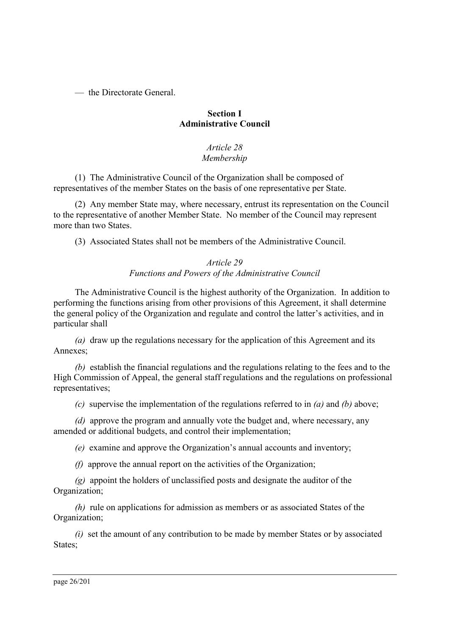— the Directorate General.

# **Section I Administrative Council**

# <span id="page-25-0"></span>*Article 28 Membership*

(1) The Administrative Council of the Organization shall be composed of representatives of the member States on the basis of one representative per State.

(2) Any member State may, where necessary, entrust its representation on the Council to the representative of another Member State. No member of the Council may represent more than two States.

(3) Associated States shall not be members of the Administrative Council.

# <span id="page-25-1"></span>*Article 29 Functions and Powers of the Administrative Council*

The Administrative Council is the highest authority of the Organization. In addition to performing the functions arising from other provisions of this Agreement, it shall determine the general policy of the Organization and regulate and control the latter's activities, and in particular shall

*(a)* draw up the regulations necessary for the application of this Agreement and its Annexes;

*(b)* establish the financial regulations and the regulations relating to the fees and to the High Commission of Appeal, the general staff regulations and the regulations on professional representatives;

*(c)* supervise the implementation of the regulations referred to in *(a)* and *(b)* above;

*(d)* approve the program and annually vote the budget and, where necessary, any amended or additional budgets, and control their implementation;

*(e)* examine and approve the Organization's annual accounts and inventory;

*(f)* approve the annual report on the activities of the Organization;

*(g)* appoint the holders of unclassified posts and designate the auditor of the Organization;

*(h)* rule on applications for admission as members or as associated States of the Organization;

*(i)* set the amount of any contribution to be made by member States or by associated States: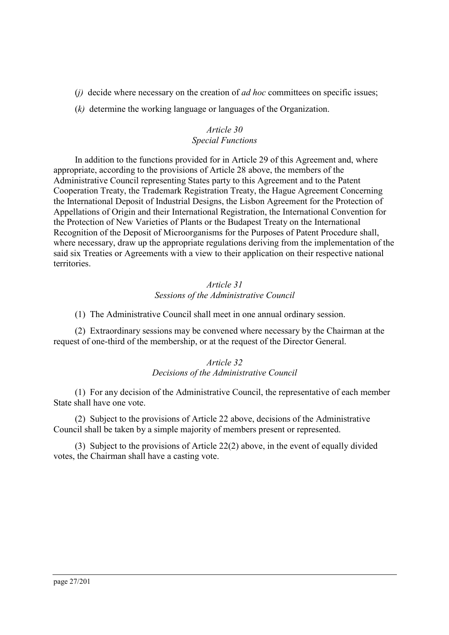- (*j)* decide where necessary on the creation of *ad hoc* committees on specific issues;
- (*k)* determine the working language or languages of the Organization.

# <span id="page-26-0"></span>*Article 30 Special Functions*

In addition to the functions provided for in Article 29 of this Agreement and, where appropriate, according to the provisions of Article 28 above, the members of the Administrative Council representing States party to this Agreement and to the Patent Cooperation Treaty, the Trademark Registration Treaty, the Hague Agreement Concerning the International Deposit of Industrial Designs, the Lisbon Agreement for the Protection of Appellations of Origin and their International Registration, the International Convention for the Protection of New Varieties of Plants or the Budapest Treaty on the International Recognition of the Deposit of Microorganisms for the Purposes of Patent Procedure shall, where necessary, draw up the appropriate regulations deriving from the implementation of the said six Treaties or Agreements with a view to their application on their respective national territories.

# <span id="page-26-1"></span>*Article 31 Sessions of the Administrative Council*

(1) The Administrative Council shall meet in one annual ordinary session.

(2) Extraordinary sessions may be convened where necessary by the Chairman at the request of one-third of the membership, or at the request of the Director General.

### <span id="page-26-2"></span>*Article 32 Decisions of the Administrative Council*

(1) For any decision of the Administrative Council, the representative of each member State shall have one vote.

(2) Subject to the provisions of Article 22 above, decisions of the Administrative Council shall be taken by a simple majority of members present or represented.

(3) Subject to the provisions of Article 22(2) above, in the event of equally divided votes, the Chairman shall have a casting vote.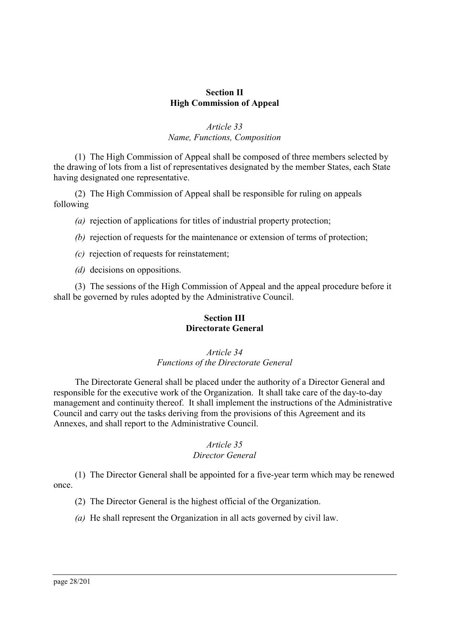# **Section II High Commission of Appeal**

## <span id="page-27-0"></span>*Article 33 Name, Functions, Composition*

(1) The High Commission of Appeal shall be composed of three members selected by the drawing of lots from a list of representatives designated by the member States, each State having designated one representative.

(2) The High Commission of Appeal shall be responsible for ruling on appeals following

*(a)* rejection of applications for titles of industrial property protection;

*(b)* rejection of requests for the maintenance or extension of terms of protection;

- *(c)* rejection of requests for reinstatement;
- *(d)* decisions on oppositions.

(3) The sessions of the High Commission of Appeal and the appeal procedure before it shall be governed by rules adopted by the Administrative Council.

# <span id="page-27-1"></span>**Section III Directorate General**

# *Article 34 Functions of the Directorate General*

The Directorate General shall be placed under the authority of a Director General and responsible for the executive work of the Organization. It shall take care of the day-to-day management and continuity thereof. It shall implement the instructions of the Administrative Council and carry out the tasks deriving from the provisions of this Agreement and its Annexes, and shall report to the Administrative Council.

# <span id="page-27-2"></span>*Article 35*

# *Director General*

(1) The Director General shall be appointed for a five-year term which may be renewed once.

(2) The Director General is the highest official of the Organization.

*(a)* He shall represent the Organization in all acts governed by civil law.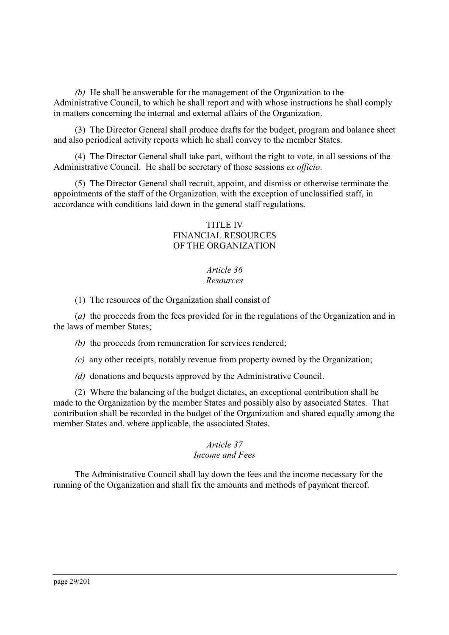*(b)* He shall be answerable for the management of the Organization to the Administrative Council, to which he shall report and with whose instructions he shall comply in matters concerning the internal and external affairs of the Organization.

(3) The Director General shall produce drafts for the budget, program and balance sheet and also periodical activity reports which he shall convey to the member States.

(4) The Director General shall take part, without the right to vote, in all sessions of the Administrative Council. He shall be secretary of those sessions *ex officio*.

(5) The Director General shall recruit, appoint, and dismiss or otherwise terminate the appointments of the staff of the Organization, with the exception of unclassified staff, in accordance with conditions laid down in the general staff regulations.

### TITLE IV FINANCIAL RESOURCES OF THE ORGANIZATION

#### <span id="page-28-0"></span>*Article 36 Resources*

(1) The resources of the Organization shall consist of

(*a)* the proceeds from the fees provided for in the regulations of the Organization and in the laws of member States;

*(b)* the proceeds from remuneration for services rendered;

*(c)* any other receipts, notably revenue from property owned by the Organization;

*(d)* donations and bequests approved by the Administrative Council.

(2) Where the balancing of the budget dictates, an exceptional contribution shall be made to the Organization by the member States and possibly also by associated States. That contribution shall be recorded in the budget of the Organization and shared equally among the member States and, where applicable, the associated States.

#### <span id="page-28-1"></span>*Article 37*

### *Income and Fees*

The Administrative Council shall lay down the fees and the income necessary for the running of the Organization and shall fix the amounts and methods of payment thereof.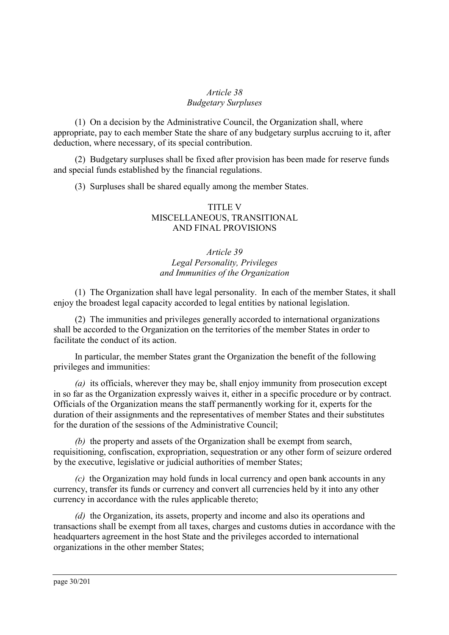# <span id="page-29-0"></span>*Article 38 Budgetary Surpluses*

(1) On a decision by the Administrative Council, the Organization shall, where appropriate, pay to each member State the share of any budgetary surplus accruing to it, after deduction, where necessary, of its special contribution.

(2) Budgetary surpluses shall be fixed after provision has been made for reserve funds and special funds established by the financial regulations.

(3) Surpluses shall be shared equally among the member States.

### TITLE V MISCELLANEOUS, TRANSITIONAL AND FINAL PROVISIONS

# <span id="page-29-1"></span>*Article 39 Legal Personality, Privileges and Immunities of the Organization*

(1) The Organization shall have legal personality. In each of the member States, it shall enjoy the broadest legal capacity accorded to legal entities by national legislation.

(2) The immunities and privileges generally accorded to international organizations shall be accorded to the Organization on the territories of the member States in order to facilitate the conduct of its action.

In particular, the member States grant the Organization the benefit of the following privileges and immunities:

*(a)* its officials, wherever they may be, shall enjoy immunity from prosecution except in so far as the Organization expressly waives it, either in a specific procedure or by contract. Officials of the Organization means the staff permanently working for it, experts for the duration of their assignments and the representatives of member States and their substitutes for the duration of the sessions of the Administrative Council;

*(b)* the property and assets of the Organization shall be exempt from search, requisitioning, confiscation, expropriation, sequestration or any other form of seizure ordered by the executive, legislative or judicial authorities of member States;

*(c)* the Organization may hold funds in local currency and open bank accounts in any currency, transfer its funds or currency and convert all currencies held by it into any other currency in accordance with the rules applicable thereto;

*(d)* the Organization, its assets, property and income and also its operations and transactions shall be exempt from all taxes, charges and customs duties in accordance with the headquarters agreement in the host State and the privileges accorded to international organizations in the other member States;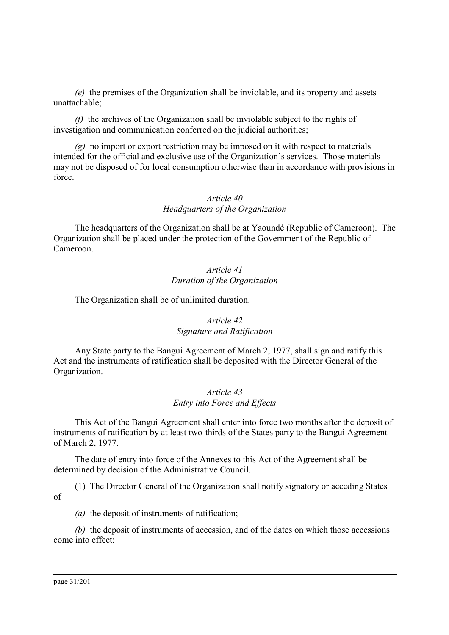*(e)* the premises of the Organization shall be inviolable, and its property and assets unattachable;

*(f)* the archives of the Organization shall be inviolable subject to the rights of investigation and communication conferred on the judicial authorities;

*(g)* no import or export restriction may be imposed on it with respect to materials intended for the official and exclusive use of the Organization's services. Those materials may not be disposed of for local consumption otherwise than in accordance with provisions in force.

### <span id="page-30-0"></span>*Article 40 Headquarters of the Organization*

The headquarters of the Organization shall be at Yaoundé (Republic of Cameroon). The Organization shall be placed under the protection of the Government of the Republic of Cameroon.

### <span id="page-30-1"></span>*Article 41 Duration of the Organization*

The Organization shall be of unlimited duration.

# <span id="page-30-2"></span>*Article 42 Signature and Ratification*

Any State party to the Bangui Agreement of March 2, 1977, shall sign and ratify this Act and the instruments of ratification shall be deposited with the Director General of the Organization.

## <span id="page-30-3"></span>*Article 43 Entry into Force and Effects*

This Act of the Bangui Agreement shall enter into force two months after the deposit of instruments of ratification by at least two-thirds of the States party to the Bangui Agreement of March 2, 1977.

The date of entry into force of the Annexes to this Act of the Agreement shall be determined by decision of the Administrative Council.

(1) The Director General of the Organization shall notify signatory or acceding States of

*(a)* the deposit of instruments of ratification;

*(b)* the deposit of instruments of accession, and of the dates on which those accessions come into effect;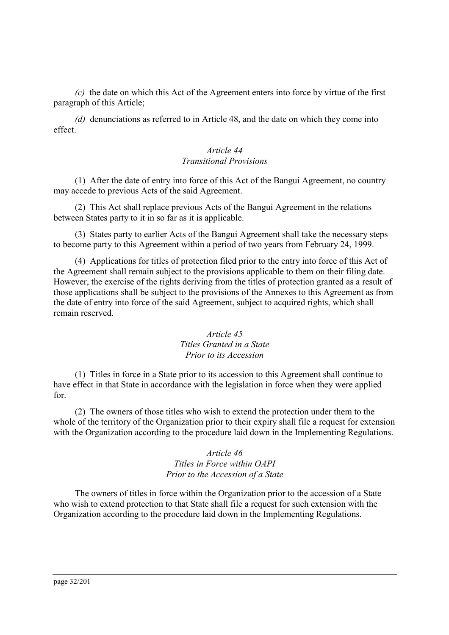*(c)* the date on which this Act of the Agreement enters into force by virtue of the first paragraph of this Article;

*(d)* denunciations as referred to in Article 48, and the date on which they come into effect.

# <span id="page-31-0"></span>*Article 44 Transitional Provisions*

(1) After the date of entry into force of this Act of the Bangui Agreement, no country may accede to previous Acts of the said Agreement.

(2) This Act shall replace previous Acts of the Bangui Agreement in the relations between States party to it in so far as it is applicable.

(3) States party to earlier Acts of the Bangui Agreement shall take the necessary steps to become party to this Agreement within a period of two years from February 24, 1999.

(4) Applications for titles of protection filed prior to the entry into force of this Act of the Agreement shall remain subject to the provisions applicable to them on their filing date. However, the exercise of the rights deriving from the titles of protection granted as a result of those applications shall be subject to the provisions of the Annexes to this Agreement as from the date of entry into force of the said Agreement, subject to acquired rights, which shall remain reserved.

# <span id="page-31-1"></span>*Article 45 Titles Granted in a State Prior to its Accession*

(1) Titles in force in a State prior to its accession to this Agreement shall continue to have effect in that State in accordance with the legislation in force when they were applied for.

(2) The owners of those titles who wish to extend the protection under them to the whole of the territory of the Organization prior to their expiry shall file a request for extension with the Organization according to the procedure laid down in the Implementing Regulations.

# <span id="page-31-2"></span>*Article 46 Titles in Force within OAPI Prior to the Accession of a State*

The owners of titles in force within the Organization prior to the accession of a State who wish to extend protection to that State shall file a request for such extension with the Organization according to the procedure laid down in the Implementing Regulations.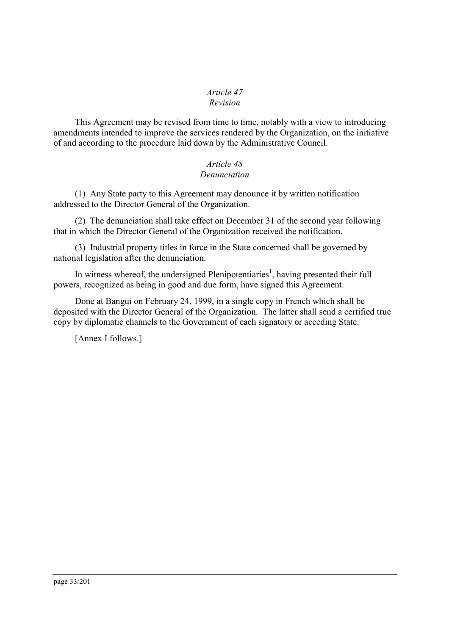# <span id="page-32-0"></span>*Article 47*

# *Revision*

This Agreement may be revised from time to time, notably with a view to introducing amendments intended to improve the services rendered by the Organization, on the initiative of and according to the procedure laid down by the Administrative Council.

# <span id="page-32-1"></span>*Article 48 Denunciation*

(1) Any State party to this Agreement may denounce it by written notification addressed to the Director General of the Organization.

(2) The denunciation shall take effect on December 31 of the second year following that in which the Director General of the Organization received the notification.

(3) Industrial property titles in force in the State concerned shall be governed by national legislation after the denunciation.

In witness whereof[,](#page-200-2) the undersigned Plenipotentiaries<sup>1</sup>, having presented their full powers, recognized as being in good and due form, have signed this Agreement.

Done at Bangui on February 24, 1999, in a single copy in French which shall be deposited with the Director General of the Organization. The latter shall send a certified true copy by diplomatic channels to the Government of each signatory or acceding State.

[Annex I follows.]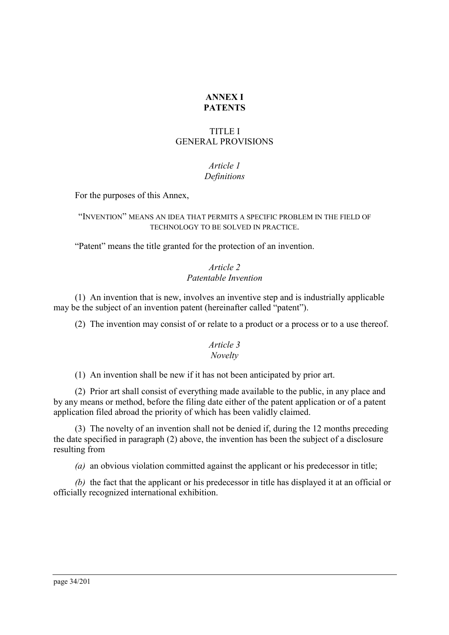## <span id="page-33-0"></span>**ANNEX I PATENTS**

# TITLE I GENERAL PROVISIONS

# <span id="page-33-1"></span>*Article 1 Definitions*

For the purposes of this Annex,

### "INVENTION" MEANS AN IDEA THAT PERMITS A SPECIFIC PROBLEM IN THE FIELD OF TECHNOLOGY TO BE SOLVED IN PRACTICE.

"Patent" means the title granted for the protection of an invention.

# <span id="page-33-2"></span>*Article 2 Patentable Invention*

(1) An invention that is new, involves an inventive step and is industrially applicable may be the subject of an invention patent (hereinafter called "patent").

(2) The invention may consist of or relate to a product or a process or to a use thereof.

### <span id="page-33-3"></span>*Article 3 Novelty*

(1) An invention shall be new if it has not been anticipated by prior art.

(2) Prior art shall consist of everything made available to the public, in any place and by any means or method, before the filing date either of the patent application or of a patent application filed abroad the priority of which has been validly claimed.

(3) The novelty of an invention shall not be denied if, during the 12 months preceding the date specified in paragraph (2) above, the invention has been the subject of a disclosure resulting from

*(a)* an obvious violation committed against the applicant or his predecessor in title;

*(b)* the fact that the applicant or his predecessor in title has displayed it at an official or officially recognized international exhibition.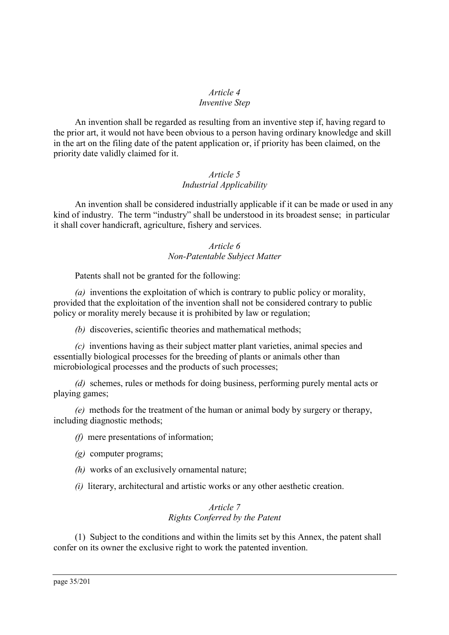#### <span id="page-34-0"></span>*Article 4 Inventive Step*

An invention shall be regarded as resulting from an inventive step if, having regard to the prior art, it would not have been obvious to a person having ordinary knowledge and skill in the art on the filing date of the patent application or, if priority has been claimed, on the priority date validly claimed for it.

# <span id="page-34-1"></span>*Article 5 Industrial Applicability*

An invention shall be considered industrially applicable if it can be made or used in any kind of industry. The term "industry" shall be understood in its broadest sense; in particular it shall cover handicraft, agriculture, fishery and services.

# <span id="page-34-2"></span>*Article 6 Non-Patentable Subject Matter*

Patents shall not be granted for the following:

*(a)* inventions the exploitation of which is contrary to public policy or morality, provided that the exploitation of the invention shall not be considered contrary to public policy or morality merely because it is prohibited by law or regulation;

*(b)* discoveries, scientific theories and mathematical methods;

*(c)* inventions having as their subject matter plant varieties, animal species and essentially biological processes for the breeding of plants or animals other than microbiological processes and the products of such processes;

*(d)* schemes, rules or methods for doing business, performing purely mental acts or playing games;

*(e)* methods for the treatment of the human or animal body by surgery or therapy, including diagnostic methods;

*(f)* mere presentations of information;

- *(g)* computer programs;
- *(h)* works of an exclusively ornamental nature;
- *(i)* literary, architectural and artistic works or any other aesthetic creation.

# <span id="page-34-3"></span>*Article 7 Rights Conferred by the Patent*

(1) Subject to the conditions and within the limits set by this Annex, the patent shall confer on its owner the exclusive right to work the patented invention.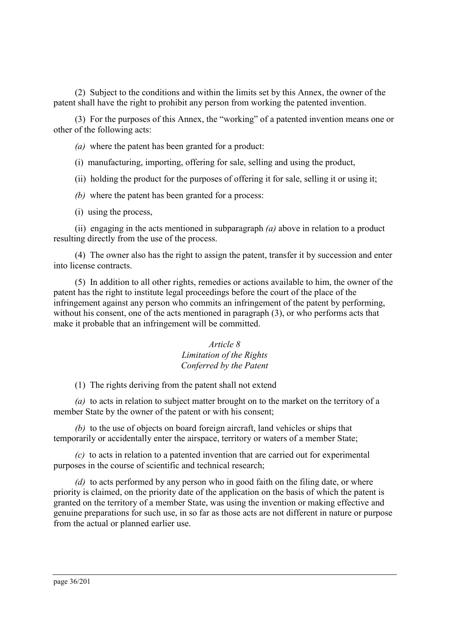(2) Subject to the conditions and within the limits set by this Annex, the owner of the patent shall have the right to prohibit any person from working the patented invention.

(3) For the purposes of this Annex, the "working" of a patented invention means one or other of the following acts:

- *(a)* where the patent has been granted for a product:
- (i) manufacturing, importing, offering for sale, selling and using the product,
- (ii) holding the product for the purposes of offering it for sale, selling it or using it;
- *(b)* where the patent has been granted for a process:
- (i) using the process,

(ii) engaging in the acts mentioned in subparagraph *(a)* above in relation to a product resulting directly from the use of the process.

(4) The owner also has the right to assign the patent, transfer it by succession and enter into license contracts.

(5) In addition to all other rights, remedies or actions available to him, the owner of the patent has the right to institute legal proceedings before the court of the place of the infringement against any person who commits an infringement of the patent by performing, without his consent, one of the acts mentioned in paragraph (3), or who performs acts that make it probable that an infringement will be committed.

#### <span id="page-35-0"></span>*Article 8 Limitation of the Rights Conferred by the Patent*

(1) The rights deriving from the patent shall not extend

*(a)* to acts in relation to subject matter brought on to the market on the territory of a member State by the owner of the patent or with his consent;

*(b)* to the use of objects on board foreign aircraft, land vehicles or ships that temporarily or accidentally enter the airspace, territory or waters of a member State;

*(c)* to acts in relation to a patented invention that are carried out for experimental purposes in the course of scientific and technical research;

*(d)* to acts performed by any person who in good faith on the filing date, or where priority is claimed, on the priority date of the application on the basis of which the patent is granted on the territory of a member State, was using the invention or making effective and genuine preparations for such use, in so far as those acts are not different in nature or purpose from the actual or planned earlier use.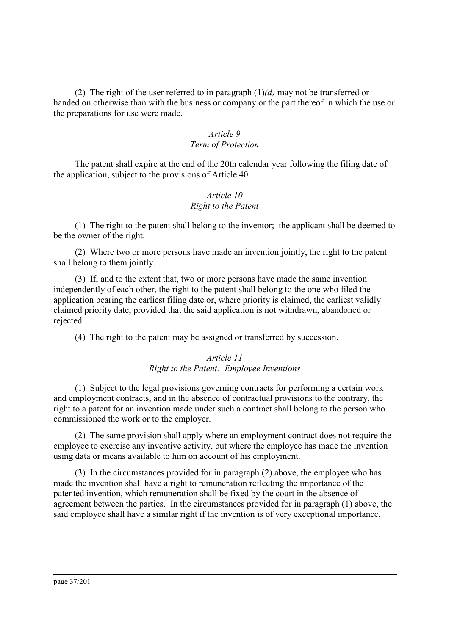(2) The right of the user referred to in paragraph (1)*(d)* may not be transferred or handed on otherwise than with the business or company or the part thereof in which the use or the preparations for use were made.

## *Article 9 Term of Protection*

The patent shall expire at the end of the 20th calendar year following the filing date of the application, subject to the provisions of Article 40.

## *Article 10 Right to the Patent*

(1) The right to the patent shall belong to the inventor; the applicant shall be deemed to be the owner of the right.

(2) Where two or more persons have made an invention jointly, the right to the patent shall belong to them jointly.

(3) If, and to the extent that, two or more persons have made the same invention independently of each other, the right to the patent shall belong to the one who filed the application bearing the earliest filing date or, where priority is claimed, the earliest validly claimed priority date, provided that the said application is not withdrawn, abandoned or rejected.

(4) The right to the patent may be assigned or transferred by succession.

## *Article 11 Right to the Patent: Employee Inventions*

(1) Subject to the legal provisions governing contracts for performing a certain work and employment contracts, and in the absence of contractual provisions to the contrary, the right to a patent for an invention made under such a contract shall belong to the person who commissioned the work or to the employer.

(2) The same provision shall apply where an employment contract does not require the employee to exercise any inventive activity, but where the employee has made the invention using data or means available to him on account of his employment.

(3) In the circumstances provided for in paragraph (2) above, the employee who has made the invention shall have a right to remuneration reflecting the importance of the patented invention, which remuneration shall be fixed by the court in the absence of agreement between the parties. In the circumstances provided for in paragraph (1) above, the said employee shall have a similar right if the invention is of very exceptional importance.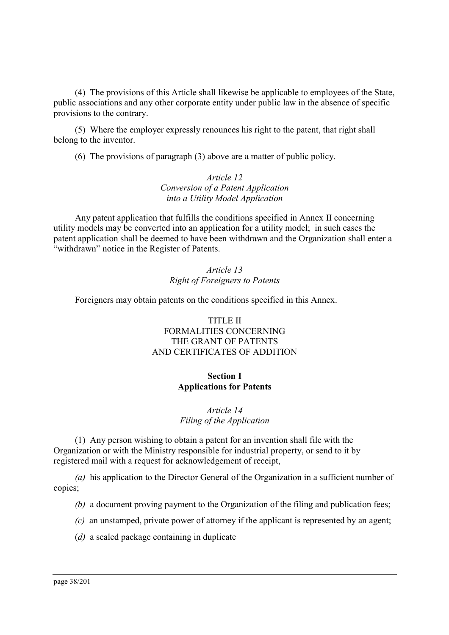(4) The provisions of this Article shall likewise be applicable to employees of the State, public associations and any other corporate entity under public law in the absence of specific provisions to the contrary.

(5) Where the employer expressly renounces his right to the patent, that right shall belong to the inventor.

(6) The provisions of paragraph (3) above are a matter of public policy.

*Article 12 Conversion of a Patent Application into a Utility Model Application*

Any patent application that fulfills the conditions specified in Annex II concerning utility models may be converted into an application for a utility model; in such cases the patent application shall be deemed to have been withdrawn and the Organization shall enter a "withdrawn" notice in the Register of Patents.

> *Article 13 Right of Foreigners to Patents*

Foreigners may obtain patents on the conditions specified in this Annex.

## TITLE II FORMALITIES CONCERNING THE GRANT OF PATENTS AND CERTIFICATES OF ADDITION

## **Section I Applications for Patents**

## *Article 14 Filing of the Application*

(1) Any person wishing to obtain a patent for an invention shall file with the Organization or with the Ministry responsible for industrial property, or send to it by registered mail with a request for acknowledgement of receipt,

*(a)* his application to the Director General of the Organization in a sufficient number of copies;

- *(b)* a document proving payment to the Organization of the filing and publication fees;
- *(c)* an unstamped, private power of attorney if the applicant is represented by an agent;
- (*d)* a sealed package containing in duplicate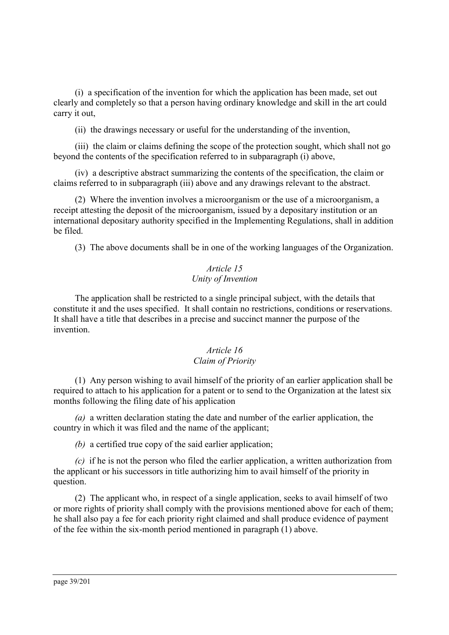(i) a specification of the invention for which the application has been made, set out clearly and completely so that a person having ordinary knowledge and skill in the art could carry it out,

(ii) the drawings necessary or useful for the understanding of the invention,

(iii) the claim or claims defining the scope of the protection sought, which shall not go beyond the contents of the specification referred to in subparagraph (i) above,

(iv) a descriptive abstract summarizing the contents of the specification, the claim or claims referred to in subparagraph (iii) above and any drawings relevant to the abstract.

(2) Where the invention involves a microorganism or the use of a microorganism, a receipt attesting the deposit of the microorganism, issued by a depositary institution or an international depositary authority specified in the Implementing Regulations, shall in addition be filed.

(3) The above documents shall be in one of the working languages of the Organization.

## *Article 15 Unity of Invention*

The application shall be restricted to a single principal subject, with the details that constitute it and the uses specified. It shall contain no restrictions, conditions or reservations. It shall have a title that describes in a precise and succinct manner the purpose of the invention.

## *Article 16 Claim of Priority*

(1) Any person wishing to avail himself of the priority of an earlier application shall be required to attach to his application for a patent or to send to the Organization at the latest six months following the filing date of his application

*(a)* a written declaration stating the date and number of the earlier application, the country in which it was filed and the name of the applicant;

*(b)* a certified true copy of the said earlier application;

*(c)* if he is not the person who filed the earlier application, a written authorization from the applicant or his successors in title authorizing him to avail himself of the priority in question.

(2) The applicant who, in respect of a single application, seeks to avail himself of two or more rights of priority shall comply with the provisions mentioned above for each of them; he shall also pay a fee for each priority right claimed and shall produce evidence of payment of the fee within the six-month period mentioned in paragraph (1) above.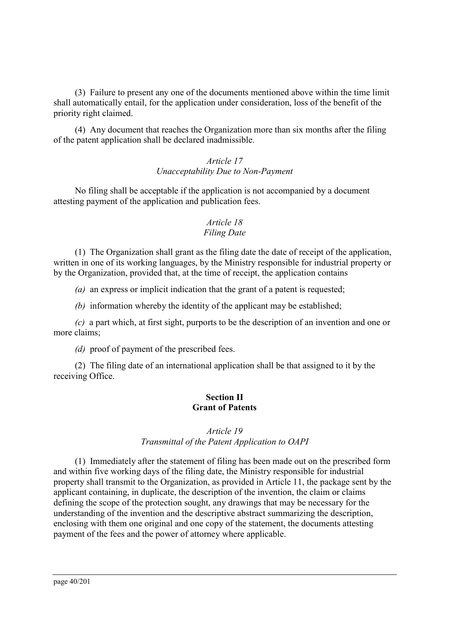(3) Failure to present any one of the documents mentioned above within the time limit shall automatically entail, for the application under consideration, loss of the benefit of the priority right claimed.

(4) Any document that reaches the Organization more than six months after the filing of the patent application shall be declared inadmissible.

#### *Article 17 Unacceptability Due to Non-Payment*

No filing shall be acceptable if the application is not accompanied by a document attesting payment of the application and publication fees.

## *Article 18 Filing Date*

(1) The Organization shall grant as the filing date the date of receipt of the application, written in one of its working languages, by the Ministry responsible for industrial property or by the Organization, provided that, at the time of receipt, the application contains

*(a)* an express or implicit indication that the grant of a patent is requested;

*(b)* information whereby the identity of the applicant may be established;

*(c)* a part which, at first sight, purports to be the description of an invention and one or more claims;

*(d)* proof of payment of the prescribed fees.

(2) The filing date of an international application shall be that assigned to it by the receiving Office.

## **Section II Grant of Patents**

## *Article 19*

## *Transmittal of the Patent Application to OAPI*

(1) Immediately after the statement of filing has been made out on the prescribed form and within five working days of the filing date, the Ministry responsible for industrial property shall transmit to the Organization, as provided in Article 11, the package sent by the applicant containing, in duplicate, the description of the invention, the claim or claims defining the scope of the protection sought, any drawings that may be necessary for the understanding of the invention and the descriptive abstract summarizing the description, enclosing with them one original and one copy of the statement, the documents attesting payment of the fees and the power of attorney where applicable.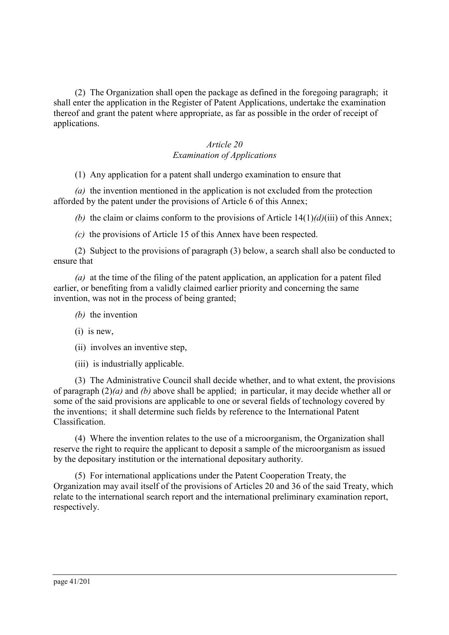(2) The Organization shall open the package as defined in the foregoing paragraph; it shall enter the application in the Register of Patent Applications, undertake the examination thereof and grant the patent where appropriate, as far as possible in the order of receipt of applications.

## *Article 20 Examination of Applications*

(1) Any application for a patent shall undergo examination to ensure that

*(a)* the invention mentioned in the application is not excluded from the protection afforded by the patent under the provisions of Article 6 of this Annex;

*(b)* the claim or claims conform to the provisions of Article 14(1)*(d)*(iii) of this Annex;

*(c)* the provisions of Article 15 of this Annex have been respected.

(2) Subject to the provisions of paragraph (3) below, a search shall also be conducted to ensure that

*(a)* at the time of the filing of the patent application, an application for a patent filed earlier, or benefiting from a validly claimed earlier priority and concerning the same invention, was not in the process of being granted;

- *(b)* the invention
- (i) is new,
- (ii) involves an inventive step,
- (iii) is industrially applicable.

(3) The Administrative Council shall decide whether, and to what extent, the provisions of paragraph (2)*(a)* and *(b)* above shall be applied; in particular, it may decide whether all or some of the said provisions are applicable to one or several fields of technology covered by the inventions; it shall determine such fields by reference to the International Patent Classification.

(4) Where the invention relates to the use of a microorganism, the Organization shall reserve the right to require the applicant to deposit a sample of the microorganism as issued by the depositary institution or the international depositary authority.

(5) For international applications under the Patent Cooperation Treaty, the Organization may avail itself of the provisions of Articles 20 and 36 of the said Treaty, which relate to the international search report and the international preliminary examination report, respectively.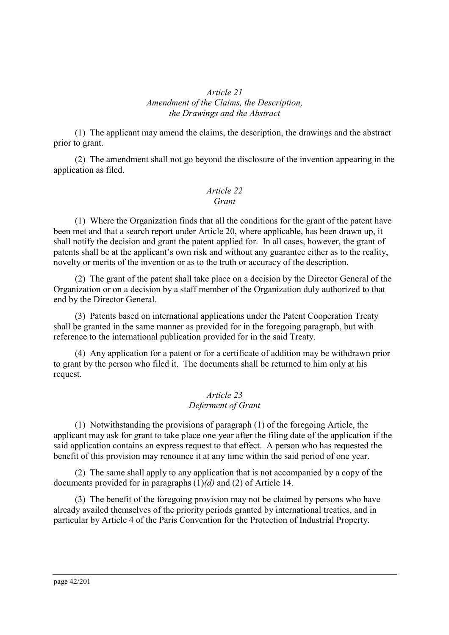#### *Article 21 Amendment of the Claims, the Description, the Drawings and the Abstract*

(1) The applicant may amend the claims, the description, the drawings and the abstract prior to grant.

(2) The amendment shall not go beyond the disclosure of the invention appearing in the application as filed.

#### *Article 22 Grant*

(1) Where the Organization finds that all the conditions for the grant of the patent have been met and that a search report under Article 20, where applicable, has been drawn up, it shall notify the decision and grant the patent applied for. In all cases, however, the grant of patents shall be at the applicant's own risk and without any guarantee either as to the reality, novelty or merits of the invention or as to the truth or accuracy of the description.

(2) The grant of the patent shall take place on a decision by the Director General of the Organization or on a decision by a staff member of the Organization duly authorized to that end by the Director General.

(3) Patents based on international applications under the Patent Cooperation Treaty shall be granted in the same manner as provided for in the foregoing paragraph, but with reference to the international publication provided for in the said Treaty.

(4) Any application for a patent or for a certificate of addition may be withdrawn prior to grant by the person who filed it. The documents shall be returned to him only at his request.

#### *Article 23 Deferment of Grant*

(1) Notwithstanding the provisions of paragraph (1) of the foregoing Article, the applicant may ask for grant to take place one year after the filing date of the application if the said application contains an express request to that effect. A person who has requested the benefit of this provision may renounce it at any time within the said period of one year.

(2) The same shall apply to any application that is not accompanied by a copy of the documents provided for in paragraphs (1)*(d)* and (2) of Article 14.

(3) The benefit of the foregoing provision may not be claimed by persons who have already availed themselves of the priority periods granted by international treaties, and in particular by Article 4 of the Paris Convention for the Protection of Industrial Property.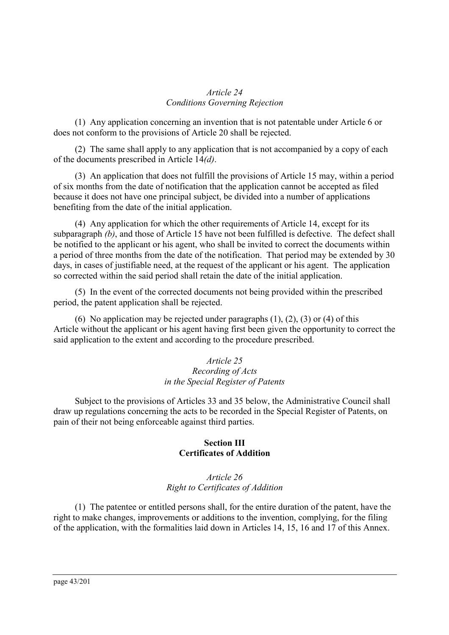#### *Article 24 Conditions Governing Rejection*

(1) Any application concerning an invention that is not patentable under Article 6 or does not conform to the provisions of Article 20 shall be rejected.

(2) The same shall apply to any application that is not accompanied by a copy of each of the documents prescribed in Article 14*(d)*.

(3) An application that does not fulfill the provisions of Article 15 may, within a period of six months from the date of notification that the application cannot be accepted as filed because it does not have one principal subject, be divided into a number of applications benefiting from the date of the initial application.

(4) Any application for which the other requirements of Article 14, except for its subparagraph *(b)*, and those of Article 15 have not been fulfilled is defective. The defect shall be notified to the applicant or his agent, who shall be invited to correct the documents within a period of three months from the date of the notification. That period may be extended by 30 days, in cases of justifiable need, at the request of the applicant or his agent. The application so corrected within the said period shall retain the date of the initial application.

(5) In the event of the corrected documents not being provided within the prescribed period, the patent application shall be rejected.

(6) No application may be rejected under paragraphs (1), (2), (3) or (4) of this Article without the applicant or his agent having first been given the opportunity to correct the said application to the extent and according to the procedure prescribed.

## *Article 25 Recording of Acts in the Special Register of Patents*

Subject to the provisions of Articles 33 and 35 below, the Administrative Council shall draw up regulations concerning the acts to be recorded in the Special Register of Patents, on pain of their not being enforceable against third parties.

## **Section III Certificates of Addition**

## *Article 26 Right to Certificates of Addition*

(1) The patentee or entitled persons shall, for the entire duration of the patent, have the right to make changes, improvements or additions to the invention, complying, for the filing of the application, with the formalities laid down in Articles 14, 15, 16 and 17 of this Annex.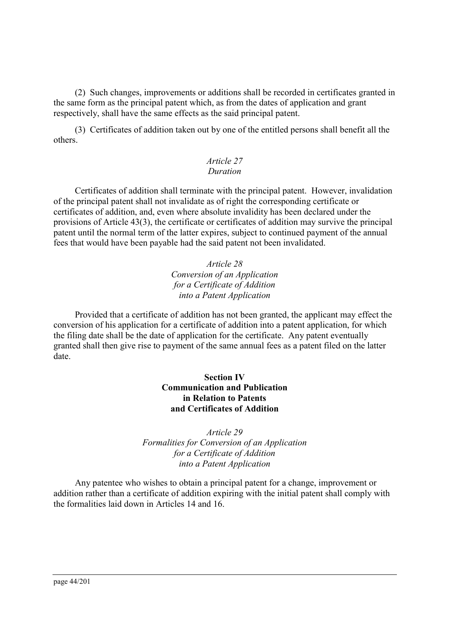(2) Such changes, improvements or additions shall be recorded in certificates granted in the same form as the principal patent which, as from the dates of application and grant respectively, shall have the same effects as the said principal patent.

(3) Certificates of addition taken out by one of the entitled persons shall benefit all the others.

#### *Article 27 Duration*

Certificates of addition shall terminate with the principal patent. However, invalidation of the principal patent shall not invalidate as of right the corresponding certificate or certificates of addition, and, even where absolute invalidity has been declared under the provisions of Article 43(3), the certificate or certificates of addition may survive the principal patent until the normal term of the latter expires, subject to continued payment of the annual fees that would have been payable had the said patent not been invalidated.

#### *Article 28 Conversion of an Application for a Certificate of Addition into a Patent Application*

Provided that a certificate of addition has not been granted, the applicant may effect the conversion of his application for a certificate of addition into a patent application, for which the filing date shall be the date of application for the certificate. Any patent eventually granted shall then give rise to payment of the same annual fees as a patent filed on the latter date.

## **Section IV Communication and Publication in Relation to Patents and Certificates of Addition**

*Article 29 Formalities for Conversion of an Application for a Certificate of Addition into a Patent Application*

Any patentee who wishes to obtain a principal patent for a change, improvement or addition rather than a certificate of addition expiring with the initial patent shall comply with the formalities laid down in Articles 14 and 16.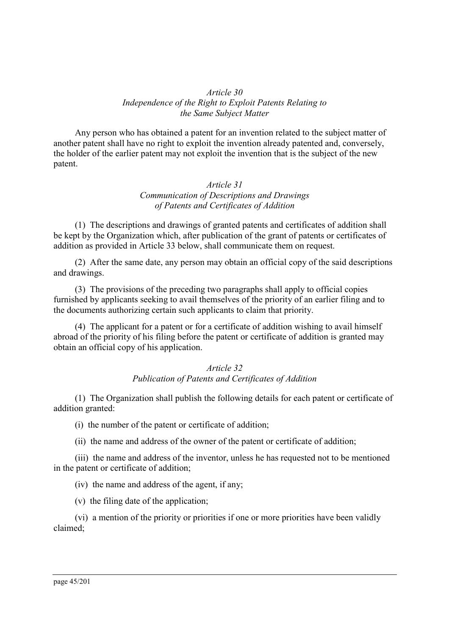#### *Article 30 Independence of the Right to Exploit Patents Relating to the Same Subject Matter*

Any person who has obtained a patent for an invention related to the subject matter of another patent shall have no right to exploit the invention already patented and, conversely, the holder of the earlier patent may not exploit the invention that is the subject of the new patent.

#### *Article 31 Communication of Descriptions and Drawings of Patents and Certificates of Addition*

(1) The descriptions and drawings of granted patents and certificates of addition shall be kept by the Organization which, after publication of the grant of patents or certificates of addition as provided in Article 33 below, shall communicate them on request.

(2) After the same date, any person may obtain an official copy of the said descriptions and drawings.

(3) The provisions of the preceding two paragraphs shall apply to official copies furnished by applicants seeking to avail themselves of the priority of an earlier filing and to the documents authorizing certain such applicants to claim that priority.

(4) The applicant for a patent or for a certificate of addition wishing to avail himself abroad of the priority of his filing before the patent or certificate of addition is granted may obtain an official copy of his application.

## *Article 32 Publication of Patents and Certificates of Addition*

(1) The Organization shall publish the following details for each patent or certificate of addition granted:

(i) the number of the patent or certificate of addition;

(ii) the name and address of the owner of the patent or certificate of addition;

(iii) the name and address of the inventor, unless he has requested not to be mentioned in the patent or certificate of addition;

(iv) the name and address of the agent, if any;

(v) the filing date of the application;

(vi) a mention of the priority or priorities if one or more priorities have been validly claimed;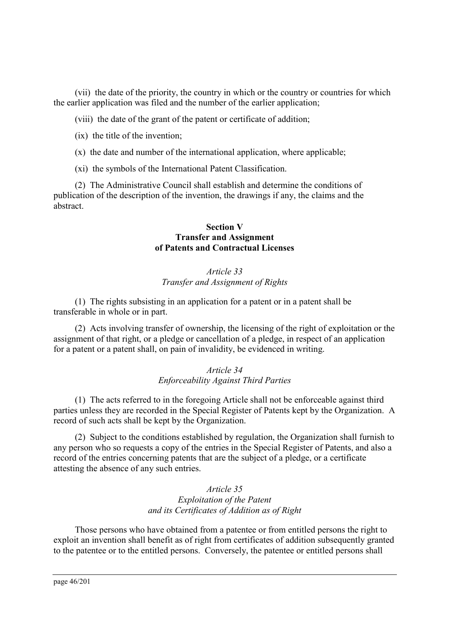(vii) the date of the priority, the country in which or the country or countries for which the earlier application was filed and the number of the earlier application;

(viii) the date of the grant of the patent or certificate of addition;

(ix) the title of the invention;

- (x) the date and number of the international application, where applicable;
- (xi) the symbols of the International Patent Classification.

(2) The Administrative Council shall establish and determine the conditions of publication of the description of the invention, the drawings if any, the claims and the abstract.

#### **Section V Transfer and Assignment of Patents and Contractual Licenses**

## *Article 33 Transfer and Assignment of Rights*

(1) The rights subsisting in an application for a patent or in a patent shall be transferable in whole or in part.

(2) Acts involving transfer of ownership, the licensing of the right of exploitation or the assignment of that right, or a pledge or cancellation of a pledge, in respect of an application for a patent or a patent shall, on pain of invalidity, be evidenced in writing.

#### *Article 34 Enforceability Against Third Parties*

(1) The acts referred to in the foregoing Article shall not be enforceable against third parties unless they are recorded in the Special Register of Patents kept by the Organization. A record of such acts shall be kept by the Organization.

(2) Subject to the conditions established by regulation, the Organization shall furnish to any person who so requests a copy of the entries in the Special Register of Patents, and also a record of the entries concerning patents that are the subject of a pledge, or a certificate attesting the absence of any such entries.

#### *Article 35 Exploitation of the Patent and its Certificates of Addition as of Right*

Those persons who have obtained from a patentee or from entitled persons the right to exploit an invention shall benefit as of right from certificates of addition subsequently granted to the patentee or to the entitled persons. Conversely, the patentee or entitled persons shall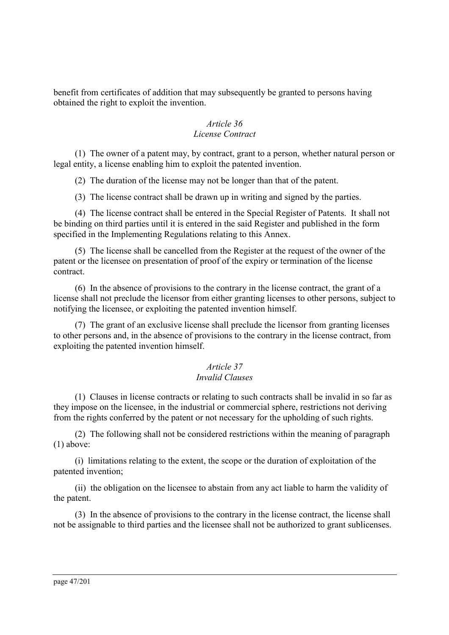benefit from certificates of addition that may subsequently be granted to persons having obtained the right to exploit the invention.

#### *Article 36 License Contract*

(1) The owner of a patent may, by contract, grant to a person, whether natural person or legal entity, a license enabling him to exploit the patented invention.

(2) The duration of the license may not be longer than that of the patent.

(3) The license contract shall be drawn up in writing and signed by the parties.

(4) The license contract shall be entered in the Special Register of Patents. It shall not be binding on third parties until it is entered in the said Register and published in the form specified in the Implementing Regulations relating to this Annex.

(5) The license shall be cancelled from the Register at the request of the owner of the patent or the licensee on presentation of proof of the expiry or termination of the license contract.

(6) In the absence of provisions to the contrary in the license contract, the grant of a license shall not preclude the licensor from either granting licenses to other persons, subject to notifying the licensee, or exploiting the patented invention himself.

(7) The grant of an exclusive license shall preclude the licensor from granting licenses to other persons and, in the absence of provisions to the contrary in the license contract, from exploiting the patented invention himself.

## *Article 37*

## *Invalid Clauses*

(1) Clauses in license contracts or relating to such contracts shall be invalid in so far as they impose on the licensee, in the industrial or commercial sphere, restrictions not deriving from the rights conferred by the patent or not necessary for the upholding of such rights.

(2) The following shall not be considered restrictions within the meaning of paragraph (1) above:

(i) limitations relating to the extent, the scope or the duration of exploitation of the patented invention;

(ii) the obligation on the licensee to abstain from any act liable to harm the validity of the patent.

(3) In the absence of provisions to the contrary in the license contract, the license shall not be assignable to third parties and the licensee shall not be authorized to grant sublicenses.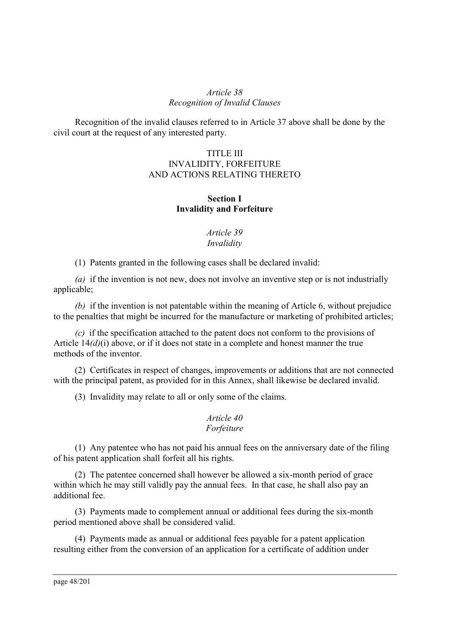#### *Article 38 Recognition of Invalid Clauses*

Recognition of the invalid clauses referred to in Article 37 above shall be done by the civil court at the request of any interested party.

## TITLE III INVALIDITY, FORFEITURE AND ACTIONS RELATING THERETO

## **Section I Invalidity and Forfeiture**

#### *Article 39 Invalidity*

(1) Patents granted in the following cases shall be declared invalid:

*(a)* if the invention is not new, does not involve an inventive step or is not industrially applicable;

*(b)* if the invention is not patentable within the meaning of Article 6, without prejudice to the penalties that might be incurred for the manufacture or marketing of prohibited articles;

*(c)* if the specification attached to the patent does not conform to the provisions of Article 14*(d)*(i) above, or if it does not state in a complete and honest manner the true methods of the inventor.

(2) Certificates in respect of changes, improvements or additions that are not connected with the principal patent, as provided for in this Annex, shall likewise be declared invalid.

(3) Invalidity may relate to all or only some of the claims.

#### *Article 40 Forfeiture*

(1) Any patentee who has not paid his annual fees on the anniversary date of the filing of his patent application shall forfeit all his rights.

(2) The patentee concerned shall however be allowed a six-month period of grace within which he may still validly pay the annual fees. In that case, he shall also pay an additional fee.

(3) Payments made to complement annual or additional fees during the six-month period mentioned above shall be considered valid.

(4) Payments made as annual or additional fees payable for a patent application resulting either from the conversion of an application for a certificate of addition under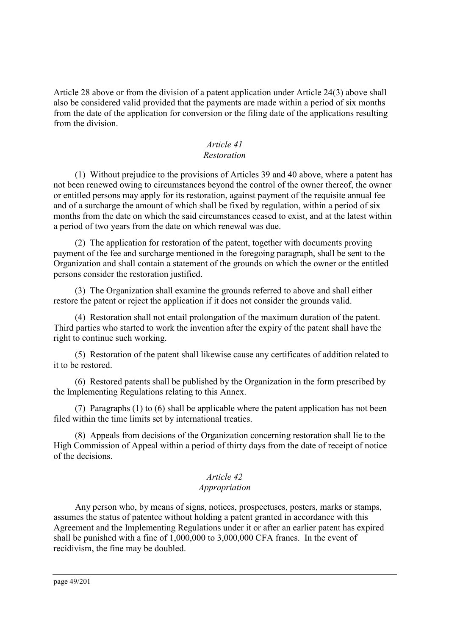Article 28 above or from the division of a patent application under Article 24(3) above shall also be considered valid provided that the payments are made within a period of six months from the date of the application for conversion or the filing date of the applications resulting from the division.

#### *Article 41 Restoration*

(1) Without prejudice to the provisions of Articles 39 and 40 above, where a patent has not been renewed owing to circumstances beyond the control of the owner thereof, the owner or entitled persons may apply for its restoration, against payment of the requisite annual fee and of a surcharge the amount of which shall be fixed by regulation, within a period of six months from the date on which the said circumstances ceased to exist, and at the latest within a period of two years from the date on which renewal was due.

(2) The application for restoration of the patent, together with documents proving payment of the fee and surcharge mentioned in the foregoing paragraph, shall be sent to the Organization and shall contain a statement of the grounds on which the owner or the entitled persons consider the restoration justified.

(3) The Organization shall examine the grounds referred to above and shall either restore the patent or reject the application if it does not consider the grounds valid.

(4) Restoration shall not entail prolongation of the maximum duration of the patent. Third parties who started to work the invention after the expiry of the patent shall have the right to continue such working.

(5) Restoration of the patent shall likewise cause any certificates of addition related to it to be restored.

(6) Restored patents shall be published by the Organization in the form prescribed by the Implementing Regulations relating to this Annex.

(7) Paragraphs (1) to (6) shall be applicable where the patent application has not been filed within the time limits set by international treaties.

(8) Appeals from decisions of the Organization concerning restoration shall lie to the High Commission of Appeal within a period of thirty days from the date of receipt of notice of the decisions.

# *Article 42*

## *Appropriation*

Any person who, by means of signs, notices, prospectuses, posters, marks or stamps, assumes the status of patentee without holding a patent granted in accordance with this Agreement and the Implementing Regulations under it or after an earlier patent has expired shall be punished with a fine of 1,000,000 to 3,000,000 CFA francs. In the event of recidivism, the fine may be doubled.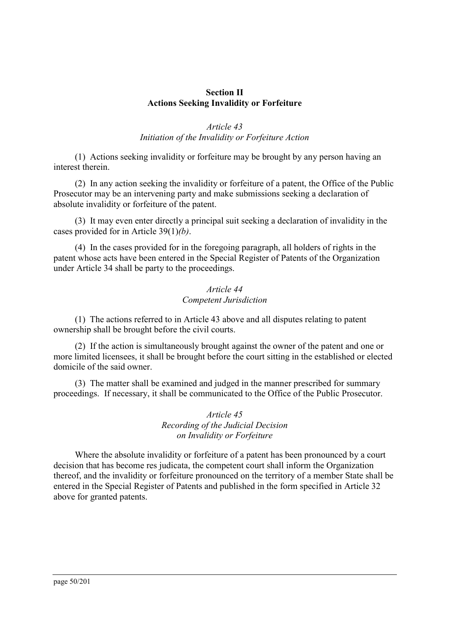#### **Section II Actions Seeking Invalidity or Forfeiture**

## *Article 43 Initiation of the Invalidity or Forfeiture Action*

(1) Actions seeking invalidity or forfeiture may be brought by any person having an interest therein.

(2) In any action seeking the invalidity or forfeiture of a patent, the Office of the Public Prosecutor may be an intervening party and make submissions seeking a declaration of absolute invalidity or forfeiture of the patent.

(3) It may even enter directly a principal suit seeking a declaration of invalidity in the cases provided for in Article 39(1)*(b)*.

(4) In the cases provided for in the foregoing paragraph, all holders of rights in the patent whose acts have been entered in the Special Register of Patents of the Organization under Article 34 shall be party to the proceedings.

#### *Article 44 Competent Jurisdiction*

(1) The actions referred to in Article 43 above and all disputes relating to patent ownership shall be brought before the civil courts.

(2) If the action is simultaneously brought against the owner of the patent and one or more limited licensees, it shall be brought before the court sitting in the established or elected domicile of the said owner.

(3) The matter shall be examined and judged in the manner prescribed for summary proceedings. If necessary, it shall be communicated to the Office of the Public Prosecutor.

> *Article 45 Recording of the Judicial Decision on Invalidity or Forfeiture*

Where the absolute invalidity or forfeiture of a patent has been pronounced by a court decision that has become res judicata, the competent court shall inform the Organization thereof, and the invalidity or forfeiture pronounced on the territory of a member State shall be entered in the Special Register of Patents and published in the form specified in Article 32 above for granted patents.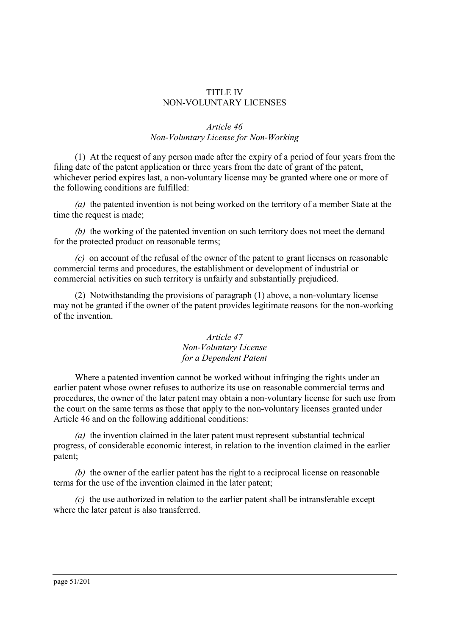#### TITLE IV NON-VOLUNTARY LICENSES

#### *Article 46 Non-Voluntary License for Non-Working*

(1) At the request of any person made after the expiry of a period of four years from the filing date of the patent application or three years from the date of grant of the patent, whichever period expires last, a non-voluntary license may be granted where one or more of the following conditions are fulfilled:

*(a)* the patented invention is not being worked on the territory of a member State at the time the request is made;

*(b)* the working of the patented invention on such territory does not meet the demand for the protected product on reasonable terms;

*(c)* on account of the refusal of the owner of the patent to grant licenses on reasonable commercial terms and procedures, the establishment or development of industrial or commercial activities on such territory is unfairly and substantially prejudiced.

(2) Notwithstanding the provisions of paragraph (1) above, a non-voluntary license may not be granted if the owner of the patent provides legitimate reasons for the non-working of the invention.

#### *Article 47 Non-Voluntary License for a Dependent Patent*

Where a patented invention cannot be worked without infringing the rights under an earlier patent whose owner refuses to authorize its use on reasonable commercial terms and procedures, the owner of the later patent may obtain a non-voluntary license for such use from the court on the same terms as those that apply to the non-voluntary licenses granted under Article 46 and on the following additional conditions:

*(a)* the invention claimed in the later patent must represent substantial technical progress, of considerable economic interest, in relation to the invention claimed in the earlier patent;

*(b)* the owner of the earlier patent has the right to a reciprocal license on reasonable terms for the use of the invention claimed in the later patent;

*(c)* the use authorized in relation to the earlier patent shall be intransferable except where the later patent is also transferred.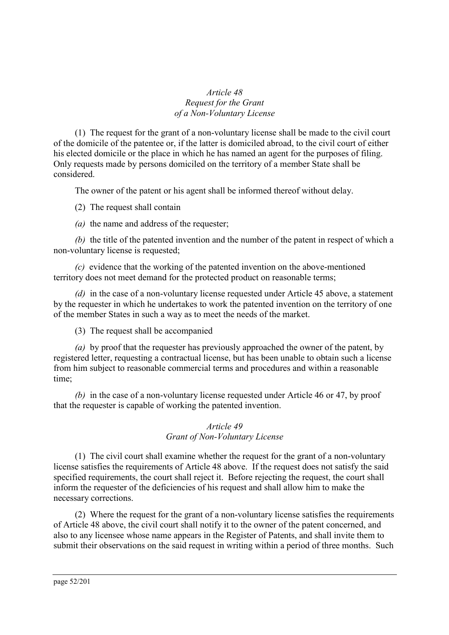## *Article 48 Request for the Grant of a Non-Voluntary License*

(1) The request for the grant of a non-voluntary license shall be made to the civil court of the domicile of the patentee or, if the latter is domiciled abroad, to the civil court of either his elected domicile or the place in which he has named an agent for the purposes of filing. Only requests made by persons domiciled on the territory of a member State shall be considered.

The owner of the patent or his agent shall be informed thereof without delay.

(2) The request shall contain

*(a)* the name and address of the requester;

*(b)* the title of the patented invention and the number of the patent in respect of which a non-voluntary license is requested;

*(c)* evidence that the working of the patented invention on the above-mentioned territory does not meet demand for the protected product on reasonable terms;

*(d)* in the case of a non-voluntary license requested under Article 45 above, a statement by the requester in which he undertakes to work the patented invention on the territory of one of the member States in such a way as to meet the needs of the market.

(3) The request shall be accompanied

*(a)* by proof that the requester has previously approached the owner of the patent, by registered letter, requesting a contractual license, but has been unable to obtain such a license from him subject to reasonable commercial terms and procedures and within a reasonable time;

*(b)* in the case of a non-voluntary license requested under Article 46 or 47, by proof that the requester is capable of working the patented invention.

## *Article 49 Grant of Non-Voluntary License*

(1) The civil court shall examine whether the request for the grant of a non-voluntary license satisfies the requirements of Article 48 above. If the request does not satisfy the said specified requirements, the court shall reject it. Before rejecting the request, the court shall inform the requester of the deficiencies of his request and shall allow him to make the necessary corrections.

(2) Where the request for the grant of a non-voluntary license satisfies the requirements of Article 48 above, the civil court shall notify it to the owner of the patent concerned, and also to any licensee whose name appears in the Register of Patents, and shall invite them to submit their observations on the said request in writing within a period of three months. Such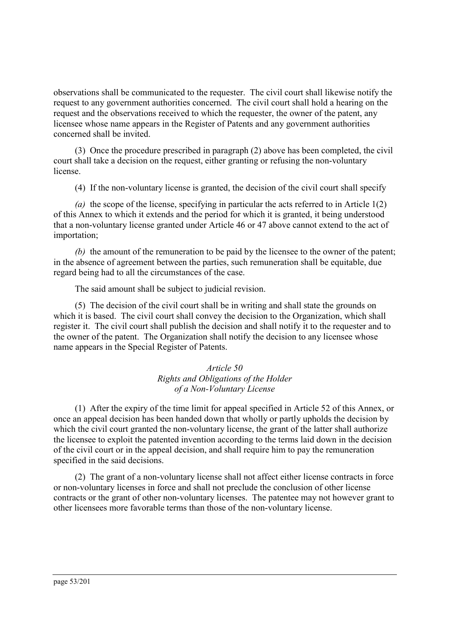observations shall be communicated to the requester. The civil court shall likewise notify the request to any government authorities concerned. The civil court shall hold a hearing on the request and the observations received to which the requester, the owner of the patent, any licensee whose name appears in the Register of Patents and any government authorities concerned shall be invited.

(3) Once the procedure prescribed in paragraph (2) above has been completed, the civil court shall take a decision on the request, either granting or refusing the non-voluntary license.

(4) If the non-voluntary license is granted, the decision of the civil court shall specify

*(a)* the scope of the license, specifying in particular the acts referred to in Article 1(2) of this Annex to which it extends and the period for which it is granted, it being understood that a non-voluntary license granted under Article 46 or 47 above cannot extend to the act of importation;

*(b)* the amount of the remuneration to be paid by the licensee to the owner of the patent; in the absence of agreement between the parties, such remuneration shall be equitable, due regard being had to all the circumstances of the case.

The said amount shall be subject to judicial revision.

(5) The decision of the civil court shall be in writing and shall state the grounds on which it is based. The civil court shall convey the decision to the Organization, which shall register it. The civil court shall publish the decision and shall notify it to the requester and to the owner of the patent. The Organization shall notify the decision to any licensee whose name appears in the Special Register of Patents.

> *Article 50 Rights and Obligations of the Holder of a Non-Voluntary License*

(1) After the expiry of the time limit for appeal specified in Article 52 of this Annex, or once an appeal decision has been handed down that wholly or partly upholds the decision by which the civil court granted the non-voluntary license, the grant of the latter shall authorize the licensee to exploit the patented invention according to the terms laid down in the decision of the civil court or in the appeal decision, and shall require him to pay the remuneration specified in the said decisions.

(2) The grant of a non-voluntary license shall not affect either license contracts in force or non-voluntary licenses in force and shall not preclude the conclusion of other license contracts or the grant of other non-voluntary licenses. The patentee may not however grant to other licensees more favorable terms than those of the non-voluntary license.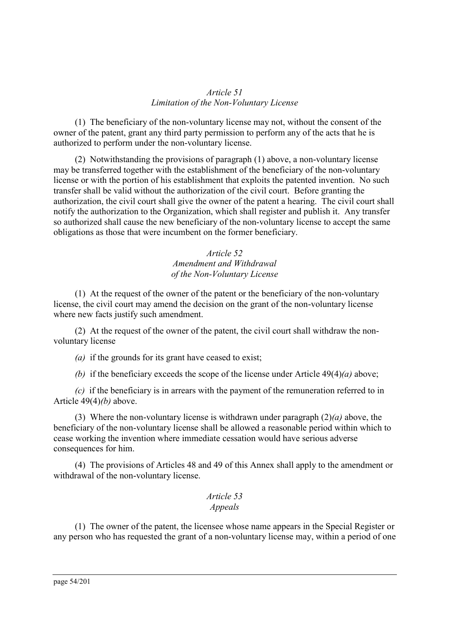#### *Article 51 Limitation of the Non-Voluntary License*

(1) The beneficiary of the non-voluntary license may not, without the consent of the owner of the patent, grant any third party permission to perform any of the acts that he is authorized to perform under the non-voluntary license.

(2) Notwithstanding the provisions of paragraph (1) above, a non-voluntary license may be transferred together with the establishment of the beneficiary of the non-voluntary license or with the portion of his establishment that exploits the patented invention. No such transfer shall be valid without the authorization of the civil court. Before granting the authorization, the civil court shall give the owner of the patent a hearing. The civil court shall notify the authorization to the Organization, which shall register and publish it. Any transfer so authorized shall cause the new beneficiary of the non-voluntary license to accept the same obligations as those that were incumbent on the former beneficiary.

## *Article 52 Amendment and Withdrawal of the Non-Voluntary License*

(1) At the request of the owner of the patent or the beneficiary of the non-voluntary license, the civil court may amend the decision on the grant of the non-voluntary license where new facts justify such amendment.

(2) At the request of the owner of the patent, the civil court shall withdraw the nonvoluntary license

*(a)* if the grounds for its grant have ceased to exist;

*(b)* if the beneficiary exceeds the scope of the license under Article 49(4)*(a)* above;

*(c)* if the beneficiary is in arrears with the payment of the remuneration referred to in Article 49(4)*(b)* above.

(3) Where the non-voluntary license is withdrawn under paragraph (2)*(a)* above, the beneficiary of the non-voluntary license shall be allowed a reasonable period within which to cease working the invention where immediate cessation would have serious adverse consequences for him.

(4) The provisions of Articles 48 and 49 of this Annex shall apply to the amendment or withdrawal of the non-voluntary license.

## *Article 53 Appeals*

(1) The owner of the patent, the licensee whose name appears in the Special Register or any person who has requested the grant of a non-voluntary license may, within a period of one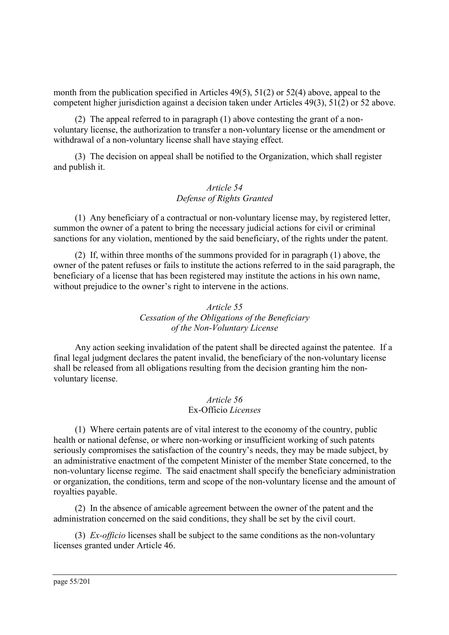month from the publication specified in Articles 49(5), 51(2) or 52(4) above, appeal to the competent higher jurisdiction against a decision taken under Articles 49(3), 51(2) or 52 above.

(2) The appeal referred to in paragraph (1) above contesting the grant of a nonvoluntary license, the authorization to transfer a non-voluntary license or the amendment or withdrawal of a non-voluntary license shall have staying effect.

(3) The decision on appeal shall be notified to the Organization, which shall register and publish it.

#### *Article 54 Defense of Rights Granted*

(1) Any beneficiary of a contractual or non-voluntary license may, by registered letter, summon the owner of a patent to bring the necessary judicial actions for civil or criminal sanctions for any violation, mentioned by the said beneficiary, of the rights under the patent.

(2) If, within three months of the summons provided for in paragraph (1) above, the owner of the patent refuses or fails to institute the actions referred to in the said paragraph, the beneficiary of a license that has been registered may institute the actions in his own name, without prejudice to the owner's right to intervene in the actions.

## *Article 55 Cessation of the Obligations of the Beneficiary of the Non-Voluntary License*

Any action seeking invalidation of the patent shall be directed against the patentee. If a final legal judgment declares the patent invalid, the beneficiary of the non-voluntary license shall be released from all obligations resulting from the decision granting him the nonvoluntary license.

#### *Article 56* Ex-Officio *Licenses*

(1) Where certain patents are of vital interest to the economy of the country, public health or national defense, or where non-working or insufficient working of such patents seriously compromises the satisfaction of the country's needs, they may be made subject, by an administrative enactment of the competent Minister of the member State concerned, to the non-voluntary license regime. The said enactment shall specify the beneficiary administration or organization, the conditions, term and scope of the non-voluntary license and the amount of royalties payable.

(2) In the absence of amicable agreement between the owner of the patent and the administration concerned on the said conditions, they shall be set by the civil court.

(3) *Ex-officio* licenses shall be subject to the same conditions as the non-voluntary licenses granted under Article 46.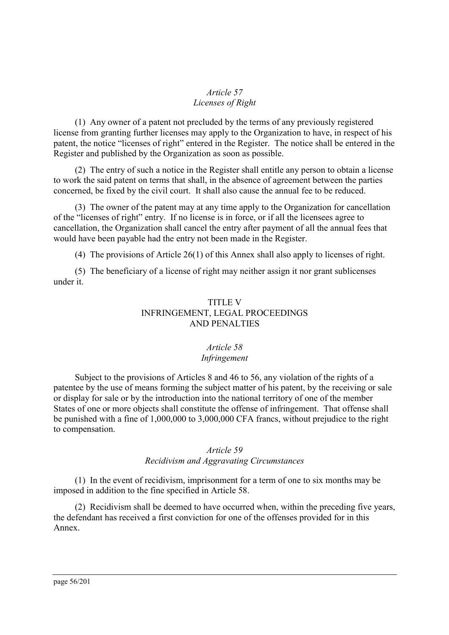## *Article 57 Licenses of Right*

(1) Any owner of a patent not precluded by the terms of any previously registered license from granting further licenses may apply to the Organization to have, in respect of his patent, the notice "licenses of right" entered in the Register. The notice shall be entered in the Register and published by the Organization as soon as possible.

(2) The entry of such a notice in the Register shall entitle any person to obtain a license to work the said patent on terms that shall, in the absence of agreement between the parties concerned, be fixed by the civil court. It shall also cause the annual fee to be reduced.

(3) The owner of the patent may at any time apply to the Organization for cancellation of the "licenses of right" entry. If no license is in force, or if all the licensees agree to cancellation, the Organization shall cancel the entry after payment of all the annual fees that would have been payable had the entry not been made in the Register.

(4) The provisions of Article 26(1) of this Annex shall also apply to licenses of right.

(5) The beneficiary of a license of right may neither assign it nor grant sublicenses under it.

## TITLE V INFRINGEMENT, LEGAL PROCEEDINGS AND PENALTIES

## *Article 58 Infringement*

Subject to the provisions of Articles 8 and 46 to 56, any violation of the rights of a patentee by the use of means forming the subject matter of his patent, by the receiving or sale or display for sale or by the introduction into the national territory of one of the member States of one or more objects shall constitute the offense of infringement. That offense shall be punished with a fine of 1,000,000 to 3,000,000 CFA francs, without prejudice to the right to compensation.

## *Article 59*

## *Recidivism and Aggravating Circumstances*

(1) In the event of recidivism, imprisonment for a term of one to six months may be imposed in addition to the fine specified in Article 58.

(2) Recidivism shall be deemed to have occurred when, within the preceding five years, the defendant has received a first conviction for one of the offenses provided for in this Annex.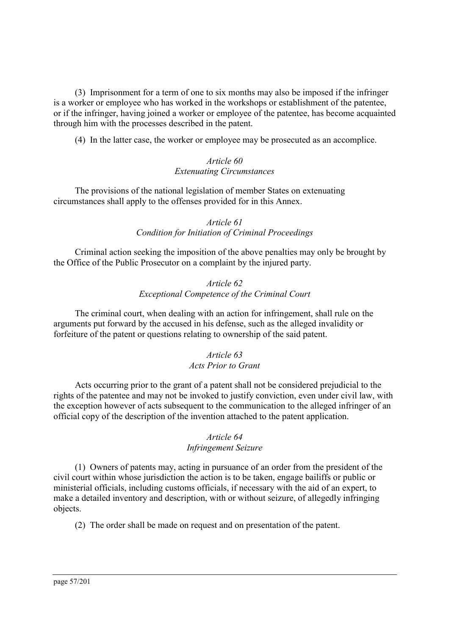(3) Imprisonment for a term of one to six months may also be imposed if the infringer is a worker or employee who has worked in the workshops or establishment of the patentee, or if the infringer, having joined a worker or employee of the patentee, has become acquainted through him with the processes described in the patent.

(4) In the latter case, the worker or employee may be prosecuted as an accomplice.

## *Article 60 Extenuating Circumstances*

The provisions of the national legislation of member States on extenuating circumstances shall apply to the offenses provided for in this Annex.

## *Article 61 Condition for Initiation of Criminal Proceedings*

Criminal action seeking the imposition of the above penalties may only be brought by the Office of the Public Prosecutor on a complaint by the injured party.

## *Article 62 Exceptional Competence of the Criminal Court*

The criminal court, when dealing with an action for infringement, shall rule on the arguments put forward by the accused in his defense, such as the alleged invalidity or forfeiture of the patent or questions relating to ownership of the said patent.

## *Article 63 Acts Prior to Grant*

Acts occurring prior to the grant of a patent shall not be considered prejudicial to the rights of the patentee and may not be invoked to justify conviction, even under civil law, with the exception however of acts subsequent to the communication to the alleged infringer of an official copy of the description of the invention attached to the patent application.

## *Article 64*

## *Infringement Seizure*

(1) Owners of patents may, acting in pursuance of an order from the president of the civil court within whose jurisdiction the action is to be taken, engage bailiffs or public or ministerial officials, including customs officials, if necessary with the aid of an expert, to make a detailed inventory and description, with or without seizure, of allegedly infringing objects.

(2) The order shall be made on request and on presentation of the patent.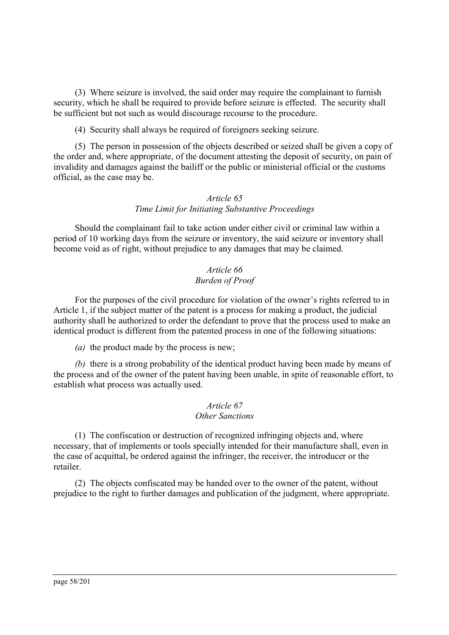(3) Where seizure is involved, the said order may require the complainant to furnish security, which he shall be required to provide before seizure is effected. The security shall be sufficient but not such as would discourage recourse to the procedure.

(4) Security shall always be required of foreigners seeking seizure.

(5) The person in possession of the objects described or seized shall be given a copy of the order and, where appropriate, of the document attesting the deposit of security, on pain of invalidity and damages against the bailiff or the public or ministerial official or the customs official, as the case may be.

## *Article 65 Time Limit for Initiating Substantive Proceedings*

Should the complainant fail to take action under either civil or criminal law within a period of 10 working days from the seizure or inventory, the said seizure or inventory shall become void as of right, without prejudice to any damages that may be claimed.

## *Article 66 Burden of Proof*

For the purposes of the civil procedure for violation of the owner's rights referred to in Article 1, if the subject matter of the patent is a process for making a product, the judicial authority shall be authorized to order the defendant to prove that the process used to make an identical product is different from the patented process in one of the following situations:

*(a)* the product made by the process is new;

*(b)* there is a strong probability of the identical product having been made by means of the process and of the owner of the patent having been unable, in spite of reasonable effort, to establish what process was actually used.

#### *Article 67 Other Sanctions*

(1) The confiscation or destruction of recognized infringing objects and, where necessary, that of implements or tools specially intended for their manufacture shall, even in the case of acquittal, be ordered against the infringer, the receiver, the introducer or the retailer.

(2) The objects confiscated may be handed over to the owner of the patent, without prejudice to the right to further damages and publication of the judgment, where appropriate.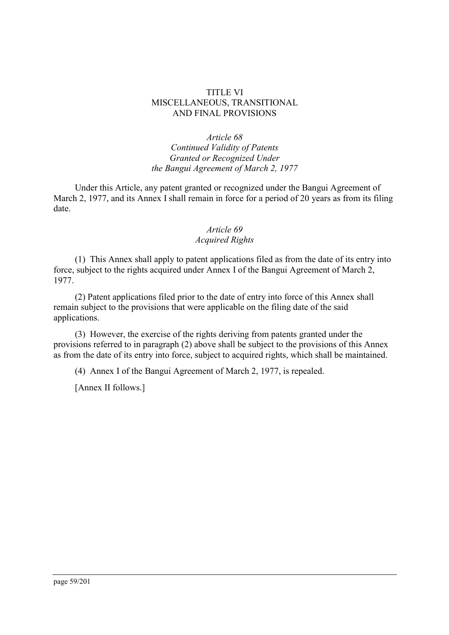#### TITLE VI MISCELLANEOUS, TRANSITIONAL AND FINAL PROVISIONS

*Article 68 Continued Validity of Patents Granted or Recognized Under the Bangui Agreement of March 2, 1977*

Under this Article, any patent granted or recognized under the Bangui Agreement of March 2, 1977, and its Annex I shall remain in force for a period of 20 years as from its filing date.

# *Article 69*

## *Acquired Rights*

(1) This Annex shall apply to patent applications filed as from the date of its entry into force, subject to the rights acquired under Annex I of the Bangui Agreement of March 2, 1977.

(2) Patent applications filed prior to the date of entry into force of this Annex shall remain subject to the provisions that were applicable on the filing date of the said applications.

(3) However, the exercise of the rights deriving from patents granted under the provisions referred to in paragraph (2) above shall be subject to the provisions of this Annex as from the date of its entry into force, subject to acquired rights, which shall be maintained.

(4) Annex I of the Bangui Agreement of March 2, 1977, is repealed.

[Annex II follows.]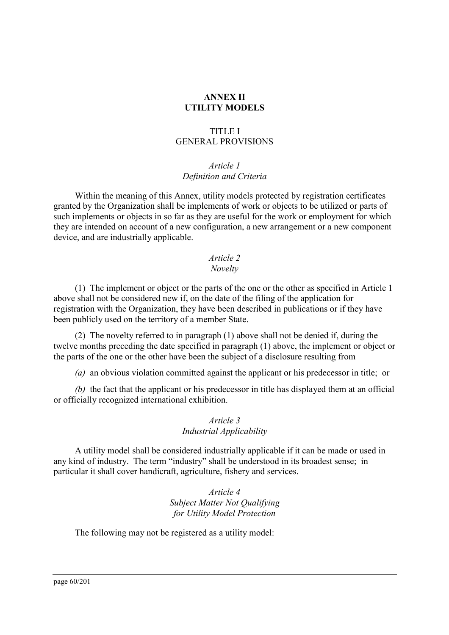## **ANNEX II UTILITY MODELS**

#### TITLE I GENERAL PROVISIONS

#### *Article 1 Definition and Criteria*

Within the meaning of this Annex, utility models protected by registration certificates granted by the Organization shall be implements of work or objects to be utilized or parts of such implements or objects in so far as they are useful for the work or employment for which they are intended on account of a new configuration, a new arrangement or a new component device, and are industrially applicable.

## *Article 2*

## *Novelty*

(1) The implement or object or the parts of the one or the other as specified in Article 1 above shall not be considered new if, on the date of the filing of the application for registration with the Organization, they have been described in publications or if they have been publicly used on the territory of a member State.

(2) The novelty referred to in paragraph (1) above shall not be denied if, during the twelve months preceding the date specified in paragraph (1) above, the implement or object or the parts of the one or the other have been the subject of a disclosure resulting from

*(a)* an obvious violation committed against the applicant or his predecessor in title; or

*(b)* the fact that the applicant or his predecessor in title has displayed them at an official or officially recognized international exhibition.

## *Article 3 Industrial Applicability*

A utility model shall be considered industrially applicable if it can be made or used in any kind of industry. The term "industry" shall be understood in its broadest sense; in particular it shall cover handicraft, agriculture, fishery and services.

> *Article 4 Subject Matter Not Qualifying for Utility Model Protection*

The following may not be registered as a utility model: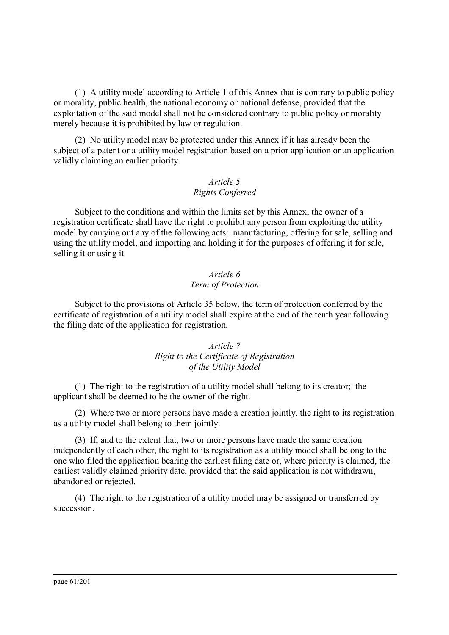(1) A utility model according to Article 1 of this Annex that is contrary to public policy or morality, public health, the national economy or national defense, provided that the exploitation of the said model shall not be considered contrary to public policy or morality merely because it is prohibited by law or regulation.

(2) No utility model may be protected under this Annex if it has already been the subject of a patent or a utility model registration based on a prior application or an application validly claiming an earlier priority.

# *Article 5*

## *Rights Conferred*

Subject to the conditions and within the limits set by this Annex, the owner of a registration certificate shall have the right to prohibit any person from exploiting the utility model by carrying out any of the following acts: manufacturing, offering for sale, selling and using the utility model, and importing and holding it for the purposes of offering it for sale, selling it or using it.

## *Article 6 Term of Protection*

Subject to the provisions of Article 35 below, the term of protection conferred by the certificate of registration of a utility model shall expire at the end of the tenth year following the filing date of the application for registration.

## *Article 7 Right to the Certificate of Registration of the Utility Model*

(1) The right to the registration of a utility model shall belong to its creator; the applicant shall be deemed to be the owner of the right.

(2) Where two or more persons have made a creation jointly, the right to its registration as a utility model shall belong to them jointly.

(3) If, and to the extent that, two or more persons have made the same creation independently of each other, the right to its registration as a utility model shall belong to the one who filed the application bearing the earliest filing date or, where priority is claimed, the earliest validly claimed priority date, provided that the said application is not withdrawn, abandoned or rejected.

(4) The right to the registration of a utility model may be assigned or transferred by succession.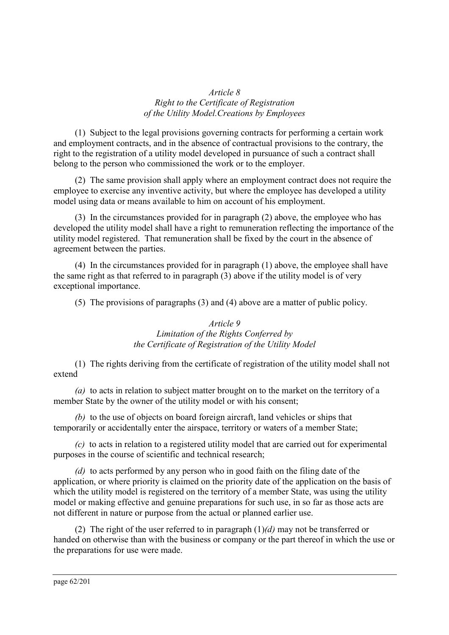#### *Article 8 Right to the Certificate of Registration of the Utility Model.Creations by Employees*

(1) Subject to the legal provisions governing contracts for performing a certain work and employment contracts, and in the absence of contractual provisions to the contrary, the right to the registration of a utility model developed in pursuance of such a contract shall belong to the person who commissioned the work or to the employer.

(2) The same provision shall apply where an employment contract does not require the employee to exercise any inventive activity, but where the employee has developed a utility model using data or means available to him on account of his employment.

(3) In the circumstances provided for in paragraph (2) above, the employee who has developed the utility model shall have a right to remuneration reflecting the importance of the utility model registered. That remuneration shall be fixed by the court in the absence of agreement between the parties.

(4) In the circumstances provided for in paragraph (1) above, the employee shall have the same right as that referred to in paragraph (3) above if the utility model is of very exceptional importance.

(5) The provisions of paragraphs (3) and (4) above are a matter of public policy.

#### *Article 9 Limitation of the Rights Conferred by the Certificate of Registration of the Utility Model*

(1) The rights deriving from the certificate of registration of the utility model shall not extend

*(a)* to acts in relation to subject matter brought on to the market on the territory of a member State by the owner of the utility model or with his consent;

*(b)* to the use of objects on board foreign aircraft, land vehicles or ships that temporarily or accidentally enter the airspace, territory or waters of a member State;

*(c)* to acts in relation to a registered utility model that are carried out for experimental purposes in the course of scientific and technical research;

*(d)* to acts performed by any person who in good faith on the filing date of the application, or where priority is claimed on the priority date of the application on the basis of which the utility model is registered on the territory of a member State, was using the utility model or making effective and genuine preparations for such use, in so far as those acts are not different in nature or purpose from the actual or planned earlier use.

(2) The right of the user referred to in paragraph (1)*(d)* may not be transferred or handed on otherwise than with the business or company or the part thereof in which the use or the preparations for use were made.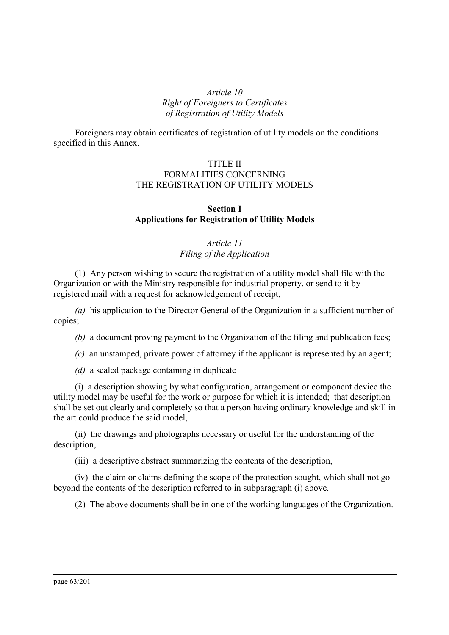## *Article 10 Right of Foreigners to Certificates of Registration of Utility Models*

Foreigners may obtain certificates of registration of utility models on the conditions specified in this Annex.

#### TITLE II FORMALITIES CONCERNING THE REGISTRATION OF UTILITY MODELS

#### **Section I Applications for Registration of Utility Models**

## *Article 11 Filing of the Application*

(1) Any person wishing to secure the registration of a utility model shall file with the Organization or with the Ministry responsible for industrial property, or send to it by registered mail with a request for acknowledgement of receipt,

*(a)* his application to the Director General of the Organization in a sufficient number of copies;

*(b)* a document proving payment to the Organization of the filing and publication fees;

*(c)* an unstamped, private power of attorney if the applicant is represented by an agent;

*(d)* a sealed package containing in duplicate

(i) a description showing by what configuration, arrangement or component device the utility model may be useful for the work or purpose for which it is intended; that description shall be set out clearly and completely so that a person having ordinary knowledge and skill in the art could produce the said model,

(ii) the drawings and photographs necessary or useful for the understanding of the description,

(iii) a descriptive abstract summarizing the contents of the description,

(iv) the claim or claims defining the scope of the protection sought, which shall not go beyond the contents of the description referred to in subparagraph (i) above.

(2) The above documents shall be in one of the working languages of the Organization.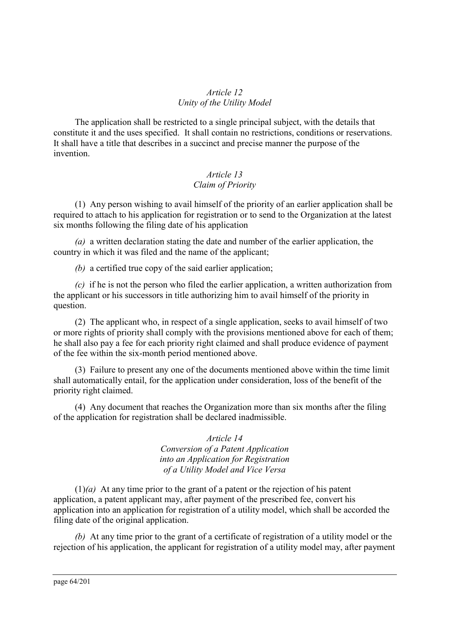#### *Article 12 Unity of the Utility Model*

The application shall be restricted to a single principal subject, with the details that constitute it and the uses specified. It shall contain no restrictions, conditions or reservations. It shall have a title that describes in a succinct and precise manner the purpose of the invention.

## *Article 13 Claim of Priority*

(1) Any person wishing to avail himself of the priority of an earlier application shall be required to attach to his application for registration or to send to the Organization at the latest six months following the filing date of his application

*(a)* a written declaration stating the date and number of the earlier application, the country in which it was filed and the name of the applicant;

*(b)* a certified true copy of the said earlier application;

*(c)* if he is not the person who filed the earlier application, a written authorization from the applicant or his successors in title authorizing him to avail himself of the priority in question.

(2) The applicant who, in respect of a single application, seeks to avail himself of two or more rights of priority shall comply with the provisions mentioned above for each of them; he shall also pay a fee for each priority right claimed and shall produce evidence of payment of the fee within the six-month period mentioned above.

(3) Failure to present any one of the documents mentioned above within the time limit shall automatically entail, for the application under consideration, loss of the benefit of the priority right claimed.

(4) Any document that reaches the Organization more than six months after the filing of the application for registration shall be declared inadmissible.

> *Article 14 Conversion of a Patent Application into an Application for Registration of a Utility Model and Vice Versa*

(1)*(a)* At any time prior to the grant of a patent or the rejection of his patent application, a patent applicant may, after payment of the prescribed fee, convert his application into an application for registration of a utility model, which shall be accorded the filing date of the original application.

*(b)* At any time prior to the grant of a certificate of registration of a utility model or the rejection of his application, the applicant for registration of a utility model may, after payment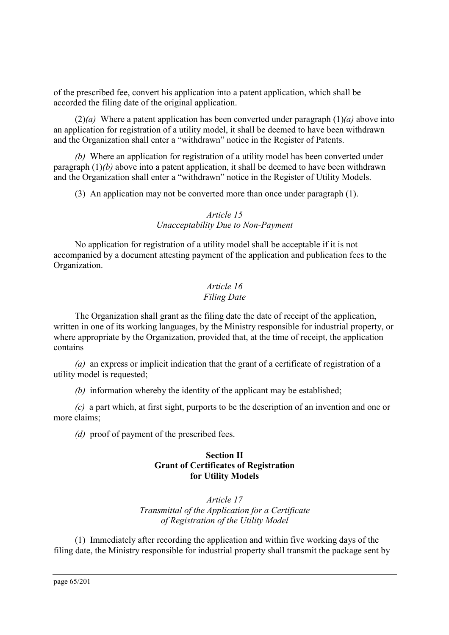of the prescribed fee, convert his application into a patent application, which shall be accorded the filing date of the original application.

(2)*(a)* Where a patent application has been converted under paragraph (1)*(a)* above into an application for registration of a utility model, it shall be deemed to have been withdrawn and the Organization shall enter a "withdrawn" notice in the Register of Patents.

*(b)* Where an application for registration of a utility model has been converted under paragraph (1)*(b)* above into a patent application, it shall be deemed to have been withdrawn and the Organization shall enter a "withdrawn" notice in the Register of Utility Models.

(3) An application may not be converted more than once under paragraph (1).

#### *Article 15 Unacceptability Due to Non-Payment*

No application for registration of a utility model shall be acceptable if it is not accompanied by a document attesting payment of the application and publication fees to the Organization.

## *Article 16 Filing Date*

The Organization shall grant as the filing date the date of receipt of the application, written in one of its working languages, by the Ministry responsible for industrial property, or where appropriate by the Organization, provided that, at the time of receipt, the application contains

*(a)* an express or implicit indication that the grant of a certificate of registration of a utility model is requested;

*(b)* information whereby the identity of the applicant may be established;

*(c)* a part which, at first sight, purports to be the description of an invention and one or more claims;

*(d)* proof of payment of the prescribed fees.

## **Section II Grant of Certificates of Registration for Utility Models**

*Article 17 Transmittal of the Application for a Certificate of Registration of the Utility Model*

(1) Immediately after recording the application and within five working days of the filing date, the Ministry responsible for industrial property shall transmit the package sent by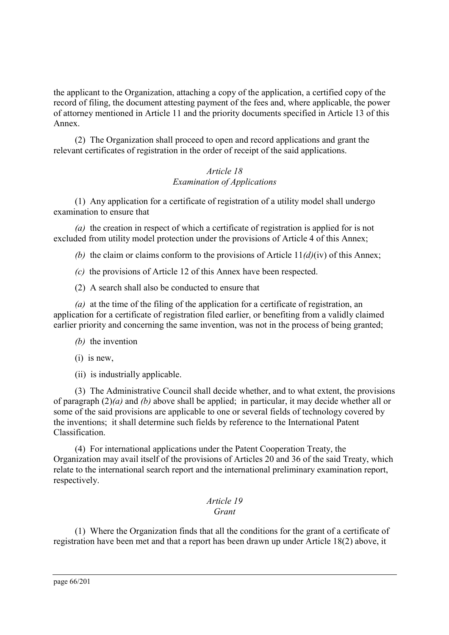the applicant to the Organization, attaching a copy of the application, a certified copy of the record of filing, the document attesting payment of the fees and, where applicable, the power of attorney mentioned in Article 11 and the priority documents specified in Article 13 of this Annex.

(2) The Organization shall proceed to open and record applications and grant the relevant certificates of registration in the order of receipt of the said applications.

## *Article 18 Examination of Applications*

(1) Any application for a certificate of registration of a utility model shall undergo examination to ensure that

*(a)* the creation in respect of which a certificate of registration is applied for is not excluded from utility model protection under the provisions of Article 4 of this Annex;

*(b)* the claim or claims conform to the provisions of Article 11*(d)*(iv) of this Annex;

*(c)* the provisions of Article 12 of this Annex have been respected.

(2) A search shall also be conducted to ensure that

*(a)* at the time of the filing of the application for a certificate of registration, an application for a certificate of registration filed earlier, or benefiting from a validly claimed earlier priority and concerning the same invention, was not in the process of being granted;

- *(b)* the invention
- (i) is new,
- (ii) is industrially applicable.

(3) The Administrative Council shall decide whether, and to what extent, the provisions of paragraph (2)*(a)* and *(b)* above shall be applied; in particular, it may decide whether all or some of the said provisions are applicable to one or several fields of technology covered by the inventions; it shall determine such fields by reference to the International Patent Classification.

(4) For international applications under the Patent Cooperation Treaty, the Organization may avail itself of the provisions of Articles 20 and 36 of the said Treaty, which relate to the international search report and the international preliminary examination report, respectively.

#### *Article 19 Grant*

(1) Where the Organization finds that all the conditions for the grant of a certificate of registration have been met and that a report has been drawn up under Article 18(2) above, it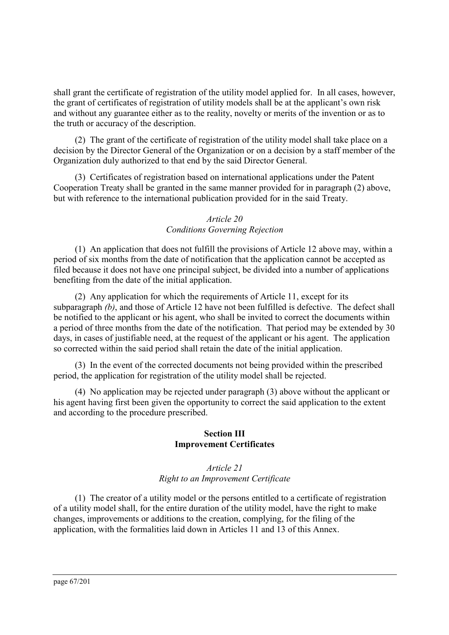shall grant the certificate of registration of the utility model applied for. In all cases, however, the grant of certificates of registration of utility models shall be at the applicant's own risk and without any guarantee either as to the reality, novelty or merits of the invention or as to the truth or accuracy of the description.

(2) The grant of the certificate of registration of the utility model shall take place on a decision by the Director General of the Organization or on a decision by a staff member of the Organization duly authorized to that end by the said Director General.

(3) Certificates of registration based on international applications under the Patent Cooperation Treaty shall be granted in the same manner provided for in paragraph (2) above, but with reference to the international publication provided for in the said Treaty.

## *Article 20 Conditions Governing Rejection*

(1) An application that does not fulfill the provisions of Article 12 above may, within a period of six months from the date of notification that the application cannot be accepted as filed because it does not have one principal subject, be divided into a number of applications benefiting from the date of the initial application.

(2) Any application for which the requirements of Article 11, except for its subparagraph *(b)*, and those of Article 12 have not been fulfilled is defective. The defect shall be notified to the applicant or his agent, who shall be invited to correct the documents within a period of three months from the date of the notification. That period may be extended by 30 days, in cases of justifiable need, at the request of the applicant or his agent. The application so corrected within the said period shall retain the date of the initial application.

(3) In the event of the corrected documents not being provided within the prescribed period, the application for registration of the utility model shall be rejected.

(4) No application may be rejected under paragraph (3) above without the applicant or his agent having first been given the opportunity to correct the said application to the extent and according to the procedure prescribed.

## **Section III Improvement Certificates**

#### *Article 21 Right to an Improvement Certificate*

(1) The creator of a utility model or the persons entitled to a certificate of registration of a utility model shall, for the entire duration of the utility model, have the right to make changes, improvements or additions to the creation, complying, for the filing of the application, with the formalities laid down in Articles 11 and 13 of this Annex.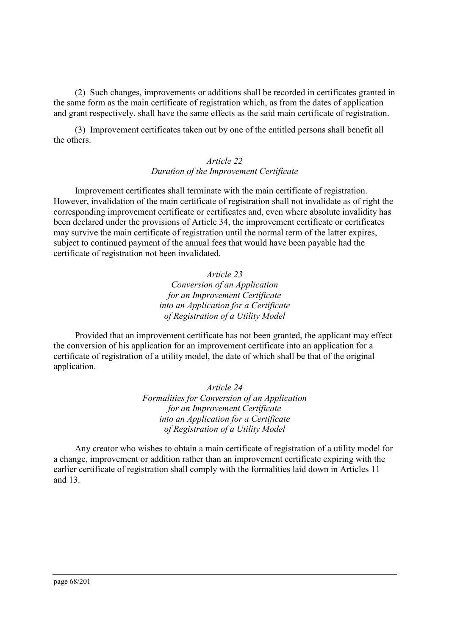(2) Such changes, improvements or additions shall be recorded in certificates granted in the same form as the main certificate of registration which, as from the dates of application and grant respectively, shall have the same effects as the said main certificate of registration.

(3) Improvement certificates taken out by one of the entitled persons shall benefit all the others.

#### *Article 22 Duration of the Improvement Certificate*

Improvement certificates shall terminate with the main certificate of registration. However, invalidation of the main certificate of registration shall not invalidate as of right the corresponding improvement certificate or certificates and, even where absolute invalidity has been declared under the provisions of Article 34, the improvement certificate or certificates may survive the main certificate of registration until the normal term of the latter expires, subject to continued payment of the annual fees that would have been payable had the certificate of registration not been invalidated.

> *Article 23 Conversion of an Application for an Improvement Certificate into an Application for a Certificate of Registration of a Utility Model*

Provided that an improvement certificate has not been granted, the applicant may effect the conversion of his application for an improvement certificate into an application for a certificate of registration of a utility model, the date of which shall be that of the original application.

> *Article 24 Formalities for Conversion of an Application for an Improvement Certificate into an Application for a Certificate of Registration of a Utility Model*

Any creator who wishes to obtain a main certificate of registration of a utility model for a change, improvement or addition rather than an improvement certificate expiring with the earlier certificate of registration shall comply with the formalities laid down in Articles 11 and 13.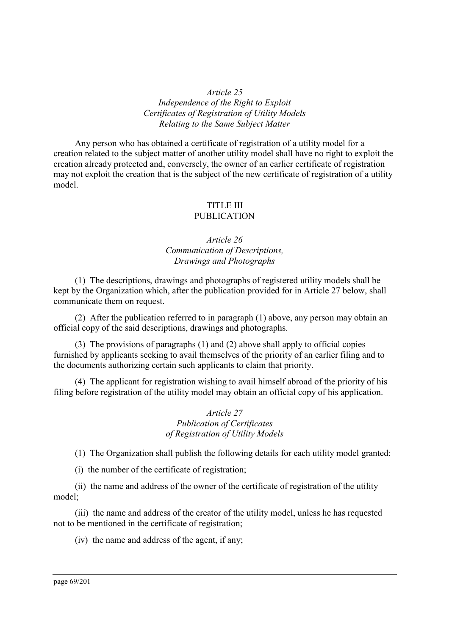#### *Article 25 Independence of the Right to Exploit Certificates of Registration of Utility Models Relating to the Same Subject Matter*

Any person who has obtained a certificate of registration of a utility model for a creation related to the subject matter of another utility model shall have no right to exploit the creation already protected and, conversely, the owner of an earlier certificate of registration may not exploit the creation that is the subject of the new certificate of registration of a utility model.

#### TITLE III PUBLICATION

## *Article 26 Communication of Descriptions, Drawings and Photographs*

(1) The descriptions, drawings and photographs of registered utility models shall be kept by the Organization which, after the publication provided for in Article 27 below, shall communicate them on request.

(2) After the publication referred to in paragraph (1) above, any person may obtain an official copy of the said descriptions, drawings and photographs.

(3) The provisions of paragraphs (1) and (2) above shall apply to official copies furnished by applicants seeking to avail themselves of the priority of an earlier filing and to the documents authorizing certain such applicants to claim that priority.

(4) The applicant for registration wishing to avail himself abroad of the priority of his filing before registration of the utility model may obtain an official copy of his application.

#### *Article 27 Publication of Certificates of Registration of Utility Models*

(1) The Organization shall publish the following details for each utility model granted:

(i) the number of the certificate of registration;

(ii) the name and address of the owner of the certificate of registration of the utility model;

(iii) the name and address of the creator of the utility model, unless he has requested not to be mentioned in the certificate of registration;

(iv) the name and address of the agent, if any;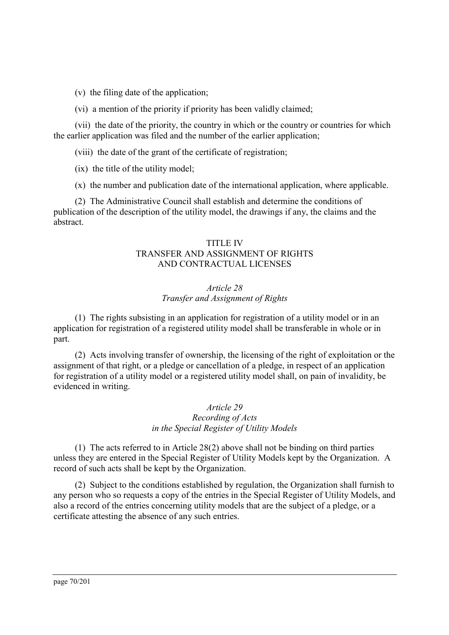(v) the filing date of the application;

(vi) a mention of the priority if priority has been validly claimed;

(vii) the date of the priority, the country in which or the country or countries for which the earlier application was filed and the number of the earlier application;

(viii) the date of the grant of the certificate of registration;

(ix) the title of the utility model;

(x) the number and publication date of the international application, where applicable.

(2) The Administrative Council shall establish and determine the conditions of publication of the description of the utility model, the drawings if any, the claims and the abstract.

#### TITLE IV TRANSFER AND ASSIGNMENT OF RIGHTS AND CONTRACTUAL LICENSES

#### *Article 28 Transfer and Assignment of Rights*

(1) The rights subsisting in an application for registration of a utility model or in an application for registration of a registered utility model shall be transferable in whole or in part.

(2) Acts involving transfer of ownership, the licensing of the right of exploitation or the assignment of that right, or a pledge or cancellation of a pledge, in respect of an application for registration of a utility model or a registered utility model shall, on pain of invalidity, be evidenced in writing.

> *Article 29 Recording of Acts in the Special Register of Utility Models*

(1) The acts referred to in Article 28(2) above shall not be binding on third parties unless they are entered in the Special Register of Utility Models kept by the Organization. A record of such acts shall be kept by the Organization.

(2) Subject to the conditions established by regulation, the Organization shall furnish to any person who so requests a copy of the entries in the Special Register of Utility Models, and also a record of the entries concerning utility models that are the subject of a pledge, or a certificate attesting the absence of any such entries.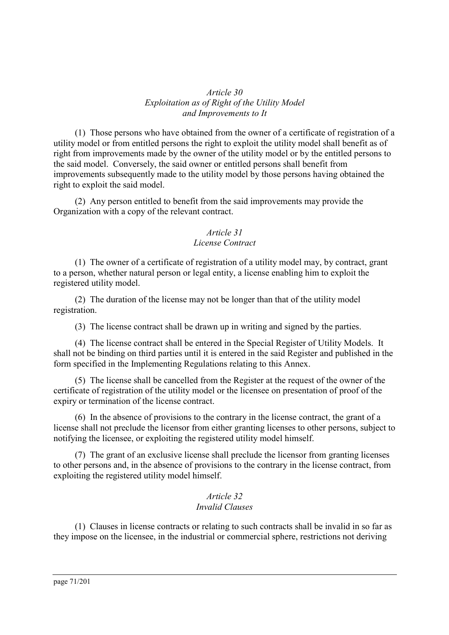*Article 30 Exploitation as of Right of the Utility Model and Improvements to It*

(1) Those persons who have obtained from the owner of a certificate of registration of a utility model or from entitled persons the right to exploit the utility model shall benefit as of right from improvements made by the owner of the utility model or by the entitled persons to the said model. Conversely, the said owner or entitled persons shall benefit from improvements subsequently made to the utility model by those persons having obtained the right to exploit the said model.

(2) Any person entitled to benefit from the said improvements may provide the Organization with a copy of the relevant contract.

#### *Article 31*

#### *License Contract*

(1) The owner of a certificate of registration of a utility model may, by contract, grant to a person, whether natural person or legal entity, a license enabling him to exploit the registered utility model.

(2) The duration of the license may not be longer than that of the utility model registration.

(3) The license contract shall be drawn up in writing and signed by the parties.

(4) The license contract shall be entered in the Special Register of Utility Models. It shall not be binding on third parties until it is entered in the said Register and published in the form specified in the Implementing Regulations relating to this Annex.

(5) The license shall be cancelled from the Register at the request of the owner of the certificate of registration of the utility model or the licensee on presentation of proof of the expiry or termination of the license contract.

(6) In the absence of provisions to the contrary in the license contract, the grant of a license shall not preclude the licensor from either granting licenses to other persons, subject to notifying the licensee, or exploiting the registered utility model himself.

(7) The grant of an exclusive license shall preclude the licensor from granting licenses to other persons and, in the absence of provisions to the contrary in the license contract, from exploiting the registered utility model himself.

#### *Article 32 Invalid Clauses*

(1) Clauses in license contracts or relating to such contracts shall be invalid in so far as they impose on the licensee, in the industrial or commercial sphere, restrictions not deriving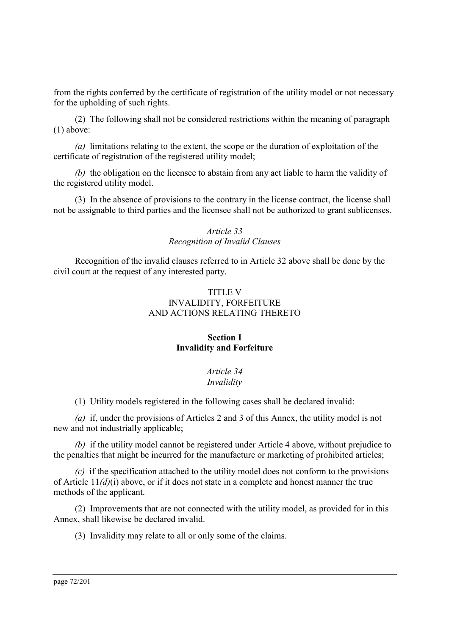from the rights conferred by the certificate of registration of the utility model or not necessary for the upholding of such rights.

(2) The following shall not be considered restrictions within the meaning of paragraph (1) above:

*(a)* limitations relating to the extent, the scope or the duration of exploitation of the certificate of registration of the registered utility model;

*(b)* the obligation on the licensee to abstain from any act liable to harm the validity of the registered utility model.

(3) In the absence of provisions to the contrary in the license contract, the license shall not be assignable to third parties and the licensee shall not be authorized to grant sublicenses.

#### *Article 33 Recognition of Invalid Clauses*

Recognition of the invalid clauses referred to in Article 32 above shall be done by the civil court at the request of any interested party.

#### TITLE V INVALIDITY, FORFEITURE AND ACTIONS RELATING THERETO

#### **Section I Invalidity and Forfeiture**

# *Article 34*

# *Invalidity*

(1) Utility models registered in the following cases shall be declared invalid:

*(a)* if, under the provisions of Articles 2 and 3 of this Annex, the utility model is not new and not industrially applicable;

*(b)* if the utility model cannot be registered under Article 4 above, without prejudice to the penalties that might be incurred for the manufacture or marketing of prohibited articles;

*(c)* if the specification attached to the utility model does not conform to the provisions of Article 11*(d)*(i) above, or if it does not state in a complete and honest manner the true methods of the applicant.

(2) Improvements that are not connected with the utility model, as provided for in this Annex, shall likewise be declared invalid.

(3) Invalidity may relate to all or only some of the claims.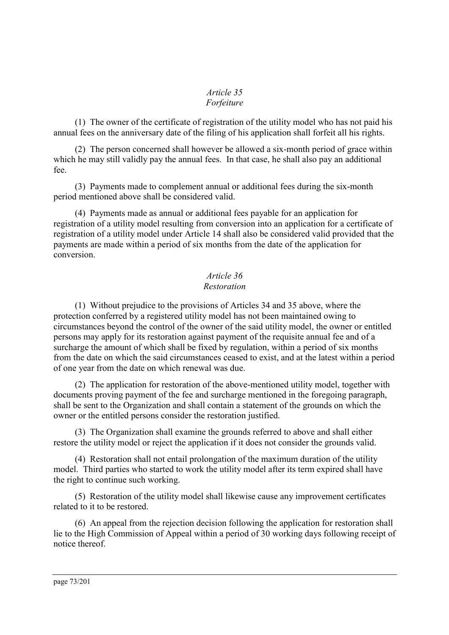### *Article 35 Forfeiture*

(1) The owner of the certificate of registration of the utility model who has not paid his annual fees on the anniversary date of the filing of his application shall forfeit all his rights.

(2) The person concerned shall however be allowed a six-month period of grace within which he may still validly pay the annual fees. In that case, he shall also pay an additional fee.

(3) Payments made to complement annual or additional fees during the six-month period mentioned above shall be considered valid.

(4) Payments made as annual or additional fees payable for an application for registration of a utility model resulting from conversion into an application for a certificate of registration of a utility model under Article 14 shall also be considered valid provided that the payments are made within a period of six months from the date of the application for conversion.

# *Article 36 Restoration*

(1) Without prejudice to the provisions of Articles 34 and 35 above, where the protection conferred by a registered utility model has not been maintained owing to circumstances beyond the control of the owner of the said utility model, the owner or entitled persons may apply for its restoration against payment of the requisite annual fee and of a surcharge the amount of which shall be fixed by regulation, within a period of six months from the date on which the said circumstances ceased to exist, and at the latest within a period of one year from the date on which renewal was due.

(2) The application for restoration of the above-mentioned utility model, together with documents proving payment of the fee and surcharge mentioned in the foregoing paragraph, shall be sent to the Organization and shall contain a statement of the grounds on which the owner or the entitled persons consider the restoration justified.

(3) The Organization shall examine the grounds referred to above and shall either restore the utility model or reject the application if it does not consider the grounds valid.

(4) Restoration shall not entail prolongation of the maximum duration of the utility model. Third parties who started to work the utility model after its term expired shall have the right to continue such working.

(5) Restoration of the utility model shall likewise cause any improvement certificates related to it to be restored.

(6) An appeal from the rejection decision following the application for restoration shall lie to the High Commission of Appeal within a period of 30 working days following receipt of notice thereof.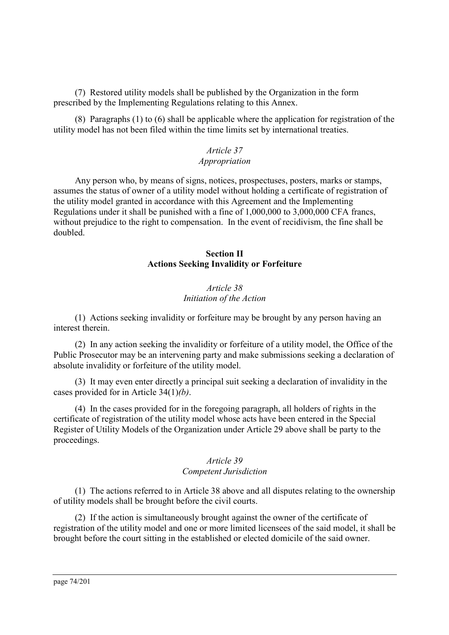(7) Restored utility models shall be published by the Organization in the form prescribed by the Implementing Regulations relating to this Annex.

(8) Paragraphs (1) to (6) shall be applicable where the application for registration of the utility model has not been filed within the time limits set by international treaties.

#### *Article 37 Appropriation*

Any person who, by means of signs, notices, prospectuses, posters, marks or stamps, assumes the status of owner of a utility model without holding a certificate of registration of the utility model granted in accordance with this Agreement and the Implementing Regulations under it shall be punished with a fine of 1,000,000 to 3,000,000 CFA francs, without prejudice to the right to compensation. In the event of recidivism, the fine shall be doubled.

### **Section II Actions Seeking Invalidity or Forfeiture**

# *Article 38 Initiation of the Action*

(1) Actions seeking invalidity or forfeiture may be brought by any person having an interest therein.

(2) In any action seeking the invalidity or forfeiture of a utility model, the Office of the Public Prosecutor may be an intervening party and make submissions seeking a declaration of absolute invalidity or forfeiture of the utility model.

(3) It may even enter directly a principal suit seeking a declaration of invalidity in the cases provided for in Article 34(1)*(b)*.

(4) In the cases provided for in the foregoing paragraph, all holders of rights in the certificate of registration of the utility model whose acts have been entered in the Special Register of Utility Models of the Organization under Article 29 above shall be party to the proceedings.

# *Article 39*

### *Competent Jurisdiction*

(1) The actions referred to in Article 38 above and all disputes relating to the ownership of utility models shall be brought before the civil courts.

(2) If the action is simultaneously brought against the owner of the certificate of registration of the utility model and one or more limited licensees of the said model, it shall be brought before the court sitting in the established or elected domicile of the said owner.

page 74/201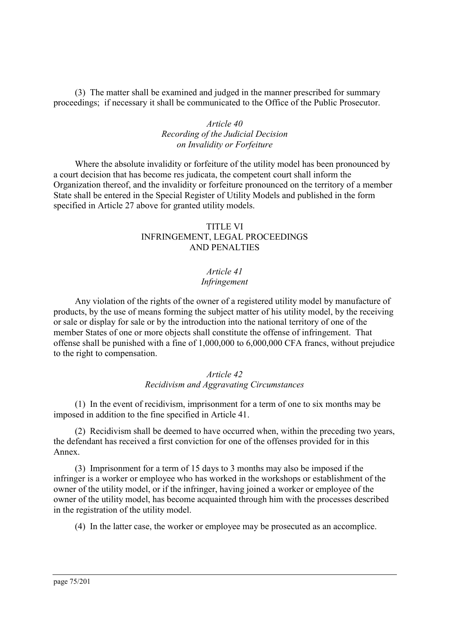(3) The matter shall be examined and judged in the manner prescribed for summary proceedings; if necessary it shall be communicated to the Office of the Public Prosecutor.

### *Article 40 Recording of the Judicial Decision on Invalidity or Forfeiture*

Where the absolute invalidity or forfeiture of the utility model has been pronounced by a court decision that has become res judicata, the competent court shall inform the Organization thereof, and the invalidity or forfeiture pronounced on the territory of a member State shall be entered in the Special Register of Utility Models and published in the form specified in Article 27 above for granted utility models.

### TITLE VI INFRINGEMENT, LEGAL PROCEEDINGS AND PENALTIES

# *Article 41*

# *Infringement*

Any violation of the rights of the owner of a registered utility model by manufacture of products, by the use of means forming the subject matter of his utility model, by the receiving or sale or display for sale or by the introduction into the national territory of one of the member States of one or more objects shall constitute the offense of infringement. That offense shall be punished with a fine of 1,000,000 to 6,000,000 CFA francs, without prejudice to the right to compensation.

### *Article 42 Recidivism and Aggravating Circumstances*

(1) In the event of recidivism, imprisonment for a term of one to six months may be imposed in addition to the fine specified in Article 41.

(2) Recidivism shall be deemed to have occurred when, within the preceding two years, the defendant has received a first conviction for one of the offenses provided for in this Annex.

(3) Imprisonment for a term of 15 days to 3 months may also be imposed if the infringer is a worker or employee who has worked in the workshops or establishment of the owner of the utility model, or if the infringer, having joined a worker or employee of the owner of the utility model, has become acquainted through him with the processes described in the registration of the utility model.

(4) In the latter case, the worker or employee may be prosecuted as an accomplice.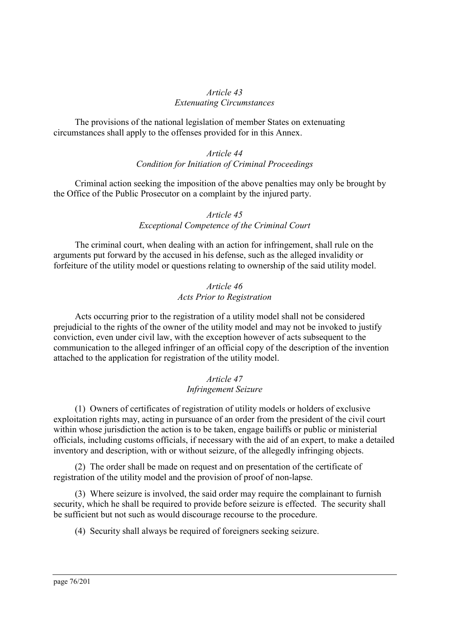### *Article 43 Extenuating Circumstances*

The provisions of the national legislation of member States on extenuating circumstances shall apply to the offenses provided for in this Annex.

### *Article 44 Condition for Initiation of Criminal Proceedings*

Criminal action seeking the imposition of the above penalties may only be brought by the Office of the Public Prosecutor on a complaint by the injured party.

### *Article 45 Exceptional Competence of the Criminal Court*

The criminal court, when dealing with an action for infringement, shall rule on the arguments put forward by the accused in his defense, such as the alleged invalidity or forfeiture of the utility model or questions relating to ownership of the said utility model.

### *Article 46 Acts Prior to Registration*

Acts occurring prior to the registration of a utility model shall not be considered prejudicial to the rights of the owner of the utility model and may not be invoked to justify conviction, even under civil law, with the exception however of acts subsequent to the communication to the alleged infringer of an official copy of the description of the invention attached to the application for registration of the utility model.

# *Article 47 Infringement Seizure*

(1) Owners of certificates of registration of utility models or holders of exclusive exploitation rights may, acting in pursuance of an order from the president of the civil court within whose jurisdiction the action is to be taken, engage bailiffs or public or ministerial officials, including customs officials, if necessary with the aid of an expert, to make a detailed inventory and description, with or without seizure, of the allegedly infringing objects.

(2) The order shall be made on request and on presentation of the certificate of registration of the utility model and the provision of proof of non-lapse.

(3) Where seizure is involved, the said order may require the complainant to furnish security, which he shall be required to provide before seizure is effected. The security shall be sufficient but not such as would discourage recourse to the procedure.

(4) Security shall always be required of foreigners seeking seizure.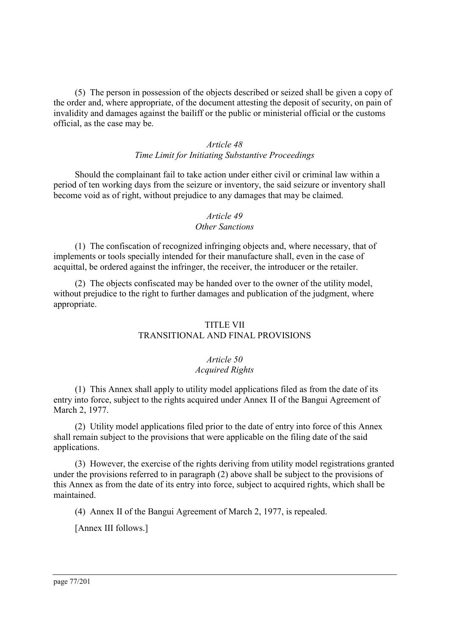(5) The person in possession of the objects described or seized shall be given a copy of the order and, where appropriate, of the document attesting the deposit of security, on pain of invalidity and damages against the bailiff or the public or ministerial official or the customs official, as the case may be.

# *Article 48 Time Limit for Initiating Substantive Proceedings*

Should the complainant fail to take action under either civil or criminal law within a period of ten working days from the seizure or inventory, the said seizure or inventory shall become void as of right, without prejudice to any damages that may be claimed.

# *Article 49*

# *Other Sanctions*

(1) The confiscation of recognized infringing objects and, where necessary, that of implements or tools specially intended for their manufacture shall, even in the case of acquittal, be ordered against the infringer, the receiver, the introducer or the retailer.

(2) The objects confiscated may be handed over to the owner of the utility model, without prejudice to the right to further damages and publication of the judgment, where appropriate.

### TITLE VII

# TRANSITIONAL AND FINAL PROVISIONS

### *Article 50 Acquired Rights*

(1) This Annex shall apply to utility model applications filed as from the date of its entry into force, subject to the rights acquired under Annex II of the Bangui Agreement of March 2, 1977.

(2) Utility model applications filed prior to the date of entry into force of this Annex shall remain subject to the provisions that were applicable on the filing date of the said applications.

(3) However, the exercise of the rights deriving from utility model registrations granted under the provisions referred to in paragraph (2) above shall be subject to the provisions of this Annex as from the date of its entry into force, subject to acquired rights, which shall be maintained.

(4) Annex II of the Bangui Agreement of March 2, 1977, is repealed.

[Annex III follows.]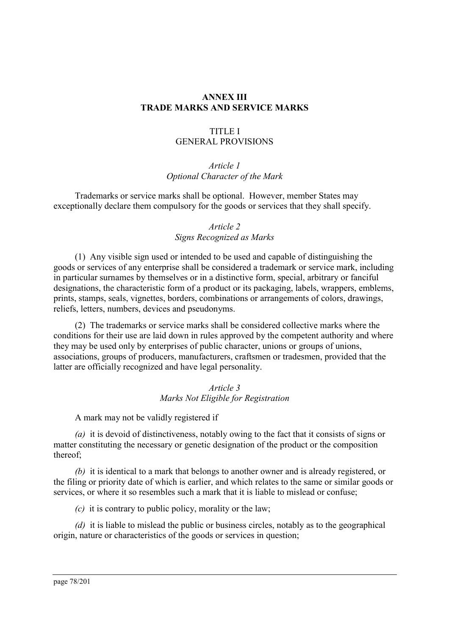### **ANNEX III TRADE MARKS AND SERVICE MARKS**

### TITLE I GENERAL PROVISIONS

# *Article 1 Optional Character of the Mark*

Trademarks or service marks shall be optional. However, member States may exceptionally declare them compulsory for the goods or services that they shall specify.

# *Article 2 Signs Recognized as Marks*

(1) Any visible sign used or intended to be used and capable of distinguishing the goods or services of any enterprise shall be considered a trademark or service mark, including in particular surnames by themselves or in a distinctive form, special, arbitrary or fanciful designations, the characteristic form of a product or its packaging, labels, wrappers, emblems, prints, stamps, seals, vignettes, borders, combinations or arrangements of colors, drawings, reliefs, letters, numbers, devices and pseudonyms.

(2) The trademarks or service marks shall be considered collective marks where the conditions for their use are laid down in rules approved by the competent authority and where they may be used only by enterprises of public character, unions or groups of unions, associations, groups of producers, manufacturers, craftsmen or tradesmen, provided that the latter are officially recognized and have legal personality.

### *Article 3 Marks Not Eligible for Registration*

A mark may not be validly registered if

*(a)* it is devoid of distinctiveness, notably owing to the fact that it consists of signs or matter constituting the necessary or genetic designation of the product or the composition thereof;

*(b)* it is identical to a mark that belongs to another owner and is already registered, or the filing or priority date of which is earlier, and which relates to the same or similar goods or services, or where it so resembles such a mark that it is liable to mislead or confuse;

*(c)* it is contrary to public policy, morality or the law;

*(d)* it is liable to mislead the public or business circles, notably as to the geographical origin, nature or characteristics of the goods or services in question;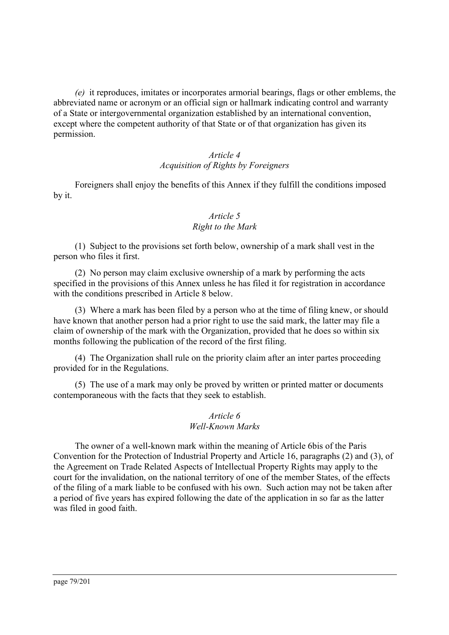*(e)* it reproduces, imitates or incorporates armorial bearings, flags or other emblems, the abbreviated name or acronym or an official sign or hallmark indicating control and warranty of a State or intergovernmental organization established by an international convention, except where the competent authority of that State or of that organization has given its permission.

# *Article 4 Acquisition of Rights by Foreigners*

Foreigners shall enjoy the benefits of this Annex if they fulfill the conditions imposed by it.

### *Article 5 Right to the Mark*

(1) Subject to the provisions set forth below, ownership of a mark shall vest in the person who files it first.

(2) No person may claim exclusive ownership of a mark by performing the acts specified in the provisions of this Annex unless he has filed it for registration in accordance with the conditions prescribed in Article 8 below.

(3) Where a mark has been filed by a person who at the time of filing knew, or should have known that another person had a prior right to use the said mark, the latter may file a claim of ownership of the mark with the Organization, provided that he does so within six months following the publication of the record of the first filing.

(4) The Organization shall rule on the priority claim after an inter partes proceeding provided for in the Regulations.

(5) The use of a mark may only be proved by written or printed matter or documents contemporaneous with the facts that they seek to establish.

### *Article 6 Well-Known Marks*

The owner of a well-known mark within the meaning of Article 6bis of the Paris Convention for the Protection of Industrial Property and Article 16, paragraphs (2) and (3), of the Agreement on Trade Related Aspects of Intellectual Property Rights may apply to the court for the invalidation, on the national territory of one of the member States, of the effects of the filing of a mark liable to be confused with his own. Such action may not be taken after a period of five years has expired following the date of the application in so far as the latter was filed in good faith.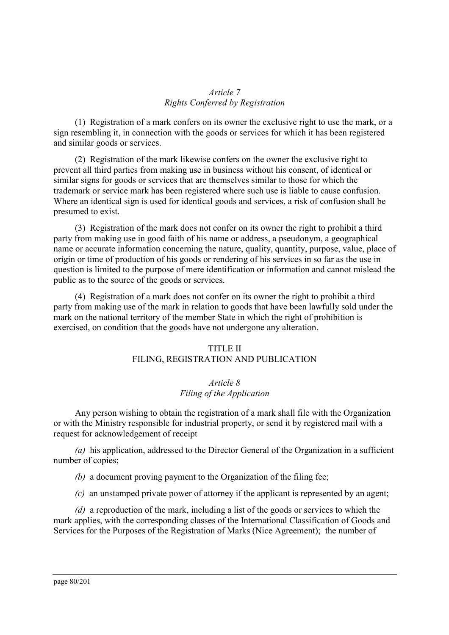### *Article 7 Rights Conferred by Registration*

(1) Registration of a mark confers on its owner the exclusive right to use the mark, or a sign resembling it, in connection with the goods or services for which it has been registered and similar goods or services.

(2) Registration of the mark likewise confers on the owner the exclusive right to prevent all third parties from making use in business without his consent, of identical or similar signs for goods or services that are themselves similar to those for which the trademark or service mark has been registered where such use is liable to cause confusion. Where an identical sign is used for identical goods and services, a risk of confusion shall be presumed to exist.

(3) Registration of the mark does not confer on its owner the right to prohibit a third party from making use in good faith of his name or address, a pseudonym, a geographical name or accurate information concerning the nature, quality, quantity, purpose, value, place of origin or time of production of his goods or rendering of his services in so far as the use in question is limited to the purpose of mere identification or information and cannot mislead the public as to the source of the goods or services.

(4) Registration of a mark does not confer on its owner the right to prohibit a third party from making use of the mark in relation to goods that have been lawfully sold under the mark on the national territory of the member State in which the right of prohibition is exercised, on condition that the goods have not undergone any alteration.

#### TITLE II FILING, REGISTRATION AND PUBLICATION

### *Article 8 Filing of the Application*

Any person wishing to obtain the registration of a mark shall file with the Organization or with the Ministry responsible for industrial property, or send it by registered mail with a request for acknowledgement of receipt

*(a)* his application, addressed to the Director General of the Organization in a sufficient number of copies;

*(b)* a document proving payment to the Organization of the filing fee;

*(c)* an unstamped private power of attorney if the applicant is represented by an agent;

*(d)* a reproduction of the mark, including a list of the goods or services to which the mark applies, with the corresponding classes of the International Classification of Goods and Services for the Purposes of the Registration of Marks (Nice Agreement); the number of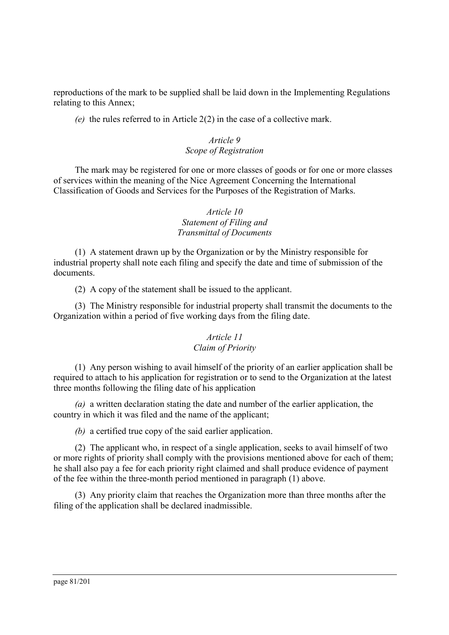reproductions of the mark to be supplied shall be laid down in the Implementing Regulations relating to this Annex;

*(e)* the rules referred to in Article 2(2) in the case of a collective mark.

# *Article 9 Scope of Registration*

The mark may be registered for one or more classes of goods or for one or more classes of services within the meaning of the Nice Agreement Concerning the International Classification of Goods and Services for the Purposes of the Registration of Marks.

### *Article 10 Statement of Filing and Transmittal of Documents*

(1) A statement drawn up by the Organization or by the Ministry responsible for industrial property shall note each filing and specify the date and time of submission of the documents.

(2) A copy of the statement shall be issued to the applicant.

(3) The Ministry responsible for industrial property shall transmit the documents to the Organization within a period of five working days from the filing date.

### *Article 11 Claim of Priority*

(1) Any person wishing to avail himself of the priority of an earlier application shall be required to attach to his application for registration or to send to the Organization at the latest three months following the filing date of his application

*(a)* a written declaration stating the date and number of the earlier application, the country in which it was filed and the name of the applicant;

*(b)* a certified true copy of the said earlier application.

(2) The applicant who, in respect of a single application, seeks to avail himself of two or more rights of priority shall comply with the provisions mentioned above for each of them; he shall also pay a fee for each priority right claimed and shall produce evidence of payment of the fee within the three-month period mentioned in paragraph (1) above.

(3) Any priority claim that reaches the Organization more than three months after the filing of the application shall be declared inadmissible.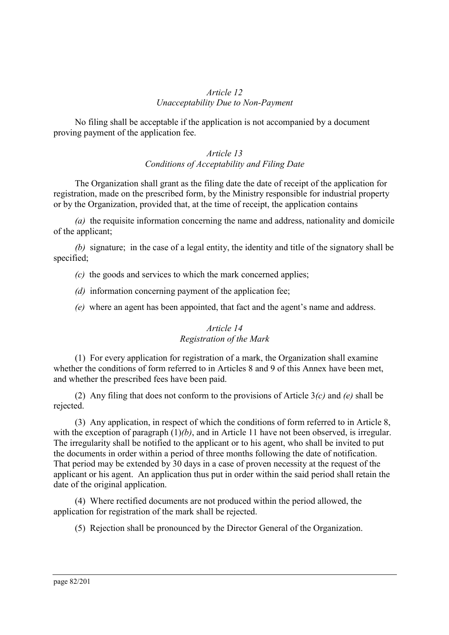### *Article 12 Unacceptability Due to Non-Payment*

No filing shall be acceptable if the application is not accompanied by a document proving payment of the application fee.

### *Article 13 Conditions of Acceptability and Filing Date*

The Organization shall grant as the filing date the date of receipt of the application for registration, made on the prescribed form, by the Ministry responsible for industrial property or by the Organization, provided that, at the time of receipt, the application contains

*(a)* the requisite information concerning the name and address, nationality and domicile of the applicant;

*(b)* signature; in the case of a legal entity, the identity and title of the signatory shall be specified;

- *(c)* the goods and services to which the mark concerned applies;
- *(d)* information concerning payment of the application fee;
- *(e)* where an agent has been appointed, that fact and the agent's name and address.

# *Article 14 Registration of the Mark*

(1) For every application for registration of a mark, the Organization shall examine whether the conditions of form referred to in Articles 8 and 9 of this Annex have been met, and whether the prescribed fees have been paid.

(2) Any filing that does not conform to the provisions of Article 3*(c)* and *(e)* shall be rejected.

(3) Any application, in respect of which the conditions of form referred to in Article 8, with the exception of paragraph  $(1)(b)$ , and in Article 11 have not been observed, is irregular. The irregularity shall be notified to the applicant or to his agent, who shall be invited to put the documents in order within a period of three months following the date of notification. That period may be extended by 30 days in a case of proven necessity at the request of the applicant or his agent. An application thus put in order within the said period shall retain the date of the original application.

(4) Where rectified documents are not produced within the period allowed, the application for registration of the mark shall be rejected.

(5) Rejection shall be pronounced by the Director General of the Organization.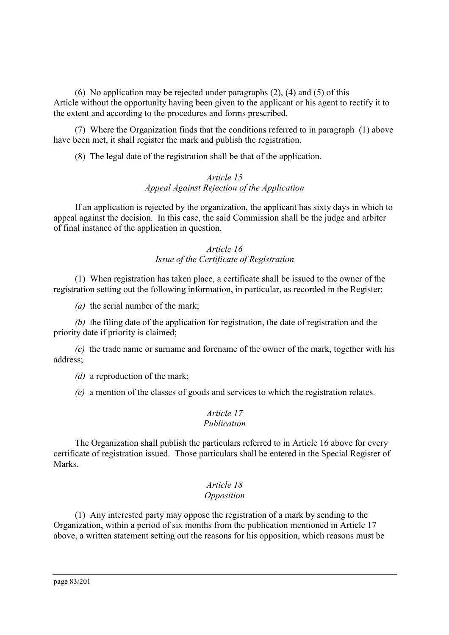(6) No application may be rejected under paragraphs  $(2)$ ,  $(4)$  and  $(5)$  of this Article without the opportunity having been given to the applicant or his agent to rectify it to the extent and according to the procedures and forms prescribed.

(7) Where the Organization finds that the conditions referred to in paragraph (1) above have been met, it shall register the mark and publish the registration.

(8) The legal date of the registration shall be that of the application.

# *Article 15 Appeal Against Rejection of the Application*

If an application is rejected by the organization, the applicant has sixty days in which to appeal against the decision. In this case, the said Commission shall be the judge and arbiter of final instance of the application in question.

# *Article 16 Issue of the Certificate of Registration*

(1) When registration has taken place, a certificate shall be issued to the owner of the registration setting out the following information, in particular, as recorded in the Register:

*(a)* the serial number of the mark;

*(b)* the filing date of the application for registration, the date of registration and the priority date if priority is claimed;

*(c)* the trade name or surname and forename of the owner of the mark, together with his address;

*(d)* a reproduction of the mark;

*(e)* a mention of the classes of goods and services to which the registration relates.

#### *Article 17 Publication*

The Organization shall publish the particulars referred to in Article 16 above for every certificate of registration issued. Those particulars shall be entered in the Special Register of Marks.

### *Article 18 Opposition*

(1) Any interested party may oppose the registration of a mark by sending to the Organization, within a period of six months from the publication mentioned in Article 17 above, a written statement setting out the reasons for his opposition, which reasons must be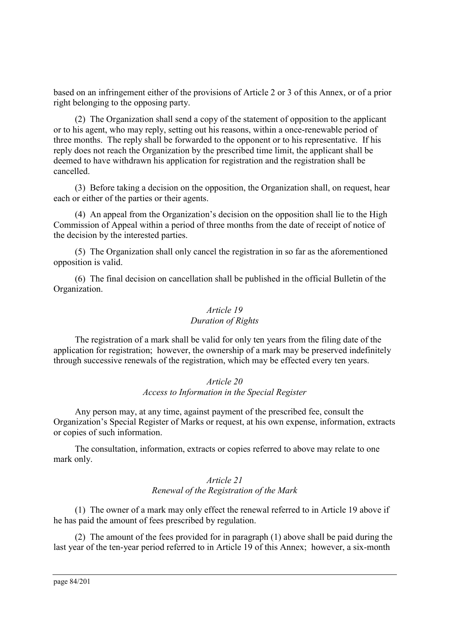based on an infringement either of the provisions of Article 2 or 3 of this Annex, or of a prior right belonging to the opposing party.

(2) The Organization shall send a copy of the statement of opposition to the applicant or to his agent, who may reply, setting out his reasons, within a once-renewable period of three months. The reply shall be forwarded to the opponent or to his representative. If his reply does not reach the Organization by the prescribed time limit, the applicant shall be deemed to have withdrawn his application for registration and the registration shall be cancelled.

(3) Before taking a decision on the opposition, the Organization shall, on request, hear each or either of the parties or their agents.

(4) An appeal from the Organization's decision on the opposition shall lie to the High Commission of Appeal within a period of three months from the date of receipt of notice of the decision by the interested parties.

(5) The Organization shall only cancel the registration in so far as the aforementioned opposition is valid.

(6) The final decision on cancellation shall be published in the official Bulletin of the Organization.

### *Article 19 Duration of Rights*

The registration of a mark shall be valid for only ten years from the filing date of the application for registration; however, the ownership of a mark may be preserved indefinitely through successive renewals of the registration, which may be effected every ten years.

#### *Article 20 Access to Information in the Special Register*

Any person may, at any time, against payment of the prescribed fee, consult the Organization's Special Register of Marks or request, at his own expense, information, extracts or copies of such information.

The consultation, information, extracts or copies referred to above may relate to one mark only.

# *Article 21 Renewal of the Registration of the Mark*

(1) The owner of a mark may only effect the renewal referred to in Article 19 above if he has paid the amount of fees prescribed by regulation.

(2) The amount of the fees provided for in paragraph (1) above shall be paid during the last year of the ten-year period referred to in Article 19 of this Annex; however, a six-month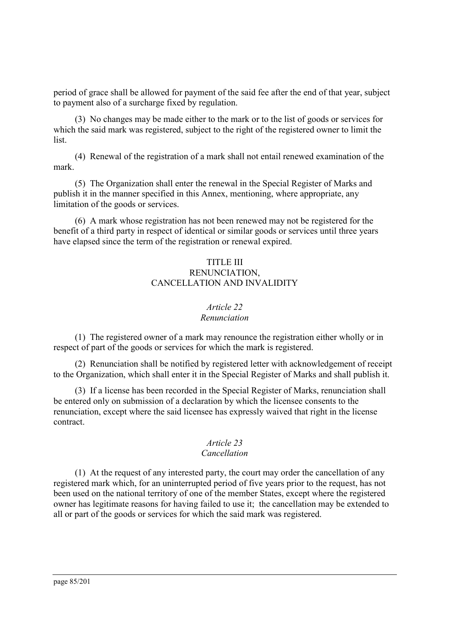period of grace shall be allowed for payment of the said fee after the end of that year, subject to payment also of a surcharge fixed by regulation.

(3) No changes may be made either to the mark or to the list of goods or services for which the said mark was registered, subject to the right of the registered owner to limit the list.

(4) Renewal of the registration of a mark shall not entail renewed examination of the mark.

(5) The Organization shall enter the renewal in the Special Register of Marks and publish it in the manner specified in this Annex, mentioning, where appropriate, any limitation of the goods or services.

(6) A mark whose registration has not been renewed may not be registered for the benefit of a third party in respect of identical or similar goods or services until three years have elapsed since the term of the registration or renewal expired.

### TITLE III RENUNCIATION, CANCELLATION AND INVALIDITY

### *Article 22*

### *Renunciation*

(1) The registered owner of a mark may renounce the registration either wholly or in respect of part of the goods or services for which the mark is registered.

(2) Renunciation shall be notified by registered letter with acknowledgement of receipt to the Organization, which shall enter it in the Special Register of Marks and shall publish it.

(3) If a license has been recorded in the Special Register of Marks, renunciation shall be entered only on submission of a declaration by which the licensee consents to the renunciation, except where the said licensee has expressly waived that right in the license contract.

### *Article 23*

### *Cancellation*

(1) At the request of any interested party, the court may order the cancellation of any registered mark which, for an uninterrupted period of five years prior to the request, has not been used on the national territory of one of the member States, except where the registered owner has legitimate reasons for having failed to use it; the cancellation may be extended to all or part of the goods or services for which the said mark was registered.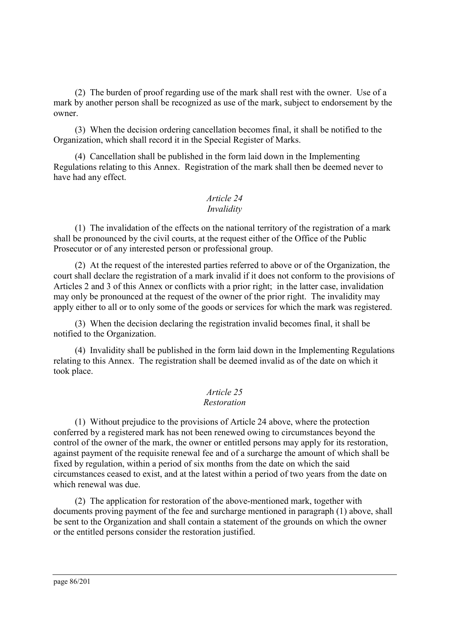(2) The burden of proof regarding use of the mark shall rest with the owner. Use of a mark by another person shall be recognized as use of the mark, subject to endorsement by the owner.

(3) When the decision ordering cancellation becomes final, it shall be notified to the Organization, which shall record it in the Special Register of Marks.

(4) Cancellation shall be published in the form laid down in the Implementing Regulations relating to this Annex. Registration of the mark shall then be deemed never to have had any effect.

#### *Article 24 Invalidity*

(1) The invalidation of the effects on the national territory of the registration of a mark shall be pronounced by the civil courts, at the request either of the Office of the Public Prosecutor or of any interested person or professional group.

(2) At the request of the interested parties referred to above or of the Organization, the court shall declare the registration of a mark invalid if it does not conform to the provisions of Articles 2 and 3 of this Annex or conflicts with a prior right; in the latter case, invalidation may only be pronounced at the request of the owner of the prior right. The invalidity may apply either to all or to only some of the goods or services for which the mark was registered.

(3) When the decision declaring the registration invalid becomes final, it shall be notified to the Organization.

(4) Invalidity shall be published in the form laid down in the Implementing Regulations relating to this Annex. The registration shall be deemed invalid as of the date on which it took place.

#### *Article 25 Restoration*

(1) Without prejudice to the provisions of Article 24 above, where the protection conferred by a registered mark has not been renewed owing to circumstances beyond the control of the owner of the mark, the owner or entitled persons may apply for its restoration, against payment of the requisite renewal fee and of a surcharge the amount of which shall be fixed by regulation, within a period of six months from the date on which the said circumstances ceased to exist, and at the latest within a period of two years from the date on which renewal was due.

(2) The application for restoration of the above-mentioned mark, together with documents proving payment of the fee and surcharge mentioned in paragraph (1) above, shall be sent to the Organization and shall contain a statement of the grounds on which the owner or the entitled persons consider the restoration justified.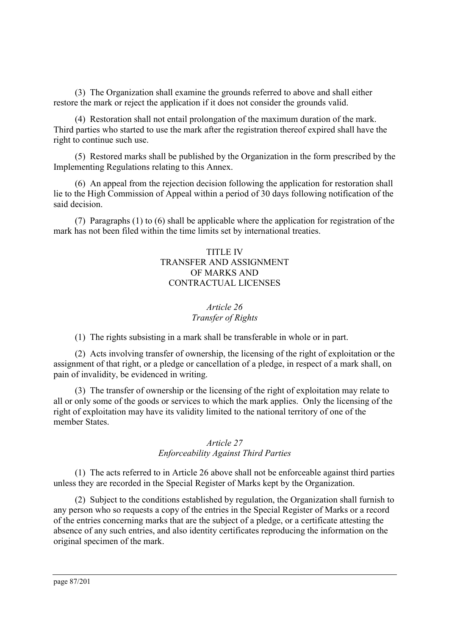(3) The Organization shall examine the grounds referred to above and shall either restore the mark or reject the application if it does not consider the grounds valid.

(4) Restoration shall not entail prolongation of the maximum duration of the mark. Third parties who started to use the mark after the registration thereof expired shall have the right to continue such use.

(5) Restored marks shall be published by the Organization in the form prescribed by the Implementing Regulations relating to this Annex.

(6) An appeal from the rejection decision following the application for restoration shall lie to the High Commission of Appeal within a period of 30 days following notification of the said decision.

(7) Paragraphs (1) to (6) shall be applicable where the application for registration of the mark has not been filed within the time limits set by international treaties.

# TITLE IV TRANSFER AND ASSIGNMENT OF MARKS AND CONTRACTUAL LICENSES

# *Article 26 Transfer of Rights*

(1) The rights subsisting in a mark shall be transferable in whole or in part.

(2) Acts involving transfer of ownership, the licensing of the right of exploitation or the assignment of that right, or a pledge or cancellation of a pledge, in respect of a mark shall, on pain of invalidity, be evidenced in writing.

(3) The transfer of ownership or the licensing of the right of exploitation may relate to all or only some of the goods or services to which the mark applies. Only the licensing of the right of exploitation may have its validity limited to the national territory of one of the member States.

### *Article 27 Enforceability Against Third Parties*

(1) The acts referred to in Article 26 above shall not be enforceable against third parties unless they are recorded in the Special Register of Marks kept by the Organization.

(2) Subject to the conditions established by regulation, the Organization shall furnish to any person who so requests a copy of the entries in the Special Register of Marks or a record of the entries concerning marks that are the subject of a pledge, or a certificate attesting the absence of any such entries, and also identity certificates reproducing the information on the original specimen of the mark.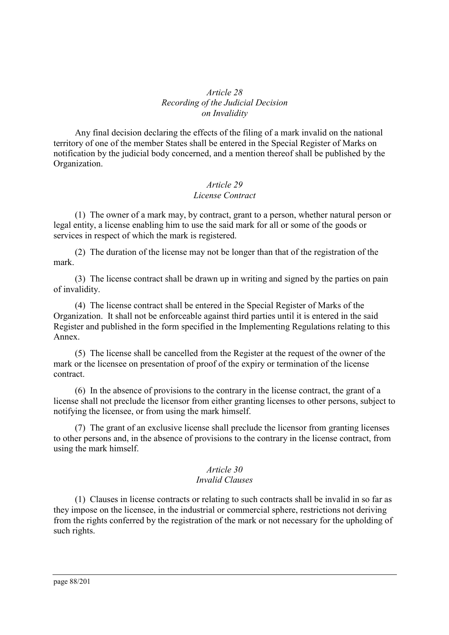### *Article 28 Recording of the Judicial Decision on Invalidity*

Any final decision declaring the effects of the filing of a mark invalid on the national territory of one of the member States shall be entered in the Special Register of Marks on notification by the judicial body concerned, and a mention thereof shall be published by the Organization.

# *Article 29 License Contract*

(1) The owner of a mark may, by contract, grant to a person, whether natural person or legal entity, a license enabling him to use the said mark for all or some of the goods or services in respect of which the mark is registered.

(2) The duration of the license may not be longer than that of the registration of the mark.

(3) The license contract shall be drawn up in writing and signed by the parties on pain of invalidity.

(4) The license contract shall be entered in the Special Register of Marks of the Organization. It shall not be enforceable against third parties until it is entered in the said Register and published in the form specified in the Implementing Regulations relating to this Annex.

(5) The license shall be cancelled from the Register at the request of the owner of the mark or the licensee on presentation of proof of the expiry or termination of the license contract.

(6) In the absence of provisions to the contrary in the license contract, the grant of a license shall not preclude the licensor from either granting licenses to other persons, subject to notifying the licensee, or from using the mark himself.

(7) The grant of an exclusive license shall preclude the licensor from granting licenses to other persons and, in the absence of provisions to the contrary in the license contract, from using the mark himself.

### *Article 30 Invalid Clauses*

(1) Clauses in license contracts or relating to such contracts shall be invalid in so far as they impose on the licensee, in the industrial or commercial sphere, restrictions not deriving from the rights conferred by the registration of the mark or not necessary for the upholding of such rights.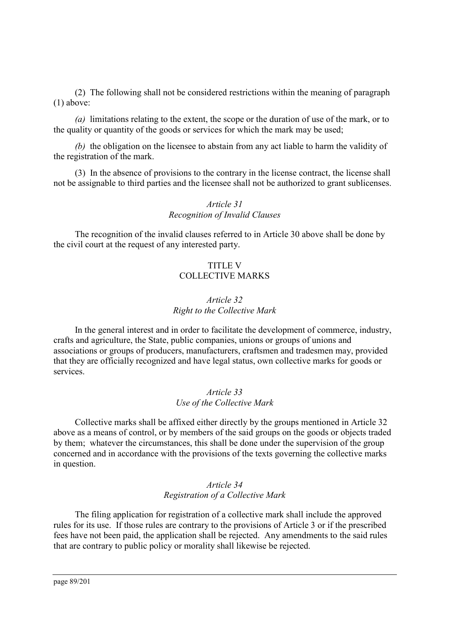(2) The following shall not be considered restrictions within the meaning of paragraph (1) above:

*(a)* limitations relating to the extent, the scope or the duration of use of the mark, or to the quality or quantity of the goods or services for which the mark may be used;

*(b)* the obligation on the licensee to abstain from any act liable to harm the validity of the registration of the mark.

(3) In the absence of provisions to the contrary in the license contract, the license shall not be assignable to third parties and the licensee shall not be authorized to grant sublicenses.

### *Article 31 Recognition of Invalid Clauses*

The recognition of the invalid clauses referred to in Article 30 above shall be done by the civil court at the request of any interested party.

### TITLE V COLLECTIVE MARKS

### *Article 32 Right to the Collective Mark*

In the general interest and in order to facilitate the development of commerce, industry, crafts and agriculture, the State, public companies, unions or groups of unions and associations or groups of producers, manufacturers, craftsmen and tradesmen may, provided that they are officially recognized and have legal status, own collective marks for goods or services.

### *Article 33 Use of the Collective Mark*

Collective marks shall be affixed either directly by the groups mentioned in Article 32 above as a means of control, or by members of the said groups on the goods or objects traded by them; whatever the circumstances, this shall be done under the supervision of the group concerned and in accordance with the provisions of the texts governing the collective marks in question.

### *Article 34 Registration of a Collective Mark*

The filing application for registration of a collective mark shall include the approved rules for its use. If those rules are contrary to the provisions of Article 3 or if the prescribed fees have not been paid, the application shall be rejected. Any amendments to the said rules that are contrary to public policy or morality shall likewise be rejected.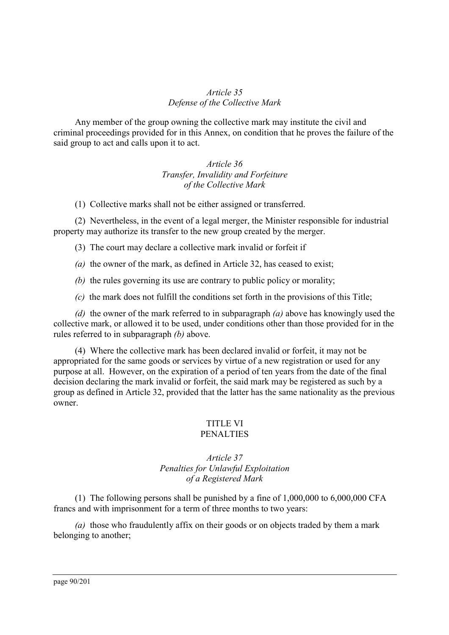### *Article 35 Defense of the Collective Mark*

Any member of the group owning the collective mark may institute the civil and criminal proceedings provided for in this Annex, on condition that he proves the failure of the said group to act and calls upon it to act.

> *Article 36 Transfer, Invalidity and Forfeiture of the Collective Mark*

(1) Collective marks shall not be either assigned or transferred.

(2) Nevertheless, in the event of a legal merger, the Minister responsible for industrial property may authorize its transfer to the new group created by the merger.

(3) The court may declare a collective mark invalid or forfeit if

*(a)* the owner of the mark, as defined in Article 32, has ceased to exist;

*(b)* the rules governing its use are contrary to public policy or morality;

*(c)* the mark does not fulfill the conditions set forth in the provisions of this Title;

*(d)* the owner of the mark referred to in subparagraph *(a)* above has knowingly used the collective mark, or allowed it to be used, under conditions other than those provided for in the rules referred to in subparagraph *(b)* above.

(4) Where the collective mark has been declared invalid or forfeit, it may not be appropriated for the same goods or services by virtue of a new registration or used for any purpose at all. However, on the expiration of a period of ten years from the date of the final decision declaring the mark invalid or forfeit, the said mark may be registered as such by a group as defined in Article 32, provided that the latter has the same nationality as the previous owner.

# TITLE VI

# **PENALTIES**

### *Article 37 Penalties for Unlawful Exploitation of a Registered Mark*

(1) The following persons shall be punished by a fine of 1,000,000 to 6,000,000 CFA francs and with imprisonment for a term of three months to two years:

*(a)* those who fraudulently affix on their goods or on objects traded by them a mark belonging to another;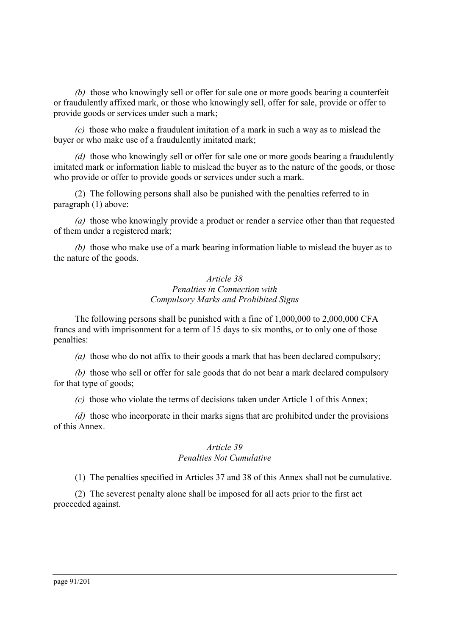*(b)* those who knowingly sell or offer for sale one or more goods bearing a counterfeit or fraudulently affixed mark, or those who knowingly sell, offer for sale, provide or offer to provide goods or services under such a mark;

*(c)* those who make a fraudulent imitation of a mark in such a way as to mislead the buyer or who make use of a fraudulently imitated mark;

*(d)* those who knowingly sell or offer for sale one or more goods bearing a fraudulently imitated mark or information liable to mislead the buyer as to the nature of the goods, or those who provide or offer to provide goods or services under such a mark.

(2) The following persons shall also be punished with the penalties referred to in paragraph (1) above:

*(a)* those who knowingly provide a product or render a service other than that requested of them under a registered mark;

*(b)* those who make use of a mark bearing information liable to mislead the buyer as to the nature of the goods.

### *Article 38 Penalties in Connection with Compulsory Marks and Prohibited Signs*

The following persons shall be punished with a fine of 1,000,000 to 2,000,000 CFA francs and with imprisonment for a term of 15 days to six months, or to only one of those penalties:

*(a)* those who do not affix to their goods a mark that has been declared compulsory;

*(b)* those who sell or offer for sale goods that do not bear a mark declared compulsory for that type of goods;

*(c)* those who violate the terms of decisions taken under Article 1 of this Annex;

*(d)* those who incorporate in their marks signs that are prohibited under the provisions of this Annex.

### *Article 39 Penalties Not Cumulative*

(1) The penalties specified in Articles 37 and 38 of this Annex shall not be cumulative.

(2) The severest penalty alone shall be imposed for all acts prior to the first act proceeded against.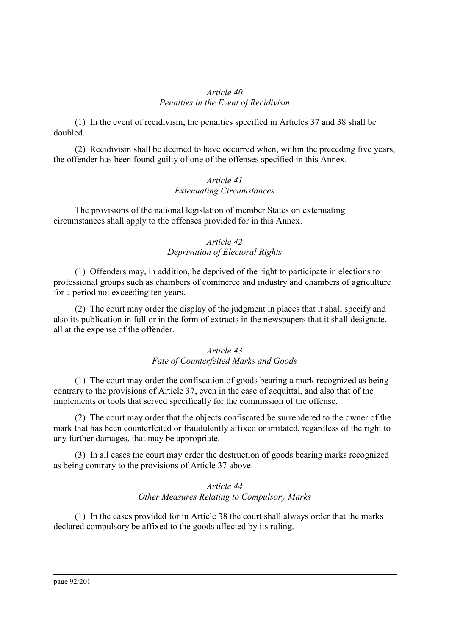### *Article 40 Penalties in the Event of Recidivism*

(1) In the event of recidivism, the penalties specified in Articles 37 and 38 shall be doubled.

(2) Recidivism shall be deemed to have occurred when, within the preceding five years, the offender has been found guilty of one of the offenses specified in this Annex.

### *Article 41 Extenuating Circumstances*

The provisions of the national legislation of member States on extenuating circumstances shall apply to the offenses provided for in this Annex.

# *Article 42 Deprivation of Electoral Rights*

(1) Offenders may, in addition, be deprived of the right to participate in elections to professional groups such as chambers of commerce and industry and chambers of agriculture for a period not exceeding ten years.

(2) The court may order the display of the judgment in places that it shall specify and also its publication in full or in the form of extracts in the newspapers that it shall designate, all at the expense of the offender.

### *Article 43 Fate of Counterfeited Marks and Goods*

(1) The court may order the confiscation of goods bearing a mark recognized as being contrary to the provisions of Article 37, even in the case of acquittal, and also that of the implements or tools that served specifically for the commission of the offense.

(2) The court may order that the objects confiscated be surrendered to the owner of the mark that has been counterfeited or fraudulently affixed or imitated, regardless of the right to any further damages, that may be appropriate.

(3) In all cases the court may order the destruction of goods bearing marks recognized as being contrary to the provisions of Article 37 above.

# *Article 44 Other Measures Relating to Compulsory Marks*

(1) In the cases provided for in Article 38 the court shall always order that the marks declared compulsory be affixed to the goods affected by its ruling.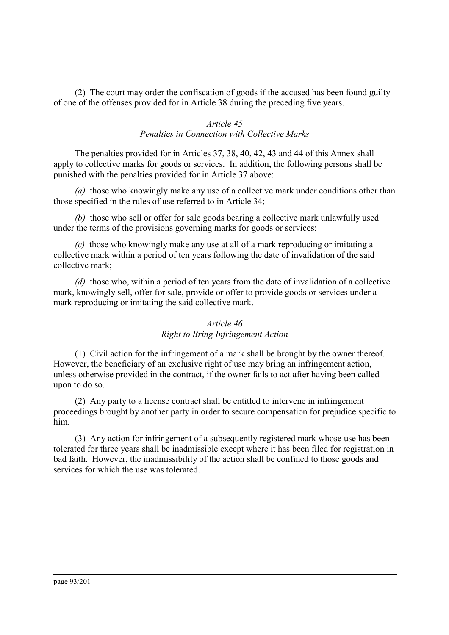(2) The court may order the confiscation of goods if the accused has been found guilty of one of the offenses provided for in Article 38 during the preceding five years.

### *Article 45 Penalties in Connection with Collective Marks*

The penalties provided for in Articles 37, 38, 40, 42, 43 and 44 of this Annex shall apply to collective marks for goods or services. In addition, the following persons shall be punished with the penalties provided for in Article 37 above:

*(a)* those who knowingly make any use of a collective mark under conditions other than those specified in the rules of use referred to in Article 34;

*(b)* those who sell or offer for sale goods bearing a collective mark unlawfully used under the terms of the provisions governing marks for goods or services;

*(c)* those who knowingly make any use at all of a mark reproducing or imitating a collective mark within a period of ten years following the date of invalidation of the said collective mark;

*(d)* those who, within a period of ten years from the date of invalidation of a collective mark, knowingly sell, offer for sale, provide or offer to provide goods or services under a mark reproducing or imitating the said collective mark.

### *Article 46*

### *Right to Bring Infringement Action*

(1) Civil action for the infringement of a mark shall be brought by the owner thereof. However, the beneficiary of an exclusive right of use may bring an infringement action, unless otherwise provided in the contract, if the owner fails to act after having been called upon to do so.

(2) Any party to a license contract shall be entitled to intervene in infringement proceedings brought by another party in order to secure compensation for prejudice specific to him.

(3) Any action for infringement of a subsequently registered mark whose use has been tolerated for three years shall be inadmissible except where it has been filed for registration in bad faith. However, the inadmissibility of the action shall be confined to those goods and services for which the use was tolerated.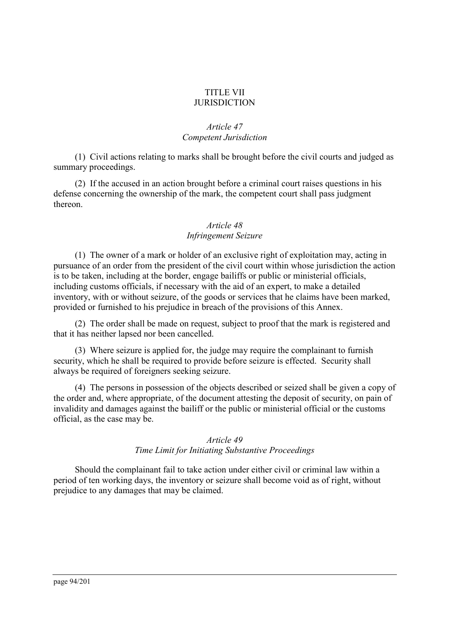### TITLE VII **JURISDICTION**

# *Article 47 Competent Jurisdiction*

(1) Civil actions relating to marks shall be brought before the civil courts and judged as summary proceedings.

(2) If the accused in an action brought before a criminal court raises questions in his defense concerning the ownership of the mark, the competent court shall pass judgment thereon.

# *Article 48 Infringement Seizure*

(1) The owner of a mark or holder of an exclusive right of exploitation may, acting in pursuance of an order from the president of the civil court within whose jurisdiction the action is to be taken, including at the border, engage bailiffs or public or ministerial officials, including customs officials, if necessary with the aid of an expert, to make a detailed inventory, with or without seizure, of the goods or services that he claims have been marked, provided or furnished to his prejudice in breach of the provisions of this Annex.

(2) The order shall be made on request, subject to proof that the mark is registered and that it has neither lapsed nor been cancelled.

(3) Where seizure is applied for, the judge may require the complainant to furnish security, which he shall be required to provide before seizure is effected. Security shall always be required of foreigners seeking seizure.

(4) The persons in possession of the objects described or seized shall be given a copy of the order and, where appropriate, of the document attesting the deposit of security, on pain of invalidity and damages against the bailiff or the public or ministerial official or the customs official, as the case may be.

### *Article 49*

### *Time Limit for Initiating Substantive Proceedings*

Should the complainant fail to take action under either civil or criminal law within a period of ten working days, the inventory or seizure shall become void as of right, without prejudice to any damages that may be claimed.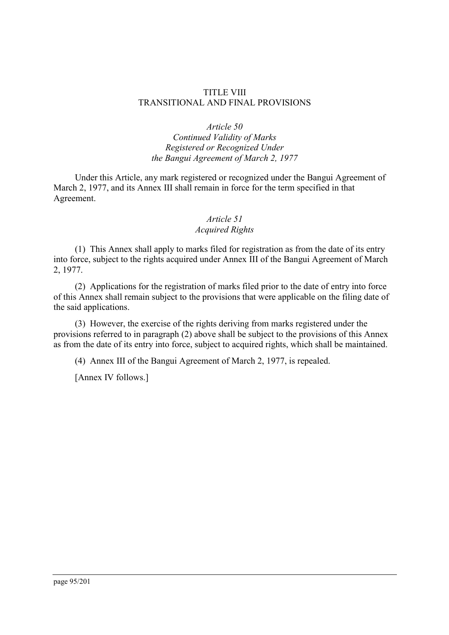### TITLE VIII TRANSITIONAL AND FINAL PROVISIONS

### *Article 50*

*Continued Validity of Marks Registered or Recognized Under the Bangui Agreement of March 2, 1977*

Under this Article, any mark registered or recognized under the Bangui Agreement of March 2, 1977, and its Annex III shall remain in force for the term specified in that Agreement.

# *Article 51*

# *Acquired Rights*

(1) This Annex shall apply to marks filed for registration as from the date of its entry into force, subject to the rights acquired under Annex III of the Bangui Agreement of March 2, 1977.

(2) Applications for the registration of marks filed prior to the date of entry into force of this Annex shall remain subject to the provisions that were applicable on the filing date of the said applications.

(3) However, the exercise of the rights deriving from marks registered under the provisions referred to in paragraph (2) above shall be subject to the provisions of this Annex as from the date of its entry into force, subject to acquired rights, which shall be maintained.

(4) Annex III of the Bangui Agreement of March 2, 1977, is repealed.

[Annex IV follows.]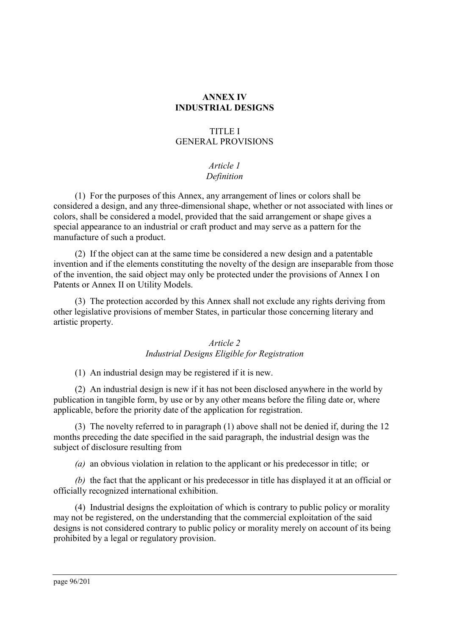# **ANNEX IV INDUSTRIAL DESIGNS**

### TITLE I GENERAL PROVISIONS

# *Article 1 Definition*

(1) For the purposes of this Annex, any arrangement of lines or colors shall be considered a design, and any three-dimensional shape, whether or not associated with lines or colors, shall be considered a model, provided that the said arrangement or shape gives a special appearance to an industrial or craft product and may serve as a pattern for the manufacture of such a product.

(2) If the object can at the same time be considered a new design and a patentable invention and if the elements constituting the novelty of the design are inseparable from those of the invention, the said object may only be protected under the provisions of Annex I on Patents or Annex II on Utility Models.

(3) The protection accorded by this Annex shall not exclude any rights deriving from other legislative provisions of member States, in particular those concerning literary and artistic property.

# *Article 2 Industrial Designs Eligible for Registration*

(1) An industrial design may be registered if it is new.

(2) An industrial design is new if it has not been disclosed anywhere in the world by publication in tangible form, by use or by any other means before the filing date or, where applicable, before the priority date of the application for registration.

(3) The novelty referred to in paragraph (1) above shall not be denied if, during the 12 months preceding the date specified in the said paragraph, the industrial design was the subject of disclosure resulting from

*(a)* an obvious violation in relation to the applicant or his predecessor in title; or

*(b)* the fact that the applicant or his predecessor in title has displayed it at an official or officially recognized international exhibition.

(4) Industrial designs the exploitation of which is contrary to public policy or morality may not be registered, on the understanding that the commercial exploitation of the said designs is not considered contrary to public policy or morality merely on account of its being prohibited by a legal or regulatory provision.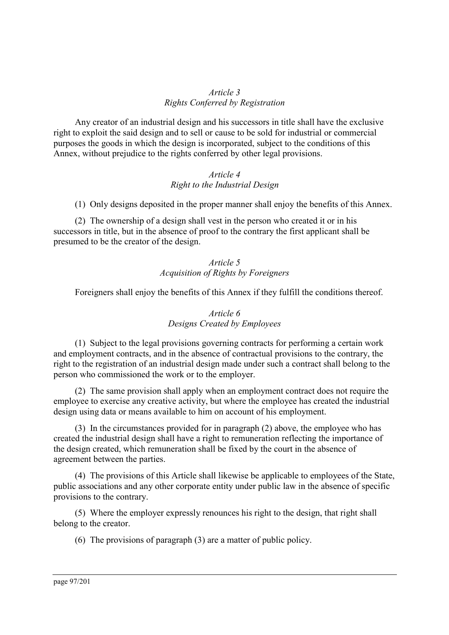### *Article 3 Rights Conferred by Registration*

Any creator of an industrial design and his successors in title shall have the exclusive right to exploit the said design and to sell or cause to be sold for industrial or commercial purposes the goods in which the design is incorporated, subject to the conditions of this Annex, without prejudice to the rights conferred by other legal provisions.

### *Article 4 Right to the Industrial Design*

(1) Only designs deposited in the proper manner shall enjoy the benefits of this Annex.

(2) The ownership of a design shall vest in the person who created it or in his successors in title, but in the absence of proof to the contrary the first applicant shall be presumed to be the creator of the design.

# *Article 5 Acquisition of Rights by Foreigners*

Foreigners shall enjoy the benefits of this Annex if they fulfill the conditions thereof.

# *Article 6 Designs Created by Employees*

(1) Subject to the legal provisions governing contracts for performing a certain work and employment contracts, and in the absence of contractual provisions to the contrary, the right to the registration of an industrial design made under such a contract shall belong to the person who commissioned the work or to the employer.

(2) The same provision shall apply when an employment contract does not require the employee to exercise any creative activity, but where the employee has created the industrial design using data or means available to him on account of his employment.

(3) In the circumstances provided for in paragraph (2) above, the employee who has created the industrial design shall have a right to remuneration reflecting the importance of the design created, which remuneration shall be fixed by the court in the absence of agreement between the parties.

(4) The provisions of this Article shall likewise be applicable to employees of the State, public associations and any other corporate entity under public law in the absence of specific provisions to the contrary.

(5) Where the employer expressly renounces his right to the design, that right shall belong to the creator.

(6) The provisions of paragraph (3) are a matter of public policy.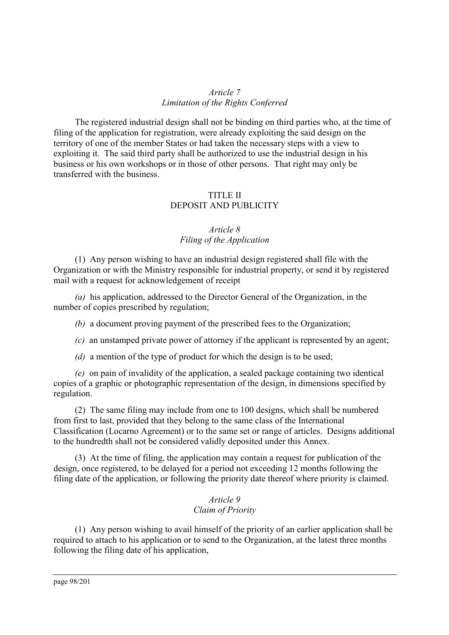### *Article 7 Limitation of the Rights Conferred*

The registered industrial design shall not be binding on third parties who, at the time of filing of the application for registration, were already exploiting the said design on the territory of one of the member States or had taken the necessary steps with a view to exploiting it. The said third party shall be authorized to use the industrial design in his business or his own workshops or in those of other persons. That right may only be transferred with the business.

# TITLE II DEPOSIT AND PUBLICITY

# *Article 8 Filing of the Application*

(1) Any person wishing to have an industrial design registered shall file with the Organization or with the Ministry responsible for industrial property, or send it by registered mail with a request for acknowledgement of receipt

*(a)* his application, addressed to the Director General of the Organization, in the number of copies prescribed by regulation;

*(b)* a document proving payment of the prescribed fees to the Organization;

*(c)* an unstamped private power of attorney if the applicant is represented by an agent;

*(d)* a mention of the type of product for which the design is to be used;

*(e)* on pain of invalidity of the application, a sealed package containing two identical copies of a graphic or photographic representation of the design, in dimensions specified by regulation.

(2) The same filing may include from one to 100 designs, which shall be numbered from first to last, provided that they belong to the same class of the International Classification (Locarno Agreement) or to the same set or range of articles. Designs additional to the hundredth shall not be considered validly deposited under this Annex.

(3) At the time of filing, the application may contain a request for publication of the design, once registered, to be delayed for a period not exceeding 12 months following the filing date of the application, or following the priority date thereof where priority is claimed.

### *Article 9 Claim of Priority*

(1) Any person wishing to avail himself of the priority of an earlier application shall be required to attach to his application or to send to the Organization, at the latest three months following the filing date of his application,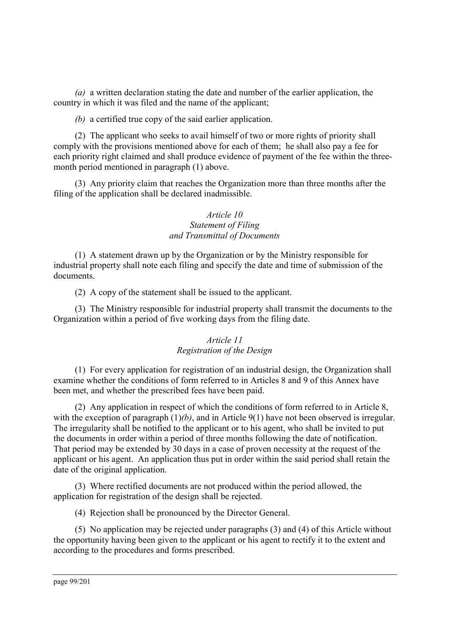*(a)* a written declaration stating the date and number of the earlier application, the country in which it was filed and the name of the applicant;

*(b)* a certified true copy of the said earlier application.

(2) The applicant who seeks to avail himself of two or more rights of priority shall comply with the provisions mentioned above for each of them; he shall also pay a fee for each priority right claimed and shall produce evidence of payment of the fee within the threemonth period mentioned in paragraph (1) above.

(3) Any priority claim that reaches the Organization more than three months after the filing of the application shall be declared inadmissible.

# *Article 10 Statement of Filing and Transmittal of Documents*

(1) A statement drawn up by the Organization or by the Ministry responsible for industrial property shall note each filing and specify the date and time of submission of the documents.

(2) A copy of the statement shall be issued to the applicant.

(3) The Ministry responsible for industrial property shall transmit the documents to the Organization within a period of five working days from the filing date.

### *Article 11 Registration of the Design*

(1) For every application for registration of an industrial design, the Organization shall examine whether the conditions of form referred to in Articles 8 and 9 of this Annex have been met, and whether the prescribed fees have been paid.

(2) Any application in respect of which the conditions of form referred to in Article 8, with the exception of paragraph  $(1)/b$ , and in Article 9(1) have not been observed is irregular. The irregularity shall be notified to the applicant or to his agent, who shall be invited to put the documents in order within a period of three months following the date of notification. That period may be extended by 30 days in a case of proven necessity at the request of the applicant or his agent. An application thus put in order within the said period shall retain the date of the original application.

(3) Where rectified documents are not produced within the period allowed, the application for registration of the design shall be rejected.

(4) Rejection shall be pronounced by the Director General.

(5) No application may be rejected under paragraphs (3) and (4) of this Article without the opportunity having been given to the applicant or his agent to rectify it to the extent and according to the procedures and forms prescribed.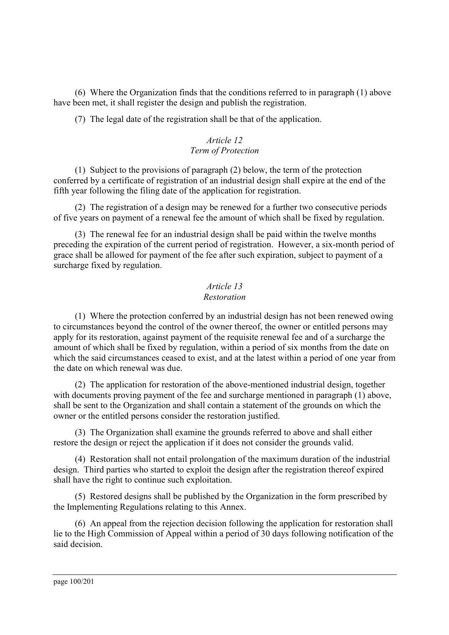(6) Where the Organization finds that the conditions referred to in paragraph (1) above have been met, it shall register the design and publish the registration.

(7) The legal date of the registration shall be that of the application.

# *Article 12 Term of Protection*

(1) Subject to the provisions of paragraph (2) below, the term of the protection conferred by a certificate of registration of an industrial design shall expire at the end of the fifth year following the filing date of the application for registration.

(2) The registration of a design may be renewed for a further two consecutive periods of five years on payment of a renewal fee the amount of which shall be fixed by regulation.

(3) The renewal fee for an industrial design shall be paid within the twelve months preceding the expiration of the current period of registration. However, a six-month period of grace shall be allowed for payment of the fee after such expiration, subject to payment of a surcharge fixed by regulation.

# *Article 13 Restoration*

(1) Where the protection conferred by an industrial design has not been renewed owing to circumstances beyond the control of the owner thereof, the owner or entitled persons may apply for its restoration, against payment of the requisite renewal fee and of a surcharge the amount of which shall be fixed by regulation, within a period of six months from the date on which the said circumstances ceased to exist, and at the latest within a period of one year from the date on which renewal was due.

(2) The application for restoration of the above-mentioned industrial design, together with documents proving payment of the fee and surcharge mentioned in paragraph (1) above, shall be sent to the Organization and shall contain a statement of the grounds on which the owner or the entitled persons consider the restoration justified.

(3) The Organization shall examine the grounds referred to above and shall either restore the design or reject the application if it does not consider the grounds valid.

(4) Restoration shall not entail prolongation of the maximum duration of the industrial design. Third parties who started to exploit the design after the registration thereof expired shall have the right to continue such exploitation.

(5) Restored designs shall be published by the Organization in the form prescribed by the Implementing Regulations relating to this Annex.

(6) An appeal from the rejection decision following the application for restoration shall lie to the High Commission of Appeal within a period of 30 days following notification of the said decision.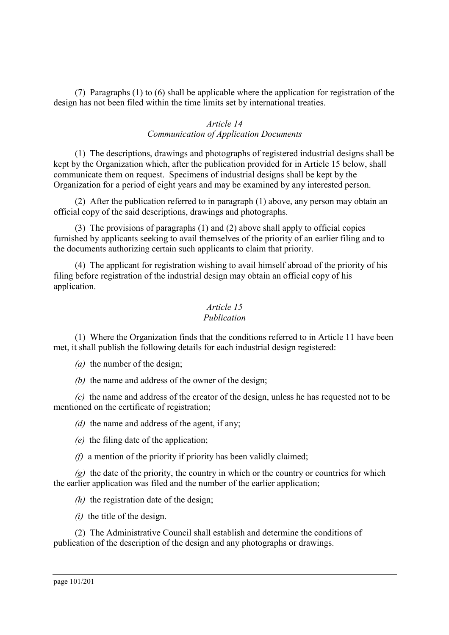(7) Paragraphs (1) to (6) shall be applicable where the application for registration of the design has not been filed within the time limits set by international treaties.

### *Article 14 Communication of Application Documents*

(1) The descriptions, drawings and photographs of registered industrial designs shall be kept by the Organization which, after the publication provided for in Article 15 below, shall communicate them on request. Specimens of industrial designs shall be kept by the Organization for a period of eight years and may be examined by any interested person.

(2) After the publication referred to in paragraph (1) above, any person may obtain an official copy of the said descriptions, drawings and photographs.

(3) The provisions of paragraphs (1) and (2) above shall apply to official copies furnished by applicants seeking to avail themselves of the priority of an earlier filing and to the documents authorizing certain such applicants to claim that priority.

(4) The applicant for registration wishing to avail himself abroad of the priority of his filing before registration of the industrial design may obtain an official copy of his application.

# *Article 15*

### *Publication*

(1) Where the Organization finds that the conditions referred to in Article 11 have been met, it shall publish the following details for each industrial design registered:

*(a)* the number of the design;

*(b)* the name and address of the owner of the design;

*(c)* the name and address of the creator of the design, unless he has requested not to be mentioned on the certificate of registration;

*(d)* the name and address of the agent, if any;

- *(e)* the filing date of the application;
- *(f)* a mention of the priority if priority has been validly claimed;

*(g)* the date of the priority, the country in which or the country or countries for which the earlier application was filed and the number of the earlier application;

*(h)* the registration date of the design;

*(i)* the title of the design.

(2) The Administrative Council shall establish and determine the conditions of publication of the description of the design and any photographs or drawings.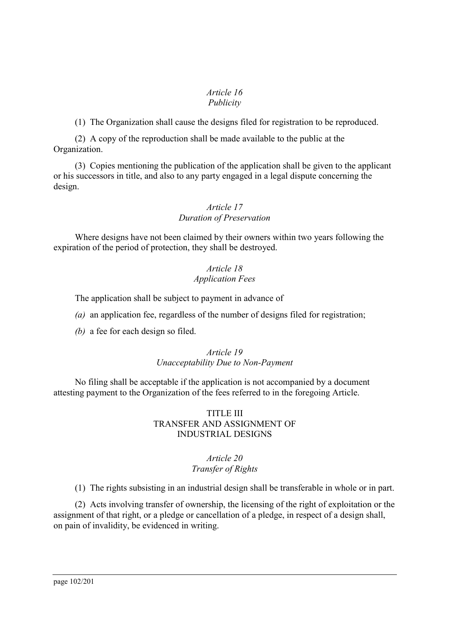#### *Article 16 Publicity*

(1) The Organization shall cause the designs filed for registration to be reproduced.

(2) A copy of the reproduction shall be made available to the public at the Organization.

(3) Copies mentioning the publication of the application shall be given to the applicant or his successors in title, and also to any party engaged in a legal dispute concerning the design.

# *Article 17 Duration of Preservation*

Where designs have not been claimed by their owners within two years following the expiration of the period of protection, they shall be destroyed.

# *Article 18 Application Fees*

The application shall be subject to payment in advance of

*(a)* an application fee, regardless of the number of designs filed for registration;

*(b)* a fee for each design so filed.

### *Article 19 Unacceptability Due to Non-Payment*

No filing shall be acceptable if the application is not accompanied by a document attesting payment to the Organization of the fees referred to in the foregoing Article.

### TITLE III TRANSFER AND ASSIGNMENT OF INDUSTRIAL DESIGNS

#### *Article 20 Transfer of Rights*

(1) The rights subsisting in an industrial design shall be transferable in whole or in part.

(2) Acts involving transfer of ownership, the licensing of the right of exploitation or the assignment of that right, or a pledge or cancellation of a pledge, in respect of a design shall, on pain of invalidity, be evidenced in writing.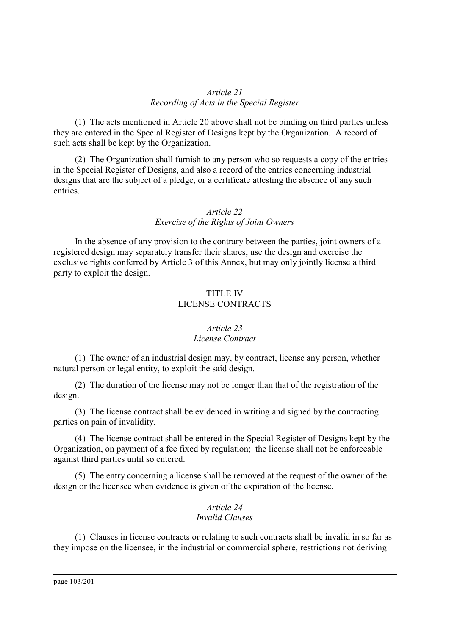### *Article 21 Recording of Acts in the Special Register*

(1) The acts mentioned in Article 20 above shall not be binding on third parties unless they are entered in the Special Register of Designs kept by the Organization. A record of such acts shall be kept by the Organization.

(2) The Organization shall furnish to any person who so requests a copy of the entries in the Special Register of Designs, and also a record of the entries concerning industrial designs that are the subject of a pledge, or a certificate attesting the absence of any such entries.

# *Article 22 Exercise of the Rights of Joint Owners*

In the absence of any provision to the contrary between the parties, joint owners of a registered design may separately transfer their shares, use the design and exercise the exclusive rights conferred by Article 3 of this Annex, but may only jointly license a third party to exploit the design.

### TITLE IV LICENSE CONTRACTS

### *Article 23 License Contract*

(1) The owner of an industrial design may, by contract, license any person, whether natural person or legal entity, to exploit the said design.

(2) The duration of the license may not be longer than that of the registration of the design.

(3) The license contract shall be evidenced in writing and signed by the contracting parties on pain of invalidity.

(4) The license contract shall be entered in the Special Register of Designs kept by the Organization, on payment of a fee fixed by regulation; the license shall not be enforceable against third parties until so entered.

(5) The entry concerning a license shall be removed at the request of the owner of the design or the licensee when evidence is given of the expiration of the license.

# *Article 24 Invalid Clauses*

(1) Clauses in license contracts or relating to such contracts shall be invalid in so far as they impose on the licensee, in the industrial or commercial sphere, restrictions not deriving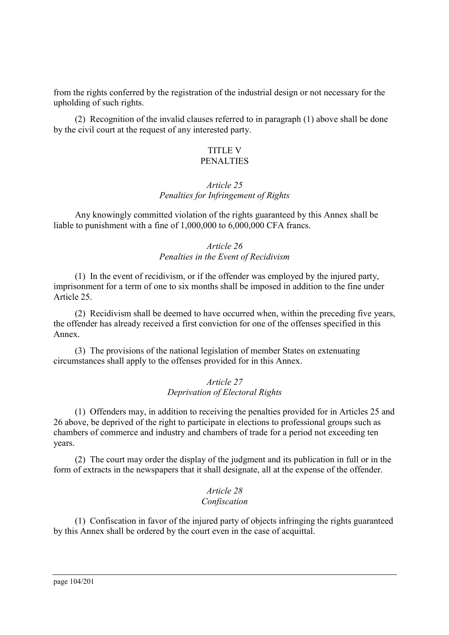from the rights conferred by the registration of the industrial design or not necessary for the upholding of such rights.

(2) Recognition of the invalid clauses referred to in paragraph (1) above shall be done by the civil court at the request of any interested party.

#### TITLE V **PENALTIES**

# *Article 25 Penalties for Infringement of Rights*

Any knowingly committed violation of the rights guaranteed by this Annex shall be liable to punishment with a fine of 1,000,000 to 6,000,000 CFA francs.

# *Article 26 Penalties in the Event of Recidivism*

(1) In the event of recidivism, or if the offender was employed by the injured party, imprisonment for a term of one to six months shall be imposed in addition to the fine under Article 25.

(2) Recidivism shall be deemed to have occurred when, within the preceding five years, the offender has already received a first conviction for one of the offenses specified in this Annex.

(3) The provisions of the national legislation of member States on extenuating circumstances shall apply to the offenses provided for in this Annex.

### *Article 27 Deprivation of Electoral Rights*

(1) Offenders may, in addition to receiving the penalties provided for in Articles 25 and 26 above, be deprived of the right to participate in elections to professional groups such as chambers of commerce and industry and chambers of trade for a period not exceeding ten years.

(2) The court may order the display of the judgment and its publication in full or in the form of extracts in the newspapers that it shall designate, all at the expense of the offender.

#### *Article 28 Confiscation*

(1) Confiscation in favor of the injured party of objects infringing the rights guaranteed by this Annex shall be ordered by the court even in the case of acquittal.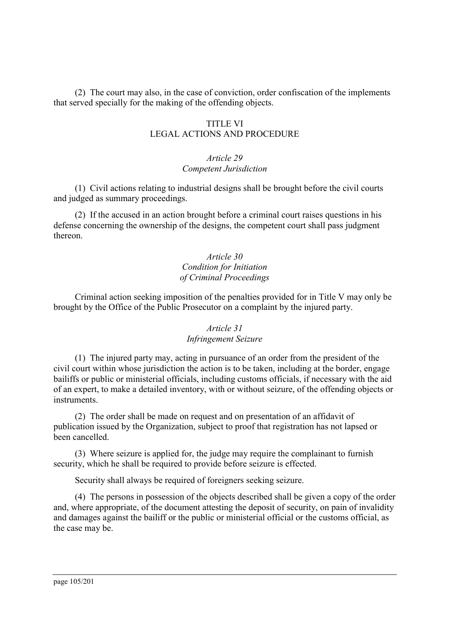(2) The court may also, in the case of conviction, order confiscation of the implements that served specially for the making of the offending objects.

### TITLE VI LEGAL ACTIONS AND PROCEDURE

### *Article 29 Competent Jurisdiction*

(1) Civil actions relating to industrial designs shall be brought before the civil courts and judged as summary proceedings.

(2) If the accused in an action brought before a criminal court raises questions in his defense concerning the ownership of the designs, the competent court shall pass judgment thereon.

### *Article 30 Condition for Initiation of Criminal Proceedings*

Criminal action seeking imposition of the penalties provided for in Title V may only be brought by the Office of the Public Prosecutor on a complaint by the injured party.

# *Article 31 Infringement Seizure*

(1) The injured party may, acting in pursuance of an order from the president of the civil court within whose jurisdiction the action is to be taken, including at the border, engage bailiffs or public or ministerial officials, including customs officials, if necessary with the aid of an expert, to make a detailed inventory, with or without seizure, of the offending objects or instruments.

(2) The order shall be made on request and on presentation of an affidavit of publication issued by the Organization, subject to proof that registration has not lapsed or been cancelled.

(3) Where seizure is applied for, the judge may require the complainant to furnish security, which he shall be required to provide before seizure is effected.

Security shall always be required of foreigners seeking seizure.

(4) The persons in possession of the objects described shall be given a copy of the order and, where appropriate, of the document attesting the deposit of security, on pain of invalidity and damages against the bailiff or the public or ministerial official or the customs official, as the case may be.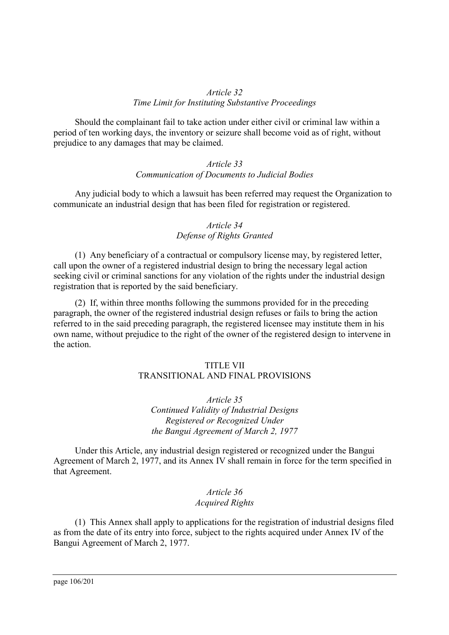### *Article 32 Time Limit for Instituting Substantive Proceedings*

Should the complainant fail to take action under either civil or criminal law within a period of ten working days, the inventory or seizure shall become void as of right, without prejudice to any damages that may be claimed.

### *Article 33 Communication of Documents to Judicial Bodies*

Any judicial body to which a lawsuit has been referred may request the Organization to communicate an industrial design that has been filed for registration or registered.

# *Article 34 Defense of Rights Granted*

(1) Any beneficiary of a contractual or compulsory license may, by registered letter, call upon the owner of a registered industrial design to bring the necessary legal action seeking civil or criminal sanctions for any violation of the rights under the industrial design registration that is reported by the said beneficiary.

(2) If, within three months following the summons provided for in the preceding paragraph, the owner of the registered industrial design refuses or fails to bring the action referred to in the said preceding paragraph, the registered licensee may institute them in his own name, without prejudice to the right of the owner of the registered design to intervene in the action.

# TITLE VII

# TRANSITIONAL AND FINAL PROVISIONS

*Article 35 Continued Validity of Industrial Designs Registered or Recognized Under the Bangui Agreement of March 2, 1977*

Under this Article, any industrial design registered or recognized under the Bangui Agreement of March 2, 1977, and its Annex IV shall remain in force for the term specified in that Agreement.

### *Article 36 Acquired Rights*

(1) This Annex shall apply to applications for the registration of industrial designs filed as from the date of its entry into force, subject to the rights acquired under Annex IV of the Bangui Agreement of March 2, 1977.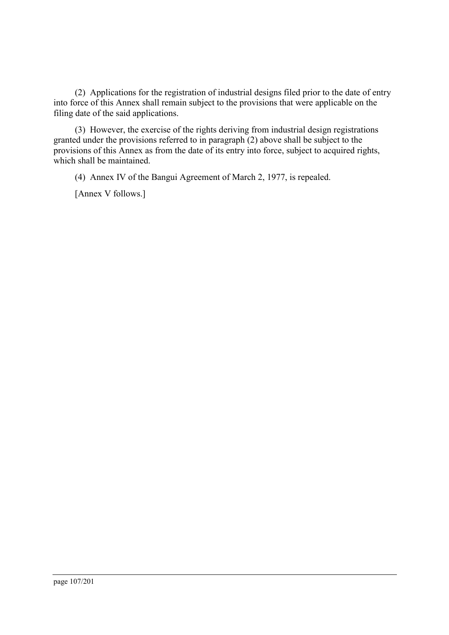(2) Applications for the registration of industrial designs filed prior to the date of entry into force of this Annex shall remain subject to the provisions that were applicable on the filing date of the said applications.

(3) However, the exercise of the rights deriving from industrial design registrations granted under the provisions referred to in paragraph (2) above shall be subject to the provisions of this Annex as from the date of its entry into force, subject to acquired rights, which shall be maintained.

(4) Annex IV of the Bangui Agreement of March 2, 1977, is repealed.

[Annex V follows.]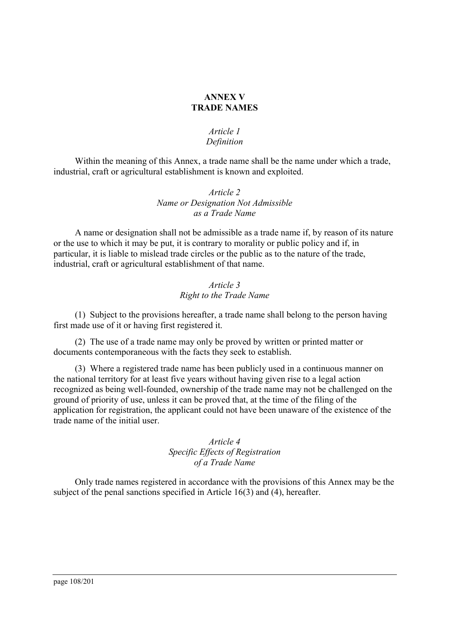### **ANNEX V TRADE NAMES**

### *Article 1 Definition*

Within the meaning of this Annex, a trade name shall be the name under which a trade, industrial, craft or agricultural establishment is known and exploited.

### *Article 2 Name or Designation Not Admissible as a Trade Name*

A name or designation shall not be admissible as a trade name if, by reason of its nature or the use to which it may be put, it is contrary to morality or public policy and if, in particular, it is liable to mislead trade circles or the public as to the nature of the trade, industrial, craft or agricultural establishment of that name.

# *Article 3 Right to the Trade Name*

(1) Subject to the provisions hereafter, a trade name shall belong to the person having first made use of it or having first registered it.

(2) The use of a trade name may only be proved by written or printed matter or documents contemporaneous with the facts they seek to establish.

(3) Where a registered trade name has been publicly used in a continuous manner on the national territory for at least five years without having given rise to a legal action recognized as being well-founded, ownership of the trade name may not be challenged on the ground of priority of use, unless it can be proved that, at the time of the filing of the application for registration, the applicant could not have been unaware of the existence of the trade name of the initial user.

> *Article 4 Specific Effects of Registration of a Trade Name*

Only trade names registered in accordance with the provisions of this Annex may be the subject of the penal sanctions specified in Article 16(3) and (4), hereafter.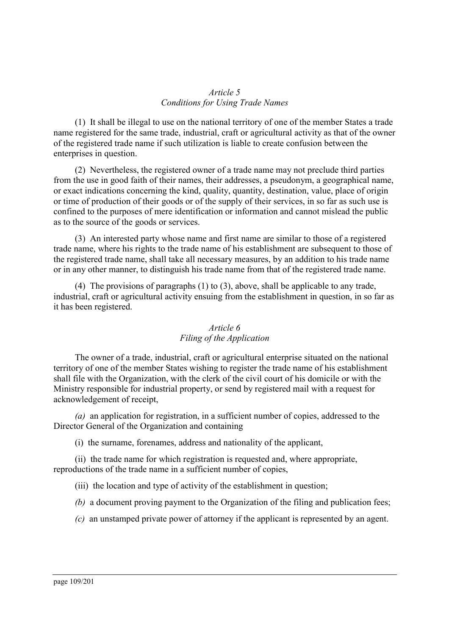#### *Article 5 Conditions for Using Trade Names*

(1) It shall be illegal to use on the national territory of one of the member States a trade name registered for the same trade, industrial, craft or agricultural activity as that of the owner of the registered trade name if such utilization is liable to create confusion between the enterprises in question.

(2) Nevertheless, the registered owner of a trade name may not preclude third parties from the use in good faith of their names, their addresses, a pseudonym, a geographical name, or exact indications concerning the kind, quality, quantity, destination, value, place of origin or time of production of their goods or of the supply of their services, in so far as such use is confined to the purposes of mere identification or information and cannot mislead the public as to the source of the goods or services.

(3) An interested party whose name and first name are similar to those of a registered trade name, where his rights to the trade name of his establishment are subsequent to those of the registered trade name, shall take all necessary measures, by an addition to his trade name or in any other manner, to distinguish his trade name from that of the registered trade name.

(4) The provisions of paragraphs (1) to (3), above, shall be applicable to any trade, industrial, craft or agricultural activity ensuing from the establishment in question, in so far as it has been registered.

## *Article 6 Filing of the Application*

The owner of a trade, industrial, craft or agricultural enterprise situated on the national territory of one of the member States wishing to register the trade name of his establishment shall file with the Organization, with the clerk of the civil court of his domicile or with the Ministry responsible for industrial property, or send by registered mail with a request for acknowledgement of receipt,

*(a)* an application for registration, in a sufficient number of copies, addressed to the Director General of the Organization and containing

(i)the surname, forenames, address and nationality of the applicant,

(ii) the trade name for which registration is requested and, where appropriate, reproductions of the trade name in a sufficient number of copies,

(iii) the location and type of activity of the establishment in question;

- *(b)* a document proving payment to the Organization of the filing and publication fees;
- *(c)* an unstamped private power of attorney if the applicant is represented by an agent.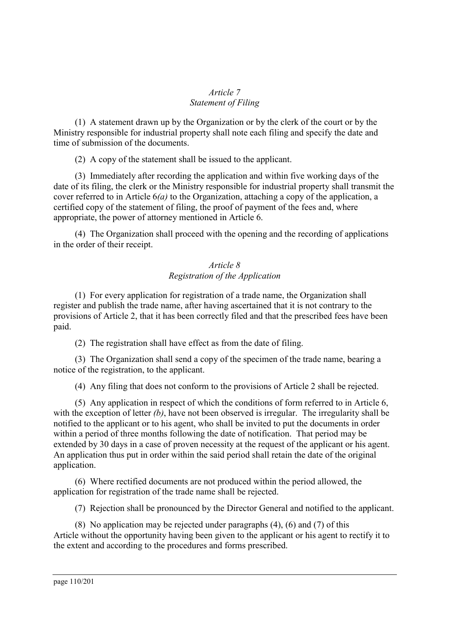### *Article 7 Statement of Filing*

(1) A statement drawn up by the Organization or by the clerk of the court or by the Ministry responsible for industrial property shall note each filing and specify the date and time of submission of the documents.

(2) A copy of the statement shall be issued to the applicant.

(3) Immediately after recording the application and within five working days of the date of its filing, the clerk or the Ministry responsible for industrial property shall transmit the cover referred to in Article 6*(a)* to the Organization, attaching a copy of the application, a certified copy of the statement of filing, the proof of payment of the fees and, where appropriate, the power of attorney mentioned in Article 6.

(4) The Organization shall proceed with the opening and the recording of applications in the order of their receipt.

### *Article 8 Registration of the Application*

(1) For every application for registration of a trade name, the Organization shall register and publish the trade name, after having ascertained that it is not contrary to the provisions of Article 2, that it has been correctly filed and that the prescribed fees have been paid.

(2) The registration shall have effect as from the date of filing.

(3) The Organization shall send a copy of the specimen of the trade name, bearing a notice of the registration, to the applicant.

(4) Any filing that does not conform to the provisions of Article 2 shall be rejected.

(5) Any application in respect of which the conditions of form referred to in Article 6, with the exception of letter *(b)*, have not been observed is irregular. The irregularity shall be notified to the applicant or to his agent, who shall be invited to put the documents in order within a period of three months following the date of notification. That period may be extended by 30 days in a case of proven necessity at the request of the applicant or his agent. An application thus put in order within the said period shall retain the date of the original application.

(6) Where rectified documents are not produced within the period allowed, the application for registration of the trade name shall be rejected.

(7) Rejection shall be pronounced by the Director General and notified to the applicant.

(8) No application may be rejected under paragraphs (4), (6) and (7) of this Article without the opportunity having been given to the applicant or his agent to rectify it to the extent and according to the procedures and forms prescribed.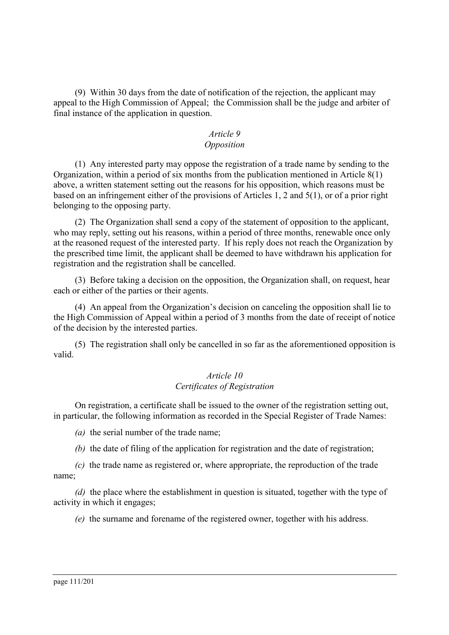(9) Within 30 days from the date of notification of the rejection, the applicant may appeal to the High Commission of Appeal; the Commission shall be the judge and arbiter of final instance of the application in question.

# *Article 9*

# *Opposition*

(1) Any interested party may oppose the registration of a trade name by sending to the Organization, within a period of six months from the publication mentioned in Article 8(1) above, a written statement setting out the reasons for his opposition, which reasons must be based on an infringement either of the provisions of Articles 1, 2 and 5(1), or of a prior right belonging to the opposing party.

(2) The Organization shall send a copy of the statement of opposition to the applicant, who may reply, setting out his reasons, within a period of three months, renewable once only at the reasoned request of the interested party. If his reply does not reach the Organization by the prescribed time limit, the applicant shall be deemed to have withdrawn his application for registration and the registration shall be cancelled.

(3) Before taking a decision on the opposition, the Organization shall, on request, hear each or either of the parties or their agents.

(4) An appeal from the Organization's decision on canceling the opposition shall lie to the High Commission of Appeal within a period of 3 months from the date of receipt of notice of the decision by the interested parties.

(5) The registration shall only be cancelled in so far as the aforementioned opposition is valid.

#### *Article 10 Certificates of Registration*

On registration, a certificate shall be issued to the owner of the registration setting out, in particular, the following information as recorded in the Special Register of Trade Names:

*(a)* the serial number of the trade name;

*(b)* the date of filing of the application for registration and the date of registration;

*(c)* the trade name as registered or, where appropriate, the reproduction of the trade name;

*(d)* the place where the establishment in question is situated, together with the type of activity in which it engages;

*(e)* the surname and forename of the registered owner, together with his address.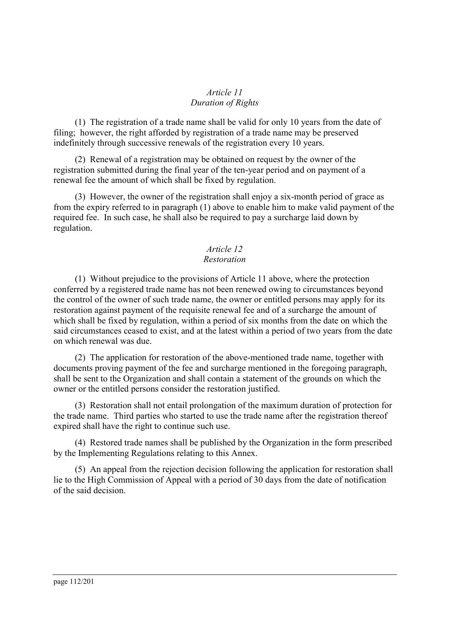### *Article 11 Duration of Rights*

(1) The registration of a trade name shall be valid for only 10 years from the date of filing; however, the right afforded by registration of a trade name may be preserved indefinitely through successive renewals of the registration every 10 years.

(2) Renewal of a registration may be obtained on request by the owner of the registration submitted during the final year of the ten-year period and on payment of a renewal fee the amount of which shall be fixed by regulation.

(3) However, the owner of the registration shall enjoy a six-month period of grace as from the expiry referred to in paragraph (1) above to enable him to make valid payment of the required fee. In such case, he shall also be required to pay a surcharge laid down by regulation.

#### *Article 12 Restoration*

(1) Without prejudice to the provisions of Article 11 above, where the protection conferred by a registered trade name has not been renewed owing to circumstances beyond the control of the owner of such trade name, the owner or entitled persons may apply for its restoration against payment of the requisite renewal fee and of a surcharge the amount of which shall be fixed by regulation, within a period of six months from the date on which the said circumstances ceased to exist, and at the latest within a period of two years from the date on which renewal was due.

(2) The application for restoration of the above-mentioned trade name, together with documents proving payment of the fee and surcharge mentioned in the foregoing paragraph, shall be sent to the Organization and shall contain a statement of the grounds on which the owner or the entitled persons consider the restoration justified.

(3) Restoration shall not entail prolongation of the maximum duration of protection for the trade name. Third parties who started to use the trade name after the registration thereof expired shall have the right to continue such use.

(4) Restored trade names shall be published by the Organization in the form prescribed by the Implementing Regulations relating to this Annex.

(5) An appeal from the rejection decision following the application for restoration shall lie to the High Commission of Appeal with a period of 30 days from the date of notification of the said decision.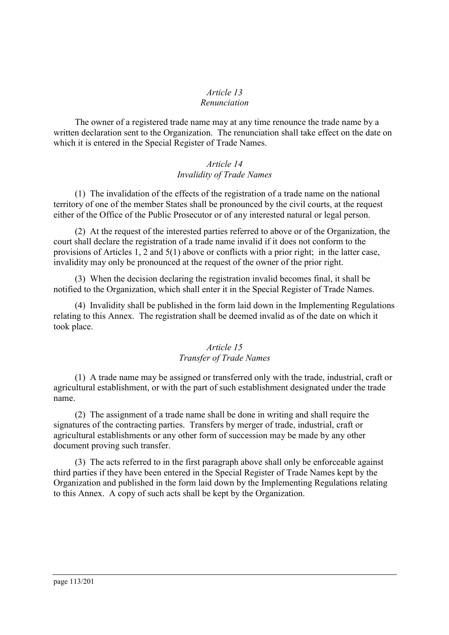#### *Article 13 Renunciation*

The owner of a registered trade name may at any time renounce the trade name by a written declaration sent to the Organization. The renunciation shall take effect on the date on which it is entered in the Special Register of Trade Names.

### *Article 14 Invalidity of Trade Names*

(1) The invalidation of the effects of the registration of a trade name on the national territory of one of the member States shall be pronounced by the civil courts, at the request either of the Office of the Public Prosecutor or of any interested natural or legal person.

(2) At the request of the interested parties referred to above or of the Organization, the court shall declare the registration of a trade name invalid if it does not conform to the provisions of Articles 1, 2 and 5(1) above or conflicts with a prior right; in the latter case, invalidity may only be pronounced at the request of the owner of the prior right.

(3) When the decision declaring the registration invalid becomes final, it shall be notified to the Organization, which shall enter it in the Special Register of Trade Names.

(4) Invalidity shall be published in the form laid down in the Implementing Regulations relating to this Annex. The registration shall be deemed invalid as of the date on which it took place.

### *Article 15 Transfer of Trade Names*

(1) A trade name may be assigned or transferred only with the trade, industrial, craft or agricultural establishment, or with the part of such establishment designated under the trade name.

(2) The assignment of a trade name shall be done in writing and shall require the signatures of the contracting parties. Transfers by merger of trade, industrial, craft or agricultural establishments or any other form of succession may be made by any other document proving such transfer.

(3) The acts referred to in the first paragraph above shall only be enforceable against third parties if they have been entered in the Special Register of Trade Names kept by the Organization and published in the form laid down by the Implementing Regulations relating to this Annex. A copy of such acts shall be kept by the Organization.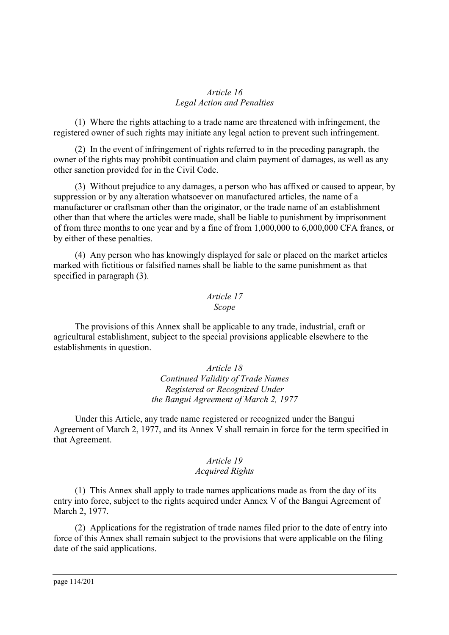#### *Article 16 Legal Action and Penalties*

(1) Where the rights attaching to a trade name are threatened with infringement, the registered owner of such rights may initiate any legal action to prevent such infringement.

(2) In the event of infringement of rights referred to in the preceding paragraph, the owner of the rights may prohibit continuation and claim payment of damages, as well as any other sanction provided for in the Civil Code.

(3) Without prejudice to any damages, a person who has affixed or caused to appear, by suppression or by any alteration whatsoever on manufactured articles, the name of a manufacturer or craftsman other than the originator, or the trade name of an establishment other than that where the articles were made, shall be liable to punishment by imprisonment of from three months to one year and by a fine of from 1,000,000 to 6,000,000 CFA francs, or by either of these penalties.

(4) Any person who has knowingly displayed for sale or placed on the market articles marked with fictitious or falsified names shall be liable to the same punishment as that specified in paragraph (3).

#### *Article 17 Scope*

The provisions of this Annex shall be applicable to any trade, industrial, craft or agricultural establishment, subject to the special provisions applicable elsewhere to the establishments in question.

> *Article 18 Continued Validity of Trade Names Registered or Recognized Under the Bangui Agreement of March 2, 1977*

Under this Article, any trade name registered or recognized under the Bangui Agreement of March 2, 1977, and its Annex V shall remain in force for the term specified in that Agreement.

#### *Article 19 Acquired Rights*

(1) This Annex shall apply to trade names applications made as from the day of its entry into force, subject to the rights acquired under Annex V of the Bangui Agreement of March 2, 1977.

(2) Applications for the registration of trade names filed prior to the date of entry into force of this Annex shall remain subject to the provisions that were applicable on the filing date of the said applications.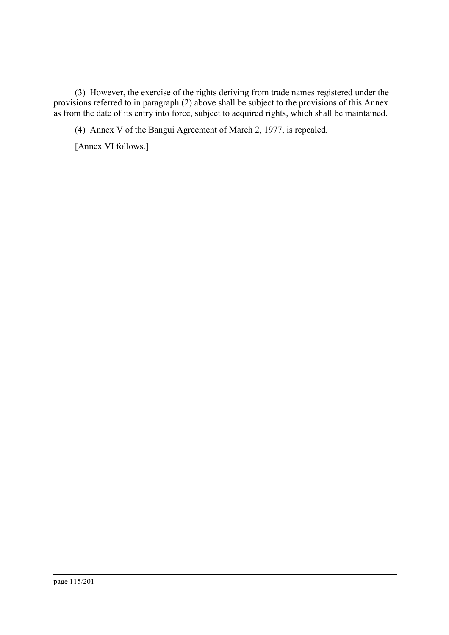(3) However, the exercise of the rights deriving from trade names registered under the provisions referred to in paragraph (2) above shall be subject to the provisions of this Annex as from the date of its entry into force, subject to acquired rights, which shall be maintained.

(4) Annex V of the Bangui Agreement of March 2, 1977, is repealed.

[Annex VI follows.]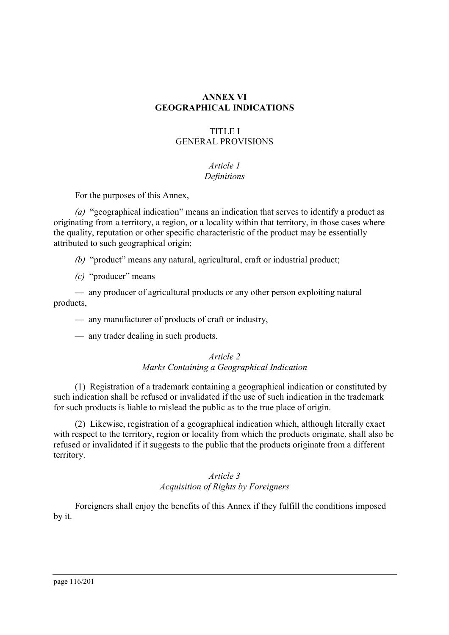## **ANNEX VI GEOGRAPHICAL INDICATIONS**

### TITLE I GENERAL PROVISIONS

### *Article 1 Definitions*

For the purposes of this Annex,

*(a)* "geographical indication" means an indication that serves to identify a product as originating from a territory, a region, or a locality within that territory, in those cases where the quality, reputation or other specific characteristic of the product may be essentially attributed to such geographical origin;

- *(b)* "product" means any natural, agricultural, craft or industrial product;
- *(c)* "producer" means

— any producer of agricultural products or any other person exploiting natural products,

— any manufacturer of products of craft or industry,

— any trader dealing in such products.

### *Article 2 Marks Containing a Geographical Indication*

(1) Registration of a trademark containing a geographical indication or constituted by such indication shall be refused or invalidated if the use of such indication in the trademark for such products is liable to mislead the public as to the true place of origin.

(2) Likewise, registration of a geographical indication which, although literally exact with respect to the territory, region or locality from which the products originate, shall also be refused or invalidated if it suggests to the public that the products originate from a different territory.

### *Article 3 Acquisition of Rights by Foreigners*

Foreigners shall enjoy the benefits of this Annex if they fulfill the conditions imposed by it.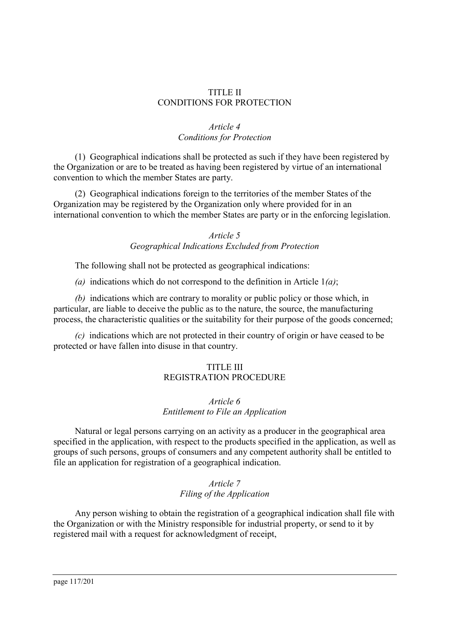#### TITLE II CONDITIONS FOR PROTECTION

### *Article 4 Conditions for Protection*

(1) Geographical indications shall be protected as such if they have been registered by the Organization or are to be treated as having been registered by virtue of an international convention to which the member States are party.

(2) Geographical indications foreign to the territories of the member States of the Organization may be registered by the Organization only where provided for in an international convention to which the member States are party or in the enforcing legislation.

#### *Article 5 Geographical Indications Excluded from Protection*

The following shall not be protected as geographical indications:

*(a)* indications which do not correspond to the definition in Article 1*(a)*;

*(b)* indications which are contrary to morality or public policy or those which, in particular, are liable to deceive the public as to the nature, the source, the manufacturing process, the characteristic qualities or the suitability for their purpose of the goods concerned;

*(c)* indications which are not protected in their country of origin or have ceased to be protected or have fallen into disuse in that country.

## TITLE III REGISTRATION PROCEDURE

### *Article 6 Entitlement to File an Application*

Natural or legal persons carrying on an activity as a producer in the geographical area specified in the application, with respect to the products specified in the application, as well as groups of such persons, groups of consumers and any competent authority shall be entitled to file an application for registration of a geographical indication.

## *Article 7 Filing of the Application*

Any person wishing to obtain the registration of a geographical indication shall file with the Organization or with the Ministry responsible for industrial property, or send to it by registered mail with a request for acknowledgment of receipt,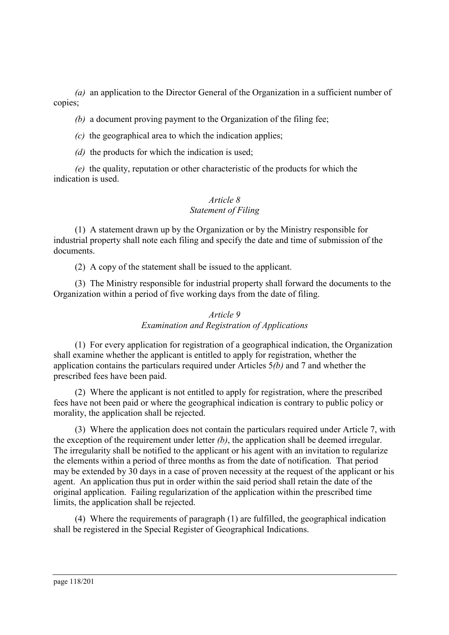*(a)* an application to the Director General of the Organization in a sufficient number of copies;

*(b)* a document proving payment to the Organization of the filing fee;

*(c)* the geographical area to which the indication applies;

*(d)* the products for which the indication is used;

*(e)* the quality, reputation or other characteristic of the products for which the indication is used.

## *Article 8 Statement of Filing*

(1) A statement drawn up by the Organization or by the Ministry responsible for industrial property shall note each filing and specify the date and time of submission of the documents.

(2) A copy of the statement shall be issued to the applicant.

(3) The Ministry responsible for industrial property shall forward the documents to the Organization within a period of five working days from the date of filing.

### *Article 9 Examination and Registration of Applications*

(1) For every application for registration of a geographical indication, the Organization shall examine whether the applicant is entitled to apply for registration, whether the application contains the particulars required under Articles 5*(b)* and 7 and whether the prescribed fees have been paid.

(2) Where the applicant is not entitled to apply for registration, where the prescribed fees have not been paid or where the geographical indication is contrary to public policy or morality, the application shall be rejected.

(3) Where the application does not contain the particulars required under Article 7, with the exception of the requirement under letter *(b)*, the application shall be deemed irregular. The irregularity shall be notified to the applicant or his agent with an invitation to regularize the elements within a period of three months as from the date of notification. That period may be extended by 30 days in a case of proven necessity at the request of the applicant or his agent. An application thus put in order within the said period shall retain the date of the original application. Failing regularization of the application within the prescribed time limits, the application shall be rejected.

(4) Where the requirements of paragraph (1) are fulfilled, the geographical indication shall be registered in the Special Register of Geographical Indications.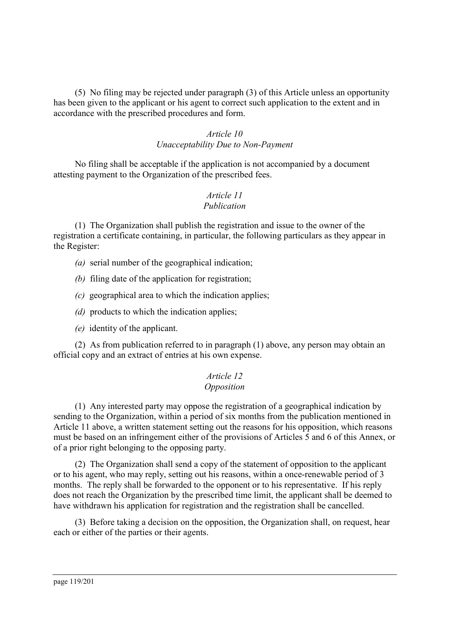(5) No filing may be rejected under paragraph (3) of this Article unless an opportunity has been given to the applicant or his agent to correct such application to the extent and in accordance with the prescribed procedures and form.

#### *Article 10 Unacceptability Due to Non-Payment*

No filing shall be acceptable if the application is not accompanied by a document attesting payment to the Organization of the prescribed fees.

#### *Article 11 Publication*

(1) The Organization shall publish the registration and issue to the owner of the registration a certificate containing, in particular, the following particulars as they appear in the Register:

- *(a)* serial number of the geographical indication;
- *(b)* filing date of the application for registration;
- *(c)* geographical area to which the indication applies;
- *(d)* products to which the indication applies;
- *(e)* identity of the applicant.

(2) As from publication referred to in paragraph (1) above, any person may obtain an official copy and an extract of entries at his own expense.

# *Article 12*

#### *Opposition*

(1) Any interested party may oppose the registration of a geographical indication by sending to the Organization, within a period of six months from the publication mentioned in Article 11 above, a written statement setting out the reasons for his opposition, which reasons must be based on an infringement either of the provisions of Articles 5 and 6 of this Annex, or of a prior right belonging to the opposing party.

(2) The Organization shall send a copy of the statement of opposition to the applicant or to his agent, who may reply, setting out his reasons, within a once-renewable period of 3 months. The reply shall be forwarded to the opponent or to his representative. If his reply does not reach the Organization by the prescribed time limit, the applicant shall be deemed to have withdrawn his application for registration and the registration shall be cancelled.

(3) Before taking a decision on the opposition, the Organization shall, on request, hear each or either of the parties or their agents.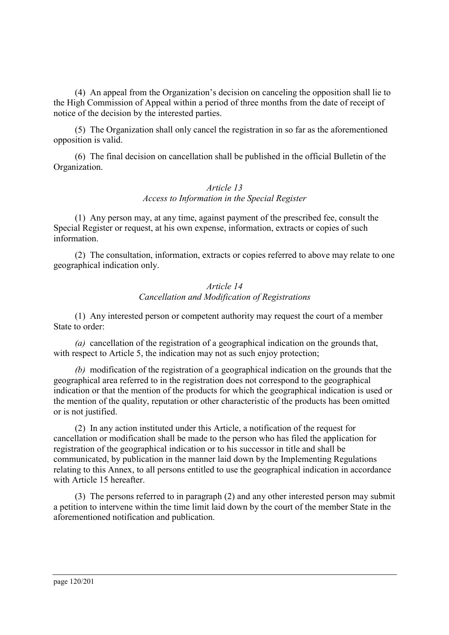(4) An appeal from the Organization's decision on canceling the opposition shall lie to the High Commission of Appeal within a period of three months from the date of receipt of notice of the decision by the interested parties.

(5) The Organization shall only cancel the registration in so far as the aforementioned opposition is valid.

(6) The final decision on cancellation shall be published in the official Bulletin of the Organization.

#### *Article 13 Access to Information in the Special Register*

(1) Any person may, at any time, against payment of the prescribed fee, consult the Special Register or request, at his own expense, information, extracts or copies of such information.

(2) The consultation, information, extracts or copies referred to above may relate to one geographical indication only.

#### *Article 14 Cancellation and Modification of Registrations*

(1) Any interested person or competent authority may request the court of a member State to order:

*(a)* cancellation of the registration of a geographical indication on the grounds that, with respect to Article 5, the indication may not as such enjoy protection;

*(b)* modification of the registration of a geographical indication on the grounds that the geographical area referred to in the registration does not correspond to the geographical indication or that the mention of the products for which the geographical indication is used or the mention of the quality, reputation or other characteristic of the products has been omitted or is not justified.

(2) In any action instituted under this Article, a notification of the request for cancellation or modification shall be made to the person who has filed the application for registration of the geographical indication or to his successor in title and shall be communicated, by publication in the manner laid down by the Implementing Regulations relating to this Annex, to all persons entitled to use the geographical indication in accordance with Article 15 hereafter.

(3) The persons referred to in paragraph (2) and any other interested person may submit a petition to intervene within the time limit laid down by the court of the member State in the aforementioned notification and publication.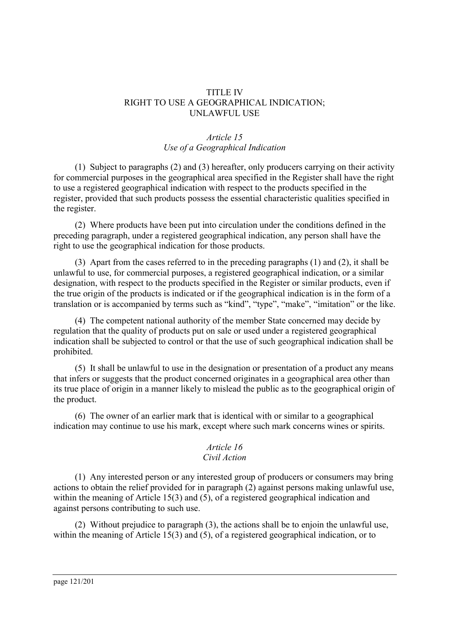#### TITLE IV RIGHT TO USE A GEOGRAPHICAL INDICATION; UNLAWFUL USE

### *Article 15 Use of a Geographical Indication*

(1) Subject to paragraphs (2) and (3) hereafter, only producers carrying on their activity for commercial purposes in the geographical area specified in the Register shall have the right to use a registered geographical indication with respect to the products specified in the register, provided that such products possess the essential characteristic qualities specified in the register.

(2) Where products have been put into circulation under the conditions defined in the preceding paragraph, under a registered geographical indication, any person shall have the right to use the geographical indication for those products.

(3) Apart from the cases referred to in the preceding paragraphs (1) and (2), it shall be unlawful to use, for commercial purposes, a registered geographical indication, or a similar designation, with respect to the products specified in the Register or similar products, even if the true origin of the products is indicated or if the geographical indication is in the form of a translation or is accompanied by terms such as "kind", "type", "make", "imitation" or the like.

(4) The competent national authority of the member State concerned may decide by regulation that the quality of products put on sale or used under a registered geographical indication shall be subjected to control or that the use of such geographical indication shall be prohibited.

(5) It shall be unlawful to use in the designation or presentation of a product any means that infers or suggests that the product concerned originates in a geographical area other than its true place of origin in a manner likely to mislead the public as to the geographical origin of the product.

(6) The owner of an earlier mark that is identical with or similar to a geographical indication may continue to use his mark, except where such mark concerns wines or spirits.

#### *Article 16 Civil Action*

(1) Any interested person or any interested group of producers or consumers may bring actions to obtain the relief provided for in paragraph (2) against persons making unlawful use, within the meaning of Article 15(3) and (5), of a registered geographical indication and against persons contributing to such use.

(2) Without prejudice to paragraph (3), the actions shall be to enjoin the unlawful use, within the meaning of Article 15(3) and (5), of a registered geographical indication, or to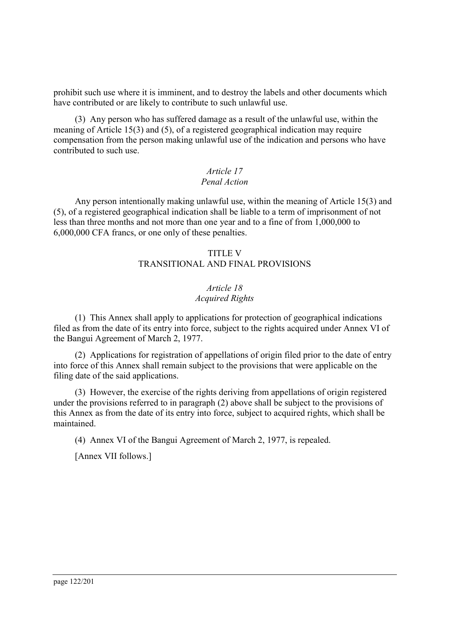prohibit such use where it is imminent, and to destroy the labels and other documents which have contributed or are likely to contribute to such unlawful use.

(3) Any person who has suffered damage as a result of the unlawful use, within the meaning of Article 15(3) and (5), of a registered geographical indication may require compensation from the person making unlawful use of the indication and persons who have contributed to such use.

### *Article 17 Penal Action*

Any person intentionally making unlawful use, within the meaning of Article 15(3) and (5), of a registered geographical indication shall be liable to a term of imprisonment of not less than three months and not more than one year and to a fine of from 1,000,000 to 6,000,000 CFA francs, or one only of these penalties.

### TITLE V TRANSITIONAL AND FINAL PROVISIONS

### *Article 18 Acquired Rights*

(1) This Annex shall apply to applications for protection of geographical indications filed as from the date of its entry into force, subject to the rights acquired under Annex VI of the Bangui Agreement of March 2, 1977.

(2) Applications for registration of appellations of origin filed prior to the date of entry into force of this Annex shall remain subject to the provisions that were applicable on the filing date of the said applications.

(3) However, the exercise of the rights deriving from appellations of origin registered under the provisions referred to in paragraph (2) above shall be subject to the provisions of this Annex as from the date of its entry into force, subject to acquired rights, which shall be maintained.

(4) Annex VI of the Bangui Agreement of March 2, 1977, is repealed.

[Annex VII follows.]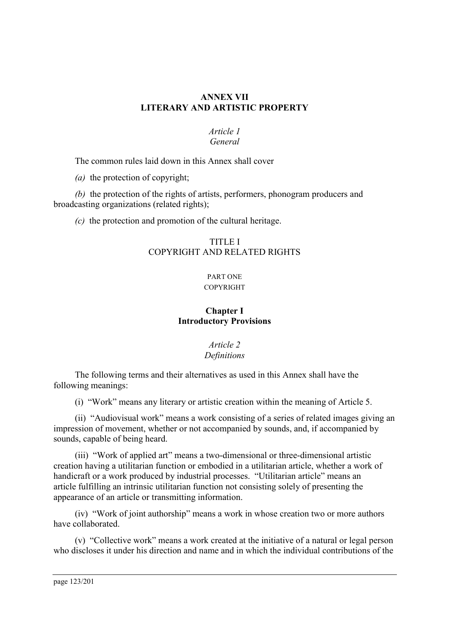### **ANNEX VII LITERARY AND ARTISTIC PROPERTY**

#### *Article 1 General*

The common rules laid down in this Annex shall cover

*(a)* the protection of copyright;

*(b)* the protection of the rights of artists, performers, phonogram producers and broadcasting organizations (related rights);

*(c)* the protection and promotion of the cultural heritage.

## TITLE I COPYRIGHT AND RELATED RIGHTS

#### PART ONE **COPYRIGHT**

# **Chapter I Introductory Provisions**

## *Article 2 Definitions*

The following terms and their alternatives as used in this Annex shall have the following meanings:

(i)"Work" means any literary or artistic creation within the meaning of Article 5.

(ii) "Audiovisual work" means a work consisting of a series of related images giving an impression of movement, whether or not accompanied by sounds, and, if accompanied by sounds, capable of being heard.

(iii) "Work of applied art" means a two-dimensional or three-dimensional artistic creation having a utilitarian function or embodied in a utilitarian article, whether a work of handicraft or a work produced by industrial processes. "Utilitarian article" means an article fulfilling an intrinsic utilitarian function not consisting solely of presenting the appearance of an article or transmitting information.

(iv) "Work of joint authorship" means a work in whose creation two or more authors have collaborated.

(v)"Collective work" means a work created at the initiative of a natural or legal person who discloses it under his direction and name and in which the individual contributions of the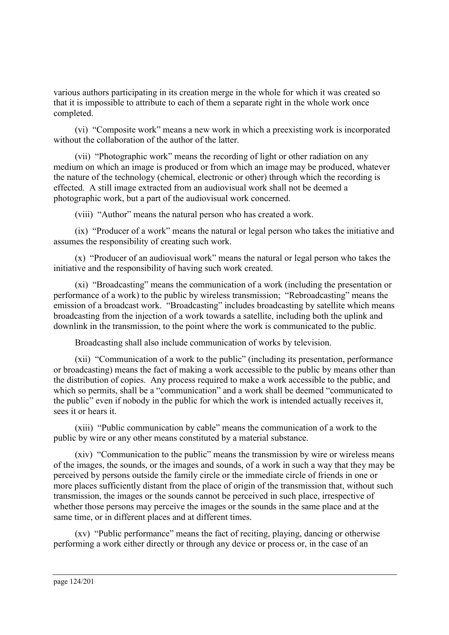various authors participating in its creation merge in the whole for which it was created so that it is impossible to attribute to each of them a separate right in the whole work once completed.

(vi) "Composite work" means a new work in which a preexisting work is incorporated without the collaboration of the author of the latter.

(vii) "Photographic work" means the recording of light or other radiation on any medium on which an image is produced or from which an image may be produced, whatever the nature of the technology (chemical, electronic or other) through which the recording is effected. A still image extracted from an audiovisual work shall not be deemed a photographic work, but a part of the audiovisual work concerned.

(viii) "Author" means the natural person who has created a work.

(ix) "Producer of a work" means the natural or legal person who takes the initiative and assumes the responsibility of creating such work.

(x)"Producer of an audiovisual work" means the natural or legal person who takes the initiative and the responsibility of having such work created.

(xi) "Broadcasting" means the communication of a work (including the presentation or performance of a work) to the public by wireless transmission; "Rebroadcasting" means the emission of a broadcast work. "Broadcasting" includes broadcasting by satellite which means broadcasting from the injection of a work towards a satellite, including both the uplink and downlink in the transmission, to the point where the work is communicated to the public.

Broadcasting shall also include communication of works by television.

(xii) "Communication of a work to the public" (including its presentation, performance or broadcasting) means the fact of making a work accessible to the public by means other than the distribution of copies. Any process required to make a work accessible to the public, and which so permits, shall be a "communication" and a work shall be deemed "communicated to the public" even if nobody in the public for which the work is intended actually receives it, sees it or hears it.

(xiii) "Public communication by cable" means the communication of a work to the public by wire or any other means constituted by a material substance.

(xiv) "Communication to the public" means the transmission by wire or wireless means of the images, the sounds, or the images and sounds, of a work in such a way that they may be perceived by persons outside the family circle or the immediate circle of friends in one or more places sufficiently distant from the place of origin of the transmission that, without such transmission, the images or the sounds cannot be perceived in such place, irrespective of whether those persons may perceive the images or the sounds in the same place and at the same time, or in different places and at different times.

(xv) "Public performance" means the fact of reciting, playing, dancing or otherwise performing a work either directly or through any device or process or, in the case of an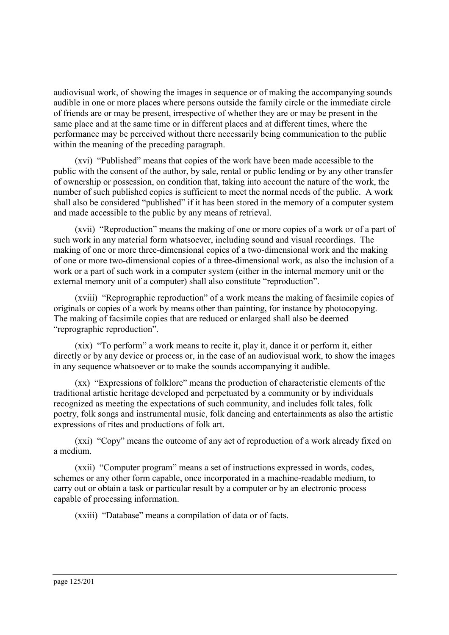audiovisual work, of showing the images in sequence or of making the accompanying sounds audible in one or more places where persons outside the family circle or the immediate circle of friends are or may be present, irrespective of whether they are or may be present in the same place and at the same time or in different places and at different times, where the performance may be perceived without there necessarily being communication to the public within the meaning of the preceding paragraph.

(xvi) "Published" means that copies of the work have been made accessible to the public with the consent of the author, by sale, rental or public lending or by any other transfer of ownership or possession, on condition that, taking into account the nature of the work, the number of such published copies is sufficient to meet the normal needs of the public. A work shall also be considered "published" if it has been stored in the memory of a computer system and made accessible to the public by any means of retrieval.

(xvii) "Reproduction" means the making of one or more copies of a work or of a part of such work in any material form whatsoever, including sound and visual recordings. The making of one or more three-dimensional copies of a two-dimensional work and the making of one or more two-dimensional copies of a three-dimensional work, as also the inclusion of a work or a part of such work in a computer system (either in the internal memory unit or the external memory unit of a computer) shall also constitute "reproduction".

(xviii) "Reprographic reproduction" of a work means the making of facsimile copies of originals or copies of a work by means other than painting, for instance by photocopying. The making of facsimile copies that are reduced or enlarged shall also be deemed "reprographic reproduction".

(xix) "To perform" a work means to recite it, play it, dance it or perform it, either directly or by any device or process or, in the case of an audiovisual work, to show the images in any sequence whatsoever or to make the sounds accompanying it audible.

(xx) "Expressions of folklore" means the production of characteristic elements of the traditional artistic heritage developed and perpetuated by a community or by individuals recognized as meeting the expectations of such community, and includes folk tales, folk poetry, folk songs and instrumental music, folk dancing and entertainments as also the artistic expressions of rites and productions of folk art.

(xxi) "Copy" means the outcome of any act of reproduction of a work already fixed on a medium.

(xxii) "Computer program" means a set of instructions expressed in words, codes, schemes or any other form capable, once incorporated in a machine-readable medium, to carry out or obtain a task or particular result by a computer or by an electronic process capable of processing information.

(xxiii) "Database" means a compilation of data or of facts.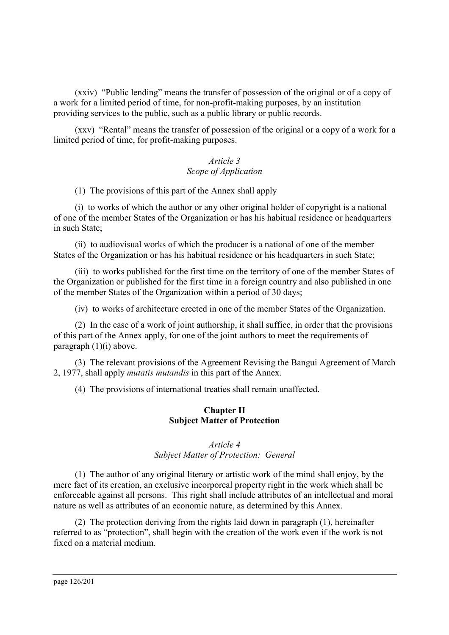(xxiv) "Public lending" means the transfer of possession of the original or of a copy of a work for a limited period of time, for non-profit-making purposes, by an institution providing services to the public, such as a public library or public records.

(xxv) "Rental" means the transfer of possession of the original or a copy of a work for a limited period of time, for profit-making purposes.

### *Article 3 Scope of Application*

(1) The provisions of this part of the Annex shall apply

(i)to works of which the author or any other original holder of copyright is a national of one of the member States of the Organization or has his habitual residence or headquarters in such State;

(ii) to audiovisual works of which the producer is a national of one of the member States of the Organization or has his habitual residence or his headquarters in such State;

(iii) to works published for the first time on the territory of one of the member States of the Organization or published for the first time in a foreign country and also published in one of the member States of the Organization within a period of 30 days;

(iv) to works of architecture erected in one of the member States of the Organization.

(2) In the case of a work of joint authorship, it shall suffice, in order that the provisions of this part of the Annex apply, for one of the joint authors to meet the requirements of paragraph (1)(i) above.

(3) The relevant provisions of the Agreement Revising the Bangui Agreement of March 2, 1977, shall apply *mutatis mutandis* in this part of the Annex.

(4) The provisions of international treaties shall remain unaffected.

#### **Chapter II Subject Matter of Protection**

#### *Article 4 Subject Matter of Protection: General*

(1) The author of any original literary or artistic work of the mind shall enjoy, by the mere fact of its creation, an exclusive incorporeal property right in the work which shall be enforceable against all persons. This right shall include attributes of an intellectual and moral nature as well as attributes of an economic nature, as determined by this Annex.

(2) The protection deriving from the rights laid down in paragraph (1), hereinafter referred to as "protection", shall begin with the creation of the work even if the work is not fixed on a material medium.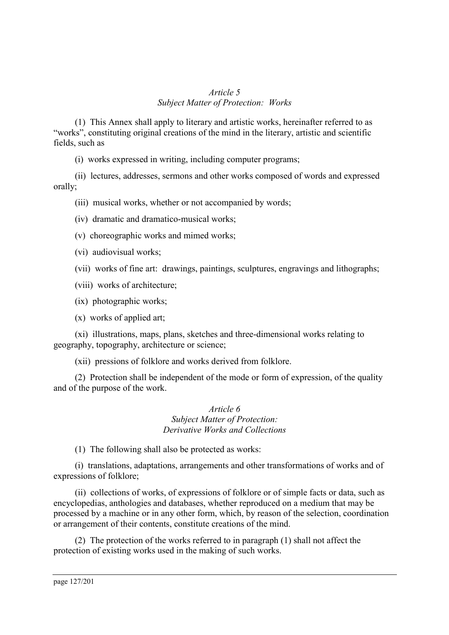#### *Article 5 Subject Matter of Protection: Works*

(1) This Annex shall apply to literary and artistic works, hereinafter referred to as "works", constituting original creations of the mind in the literary, artistic and scientific fields, such as

(i)works expressed in writing, including computer programs;

(ii) lectures, addresses, sermons and other works composed of words and expressed orally;

(iii) musical works, whether or not accompanied by words;

(iv) dramatic and dramatico-musical works;

(v)choreographic works and mimed works;

(vi) audiovisual works;

(vii) works of fine art: drawings, paintings, sculptures, engravings and lithographs;

(viii) works of architecture;

(ix) photographic works;

(x)works of applied art;

(xi) illustrations, maps, plans, sketches and three-dimensional works relating to geography, topography, architecture or science;

(xii) pressions of folklore and works derived from folklore.

(2) Protection shall be independent of the mode or form of expression, of the quality and of the purpose of the work.

> *Article 6 Subject Matter of Protection: Derivative Works and Collections*

(1) The following shall also be protected as works:

(i)translations, adaptations, arrangements and other transformations of works and of expressions of folklore;

(ii) collections of works, of expressions of folklore or of simple facts or data, such as encyclopedias, anthologies and databases, whether reproduced on a medium that may be processed by a machine or in any other form, which, by reason of the selection, coordination or arrangement of their contents, constitute creations of the mind.

(2) The protection of the works referred to in paragraph (1) shall not affect the protection of existing works used in the making of such works.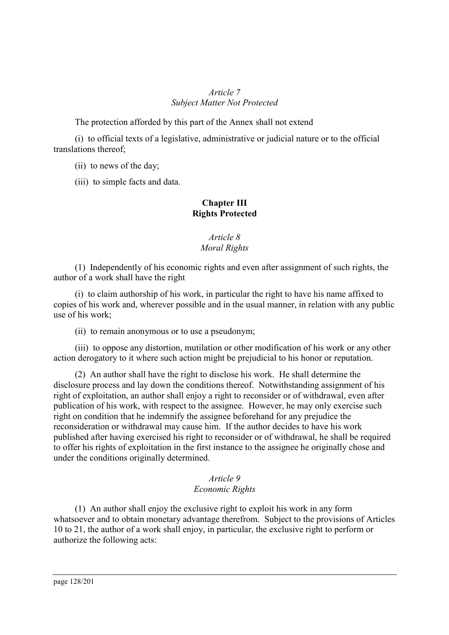### *Article 7 Subject Matter Not Protected*

The protection afforded by this part of the Annex shall not extend

(i)to official texts of a legislative, administrative or judicial nature or to the official translations thereof;

(ii) to news of the day;

(iii) to simple facts and data.

# **Chapter III Rights Protected**

### *Article 8 Moral Rights*

(1) Independently of his economic rights and even after assignment of such rights, the author of a work shall have the right

(i)to claim authorship of his work, in particular the right to have his name affixed to copies of his work and, wherever possible and in the usual manner, in relation with any public use of his work;

(ii) to remain anonymous or to use a pseudonym;

(iii) to oppose any distortion, mutilation or other modification of his work or any other action derogatory to it where such action might be prejudicial to his honor or reputation.

(2) An author shall have the right to disclose his work. He shall determine the disclosure process and lay down the conditions thereof. Notwithstanding assignment of his right of exploitation, an author shall enjoy a right to reconsider or of withdrawal, even after publication of his work, with respect to the assignee. However, he may only exercise such right on condition that he indemnify the assignee beforehand for any prejudice the reconsideration or withdrawal may cause him. If the author decides to have his work published after having exercised his right to reconsider or of withdrawal, he shall be required to offer his rights of exploitation in the first instance to the assignee he originally chose and under the conditions originally determined.

### *Article 9 Economic Rights*

(1) An author shall enjoy the exclusive right to exploit his work in any form whatsoever and to obtain monetary advantage therefrom. Subject to the provisions of Articles 10 to 21, the author of a work shall enjoy, in particular, the exclusive right to perform or authorize the following acts: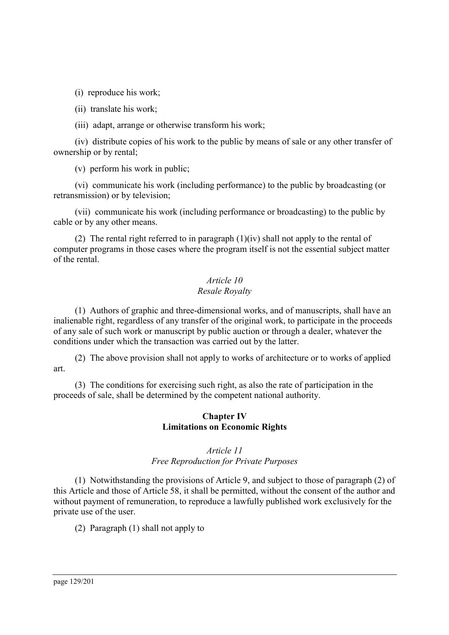(i)reproduce his work;

(ii) translate his work;

(iii) adapt, arrange or otherwise transform his work;

(iv) distribute copies of his work to the public by means of sale or any other transfer of ownership or by rental;

(v)perform his work in public;

(vi) communicate his work (including performance) to the public by broadcasting (or retransmission) or by television;

(vii) communicate his work (including performance or broadcasting) to the public by cable or by any other means.

(2) The rental right referred to in paragraph (1)(iv) shall not apply to the rental of computer programs in those cases where the program itself is not the essential subject matter of the rental.

## *Article 10 Resale Royalty*

(1) Authors of graphic and three-dimensional works, and of manuscripts, shall have an inalienable right, regardless of any transfer of the original work, to participate in the proceeds of any sale of such work or manuscript by public auction or through a dealer, whatever the conditions under which the transaction was carried out by the latter.

(2) The above provision shall not apply to works of architecture or to works of applied art.

(3) The conditions for exercising such right, as also the rate of participation in the proceeds of sale, shall be determined by the competent national authority.

### **Chapter IV Limitations on Economic Rights**

## *Article 11 Free Reproduction for Private Purposes*

(1) Notwithstanding the provisions of Article 9, and subject to those of paragraph (2) of this Article and those of Article 58, it shall be permitted, without the consent of the author and without payment of remuneration, to reproduce a lawfully published work exclusively for the private use of the user.

(2) Paragraph (1) shall not apply to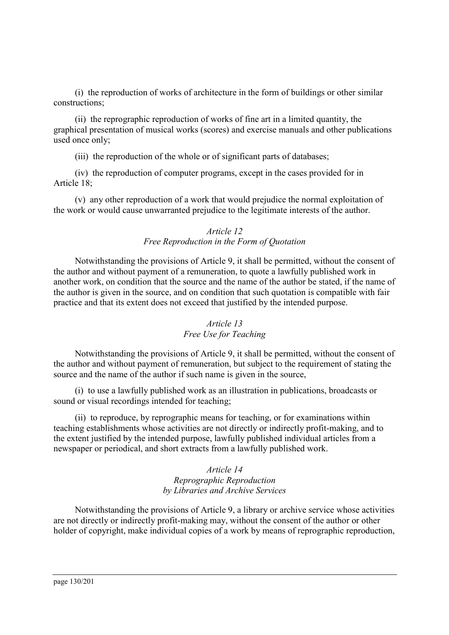(i)the reproduction of works of architecture in the form of buildings or other similar constructions;

(ii) the reprographic reproduction of works of fine art in a limited quantity, the graphical presentation of musical works (scores) and exercise manuals and other publications used once only;

(iii) the reproduction of the whole or of significant parts of databases;

(iv) the reproduction of computer programs, except in the cases provided for in Article 18;

(v)any other reproduction of a work that would prejudice the normal exploitation of the work or would cause unwarranted prejudice to the legitimate interests of the author.

#### *Article 12 Free Reproduction in the Form of Quotation*

Notwithstanding the provisions of Article 9, it shall be permitted, without the consent of the author and without payment of a remuneration, to quote a lawfully published work in another work, on condition that the source and the name of the author be stated, if the name of the author is given in the source, and on condition that such quotation is compatible with fair practice and that its extent does not exceed that justified by the intended purpose.

### *Article 13 Free Use for Teaching*

Notwithstanding the provisions of Article 9, it shall be permitted, without the consent of the author and without payment of remuneration, but subject to the requirement of stating the source and the name of the author if such name is given in the source,

(i)to use a lawfully published work as an illustration in publications, broadcasts or sound or visual recordings intended for teaching;

(ii) to reproduce, by reprographic means for teaching, or for examinations within teaching establishments whose activities are not directly or indirectly profit-making, and to the extent justified by the intended purpose, lawfully published individual articles from a newspaper or periodical, and short extracts from a lawfully published work.

> *Article 14 Reprographic Reproduction by Libraries and Archive Services*

Notwithstanding the provisions of Article 9, a library or archive service whose activities are not directly or indirectly profit-making may, without the consent of the author or other holder of copyright, make individual copies of a work by means of reprographic reproduction,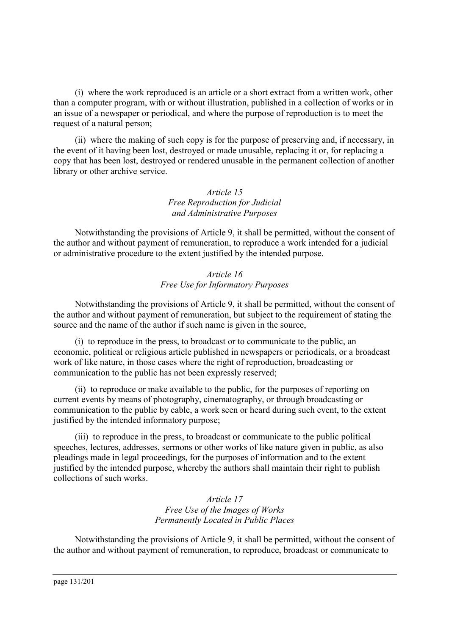(i)where the work reproduced is an article or a short extract from a written work, other than a computer program, with or without illustration, published in a collection of works or in an issue of a newspaper or periodical, and where the purpose of reproduction is to meet the request of a natural person;

(ii) where the making of such copy is for the purpose of preserving and, if necessary, in the event of it having been lost, destroyed or made unusable, replacing it or, for replacing a copy that has been lost, destroyed or rendered unusable in the permanent collection of another library or other archive service.

#### *Article 15 Free Reproduction for Judicial and Administrative Purposes*

Notwithstanding the provisions of Article 9, it shall be permitted, without the consent of the author and without payment of remuneration, to reproduce a work intended for a judicial or administrative procedure to the extent justified by the intended purpose.

### *Article 16 Free Use for Informatory Purposes*

Notwithstanding the provisions of Article 9, it shall be permitted, without the consent of the author and without payment of remuneration, but subject to the requirement of stating the source and the name of the author if such name is given in the source,

(i)to reproduce in the press, to broadcast or to communicate to the public, an economic, political or religious article published in newspapers or periodicals, or a broadcast work of like nature, in those cases where the right of reproduction, broadcasting or communication to the public has not been expressly reserved;

(ii) to reproduce or make available to the public, for the purposes of reporting on current events by means of photography, cinematography, or through broadcasting or communication to the public by cable, a work seen or heard during such event, to the extent justified by the intended informatory purpose;

(iii) to reproduce in the press, to broadcast or communicate to the public political speeches, lectures, addresses, sermons or other works of like nature given in public, as also pleadings made in legal proceedings, for the purposes of information and to the extent justified by the intended purpose, whereby the authors shall maintain their right to publish collections of such works.

> *Article 17 Free Use of the Images of Works Permanently Located in Public Places*

Notwithstanding the provisions of Article 9, it shall be permitted, without the consent of the author and without payment of remuneration, to reproduce, broadcast or communicate to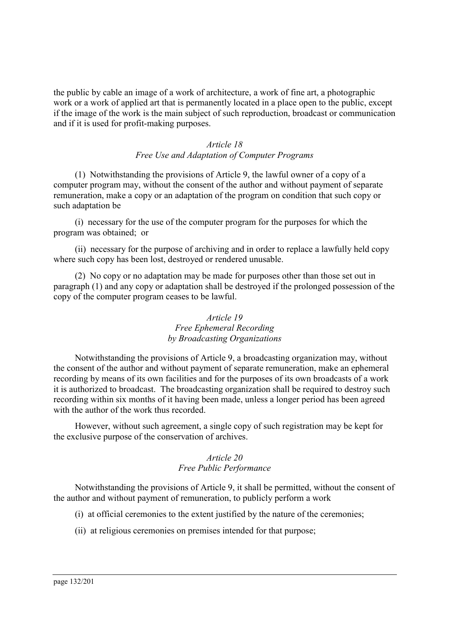the public by cable an image of a work of architecture, a work of fine art, a photographic work or a work of applied art that is permanently located in a place open to the public, except if the image of the work is the main subject of such reproduction, broadcast or communication and if it is used for profit-making purposes.

### *Article 18 Free Use and Adaptation of Computer Programs*

(1) Notwithstanding the provisions of Article 9, the lawful owner of a copy of a computer program may, without the consent of the author and without payment of separate remuneration, make a copy or an adaptation of the program on condition that such copy or such adaptation be

(i)necessary for the use of the computer program for the purposes for which the program was obtained; or

(ii) necessary for the purpose of archiving and in order to replace a lawfully held copy where such copy has been lost, destroyed or rendered unusable.

(2) No copy or no adaptation may be made for purposes other than those set out in paragraph (1) and any copy or adaptation shall be destroyed if the prolonged possession of the copy of the computer program ceases to be lawful.

### *Article 19 Free Ephemeral Recording by Broadcasting Organizations*

Notwithstanding the provisions of Article 9, a broadcasting organization may, without the consent of the author and without payment of separate remuneration, make an ephemeral recording by means of its own facilities and for the purposes of its own broadcasts of a work it is authorized to broadcast. The broadcasting organization shall be required to destroy such recording within six months of it having been made, unless a longer period has been agreed with the author of the work thus recorded.

However, without such agreement, a single copy of such registration may be kept for the exclusive purpose of the conservation of archives.

### *Article 20 Free Public Performance*

Notwithstanding the provisions of Article 9, it shall be permitted, without the consent of the author and without payment of remuneration, to publicly perform a work

- (i)at official ceremonies to the extent justified by the nature of the ceremonies;
- (ii) at religious ceremonies on premises intended for that purpose;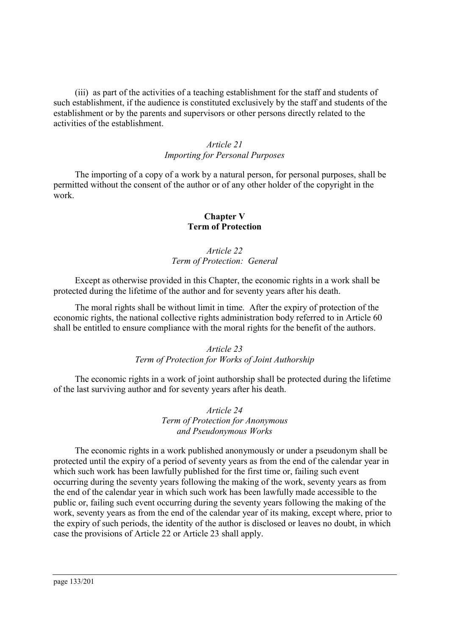(iii) as part of the activities of a teaching establishment for the staff and students of such establishment, if the audience is constituted exclusively by the staff and students of the establishment or by the parents and supervisors or other persons directly related to the activities of the establishment.

### *Article 21 Importing for Personal Purposes*

The importing of a copy of a work by a natural person, for personal purposes, shall be permitted without the consent of the author or of any other holder of the copyright in the work.

#### **Chapter V Term of Protection**

### *Article 22 Term of Protection: General*

Except as otherwise provided in this Chapter, the economic rights in a work shall be protected during the lifetime of the author and for seventy years after his death.

The moral rights shall be without limit in time. After the expiry of protection of the economic rights, the national collective rights administration body referred to in Article 60 shall be entitled to ensure compliance with the moral rights for the benefit of the authors.

#### *Article 23 Term of Protection for Works of Joint Authorship*

The economic rights in a work of joint authorship shall be protected during the lifetime of the last surviving author and for seventy years after his death.

#### *Article 24 Term of Protection for Anonymous and Pseudonymous Works*

The economic rights in a work published anonymously or under a pseudonym shall be protected until the expiry of a period of seventy years as from the end of the calendar year in which such work has been lawfully published for the first time or, failing such event occurring during the seventy years following the making of the work, seventy years as from the end of the calendar year in which such work has been lawfully made accessible to the public or, failing such event occurring during the seventy years following the making of the work, seventy years as from the end of the calendar year of its making, except where, prior to the expiry of such periods, the identity of the author is disclosed or leaves no doubt, in which case the provisions of Article 22 or Article 23 shall apply.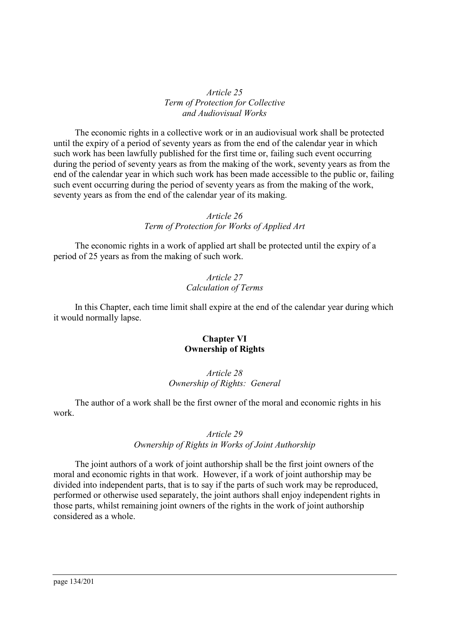*Article 25 Term of Protection for Collective and Audiovisual Works*

The economic rights in a collective work or in an audiovisual work shall be protected until the expiry of a period of seventy years as from the end of the calendar year in which such work has been lawfully published for the first time or, failing such event occurring during the period of seventy years as from the making of the work, seventy years as from the end of the calendar year in which such work has been made accessible to the public or, failing such event occurring during the period of seventy years as from the making of the work, seventy years as from the end of the calendar year of its making.

#### *Article 26 Term of Protection for Works of Applied Art*

The economic rights in a work of applied art shall be protected until the expiry of a period of 25 years as from the making of such work.

#### *Article 27 Calculation of Terms*

In this Chapter, each time limit shall expire at the end of the calendar year during which it would normally lapse.

#### **Chapter VI Ownership of Rights**

#### *Article 28 Ownership of Rights: General*

The author of a work shall be the first owner of the moral and economic rights in his work.

#### *Article 29*

### *Ownership of Rights in Works of Joint Authorship*

The joint authors of a work of joint authorship shall be the first joint owners of the moral and economic rights in that work. However, if a work of joint authorship may be divided into independent parts, that is to say if the parts of such work may be reproduced, performed or otherwise used separately, the joint authors shall enjoy independent rights in those parts, whilst remaining joint owners of the rights in the work of joint authorship considered as a whole.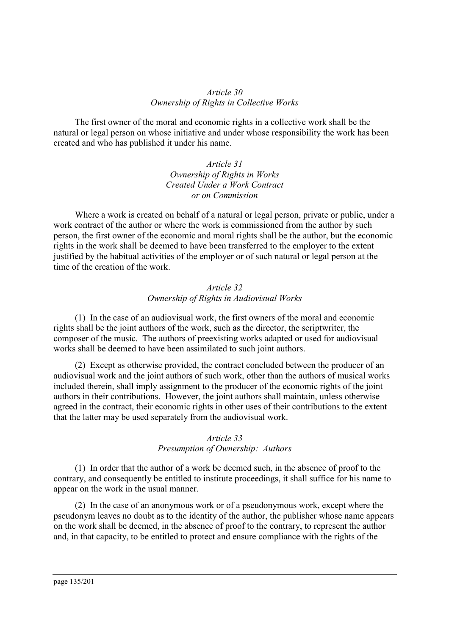### *Article 30 Ownership of Rights in Collective Works*

The first owner of the moral and economic rights in a collective work shall be the natural or legal person on whose initiative and under whose responsibility the work has been created and who has published it under his name.

> *Article 31 Ownership of Rights in Works Created Under a Work Contract or on Commission*

Where a work is created on behalf of a natural or legal person, private or public, under a work contract of the author or where the work is commissioned from the author by such person, the first owner of the economic and moral rights shall be the author, but the economic rights in the work shall be deemed to have been transferred to the employer to the extent justified by the habitual activities of the employer or of such natural or legal person at the time of the creation of the work.

### *Article 32 Ownership of Rights in Audiovisual Works*

(1) In the case of an audiovisual work, the first owners of the moral and economic rights shall be the joint authors of the work, such as the director, the scriptwriter, the composer of the music. The authors of preexisting works adapted or used for audiovisual works shall be deemed to have been assimilated to such joint authors.

(2) Except as otherwise provided, the contract concluded between the producer of an audiovisual work and the joint authors of such work, other than the authors of musical works included therein, shall imply assignment to the producer of the economic rights of the joint authors in their contributions. However, the joint authors shall maintain, unless otherwise agreed in the contract, their economic rights in other uses of their contributions to the extent that the latter may be used separately from the audiovisual work.

#### *Article 33 Presumption of Ownership: Authors*

(1) In order that the author of a work be deemed such, in the absence of proof to the contrary, and consequently be entitled to institute proceedings, it shall suffice for his name to appear on the work in the usual manner.

(2) In the case of an anonymous work or of a pseudonymous work, except where the pseudonym leaves no doubt as to the identity of the author, the publisher whose name appears on the work shall be deemed, in the absence of proof to the contrary, to represent the author and, in that capacity, to be entitled to protect and ensure compliance with the rights of the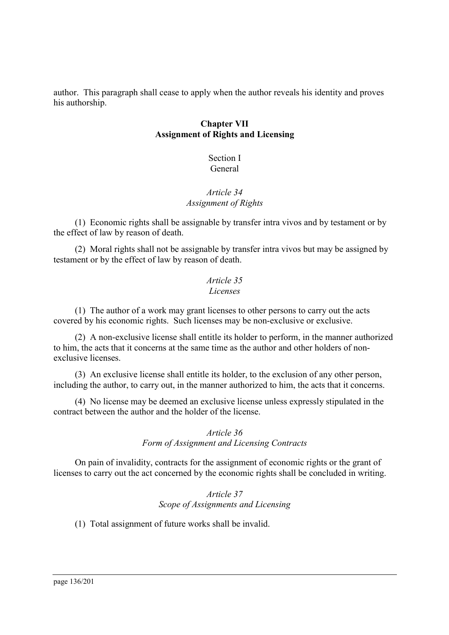author. This paragraph shall cease to apply when the author reveals his identity and proves his authorship.

### **Chapter VII Assignment of Rights and Licensing**

### Section I General

### *Article 34 Assignment of Rights*

(1) Economic rights shall be assignable by transfer intra vivos and by testament or by the effect of law by reason of death.

(2) Moral rights shall not be assignable by transfer intra vivos but may be assigned by testament or by the effect of law by reason of death.

### *Article 35 Licenses*

(1) The author of a work may grant licenses to other persons to carry out the acts covered by his economic rights. Such licenses may be non-exclusive or exclusive.

(2) A non-exclusive license shall entitle its holder to perform, in the manner authorized to him, the acts that it concerns at the same time as the author and other holders of nonexclusive licenses.

(3) An exclusive license shall entitle its holder, to the exclusion of any other person, including the author, to carry out, in the manner authorized to him, the acts that it concerns.

(4) No license may be deemed an exclusive license unless expressly stipulated in the contract between the author and the holder of the license.

## *Article 36 Form of Assignment and Licensing Contracts*

On pain of invalidity, contracts for the assignment of economic rights or the grant of licenses to carry out the act concerned by the economic rights shall be concluded in writing.

> *Article 37 Scope of Assignments and Licensing*

(1) Total assignment of future works shall be invalid.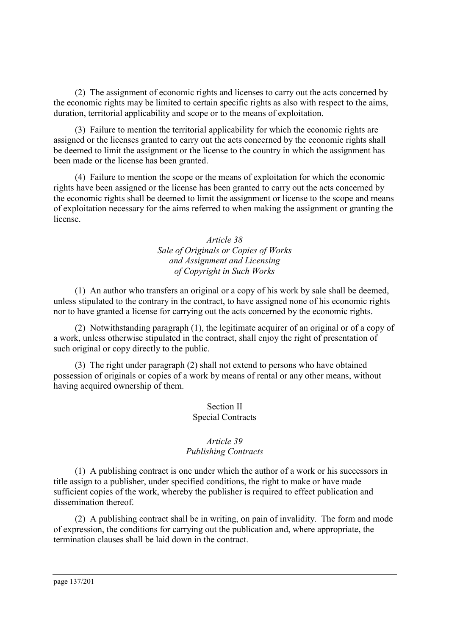(2) The assignment of economic rights and licenses to carry out the acts concerned by the economic rights may be limited to certain specific rights as also with respect to the aims, duration, territorial applicability and scope or to the means of exploitation.

(3) Failure to mention the territorial applicability for which the economic rights are assigned or the licenses granted to carry out the acts concerned by the economic rights shall be deemed to limit the assignment or the license to the country in which the assignment has been made or the license has been granted.

(4) Failure to mention the scope or the means of exploitation for which the economic rights have been assigned or the license has been granted to carry out the acts concerned by the economic rights shall be deemed to limit the assignment or license to the scope and means of exploitation necessary for the aims referred to when making the assignment or granting the license.

### *Article 38 Sale of Originals or Copies of Works and Assignment and Licensing of Copyright in Such Works*

(1) An author who transfers an original or a copy of his work by sale shall be deemed, unless stipulated to the contrary in the contract, to have assigned none of his economic rights nor to have granted a license for carrying out the acts concerned by the economic rights.

(2) Notwithstanding paragraph (1), the legitimate acquirer of an original or of a copy of a work, unless otherwise stipulated in the contract, shall enjoy the right of presentation of such original or copy directly to the public.

(3) The right under paragraph (2) shall not extend to persons who have obtained possession of originals or copies of a work by means of rental or any other means, without having acquired ownership of them.

### Section II Special Contracts

## *Article 39 Publishing Contracts*

(1) A publishing contract is one under which the author of a work or his successors in title assign to a publisher, under specified conditions, the right to make or have made sufficient copies of the work, whereby the publisher is required to effect publication and dissemination thereof.

(2) A publishing contract shall be in writing, on pain of invalidity. The form and mode of expression, the conditions for carrying out the publication and, where appropriate, the termination clauses shall be laid down in the contract.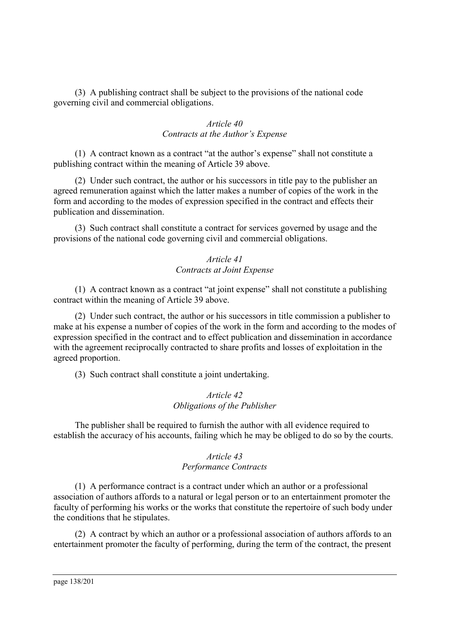(3) A publishing contract shall be subject to the provisions of the national code governing civil and commercial obligations.

### *Article 40 Contracts at the Author's Expense*

(1) A contract known as a contract "at the author's expense" shall not constitute a publishing contract within the meaning of Article 39 above.

(2) Under such contract, the author or his successors in title pay to the publisher an agreed remuneration against which the latter makes a number of copies of the work in the form and according to the modes of expression specified in the contract and effects their publication and dissemination.

(3) Such contract shall constitute a contract for services governed by usage and the provisions of the national code governing civil and commercial obligations.

#### *Article 41 Contracts at Joint Expense*

(1) A contract known as a contract "at joint expense" shall not constitute a publishing contract within the meaning of Article 39 above.

(2) Under such contract, the author or his successors in title commission a publisher to make at his expense a number of copies of the work in the form and according to the modes of expression specified in the contract and to effect publication and dissemination in accordance with the agreement reciprocally contracted to share profits and losses of exploitation in the agreed proportion.

(3) Such contract shall constitute a joint undertaking.

#### *Article 42 Obligations of the Publisher*

The publisher shall be required to furnish the author with all evidence required to establish the accuracy of his accounts, failing which he may be obliged to do so by the courts.

### *Article 43 Performance Contracts*

(1) A performance contract is a contract under which an author or a professional association of authors affords to a natural or legal person or to an entertainment promoter the faculty of performing his works or the works that constitute the repertoire of such body under the conditions that he stipulates.

(2) A contract by which an author or a professional association of authors affords to an entertainment promoter the faculty of performing, during the term of the contract, the present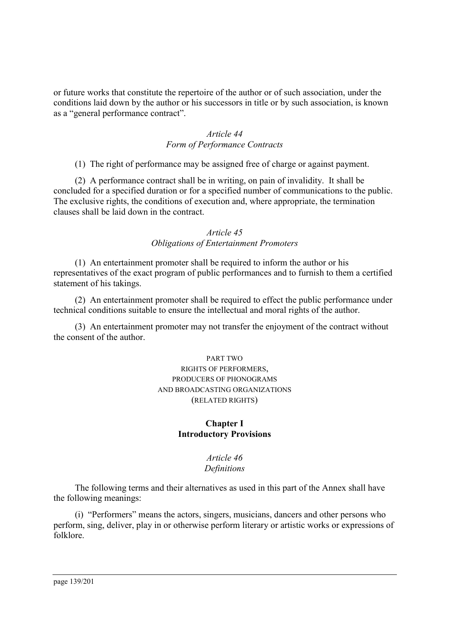or future works that constitute the repertoire of the author or of such association, under the conditions laid down by the author or his successors in title or by such association, is known as a "general performance contract".

### *Article 44 Form of Performance Contracts*

(1) The right of performance may be assigned free of charge or against payment.

(2) A performance contract shall be in writing, on pain of invalidity. It shall be concluded for a specified duration or for a specified number of communications to the public. The exclusive rights, the conditions of execution and, where appropriate, the termination clauses shall be laid down in the contract.

#### *Article 45 Obligations of Entertainment Promoters*

(1) An entertainment promoter shall be required to inform the author or his representatives of the exact program of public performances and to furnish to them a certified statement of his takings.

(2) An entertainment promoter shall be required to effect the public performance under technical conditions suitable to ensure the intellectual and moral rights of the author.

(3) An entertainment promoter may not transfer the enjoyment of the contract without the consent of the author.

### PART TWO RIGHTS OF PERFORMERS, PRODUCERS OF PHONOGRAMS AND BROADCASTING ORGANIZATIONS (RELATED RIGHTS)

#### **Chapter I Introductory Provisions**

### *Article 46 Definitions*

The following terms and their alternatives as used in this part of the Annex shall have the following meanings:

(i)"Performers" means the actors, singers, musicians, dancers and other persons who perform, sing, deliver, play in or otherwise perform literary or artistic works or expressions of folklore.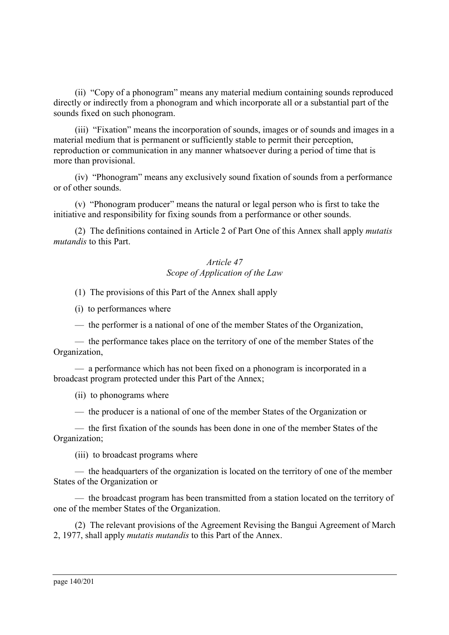(ii) "Copy of a phonogram" means any material medium containing sounds reproduced directly or indirectly from a phonogram and which incorporate all or a substantial part of the sounds fixed on such phonogram.

(iii) "Fixation" means the incorporation of sounds, images or of sounds and images in a material medium that is permanent or sufficiently stable to permit their perception, reproduction or communication in any manner whatsoever during a period of time that is more than provisional.

(iv) "Phonogram" means any exclusively sound fixation of sounds from a performance or of other sounds.

(v)"Phonogram producer" means the natural or legal person who is first to take the initiative and responsibility for fixing sounds from a performance or other sounds.

(2) The definitions contained in Article 2 of Part One of this Annex shall apply *mutatis mutandis* to this Part.

# *Article 47 Scope of Application of the Law*

(1) The provisions of this Part of the Annex shall apply

(i)to performances where

— the performer is a national of one of the member States of the Organization,

— the performance takes place on the territory of one of the member States of the Organization,

— a performance which has not been fixed on a phonogram is incorporated in a broadcast program protected under this Part of the Annex;

(ii) to phonograms where

— the producer is a national of one of the member States of the Organization or

— the first fixation of the sounds has been done in one of the member States of the Organization;

(iii) to broadcast programs where

— the headquarters of the organization is located on the territory of one of the member States of the Organization or

— the broadcast program has been transmitted from a station located on the territory of one of the member States of the Organization.

(2) The relevant provisions of the Agreement Revising the Bangui Agreement of March 2, 1977, shall apply *mutatis mutandis* to this Part of the Annex.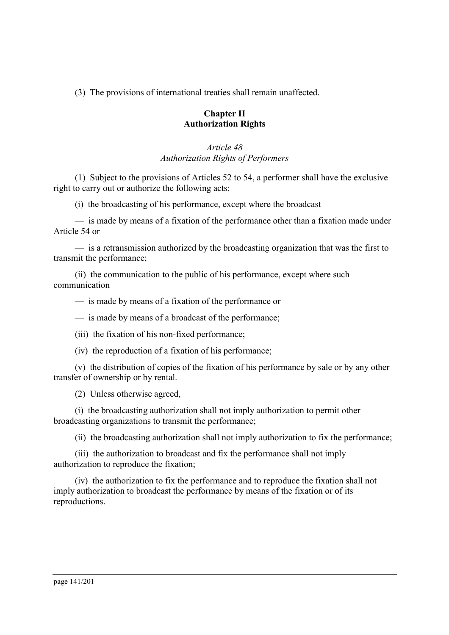(3) The provisions of international treaties shall remain unaffected.

### **Chapter II Authorization Rights**

# *Article 48 Authorization Rights of Performers*

(1) Subject to the provisions of Articles 52 to 54, a performer shall have the exclusive right to carry out or authorize the following acts:

(i)the broadcasting of his performance, except where the broadcast

— is made by means of a fixation of the performance other than a fixation made under Article 54 or

— is a retransmission authorized by the broadcasting organization that was the first to transmit the performance;

(ii) the communication to the public of his performance, except where such communication

— is made by means of a fixation of the performance or

— is made by means of a broadcast of the performance;

(iii) the fixation of his non-fixed performance;

(iv) the reproduction of a fixation of his performance;

(v)the distribution of copies of the fixation of his performance by sale or by any other transfer of ownership or by rental.

(2) Unless otherwise agreed,

(i)the broadcasting authorization shall not imply authorization to permit other broadcasting organizations to transmit the performance;

(ii) the broadcasting authorization shall not imply authorization to fix the performance;

(iii) the authorization to broadcast and fix the performance shall not imply authorization to reproduce the fixation;

(iv) the authorization to fix the performance and to reproduce the fixation shall not imply authorization to broadcast the performance by means of the fixation or of its reproductions.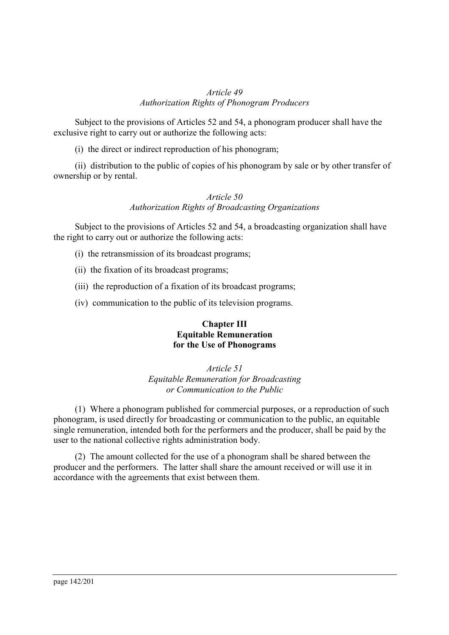### *Article 49 Authorization Rights of Phonogram Producers*

Subject to the provisions of Articles 52 and 54, a phonogram producer shall have the exclusive right to carry out or authorize the following acts:

(i)the direct or indirect reproduction of his phonogram;

(ii) distribution to the public of copies of his phonogram by sale or by other transfer of ownership or by rental.

# *Article 50 Authorization Rights of Broadcasting Organizations*

Subject to the provisions of Articles 52 and 54, a broadcasting organization shall have the right to carry out or authorize the following acts:

- (i)the retransmission of its broadcast programs;
- (ii) the fixation of its broadcast programs;
- (iii) the reproduction of a fixation of its broadcast programs;
- (iv) communication to the public of its television programs.

### **Chapter III Equitable Remuneration for the Use of Phonograms**

*Article 51 Equitable Remuneration for Broadcasting or Communication to the Public*

(1) Where a phonogram published for commercial purposes, or a reproduction of such phonogram, is used directly for broadcasting or communication to the public, an equitable single remuneration, intended both for the performers and the producer, shall be paid by the user to the national collective rights administration body.

(2) The amount collected for the use of a phonogram shall be shared between the producer and the performers. The latter shall share the amount received or will use it in accordance with the agreements that exist between them.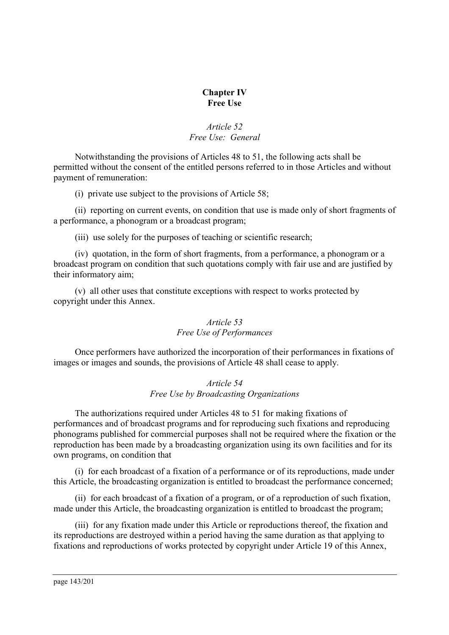### **Chapter IV Free Use**

### *Article 52 Free Use: General*

Notwithstanding the provisions of Articles 48 to 51, the following acts shall be permitted without the consent of the entitled persons referred to in those Articles and without payment of remuneration:

(i)private use subject to the provisions of Article 58;

(ii) reporting on current events, on condition that use is made only of short fragments of a performance, a phonogram or a broadcast program;

(iii) use solely for the purposes of teaching or scientific research;

(iv) quotation, in the form of short fragments, from a performance, a phonogram or a broadcast program on condition that such quotations comply with fair use and are justified by their informatory aim;

(v)all other uses that constitute exceptions with respect to works protected by copyright under this Annex.

### *Article 53 Free Use of Performances*

Once performers have authorized the incorporation of their performances in fixations of images or images and sounds, the provisions of Article 48 shall cease to apply.

### *Article 54 Free Use by Broadcasting Organizations*

The authorizations required under Articles 48 to 51 for making fixations of performances and of broadcast programs and for reproducing such fixations and reproducing phonograms published for commercial purposes shall not be required where the fixation or the reproduction has been made by a broadcasting organization using its own facilities and for its own programs, on condition that

(i)for each broadcast of a fixation of a performance or of its reproductions, made under this Article, the broadcasting organization is entitled to broadcast the performance concerned;

(ii) for each broadcast of a fixation of a program, or of a reproduction of such fixation, made under this Article, the broadcasting organization is entitled to broadcast the program;

(iii) for any fixation made under this Article or reproductions thereof, the fixation and its reproductions are destroyed within a period having the same duration as that applying to fixations and reproductions of works protected by copyright under Article 19 of this Annex,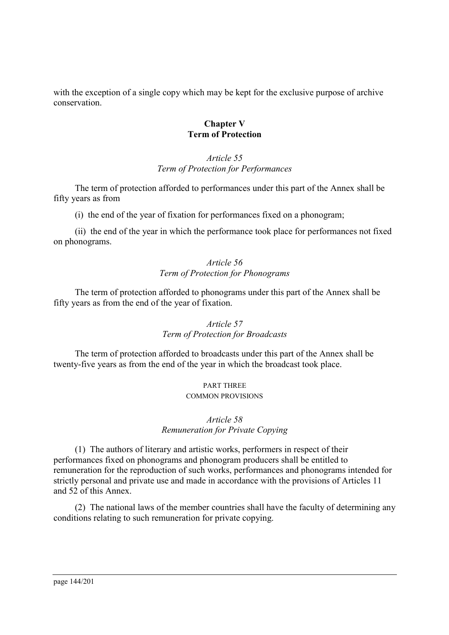with the exception of a single copy which may be kept for the exclusive purpose of archive conservation.

#### **Chapter V Term of Protection**

### *Article 55 Term of Protection for Performances*

The term of protection afforded to performances under this part of the Annex shall be fifty years as from

(i)the end of the year of fixation for performances fixed on a phonogram;

(ii) the end of the year in which the performance took place for performances not fixed on phonograms.

### *Article 56 Term of Protection for Phonograms*

The term of protection afforded to phonograms under this part of the Annex shall be fifty years as from the end of the year of fixation.

#### *Article 57 Term of Protection for Broadcasts*

The term of protection afforded to broadcasts under this part of the Annex shall be twenty-five years as from the end of the year in which the broadcast took place.

#### PART THREE COMMON PROVISIONS

# *Article 58 Remuneration for Private Copying*

(1) The authors of literary and artistic works, performers in respect of their performances fixed on phonograms and phonogram producers shall be entitled to remuneration for the reproduction of such works, performances and phonograms intended for strictly personal and private use and made in accordance with the provisions of Articles 11 and 52 of this Annex.

(2) The national laws of the member countries shall have the faculty of determining any conditions relating to such remuneration for private copying.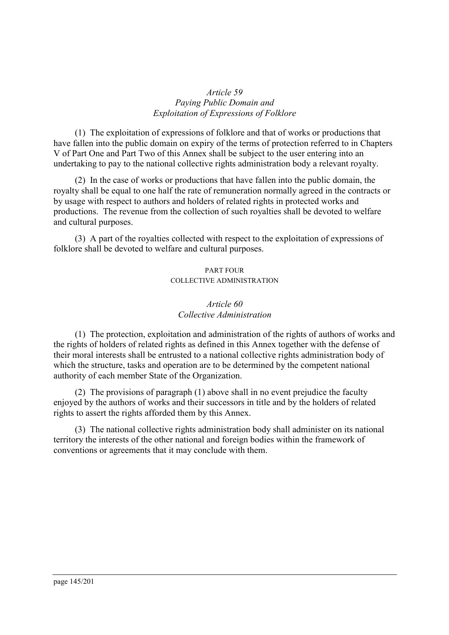### *Article 59 Paying Public Domain and Exploitation of Expressions of Folklore*

(1) The exploitation of expressions of folklore and that of works or productions that have fallen into the public domain on expiry of the terms of protection referred to in Chapters V of Part One and Part Two of this Annex shall be subject to the user entering into an undertaking to pay to the national collective rights administration body a relevant royalty.

(2) In the case of works or productions that have fallen into the public domain, the royalty shall be equal to one half the rate of remuneration normally agreed in the contracts or by usage with respect to authors and holders of related rights in protected works and productions. The revenue from the collection of such royalties shall be devoted to welfare and cultural purposes.

(3) A part of the royalties collected with respect to the exploitation of expressions of folklore shall be devoted to welfare and cultural purposes.

# PART FOUR COLLECTIVE ADMINISTRATION

# *Article 60 Collective Administration*

(1) The protection, exploitation and administration of the rights of authors of works and the rights of holders of related rights as defined in this Annex together with the defense of their moral interests shall be entrusted to a national collective rights administration body of which the structure, tasks and operation are to be determined by the competent national authority of each member State of the Organization.

(2) The provisions of paragraph (1) above shall in no event prejudice the faculty enjoyed by the authors of works and their successors in title and by the holders of related rights to assert the rights afforded them by this Annex.

(3) The national collective rights administration body shall administer on its national territory the interests of the other national and foreign bodies within the framework of conventions or agreements that it may conclude with them.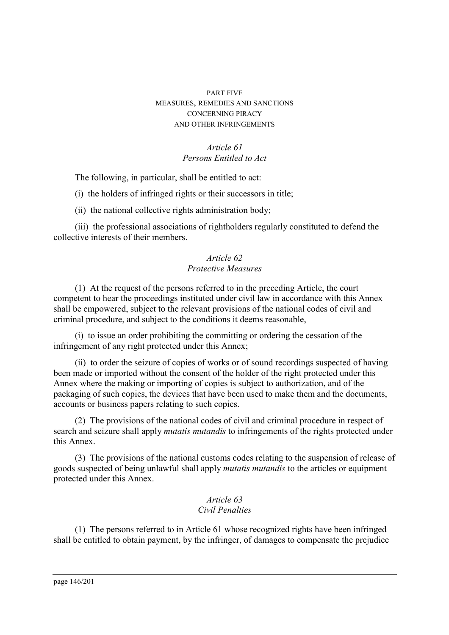### PART FIVE MEASURES, REMEDIES AND SANCTIONS CONCERNING PIRACY AND OTHER INFRINGEMENTS

# *Article 61 Persons Entitled to Act*

The following, in particular, shall be entitled to act:

(i)the holders of infringed rights or their successors in title;

(ii) the national collective rights administration body;

(iii) the professional associations of rightholders regularly constituted to defend the collective interests of their members.

# *Article 62 Protective Measures*

(1) At the request of the persons referred to in the preceding Article, the court competent to hear the proceedings instituted under civil law in accordance with this Annex shall be empowered, subject to the relevant provisions of the national codes of civil and criminal procedure, and subject to the conditions it deems reasonable,

(i)to issue an order prohibiting the committing or ordering the cessation of the infringement of any right protected under this Annex;

(ii) to order the seizure of copies of works or of sound recordings suspected of having been made or imported without the consent of the holder of the right protected under this Annex where the making or importing of copies is subject to authorization, and of the packaging of such copies, the devices that have been used to make them and the documents, accounts or business papers relating to such copies.

(2) The provisions of the national codes of civil and criminal procedure in respect of search and seizure shall apply *mutatis mutandis* to infringements of the rights protected under this Annex.

(3) The provisions of the national customs codes relating to the suspension of release of goods suspected of being unlawful shall apply *mutatis mutandis* to the articles or equipment protected under this Annex.

# *Article 63 Civil Penalties*

(1) The persons referred to in Article 61 whose recognized rights have been infringed shall be entitled to obtain payment, by the infringer, of damages to compensate the prejudice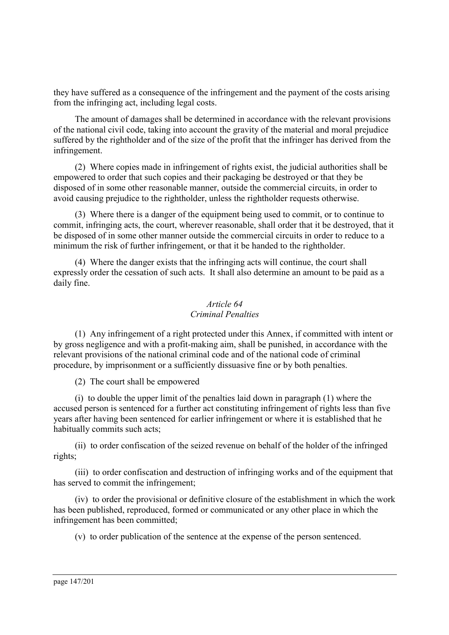they have suffered as a consequence of the infringement and the payment of the costs arising from the infringing act, including legal costs.

The amount of damages shall be determined in accordance with the relevant provisions of the national civil code, taking into account the gravity of the material and moral prejudice suffered by the rightholder and of the size of the profit that the infringer has derived from the infringement.

(2) Where copies made in infringement of rights exist, the judicial authorities shall be empowered to order that such copies and their packaging be destroyed or that they be disposed of in some other reasonable manner, outside the commercial circuits, in order to avoid causing prejudice to the rightholder, unless the rightholder requests otherwise.

(3) Where there is a danger of the equipment being used to commit, or to continue to commit, infringing acts, the court, wherever reasonable, shall order that it be destroyed, that it be disposed of in some other manner outside the commercial circuits in order to reduce to a minimum the risk of further infringement, or that it be handed to the rightholder.

(4) Where the danger exists that the infringing acts will continue, the court shall expressly order the cessation of such acts. It shall also determine an amount to be paid as a daily fine.

# *Article 64 Criminal Penalties*

(1) Any infringement of a right protected under this Annex, if committed with intent or by gross negligence and with a profit-making aim, shall be punished, in accordance with the relevant provisions of the national criminal code and of the national code of criminal procedure, by imprisonment or a sufficiently dissuasive fine or by both penalties.

(2) The court shall be empowered

(i)to double the upper limit of the penalties laid down in paragraph (1) where the accused person is sentenced for a further act constituting infringement of rights less than five years after having been sentenced for earlier infringement or where it is established that he habitually commits such acts;

(ii) to order confiscation of the seized revenue on behalf of the holder of the infringed rights;

(iii) to order confiscation and destruction of infringing works and of the equipment that has served to commit the infringement;

(iv) to order the provisional or definitive closure of the establishment in which the work has been published, reproduced, formed or communicated or any other place in which the infringement has been committed;

(v)to order publication of the sentence at the expense of the person sentenced.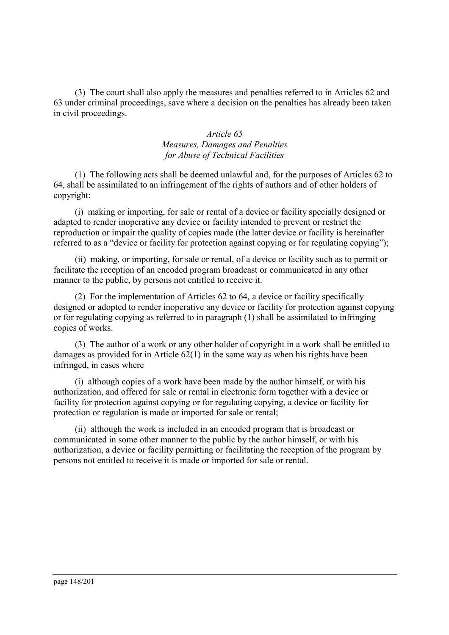(3) The court shall also apply the measures and penalties referred to in Articles 62 and 63 under criminal proceedings, save where a decision on the penalties has already been taken in civil proceedings.

# *Article 65 Measures, Damages and Penalties for Abuse of Technical Facilities*

(1) The following acts shall be deemed unlawful and, for the purposes of Articles 62 to 64, shall be assimilated to an infringement of the rights of authors and of other holders of copyright:

(i)making or importing, for sale or rental of a device or facility specially designed or adapted to render inoperative any device or facility intended to prevent or restrict the reproduction or impair the quality of copies made (the latter device or facility is hereinafter referred to as a "device or facility for protection against copying or for regulating copying");

(ii) making, or importing, for sale or rental, of a device or facility such as to permit or facilitate the reception of an encoded program broadcast or communicated in any other manner to the public, by persons not entitled to receive it.

(2) For the implementation of Articles 62 to 64, a device or facility specifically designed or adopted to render inoperative any device or facility for protection against copying or for regulating copying as referred to in paragraph (1) shall be assimilated to infringing copies of works.

(3) The author of a work or any other holder of copyright in a work shall be entitled to damages as provided for in Article 62(1) in the same way as when his rights have been infringed, in cases where

(i)although copies of a work have been made by the author himself, or with his authorization, and offered for sale or rental in electronic form together with a device or facility for protection against copying or for regulating copying, a device or facility for protection or regulation is made or imported for sale or rental;

(ii) although the work is included in an encoded program that is broadcast or communicated in some other manner to the public by the author himself, or with his authorization, a device or facility permitting or facilitating the reception of the program by persons not entitled to receive it is made or imported for sale or rental.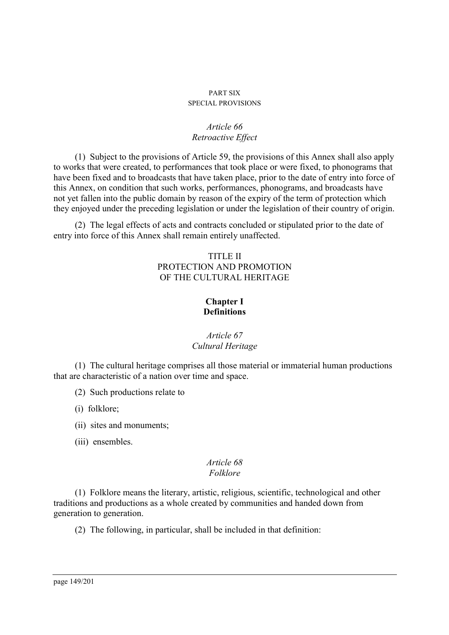#### PART SIX SPECIAL PROVISIONS

### *Article 66 Retroactive Effect*

(1) Subject to the provisions of Article 59, the provisions of this Annex shall also apply to works that were created, to performances that took place or were fixed, to phonograms that have been fixed and to broadcasts that have taken place, prior to the date of entry into force of this Annex, on condition that such works, performances, phonograms, and broadcasts have not yet fallen into the public domain by reason of the expiry of the term of protection which they enjoyed under the preceding legislation or under the legislation of their country of origin.

(2) The legal effects of acts and contracts concluded or stipulated prior to the date of entry into force of this Annex shall remain entirely unaffected.

# TITLE II PROTECTION AND PROMOTION OF THE CULTURAL HERITAGE

# **Chapter I Definitions**

# *Article 67 Cultural Heritage*

(1) The cultural heritage comprises all those material or immaterial human productions that are characteristic of a nation over time and space.

(2) Such productions relate to

(i)folklore;

(ii) sites and monuments;

(iii) ensembles.

#### *Article 68 Folklore*

(1) Folklore means the literary, artistic, religious, scientific, technological and other traditions and productions as a whole created by communities and handed down from generation to generation.

(2) The following, in particular, shall be included in that definition: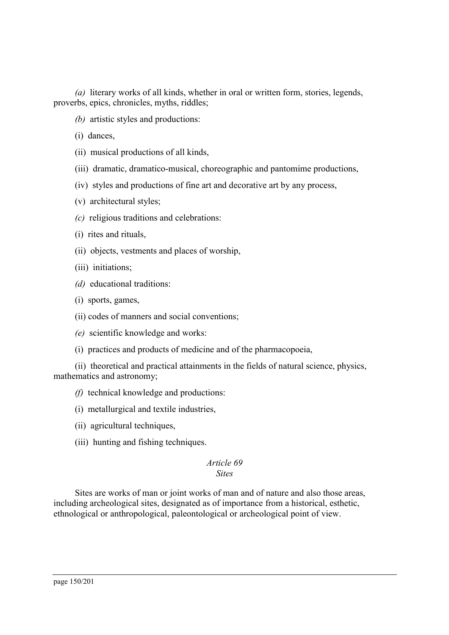*(a)* literary works of all kinds, whether in oral or written form, stories, legends, proverbs, epics, chronicles, myths, riddles;

*(b)* artistic styles and productions:

(i)dances,

- (ii) musical productions of all kinds,
- (iii) dramatic, dramatico-musical, choreographic and pantomime productions,
- (iv) styles and productions of fine art and decorative art by any process,
- (v)architectural styles;
- *(c)* religious traditions and celebrations:
- (i)rites and rituals,
- (ii) objects, vestments and places of worship,
- (iii) initiations;
- *(d)* educational traditions:
- (i)sports, games,
- (ii) codes of manners and social conventions;
- *(e)* scientific knowledge and works:
- (i)practices and products of medicine and of the pharmacopoeia,

(ii) theoretical and practical attainments in the fields of natural science, physics, mathematics and astronomy;

- *(f)* technical knowledge and productions:
- (i)metallurgical and textile industries,
- (ii) agricultural techniques,
- (iii) hunting and fishing techniques.

#### *Article 69 Sites*

Sites are works of man or joint works of man and of nature and also those areas, including archeological sites, designated as of importance from a historical, esthetic, ethnological or anthropological, paleontological or archeological point of view.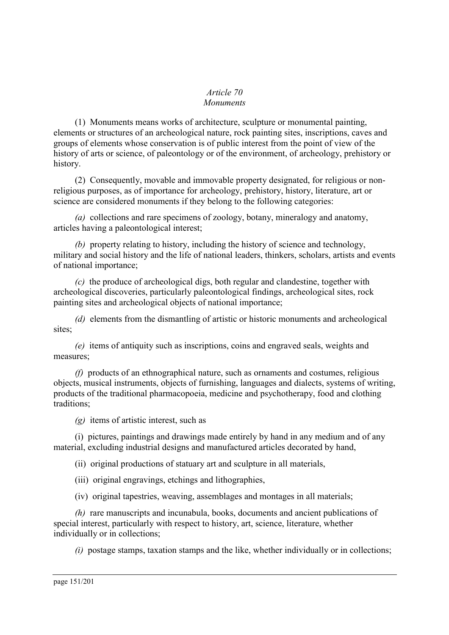#### *Article 70 Monuments*

(1) Monuments means works of architecture, sculpture or monumental painting, elements or structures of an archeological nature, rock painting sites, inscriptions, caves and groups of elements whose conservation is of public interest from the point of view of the history of arts or science, of paleontology or of the environment, of archeology, prehistory or history.

(2) Consequently, movable and immovable property designated, for religious or nonreligious purposes, as of importance for archeology, prehistory, history, literature, art or science are considered monuments if they belong to the following categories:

*(a)* collections and rare specimens of zoology, botany, mineralogy and anatomy, articles having a paleontological interest;

*(b)* property relating to history, including the history of science and technology, military and social history and the life of national leaders, thinkers, scholars, artists and events of national importance;

*(c)* the produce of archeological digs, both regular and clandestine, together with archeological discoveries, particularly paleontological findings, archeological sites, rock painting sites and archeological objects of national importance;

*(d)* elements from the dismantling of artistic or historic monuments and archeological sites;

*(e)* items of antiquity such as inscriptions, coins and engraved seals, weights and measures;

*(f)* products of an ethnographical nature, such as ornaments and costumes, religious objects, musical instruments, objects of furnishing, languages and dialects, systems of writing, products of the traditional pharmacopoeia, medicine and psychotherapy, food and clothing traditions;

*(g)* items of artistic interest, such as

(i)pictures, paintings and drawings made entirely by hand in any medium and of any material, excluding industrial designs and manufactured articles decorated by hand,

(ii) original productions of statuary art and sculpture in all materials,

(iii) original engravings, etchings and lithographies,

(iv) original tapestries, weaving, assemblages and montages in all materials;

*(h)* rare manuscripts and incunabula, books, documents and ancient publications of special interest, particularly with respect to history, art, science, literature, whether individually or in collections;

*(i)* postage stamps, taxation stamps and the like, whether individually or in collections;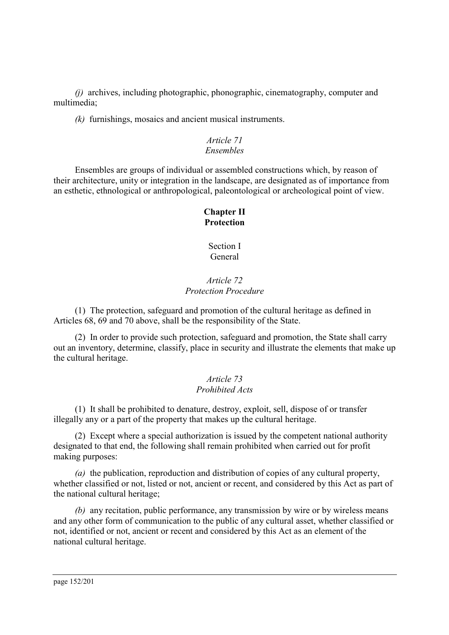*(j)* archives, including photographic, phonographic, cinematography, computer and multimedia;

*(k)* furnishings, mosaics and ancient musical instruments.

# *Article 71 Ensembles*

Ensembles are groups of individual or assembled constructions which, by reason of their architecture, unity or integration in the landscape, are designated as of importance from an esthetic, ethnological or anthropological, paleontological or archeological point of view.

# **Chapter II Protection**

Section I General

# *Article 72 Protection Procedure*

(1) The protection, safeguard and promotion of the cultural heritage as defined in Articles 68, 69 and 70 above, shall be the responsibility of the State.

(2) In order to provide such protection, safeguard and promotion, the State shall carry out an inventory, determine, classify, place in security and illustrate the elements that make up the cultural heritage.

# *Article 73 Prohibited Acts*

(1) It shall be prohibited to denature, destroy, exploit, sell, dispose of or transfer illegally any or a part of the property that makes up the cultural heritage.

(2) Except where a special authorization is issued by the competent national authority designated to that end, the following shall remain prohibited when carried out for profit making purposes:

*(a)* the publication, reproduction and distribution of copies of any cultural property, whether classified or not, listed or not, ancient or recent, and considered by this Act as part of the national cultural heritage;

*(b)* any recitation, public performance, any transmission by wire or by wireless means and any other form of communication to the public of any cultural asset, whether classified or not, identified or not, ancient or recent and considered by this Act as an element of the national cultural heritage.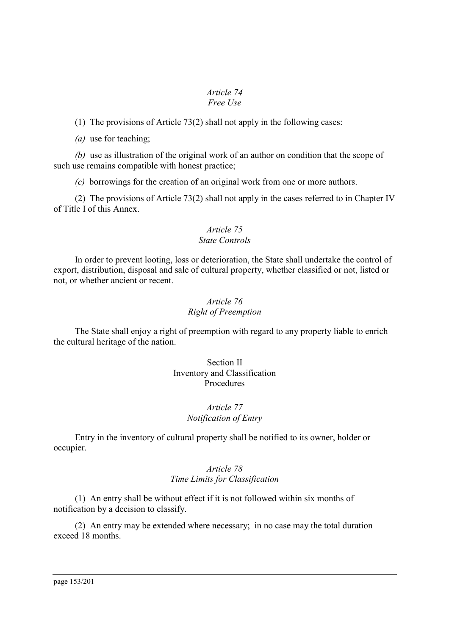#### *Article 74 Free Use*

(1) The provisions of Article 73(2) shall not apply in the following cases:

*(a)* use for teaching;

*(b)* use as illustration of the original work of an author on condition that the scope of such use remains compatible with honest practice;

*(c)* borrowings for the creation of an original work from one or more authors.

(2) The provisions of Article 73(2) shall not apply in the cases referred to in Chapter IV of Title I of this Annex.

### *Article 75 State Controls*

In order to prevent looting, loss or deterioration, the State shall undertake the control of export, distribution, disposal and sale of cultural property, whether classified or not, listed or not, or whether ancient or recent.

# *Article 76 Right of Preemption*

The State shall enjoy a right of preemption with regard to any property liable to enrich the cultural heritage of the nation.

### Section II Inventory and Classification Procedures

# *Article 77 Notification of Entry*

Entry in the inventory of cultural property shall be notified to its owner, holder or occupier.

# *Article 78 Time Limits for Classification*

(1) An entry shall be without effect if it is not followed within six months of notification by a decision to classify.

(2) An entry may be extended where necessary; in no case may the total duration exceed 18 months.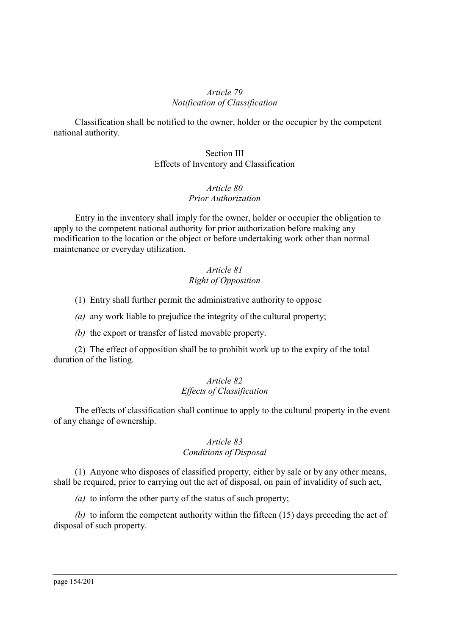#### *Article 79 Notification of Classification*

Classification shall be notified to the owner, holder or the occupier by the competent national authority.

### Section III Effects of Inventory and Classification

#### *Article 80 Prior Authorization*

Entry in the inventory shall imply for the owner, holder or occupier the obligation to apply to the competent national authority for prior authorization before making any modification to the location or the object or before undertaking work other than normal maintenance or everyday utilization.

# *Article 81 Right of Opposition*

(1) Entry shall further permit the administrative authority to oppose

*(a)* any work liable to prejudice the integrity of the cultural property;

*(b)* the export or transfer of listed movable property.

(2) The effect of opposition shall be to prohibit work up to the expiry of the total duration of the listing.

# *Article 82 Effects of Classification*

The effects of classification shall continue to apply to the cultural property in the event of any change of ownership.

### *Article 83 Conditions of Disposal*

(1) Anyone who disposes of classified property, either by sale or by any other means, shall be required, prior to carrying out the act of disposal, on pain of invalidity of such act,

*(a)* to inform the other party of the status of such property;

*(b)* to inform the competent authority within the fifteen (15) days preceding the act of disposal of such property.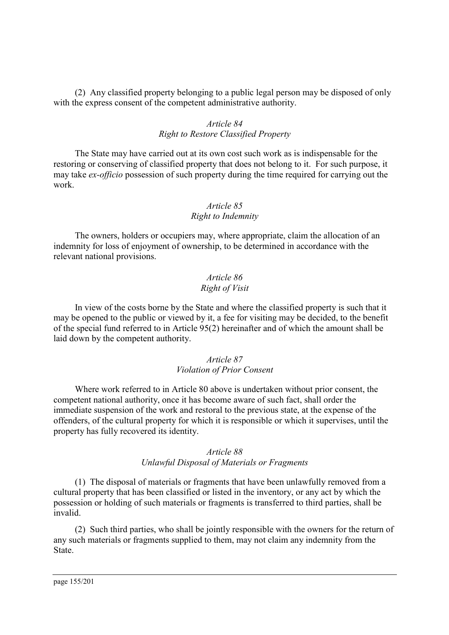(2) Any classified property belonging to a public legal person may be disposed of only with the express consent of the competent administrative authority.

# *Article 84 Right to Restore Classified Property*

The State may have carried out at its own cost such work as is indispensable for the restoring or conserving of classified property that does not belong to it. For such purpose, it may take *ex-officio* possession of such property during the time required for carrying out the work.

### *Article 85*

### *Right to Indemnity*

The owners, holders or occupiers may, where appropriate, claim the allocation of an indemnity for loss of enjoyment of ownership, to be determined in accordance with the relevant national provisions.

### *Article 86 Right of Visit*

In view of the costs borne by the State and where the classified property is such that it may be opened to the public or viewed by it, a fee for visiting may be decided, to the benefit of the special fund referred to in Article 95(2) hereinafter and of which the amount shall be laid down by the competent authority.

# *Article 87 Violation of Prior Consent*

Where work referred to in Article 80 above is undertaken without prior consent, the competent national authority, once it has become aware of such fact, shall order the immediate suspension of the work and restoral to the previous state, at the expense of the offenders, of the cultural property for which it is responsible or which it supervises, until the property has fully recovered its identity.

### *Article 88 Unlawful Disposal of Materials or Fragments*

(1) The disposal of materials or fragments that have been unlawfully removed from a cultural property that has been classified or listed in the inventory, or any act by which the possession or holding of such materials or fragments is transferred to third parties, shall be invalid.

(2) Such third parties, who shall be jointly responsible with the owners for the return of any such materials or fragments supplied to them, may not claim any indemnity from the State.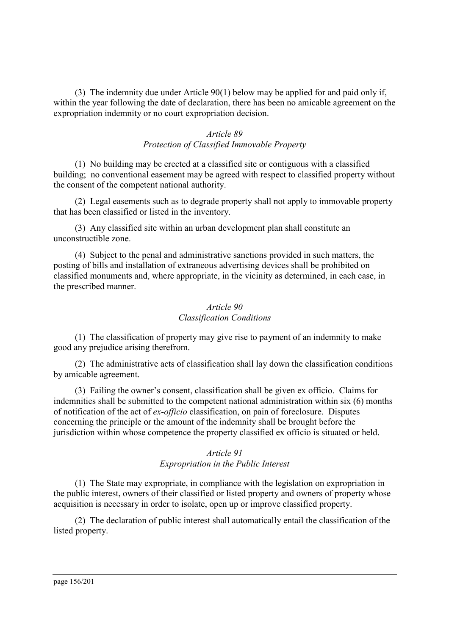(3) The indemnity due under Article 90(1) below may be applied for and paid only if, within the year following the date of declaration, there has been no amicable agreement on the expropriation indemnity or no court expropriation decision.

# *Article 89 Protection of Classified Immovable Property*

(1) No building may be erected at a classified site or contiguous with a classified building; no conventional easement may be agreed with respect to classified property without the consent of the competent national authority.

(2) Legal easements such as to degrade property shall not apply to immovable property that has been classified or listed in the inventory.

(3) Any classified site within an urban development plan shall constitute an unconstructible zone.

(4) Subject to the penal and administrative sanctions provided in such matters, the posting of bills and installation of extraneous advertising devices shall be prohibited on classified monuments and, where appropriate, in the vicinity as determined, in each case, in the prescribed manner.

# *Article 90 Classification Conditions*

(1) The classification of property may give rise to payment of an indemnity to make good any prejudice arising therefrom.

(2) The administrative acts of classification shall lay down the classification conditions by amicable agreement.

(3) Failing the owner's consent, classification shall be given ex officio. Claims for indemnities shall be submitted to the competent national administration within six (6) months of notification of the act of *ex-officio* classification, on pain of foreclosure. Disputes concerning the principle or the amount of the indemnity shall be brought before the jurisdiction within whose competence the property classified ex officio is situated or held.

# *Article 91 Expropriation in the Public Interest*

(1) The State may expropriate, in compliance with the legislation on expropriation in the public interest, owners of their classified or listed property and owners of property whose acquisition is necessary in order to isolate, open up or improve classified property.

(2) The declaration of public interest shall automatically entail the classification of the listed property.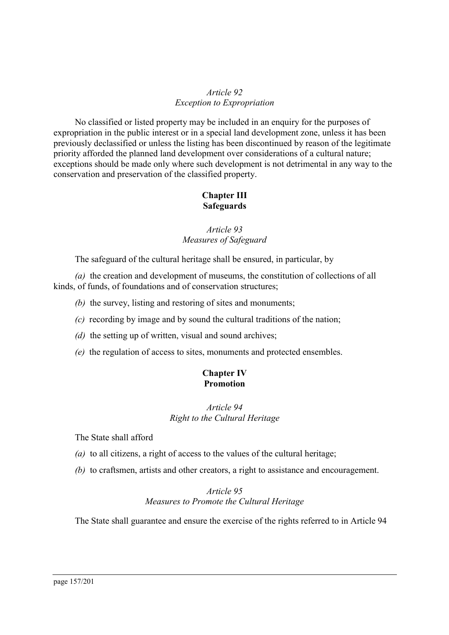# *Article 92 Exception to Expropriation*

No classified or listed property may be included in an enquiry for the purposes of expropriation in the public interest or in a special land development zone, unless it has been previously declassified or unless the listing has been discontinued by reason of the legitimate priority afforded the planned land development over considerations of a cultural nature; exceptions should be made only where such development is not detrimental in any way to the conservation and preservation of the classified property.

# **Chapter III Safeguards**

# *Article 93 Measures of Safeguard*

The safeguard of the cultural heritage shall be ensured, in particular, by

*(a)* the creation and development of museums, the constitution of collections of all kinds, of funds, of foundations and of conservation structures;

*(b)* the survey, listing and restoring of sites and monuments;

- *(c)* recording by image and by sound the cultural traditions of the nation;
- *(d)* the setting up of written, visual and sound archives;
- *(e)* the regulation of access to sites, monuments and protected ensembles.

# **Chapter IV Promotion**

# *Article 94 Right to the Cultural Heritage*

The State shall afford

- *(a)* to all citizens, a right of access to the values of the cultural heritage;
- *(b)* to craftsmen, artists and other creators, a right to assistance and encouragement.

# *Article 95 Measures to Promote the Cultural Heritage*

The State shall guarantee and ensure the exercise of the rights referred to in Article 94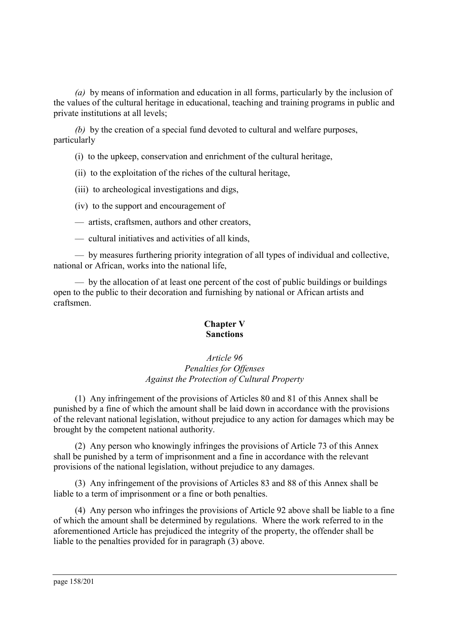*(a)* by means of information and education in all forms, particularly by the inclusion of the values of the cultural heritage in educational, teaching and training programs in public and private institutions at all levels;

*(b)* by the creation of a special fund devoted to cultural and welfare purposes, particularly

(i)to the upkeep, conservation and enrichment of the cultural heritage,

(ii) to the exploitation of the riches of the cultural heritage,

(iii) to archeological investigations and digs,

(iv) to the support and encouragement of

— artists, craftsmen, authors and other creators,

— cultural initiatives and activities of all kinds,

— by measures furthering priority integration of all types of individual and collective, national or African, works into the national life,

— by the allocation of at least one percent of the cost of public buildings or buildings open to the public to their decoration and furnishing by national or African artists and craftsmen.

### **Chapter V Sanctions**

### *Article 96 Penalties for Offenses Against the Protection of Cultural Property*

(1) Any infringement of the provisions of Articles 80 and 81 of this Annex shall be punished by a fine of which the amount shall be laid down in accordance with the provisions of the relevant national legislation, without prejudice to any action for damages which may be brought by the competent national authority.

(2) Any person who knowingly infringes the provisions of Article 73 of this Annex shall be punished by a term of imprisonment and a fine in accordance with the relevant provisions of the national legislation, without prejudice to any damages.

(3) Any infringement of the provisions of Articles 83 and 88 of this Annex shall be liable to a term of imprisonment or a fine or both penalties.

(4) Any person who infringes the provisions of Article 92 above shall be liable to a fine of which the amount shall be determined by regulations. Where the work referred to in the aforementioned Article has prejudiced the integrity of the property, the offender shall be liable to the penalties provided for in paragraph (3) above.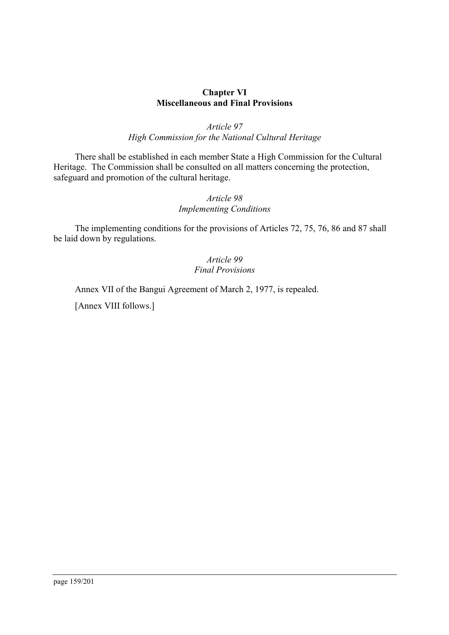### **Chapter VI Miscellaneous and Final Provisions**

# *Article 97 High Commission for the National Cultural Heritage*

There shall be established in each member State a High Commission for the Cultural Heritage. The Commission shall be consulted on all matters concerning the protection, safeguard and promotion of the cultural heritage.

# *Article 98 Implementing Conditions*

The implementing conditions for the provisions of Articles 72, 75, 76, 86 and 87 shall be laid down by regulations.

### *Article 99 Final Provisions*

Annex VII of the Bangui Agreement of March 2, 1977, is repealed.

[Annex VIII follows.]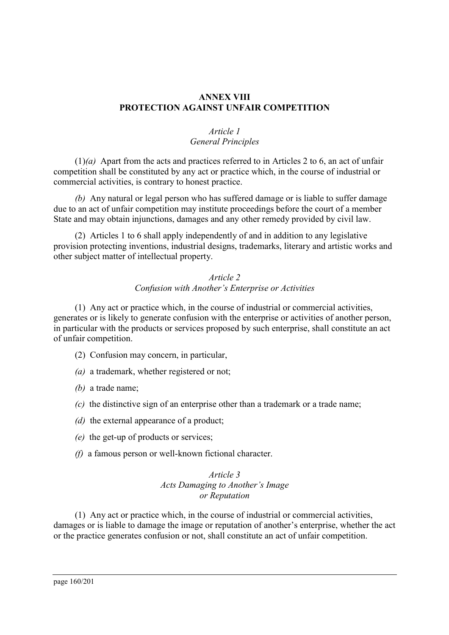# **ANNEX VIII PROTECTION AGAINST UNFAIR COMPETITION**

# *Article 1 General Principles*

(1)*(a)* Apart from the acts and practices referred to in Articles 2 to 6, an act of unfair competition shall be constituted by any act or practice which, in the course of industrial or commercial activities, is contrary to honest practice.

*(b)* Any natural or legal person who has suffered damage or is liable to suffer damage due to an act of unfair competition may institute proceedings before the court of a member State and may obtain injunctions, damages and any other remedy provided by civil law.

(2) Articles 1 to 6 shall apply independently of and in addition to any legislative provision protecting inventions, industrial designs, trademarks, literary and artistic works and other subject matter of intellectual property.

### *Article 2 Confusion with Another's Enterprise or Activities*

(1) Any act or practice which, in the course of industrial or commercial activities, generates or is likely to generate confusion with the enterprise or activities of another person, in particular with the products or services proposed by such enterprise, shall constitute an act of unfair competition.

- (2) Confusion may concern, in particular,
- *(a)* a trademark, whether registered or not;
- *(b)* a trade name;
- *(c)* the distinctive sign of an enterprise other than a trademark or a trade name;
- *(d)* the external appearance of a product;
- *(e)* the get-up of products or services;
- *(f)* a famous person or well-known fictional character.

### *Article 3 Acts Damaging to Another's Image or Reputation*

(1) Any act or practice which, in the course of industrial or commercial activities, damages or is liable to damage the image or reputation of another's enterprise, whether the act or the practice generates confusion or not, shall constitute an act of unfair competition.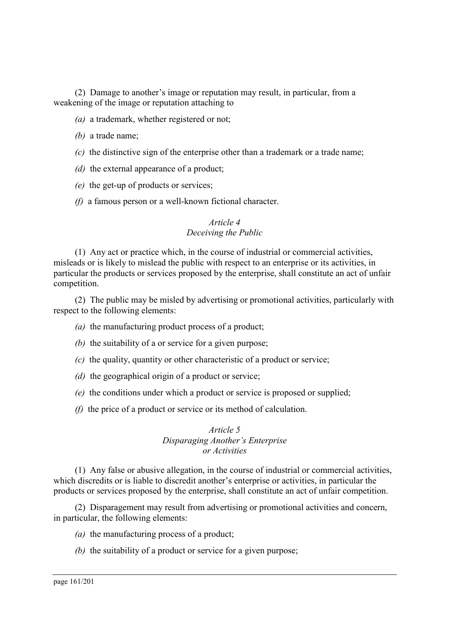(2) Damage to another's image or reputation may result, in particular, from a weakening of the image or reputation attaching to

- *(a)* a trademark, whether registered or not;
- *(b)* a trade name;
- *(c)* the distinctive sign of the enterprise other than a trademark or a trade name;
- *(d)* the external appearance of a product;
- *(e)* the get-up of products or services;
- *(f)* a famous person or a well-known fictional character.

# *Article 4 Deceiving the Public*

(1) Any act or practice which, in the course of industrial or commercial activities, misleads or is likely to mislead the public with respect to an enterprise or its activities, in particular the products or services proposed by the enterprise, shall constitute an act of unfair competition.

(2) The public may be misled by advertising or promotional activities, particularly with respect to the following elements:

- *(a)* the manufacturing product process of a product;
- *(b)* the suitability of a or service for a given purpose;
- *(c)* the quality, quantity or other characteristic of a product or service;
- *(d)* the geographical origin of a product or service;
- *(e)* the conditions under which a product or service is proposed or supplied;
- *(f)* the price of a product or service or its method of calculation.

### *Article 5 Disparaging Another's Enterprise or Activities*

(1) Any false or abusive allegation, in the course of industrial or commercial activities, which discredits or is liable to discredit another's enterprise or activities, in particular the products or services proposed by the enterprise, shall constitute an act of unfair competition.

(2) Disparagement may result from advertising or promotional activities and concern, in particular, the following elements:

- *(a)* the manufacturing process of a product;
- *(b)* the suitability of a product or service for a given purpose;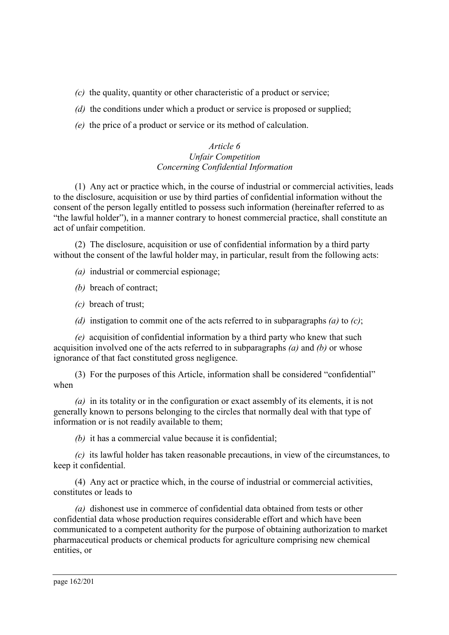- *(c)* the quality, quantity or other characteristic of a product or service;
- *(d)* the conditions under which a product or service is proposed or supplied;
- *(e)* the price of a product or service or its method of calculation.

# *Article 6 Unfair Competition Concerning Confidential Information*

(1) Any act or practice which, in the course of industrial or commercial activities, leads to the disclosure, acquisition or use by third parties of confidential information without the consent of the person legally entitled to possess such information (hereinafter referred to as "the lawful holder"), in a manner contrary to honest commercial practice, shall constitute an act of unfair competition.

(2) The disclosure, acquisition or use of confidential information by a third party without the consent of the lawful holder may, in particular, result from the following acts:

*(a)* industrial or commercial espionage;

*(b)* breach of contract;

- *(c)* breach of trust;
- *(d)* instigation to commit one of the acts referred to in subparagraphs *(a)* to *(c)*;

*(e)* acquisition of confidential information by a third party who knew that such acquisition involved one of the acts referred to in subparagraphs *(a)* and *(b)* or whose ignorance of that fact constituted gross negligence.

(3) For the purposes of this Article, information shall be considered "confidential" when

*(a)* in its totality or in the configuration or exact assembly of its elements, it is not generally known to persons belonging to the circles that normally deal with that type of information or is not readily available to them;

*(b)* it has a commercial value because it is confidential;

*(c)* its lawful holder has taken reasonable precautions, in view of the circumstances, to keep it confidential.

(4) Any act or practice which, in the course of industrial or commercial activities, constitutes or leads to

*(a)* dishonest use in commerce of confidential data obtained from tests or other confidential data whose production requires considerable effort and which have been communicated to a competent authority for the purpose of obtaining authorization to market pharmaceutical products or chemical products for agriculture comprising new chemical entities, or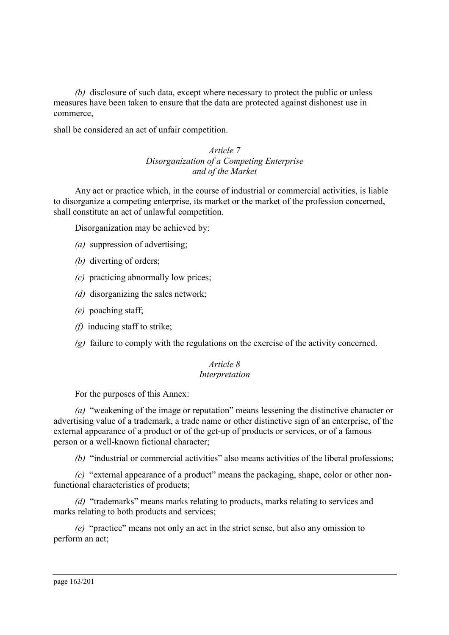*(b)* disclosure of such data, except where necessary to protect the public or unless measures have been taken to ensure that the data are protected against dishonest use in commerce,

shall be considered an act of unfair competition.

### *Article 7 Disorganization of a Competing Enterprise and of the Market*

Any act or practice which, in the course of industrial or commercial activities, is liable to disorganize a competing enterprise, its market or the market of the profession concerned, shall constitute an act of unlawful competition.

Disorganization may be achieved by:

- *(a)* suppression of advertising;
- *(b)* diverting of orders;
- *(c)* practicing abnormally low prices;
- *(d)* disorganizing the sales network;
- *(e)* poaching staff;
- *(f)* inducing staff to strike;
- *(g)* failure to comply with the regulations on the exercise of the activity concerned.

#### *Article 8 Interpretation*

For the purposes of this Annex:

*(a)* "weakening of the image or reputation" means lessening the distinctive character or advertising value of a trademark, a trade name or other distinctive sign of an enterprise, of the external appearance of a product or of the get-up of products or services, or of a famous person or a well-known fictional character;

*(b)* "industrial or commercial activities" also means activities of the liberal professions;

*(c)* "external appearance of a product" means the packaging, shape, color or other nonfunctional characteristics of products;

*(d)* "trademarks" means marks relating to products, marks relating to services and marks relating to both products and services;

*(e)* "practice" means not only an act in the strict sense, but also any omission to perform an act;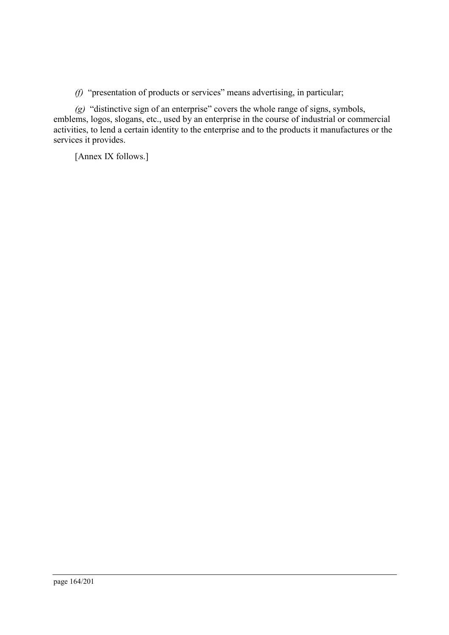*(f)* "presentation of products or services" means advertising, in particular;

*(g)* "distinctive sign of an enterprise" covers the whole range of signs, symbols, emblems, logos, slogans, etc., used by an enterprise in the course of industrial or commercial activities, to lend a certain identity to the enterprise and to the products it manufactures or the services it provides.

[Annex IX follows.]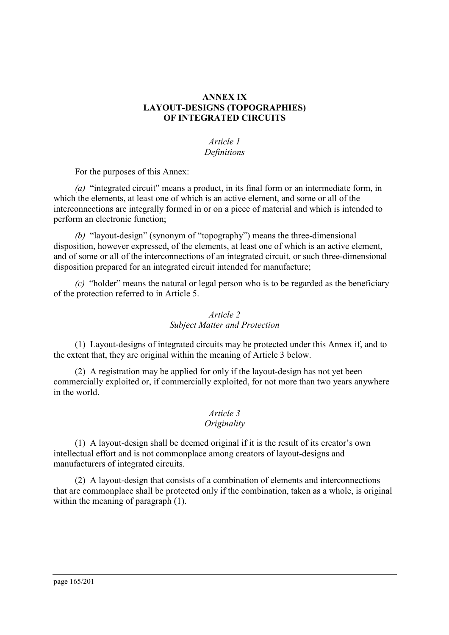# **ANNEX IX LAYOUT-DESIGNS (TOPOGRAPHIES) OF INTEGRATED CIRCUITS**

# *Article 1 Definitions*

For the purposes of this Annex:

*(a)* "integrated circuit" means a product, in its final form or an intermediate form, in which the elements, at least one of which is an active element, and some or all of the interconnections are integrally formed in or on a piece of material and which is intended to perform an electronic function;

*(b)* "layout-design" (synonym of "topography") means the three-dimensional disposition, however expressed, of the elements, at least one of which is an active element, and of some or all of the interconnections of an integrated circuit, or such three-dimensional disposition prepared for an integrated circuit intended for manufacture;

*(c)* "holder" means the natural or legal person who is to be regarded as the beneficiary of the protection referred to in Article 5.

# *Article 2 Subject Matter and Protection*

(1) Layout-designs of integrated circuits may be protected under this Annex if, and to the extent that, they are original within the meaning of Article 3 below.

(2) A registration may be applied for only if the layout-design has not yet been commercially exploited or, if commercially exploited, for not more than two years anywhere in the world.

# *Article 3*

# *Originality*

(1) A layout-design shall be deemed original if it is the result of its creator's own intellectual effort and is not commonplace among creators of layout-designs and manufacturers of integrated circuits.

(2) A layout-design that consists of a combination of elements and interconnections that are commonplace shall be protected only if the combination, taken as a whole, is original within the meaning of paragraph (1).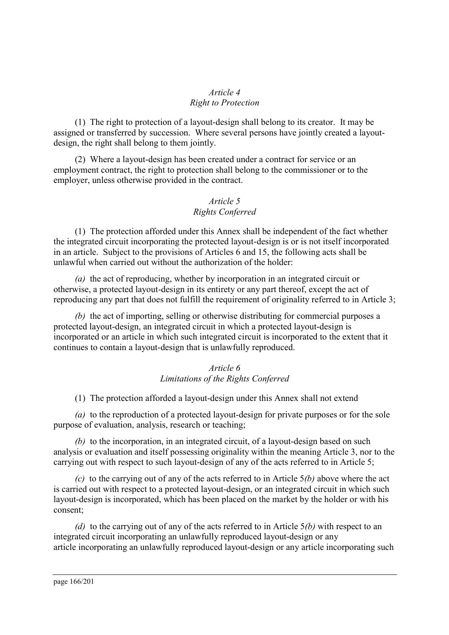# *Article 4 Right to Protection*

(1) The right to protection of a layout-design shall belong to its creator. It may be assigned or transferred by succession. Where several persons have jointly created a layoutdesign, the right shall belong to them jointly.

(2) Where a layout-design has been created under a contract for service or an employment contract, the right to protection shall belong to the commissioner or to the employer, unless otherwise provided in the contract.

# *Article 5 Rights Conferred*

(1) The protection afforded under this Annex shall be independent of the fact whether the integrated circuit incorporating the protected layout-design is or is not itself incorporated in an article. Subject to the provisions of Articles 6 and 15, the following acts shall be unlawful when carried out without the authorization of the holder:

*(a)* the act of reproducing, whether by incorporation in an integrated circuit or otherwise, a protected layout-design in its entirety or any part thereof, except the act of reproducing any part that does not fulfill the requirement of originality referred to in Article 3;

*(b)* the act of importing, selling or otherwise distributing for commercial purposes a protected layout-design, an integrated circuit in which a protected layout-design is incorporated or an article in which such integrated circuit is incorporated to the extent that it continues to contain a layout-design that is unlawfully reproduced.

# *Article 6 Limitations of the Rights Conferred*

(1) The protection afforded a layout-design under this Annex shall not extend

*(a)* to the reproduction of a protected layout-design for private purposes or for the sole purpose of evaluation, analysis, research or teaching;

*(b)* to the incorporation, in an integrated circuit, of a layout-design based on such analysis or evaluation and itself possessing originality within the meaning Article 3, nor to the carrying out with respect to such layout-design of any of the acts referred to in Article 5;

*(c)* to the carrying out of any of the acts referred to in Article 5*(b)* above where the act is carried out with respect to a protected layout-design, or an integrated circuit in which such layout-design is incorporated, which has been placed on the market by the holder or with his consent;

*(d)* to the carrying out of any of the acts referred to in Article 5*(b)* with respect to an integrated circuit incorporating an unlawfully reproduced layout-design or any article incorporating an unlawfully reproduced layout-design or any article incorporating such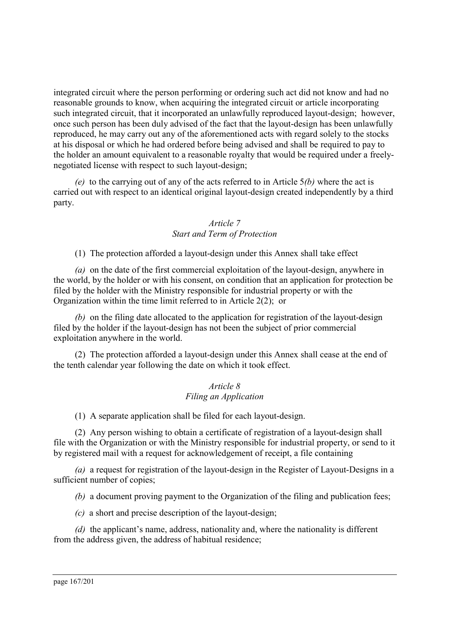integrated circuit where the person performing or ordering such act did not know and had no reasonable grounds to know, when acquiring the integrated circuit or article incorporating such integrated circuit, that it incorporated an unlawfully reproduced layout-design; however, once such person has been duly advised of the fact that the layout-design has been unlawfully reproduced, he may carry out any of the aforementioned acts with regard solely to the stocks at his disposal or which he had ordered before being advised and shall be required to pay to the holder an amount equivalent to a reasonable royalty that would be required under a freelynegotiated license with respect to such layout-design;

*(e)* to the carrying out of any of the acts referred to in Article 5*(b)* where the act is carried out with respect to an identical original layout-design created independently by a third party.

# *Article 7 Start and Term of Protection*

(1) The protection afforded a layout-design under this Annex shall take effect

*(a)* on the date of the first commercial exploitation of the layout-design, anywhere in the world, by the holder or with his consent, on condition that an application for protection be filed by the holder with the Ministry responsible for industrial property or with the Organization within the time limit referred to in Article 2(2); or

*(b)* on the filing date allocated to the application for registration of the layout-design filed by the holder if the layout-design has not been the subject of prior commercial exploitation anywhere in the world.

(2) The protection afforded a layout-design under this Annex shall cease at the end of the tenth calendar year following the date on which it took effect.

### *Article 8 Filing an Application*

(1) A separate application shall be filed for each layout-design.

(2) Any person wishing to obtain a certificate of registration of a layout-design shall file with the Organization or with the Ministry responsible for industrial property, or send to it by registered mail with a request for acknowledgement of receipt, a file containing

*(a)* a request for registration of the layout-design in the Register of Layout-Designs in a sufficient number of copies;

*(b)* a document proving payment to the Organization of the filing and publication fees;

*(c)* a short and precise description of the layout-design;

*(d)* the applicant's name, address, nationality and, where the nationality is different from the address given, the address of habitual residence;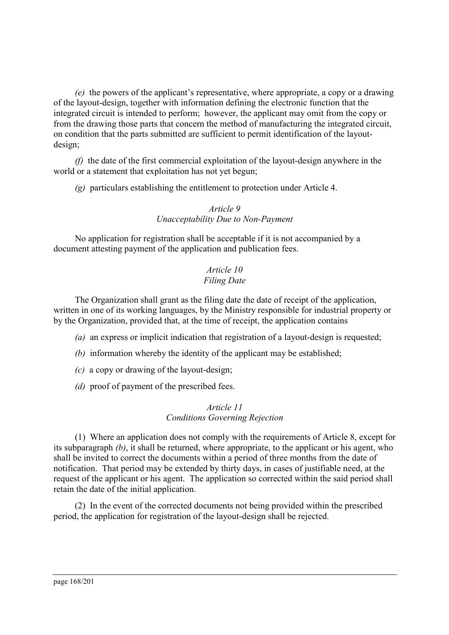*(e)* the powers of the applicant's representative, where appropriate, a copy or a drawing of the layout-design, together with information defining the electronic function that the integrated circuit is intended to perform; however, the applicant may omit from the copy or from the drawing those parts that concern the method of manufacturing the integrated circuit, on condition that the parts submitted are sufficient to permit identification of the layoutdesign;

*(f)* the date of the first commercial exploitation of the layout-design anywhere in the world or a statement that exploitation has not yet begun;

*(g)* particulars establishing the entitlement to protection under Article 4.

# *Article 9 Unacceptability Due to Non-Payment*

No application for registration shall be acceptable if it is not accompanied by a document attesting payment of the application and publication fees.

# *Article 10 Filing Date*

The Organization shall grant as the filing date the date of receipt of the application, written in one of its working languages, by the Ministry responsible for industrial property or by the Organization, provided that, at the time of receipt, the application contains

- *(a)* an express or implicit indication that registration of a layout-design is requested;
- *(b)* information whereby the identity of the applicant may be established:
- *(c)* a copy or drawing of the layout-design;
- *(d)* proof of payment of the prescribed fees.

### *Article 11 Conditions Governing Rejection*

(1) Where an application does not comply with the requirements of Article 8, except for its subparagraph *(b)*, it shall be returned, where appropriate, to the applicant or his agent, who shall be invited to correct the documents within a period of three months from the date of notification. That period may be extended by thirty days, in cases of justifiable need, at the request of the applicant or his agent. The application so corrected within the said period shall retain the date of the initial application.

(2) In the event of the corrected documents not being provided within the prescribed period, the application for registration of the layout-design shall be rejected.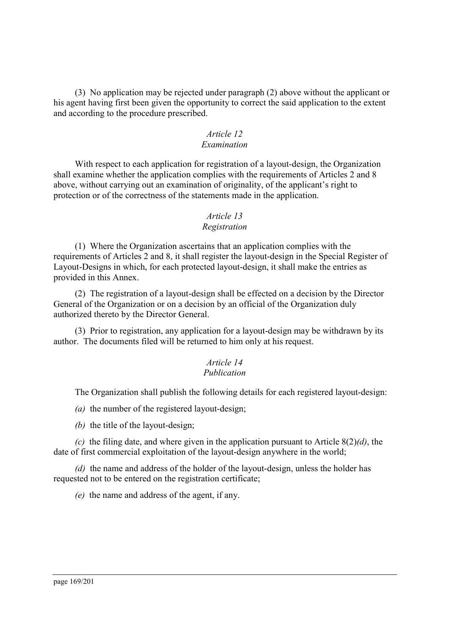(3) No application may be rejected under paragraph (2) above without the applicant or his agent having first been given the opportunity to correct the said application to the extent and according to the procedure prescribed.

# *Article 12*

# *Examination*

With respect to each application for registration of a layout-design, the Organization shall examine whether the application complies with the requirements of Articles 2 and 8 above, without carrying out an examination of originality, of the applicant's right to protection or of the correctness of the statements made in the application.

# *Article 13*

### *Registration*

(1) Where the Organization ascertains that an application complies with the requirements of Articles 2 and 8, it shall register the layout-design in the Special Register of Layout-Designs in which, for each protected layout-design, it shall make the entries as provided in this Annex.

(2) The registration of a layout-design shall be effected on a decision by the Director General of the Organization or on a decision by an official of the Organization duly authorized thereto by the Director General.

(3) Prior to registration, any application for a layout-design may be withdrawn by its author. The documents filed will be returned to him only at his request.

#### *Article 14 Publication*

The Organization shall publish the following details for each registered layout-design:

*(a)* the number of the registered layout-design;

*(b)* the title of the layout-design;

*(c)* the filing date, and where given in the application pursuant to Article 8(2)*(d)*, the date of first commercial exploitation of the layout-design anywhere in the world;

*(d)* the name and address of the holder of the layout-design, unless the holder has requested not to be entered on the registration certificate;

*(e)* the name and address of the agent, if any.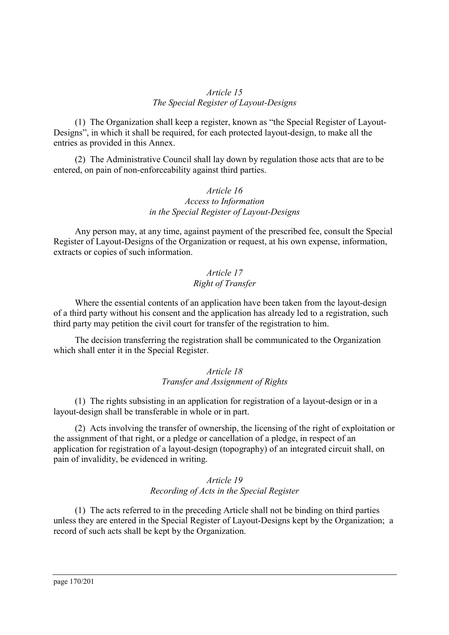# *Article 15 The Special Register of Layout-Designs*

(1) The Organization shall keep a register, known as "the Special Register of Layout-Designs", in which it shall be required, for each protected layout-design, to make all the entries as provided in this Annex.

(2) The Administrative Council shall lay down by regulation those acts that are to be entered, on pain of non-enforceability against third parties.

# *Article 16 Access to Information in the Special Register of Layout-Designs*

Any person may, at any time, against payment of the prescribed fee, consult the Special Register of Layout-Designs of the Organization or request, at his own expense, information, extracts or copies of such information.

# *Article 17 Right of Transfer*

Where the essential contents of an application have been taken from the layout-design of a third party without his consent and the application has already led to a registration, such third party may petition the civil court for transfer of the registration to him.

The decision transferring the registration shall be communicated to the Organization which shall enter it in the Special Register.

#### *Article 18 Transfer and Assignment of Rights*

(1) The rights subsisting in an application for registration of a layout-design or in a layout-design shall be transferable in whole or in part.

(2) Acts involving the transfer of ownership, the licensing of the right of exploitation or the assignment of that right, or a pledge or cancellation of a pledge, in respect of an application for registration of a layout-design (topography) of an integrated circuit shall, on pain of invalidity, be evidenced in writing.

# *Article 19 Recording of Acts in the Special Register*

(1) The acts referred to in the preceding Article shall not be binding on third parties unless they are entered in the Special Register of Layout-Designs kept by the Organization; a record of such acts shall be kept by the Organization.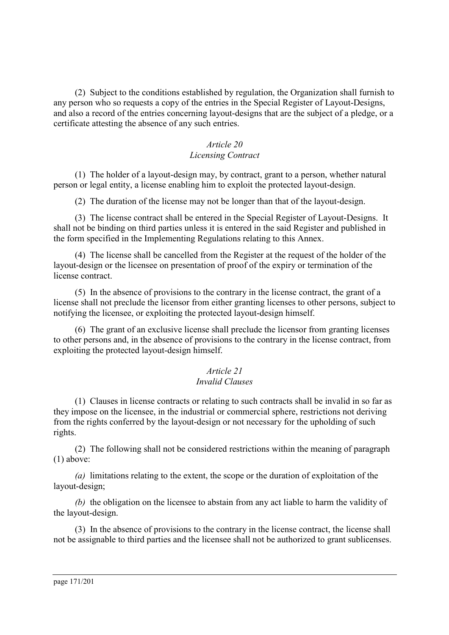(2) Subject to the conditions established by regulation, the Organization shall furnish to any person who so requests a copy of the entries in the Special Register of Layout-Designs, and also a record of the entries concerning layout-designs that are the subject of a pledge, or a certificate attesting the absence of any such entries.

### *Article 20 Licensing Contract*

(1) The holder of a layout-design may, by contract, grant to a person, whether natural person or legal entity, a license enabling him to exploit the protected layout-design.

(2) The duration of the license may not be longer than that of the layout-design.

(3) The license contract shall be entered in the Special Register of Layout-Designs. It shall not be binding on third parties unless it is entered in the said Register and published in the form specified in the Implementing Regulations relating to this Annex.

(4) The license shall be cancelled from the Register at the request of the holder of the layout-design or the licensee on presentation of proof of the expiry or termination of the license contract.

(5) In the absence of provisions to the contrary in the license contract, the grant of a license shall not preclude the licensor from either granting licenses to other persons, subject to notifying the licensee, or exploiting the protected layout-design himself.

(6) The grant of an exclusive license shall preclude the licensor from granting licenses to other persons and, in the absence of provisions to the contrary in the license contract, from exploiting the protected layout-design himself.

### *Article 21 Invalid Clauses*

(1) Clauses in license contracts or relating to such contracts shall be invalid in so far as they impose on the licensee, in the industrial or commercial sphere, restrictions not deriving from the rights conferred by the layout-design or not necessary for the upholding of such rights.

(2) The following shall not be considered restrictions within the meaning of paragraph (1) above:

*(a)* limitations relating to the extent, the scope or the duration of exploitation of the layout-design;

*(b)* the obligation on the licensee to abstain from any act liable to harm the validity of the layout-design.

(3) In the absence of provisions to the contrary in the license contract, the license shall not be assignable to third parties and the licensee shall not be authorized to grant sublicenses.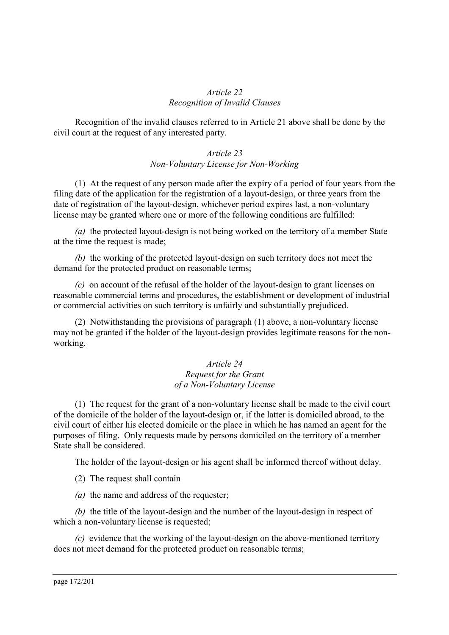### *Article 22 Recognition of Invalid Clauses*

Recognition of the invalid clauses referred to in Article 21 above shall be done by the civil court at the request of any interested party.

### *Article 23 Non-Voluntary License for Non-Working*

(1) At the request of any person made after the expiry of a period of four years from the filing date of the application for the registration of a layout-design, or three years from the date of registration of the layout-design, whichever period expires last, a non-voluntary license may be granted where one or more of the following conditions are fulfilled:

*(a)* the protected layout-design is not being worked on the territory of a member State at the time the request is made;

*(b)* the working of the protected layout-design on such territory does not meet the demand for the protected product on reasonable terms;

*(c)* on account of the refusal of the holder of the layout-design to grant licenses on reasonable commercial terms and procedures, the establishment or development of industrial or commercial activities on such territory is unfairly and substantially prejudiced.

(2) Notwithstanding the provisions of paragraph (1) above, a non-voluntary license may not be granted if the holder of the layout-design provides legitimate reasons for the nonworking.

### *Article 24 Request for the Grant of a Non-Voluntary License*

(1) The request for the grant of a non-voluntary license shall be made to the civil court of the domicile of the holder of the layout-design or, if the latter is domiciled abroad, to the civil court of either his elected domicile or the place in which he has named an agent for the purposes of filing. Only requests made by persons domiciled on the territory of a member State shall be considered.

The holder of the layout-design or his agent shall be informed thereof without delay.

(2) The request shall contain

*(a)* the name and address of the requester;

*(b)* the title of the layout-design and the number of the layout-design in respect of which a non-voluntary license is requested;

*(c)* evidence that the working of the layout-design on the above-mentioned territory does not meet demand for the protected product on reasonable terms;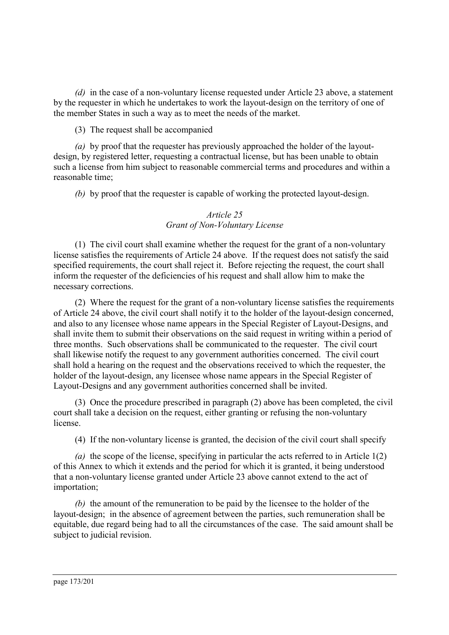*(d)* in the case of a non-voluntary license requested under Article 23 above, a statement by the requester in which he undertakes to work the layout-design on the territory of one of the member States in such a way as to meet the needs of the market.

(3) The request shall be accompanied

*(a)* by proof that the requester has previously approached the holder of the layoutdesign, by registered letter, requesting a contractual license, but has been unable to obtain such a license from him subject to reasonable commercial terms and procedures and within a reasonable time;

*(b)* by proof that the requester is capable of working the protected layout-design.

# *Article 25 Grant of Non-Voluntary License*

(1) The civil court shall examine whether the request for the grant of a non-voluntary license satisfies the requirements of Article 24 above. If the request does not satisfy the said specified requirements, the court shall reject it. Before rejecting the request, the court shall inform the requester of the deficiencies of his request and shall allow him to make the necessary corrections.

(2) Where the request for the grant of a non-voluntary license satisfies the requirements of Article 24 above, the civil court shall notify it to the holder of the layout-design concerned, and also to any licensee whose name appears in the Special Register of Layout-Designs, and shall invite them to submit their observations on the said request in writing within a period of three months. Such observations shall be communicated to the requester. The civil court shall likewise notify the request to any government authorities concerned. The civil court shall hold a hearing on the request and the observations received to which the requester, the holder of the layout-design, any licensee whose name appears in the Special Register of Layout-Designs and any government authorities concerned shall be invited.

(3) Once the procedure prescribed in paragraph (2) above has been completed, the civil court shall take a decision on the request, either granting or refusing the non-voluntary license.

(4) If the non-voluntary license is granted, the decision of the civil court shall specify

*(a)* the scope of the license, specifying in particular the acts referred to in Article 1(2) of this Annex to which it extends and the period for which it is granted, it being understood that a non-voluntary license granted under Article 23 above cannot extend to the act of importation;

*(b)* the amount of the remuneration to be paid by the licensee to the holder of the layout-design; in the absence of agreement between the parties, such remuneration shall be equitable, due regard being had to all the circumstances of the case. The said amount shall be subject to judicial revision.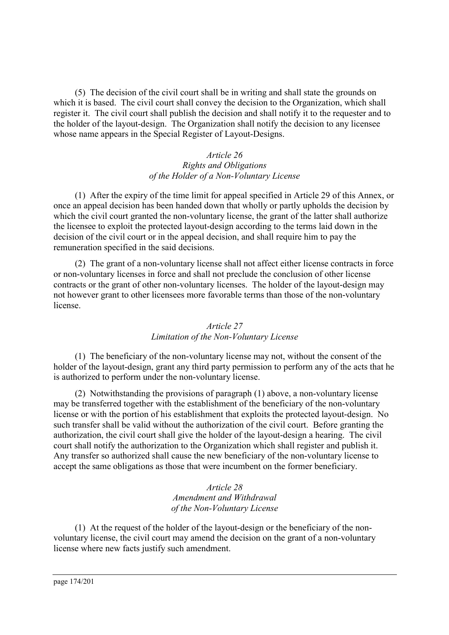(5) The decision of the civil court shall be in writing and shall state the grounds on which it is based. The civil court shall convey the decision to the Organization, which shall register it. The civil court shall publish the decision and shall notify it to the requester and to the holder of the layout-design. The Organization shall notify the decision to any licensee whose name appears in the Special Register of Layout-Designs.

### *Article 26 Rights and Obligations of the Holder of a Non-Voluntary License*

(1) After the expiry of the time limit for appeal specified in Article 29 of this Annex, or once an appeal decision has been handed down that wholly or partly upholds the decision by which the civil court granted the non-voluntary license, the grant of the latter shall authorize the licensee to exploit the protected layout-design according to the terms laid down in the decision of the civil court or in the appeal decision, and shall require him to pay the remuneration specified in the said decisions.

(2) The grant of a non-voluntary license shall not affect either license contracts in force or non-voluntary licenses in force and shall not preclude the conclusion of other license contracts or the grant of other non-voluntary licenses. The holder of the layout-design may not however grant to other licensees more favorable terms than those of the non-voluntary license.

# *Article 27 Limitation of the Non-Voluntary License*

(1) The beneficiary of the non-voluntary license may not, without the consent of the holder of the layout-design, grant any third party permission to perform any of the acts that he is authorized to perform under the non-voluntary license.

(2) Notwithstanding the provisions of paragraph (1) above, a non-voluntary license may be transferred together with the establishment of the beneficiary of the non-voluntary license or with the portion of his establishment that exploits the protected layout-design. No such transfer shall be valid without the authorization of the civil court. Before granting the authorization, the civil court shall give the holder of the layout-design a hearing. The civil court shall notify the authorization to the Organization which shall register and publish it. Any transfer so authorized shall cause the new beneficiary of the non-voluntary license to accept the same obligations as those that were incumbent on the former beneficiary.

> *Article 28 Amendment and Withdrawal of the Non-Voluntary License*

(1) At the request of the holder of the layout-design or the beneficiary of the nonvoluntary license, the civil court may amend the decision on the grant of a non-voluntary license where new facts justify such amendment.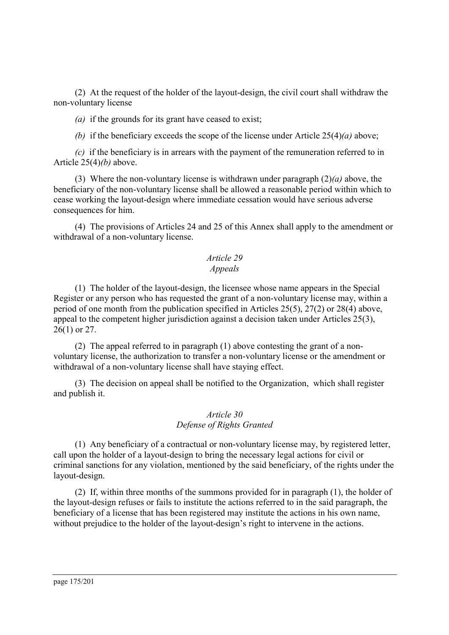(2) At the request of the holder of the layout-design, the civil court shall withdraw the non-voluntary license

*(a)* if the grounds for its grant have ceased to exist;

*(b)* if the beneficiary exceeds the scope of the license under Article 25(4)*(a)* above;

*(c)* if the beneficiary is in arrears with the payment of the remuneration referred to in Article 25(4)*(b)* above.

(3) Where the non-voluntary license is withdrawn under paragraph (2)*(a)* above, the beneficiary of the non-voluntary license shall be allowed a reasonable period within which to cease working the layout-design where immediate cessation would have serious adverse consequences for him.

(4) The provisions of Articles 24 and 25 of this Annex shall apply to the amendment or withdrawal of a non-voluntary license.

# *Article 29*

# *Appeals*

(1) The holder of the layout-design, the licensee whose name appears in the Special Register or any person who has requested the grant of a non-voluntary license may, within a period of one month from the publication specified in Articles 25(5), 27(2) or 28(4) above, appeal to the competent higher jurisdiction against a decision taken under Articles 25(3), 26(1) or 27.

(2) The appeal referred to in paragraph (1) above contesting the grant of a nonvoluntary license, the authorization to transfer a non-voluntary license or the amendment or withdrawal of a non-voluntary license shall have staying effect.

(3) The decision on appeal shall be notified to the Organization, which shall register and publish it.

### *Article 30 Defense of Rights Granted*

(1) Any beneficiary of a contractual or non-voluntary license may, by registered letter, call upon the holder of a layout-design to bring the necessary legal actions for civil or criminal sanctions for any violation, mentioned by the said beneficiary, of the rights under the layout-design.

(2) If, within three months of the summons provided for in paragraph (1), the holder of the layout-design refuses or fails to institute the actions referred to in the said paragraph, the beneficiary of a license that has been registered may institute the actions in his own name, without prejudice to the holder of the layout-design's right to intervene in the actions.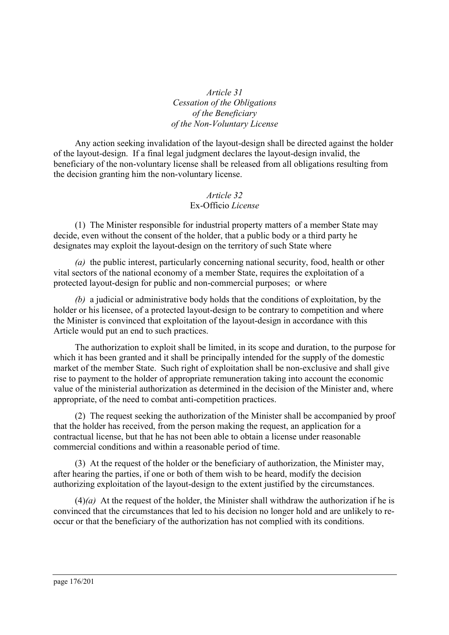# *Article 31 Cessation of the Obligations of the Beneficiary of the Non-Voluntary License*

Any action seeking invalidation of the layout-design shall be directed against the holder of the layout-design. If a final legal judgment declares the layout-design invalid, the beneficiary of the non-voluntary license shall be released from all obligations resulting from the decision granting him the non-voluntary license.

# *Article 32* Ex-Officio *License*

(1) The Minister responsible for industrial property matters of a member State may decide, even without the consent of the holder, that a public body or a third party he designates may exploit the layout-design on the territory of such State where

*(a)* the public interest, particularly concerning national security, food, health or other vital sectors of the national economy of a member State, requires the exploitation of a protected layout-design for public and non-commercial purposes; or where

*(b)* a judicial or administrative body holds that the conditions of exploitation, by the holder or his licensee, of a protected layout-design to be contrary to competition and where the Minister is convinced that exploitation of the layout-design in accordance with this Article would put an end to such practices.

The authorization to exploit shall be limited, in its scope and duration, to the purpose for which it has been granted and it shall be principally intended for the supply of the domestic market of the member State. Such right of exploitation shall be non-exclusive and shall give rise to payment to the holder of appropriate remuneration taking into account the economic value of the ministerial authorization as determined in the decision of the Minister and, where appropriate, of the need to combat anti-competition practices.

(2) The request seeking the authorization of the Minister shall be accompanied by proof that the holder has received, from the person making the request, an application for a contractual license, but that he has not been able to obtain a license under reasonable commercial conditions and within a reasonable period of time.

(3) At the request of the holder or the beneficiary of authorization, the Minister may, after hearing the parties, if one or both of them wish to be heard, modify the decision authorizing exploitation of the layout-design to the extent justified by the circumstances.

(4)*(a)* At the request of the holder, the Minister shall withdraw the authorization if he is convinced that the circumstances that led to his decision no longer hold and are unlikely to reoccur or that the beneficiary of the authorization has not complied with its conditions.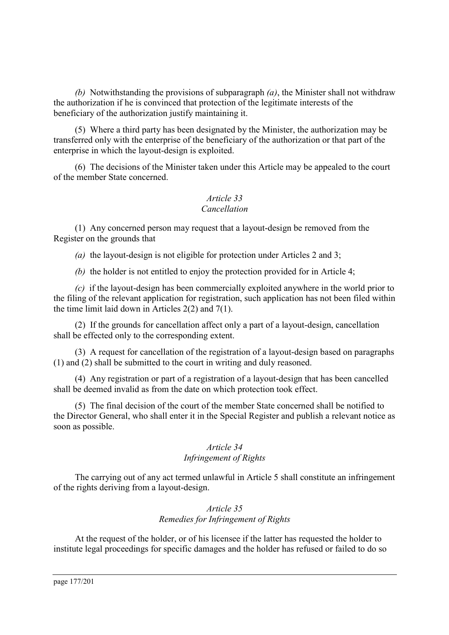*(b)* Notwithstanding the provisions of subparagraph *(a)*, the Minister shall not withdraw the authorization if he is convinced that protection of the legitimate interests of the beneficiary of the authorization justify maintaining it.

(5) Where a third party has been designated by the Minister, the authorization may be transferred only with the enterprise of the beneficiary of the authorization or that part of the enterprise in which the layout-design is exploited.

(6) The decisions of the Minister taken under this Article may be appealed to the court of the member State concerned.

# *Article 33 Cancellation*

(1) Any concerned person may request that a layout-design be removed from the Register on the grounds that

*(a)* the layout-design is not eligible for protection under Articles 2 and 3;

*(b)* the holder is not entitled to enjoy the protection provided for in Article 4;

*(c)* if the layout-design has been commercially exploited anywhere in the world prior to the filing of the relevant application for registration, such application has not been filed within the time limit laid down in Articles 2(2) and 7(1).

(2) If the grounds for cancellation affect only a part of a layout-design, cancellation shall be effected only to the corresponding extent.

(3) A request for cancellation of the registration of a layout-design based on paragraphs (1) and (2) shall be submitted to the court in writing and duly reasoned.

(4) Any registration or part of a registration of a layout-design that has been cancelled shall be deemed invalid as from the date on which protection took effect.

(5) The final decision of the court of the member State concerned shall be notified to the Director General, who shall enter it in the Special Register and publish a relevant notice as soon as possible.

# *Article 34 Infringement of Rights*

The carrying out of any act termed unlawful in Article 5 shall constitute an infringement of the rights deriving from a layout-design.

# *Article 35 Remedies for Infringement of Rights*

At the request of the holder, or of his licensee if the latter has requested the holder to institute legal proceedings for specific damages and the holder has refused or failed to do so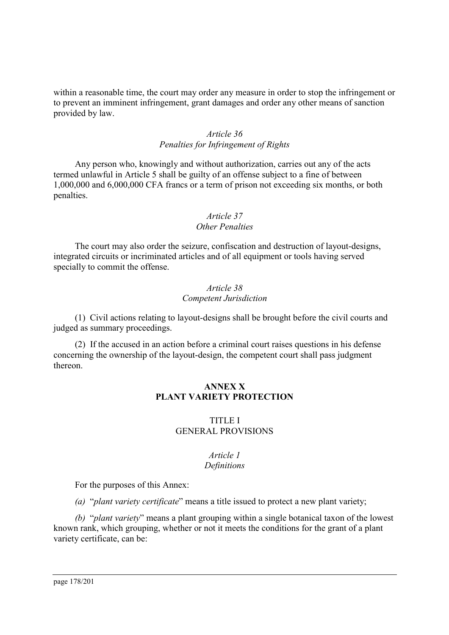within a reasonable time, the court may order any measure in order to stop the infringement or to prevent an imminent infringement, grant damages and order any other means of sanction provided by law.

### *Article 36 Penalties for Infringement of Rights*

Any person who, knowingly and without authorization, carries out any of the acts termed unlawful in Article 5 shall be guilty of an offense subject to a fine of between 1,000,000 and 6,000,000 CFA francs or a term of prison not exceeding six months, or both penalties.

#### *Article 37 Other Penalties*

The court may also order the seizure, confiscation and destruction of layout-designs, integrated circuits or incriminated articles and of all equipment or tools having served specially to commit the offense.

### *Article 38 Competent Jurisdiction*

(1) Civil actions relating to layout-designs shall be brought before the civil courts and judged as summary proceedings.

(2) If the accused in an action before a criminal court raises questions in his defense concerning the ownership of the layout-design, the competent court shall pass judgment thereon.

### **ANNEX X PLANT VARIETY PROTECTION**

### TITLE I GENERAL PROVISIONS

#### *Article 1 Definitions*

For the purposes of this Annex:

*(a)* "*plant variety certificate*" means a title issued to protect a new plant variety;

*(b)* "*plant variety*" means a plant grouping within a single botanical taxon of the lowest known rank, which grouping, whether or not it meets the conditions for the grant of a plant variety certificate, can be: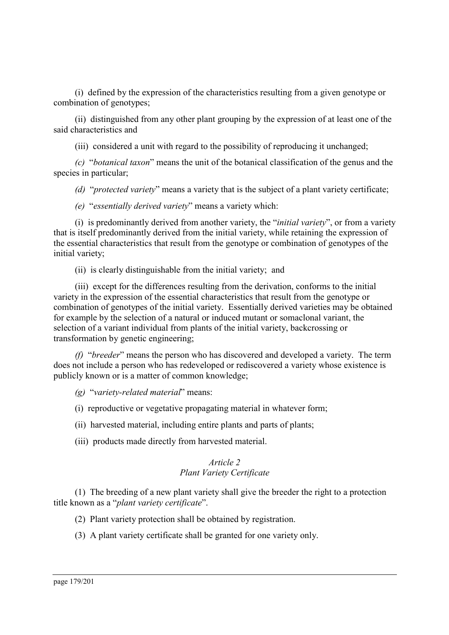(i) defined by the expression of the characteristics resulting from a given genotype or combination of genotypes;

(ii) distinguished from any other plant grouping by the expression of at least one of the said characteristics and

(iii) considered a unit with regard to the possibility of reproducing it unchanged;

*(c)* "*botanical taxon*" means the unit of the botanical classification of the genus and the species in particular;

*(d)* "*protected variety*" means a variety that is the subject of a plant variety certificate;

*(e)* "*essentially derived variety*" means a variety which:

(i) is predominantly derived from another variety, the "*initial variety*", or from a variety that is itself predominantly derived from the initial variety, while retaining the expression of the essential characteristics that result from the genotype or combination of genotypes of the initial variety;

(ii) is clearly distinguishable from the initial variety; and

(iii) except for the differences resulting from the derivation, conforms to the initial variety in the expression of the essential characteristics that result from the genotype or combination of genotypes of the initial variety. Essentially derived varieties may be obtained for example by the selection of a natural or induced mutant or somaclonal variant, the selection of a variant individual from plants of the initial variety, backcrossing or transformation by genetic engineering;

*(f)* "*breeder*" means the person who has discovered and developed a variety. The term does not include a person who has redeveloped or rediscovered a variety whose existence is publicly known or is a matter of common knowledge;

*(g)* "*variety-related material*" means:

(i) reproductive or vegetative propagating material in whatever form;

(ii) harvested material, including entire plants and parts of plants;

(iii) products made directly from harvested material.

# *Article 2 Plant Variety Certificate*

(1) The breeding of a new plant variety shall give the breeder the right to a protection title known as a "*plant variety certificate*".

(2) Plant variety protection shall be obtained by registration.

(3) A plant variety certificate shall be granted for one variety only.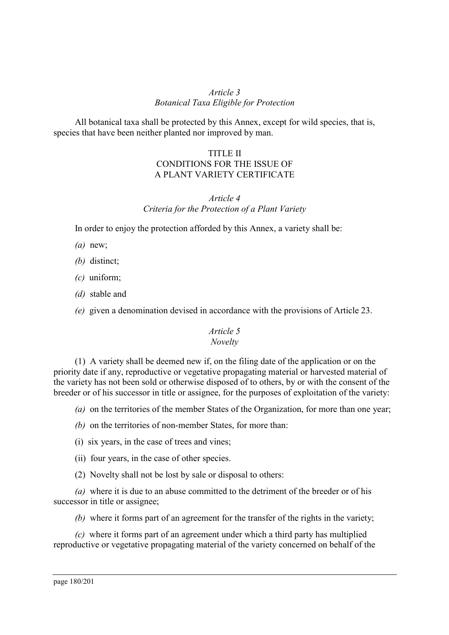### *Article 3 Botanical Taxa Eligible for Protection*

All botanical taxa shall be protected by this Annex, except for wild species, that is, species that have been neither planted nor improved by man.

# TITLE II CONDITIONS FOR THE ISSUE OF A PLANT VARIETY CERTIFICATE

# *Article 4 Criteria for the Protection of a Plant Variety*

In order to enjoy the protection afforded by this Annex, a variety shall be:

- *(a)* new;
- *(b)* distinct;
- *(c)* uniform;
- *(d)* stable and
- *(e)* given a denomination devised in accordance with the provisions of Article 23.

# *Article 5*

### *Novelty*

(1) A variety shall be deemed new if, on the filing date of the application or on the priority date if any, reproductive or vegetative propagating material or harvested material of the variety has not been sold or otherwise disposed of to others, by or with the consent of the breeder or of his successor in title or assignee, for the purposes of exploitation of the variety:

- *(a)* on the territories of the member States of the Organization, for more than one year;
- *(b)* on the territories of non-member States, for more than:
- (i) six years, in the case of trees and vines;
- (ii) four years, in the case of other species.
- (2) Novelty shall not be lost by sale or disposal to others:

*(a)* where it is due to an abuse committed to the detriment of the breeder or of his successor in title or assignee;

*(b)* where it forms part of an agreement for the transfer of the rights in the variety;

*(c)* where it forms part of an agreement under which a third party has multiplied reproductive or vegetative propagating material of the variety concerned on behalf of the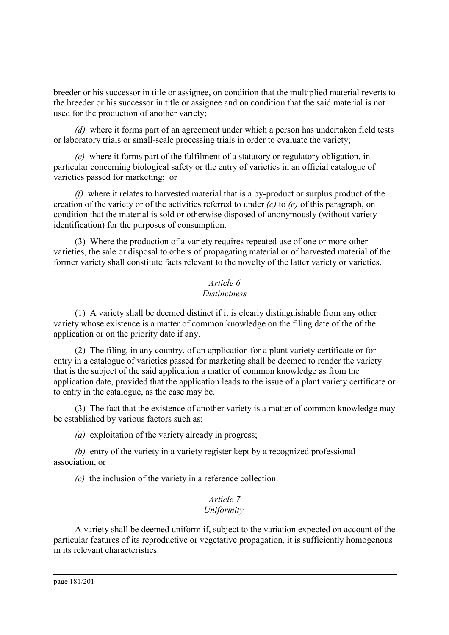breeder or his successor in title or assignee, on condition that the multiplied material reverts to the breeder or his successor in title or assignee and on condition that the said material is not used for the production of another variety;

*(d)* where it forms part of an agreement under which a person has undertaken field tests or laboratory trials or small-scale processing trials in order to evaluate the variety;

*(e)* where it forms part of the fulfilment of a statutory or regulatory obligation, in particular concerning biological safety or the entry of varieties in an official catalogue of varieties passed for marketing; or

*(f)* where it relates to harvested material that is a by-product or surplus product of the creation of the variety or of the activities referred to under *(c)* to *(e)* of this paragraph, on condition that the material is sold or otherwise disposed of anonymously (without variety identification) for the purposes of consumption.

(3) Where the production of a variety requires repeated use of one or more other varieties, the sale or disposal to others of propagating material or of harvested material of the former variety shall constitute facts relevant to the novelty of the latter variety or varieties.

## *Article 6 Distinctness*

(1) A variety shall be deemed distinct if it is clearly distinguishable from any other variety whose existence is a matter of common knowledge on the filing date of the of the application or on the priority date if any.

(2) The filing, in any country, of an application for a plant variety certificate or for entry in a catalogue of varieties passed for marketing shall be deemed to render the variety that is the subject of the said application a matter of common knowledge as from the application date, provided that the application leads to the issue of a plant variety certificate or to entry in the catalogue, as the case may be.

(3) The fact that the existence of another variety is a matter of common knowledge may be established by various factors such as:

*(a)* exploitation of the variety already in progress;

*(b)* entry of the variety in a variety register kept by a recognized professional association, or

*(c)* the inclusion of the variety in a reference collection.

#### *Article 7 Uniformity*

A variety shall be deemed uniform if, subject to the variation expected on account of the particular features of its reproductive or vegetative propagation, it is sufficiently homogenous in its relevant characteristics.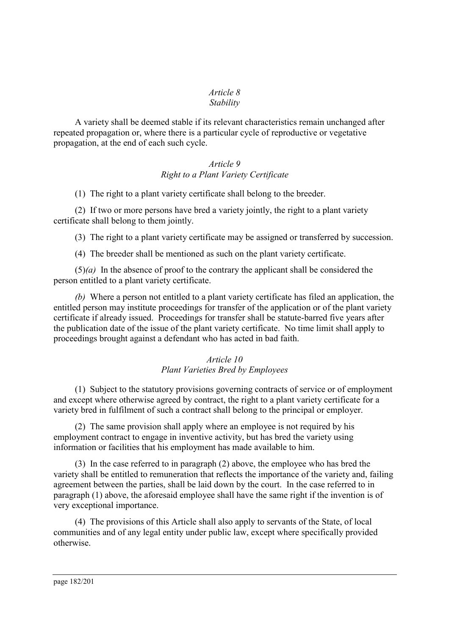#### *Article 8 Stability*

A variety shall be deemed stable if its relevant characteristics remain unchanged after repeated propagation or, where there is a particular cycle of reproductive or vegetative propagation, at the end of each such cycle.

## *Article 9 Right to a Plant Variety Certificate*

(1) The right to a plant variety certificate shall belong to the breeder.

(2) If two or more persons have bred a variety jointly, the right to a plant variety certificate shall belong to them jointly.

(3) The right to a plant variety certificate may be assigned or transferred by succession.

(4) The breeder shall be mentioned as such on the plant variety certificate.

(5)*(a)* In the absence of proof to the contrary the applicant shall be considered the person entitled to a plant variety certificate.

*(b)* Where a person not entitled to a plant variety certificate has filed an application, the entitled person may institute proceedings for transfer of the application or of the plant variety certificate if already issued. Proceedings for transfer shall be statute-barred five years after the publication date of the issue of the plant variety certificate. No time limit shall apply to proceedings brought against a defendant who has acted in bad faith.

## *Article 10 Plant Varieties Bred by Employees*

(1) Subject to the statutory provisions governing contracts of service or of employment and except where otherwise agreed by contract, the right to a plant variety certificate for a variety bred in fulfilment of such a contract shall belong to the principal or employer.

(2) The same provision shall apply where an employee is not required by his employment contract to engage in inventive activity, but has bred the variety using information or facilities that his employment has made available to him.

(3) In the case referred to in paragraph (2) above, the employee who has bred the variety shall be entitled to remuneration that reflects the importance of the variety and, failing agreement between the parties, shall be laid down by the court. In the case referred to in paragraph (1) above, the aforesaid employee shall have the same right if the invention is of very exceptional importance.

(4) The provisions of this Article shall also apply to servants of the State, of local communities and of any legal entity under public law, except where specifically provided otherwise.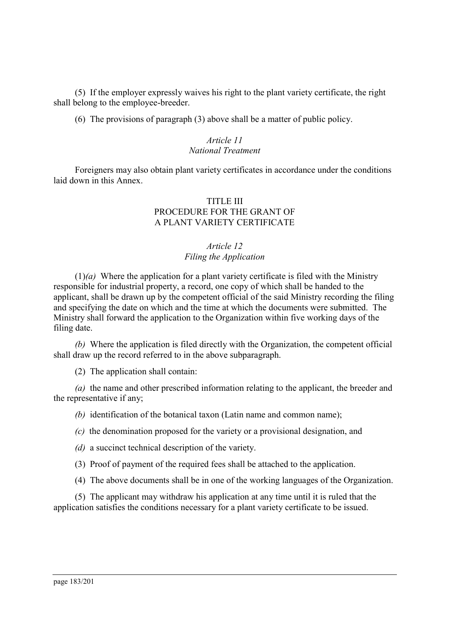(5) If the employer expressly waives his right to the plant variety certificate, the right shall belong to the employee-breeder.

(6) The provisions of paragraph (3) above shall be a matter of public policy.

#### *Article 11 National Treatment*

Foreigners may also obtain plant variety certificates in accordance under the conditions laid down in this Annex.

#### TITLE III PROCEDURE FOR THE GRANT OF A PLANT VARIETY CERTIFICATE

#### *Article 12 Filing the Application*

(1)*(a)* Where the application for a plant variety certificate is filed with the Ministry responsible for industrial property, a record, one copy of which shall be handed to the applicant, shall be drawn up by the competent official of the said Ministry recording the filing and specifying the date on which and the time at which the documents were submitted. The Ministry shall forward the application to the Organization within five working days of the filing date.

*(b)* Where the application is filed directly with the Organization, the competent official shall draw up the record referred to in the above subparagraph.

(2) The application shall contain:

*(a)* the name and other prescribed information relating to the applicant, the breeder and the representative if any;

*(b)* identification of the botanical taxon (Latin name and common name);

*(c)* the denomination proposed for the variety or a provisional designation, and

*(d)* a succinct technical description of the variety.

(3) Proof of payment of the required fees shall be attached to the application.

(4) The above documents shall be in one of the working languages of the Organization.

(5) The applicant may withdraw his application at any time until it is ruled that the application satisfies the conditions necessary for a plant variety certificate to be issued.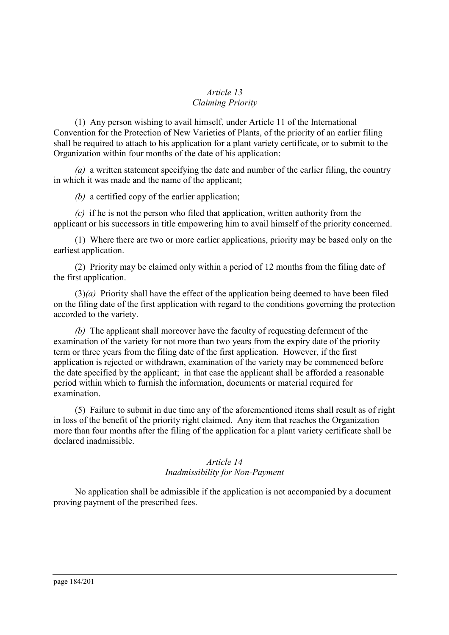## *Article 13 Claiming Priority*

(1) Any person wishing to avail himself, under Article 11 of the International Convention for the Protection of New Varieties of Plants, of the priority of an earlier filing shall be required to attach to his application for a plant variety certificate, or to submit to the Organization within four months of the date of his application:

*(a)* a written statement specifying the date and number of the earlier filing, the country in which it was made and the name of the applicant;

*(b)* a certified copy of the earlier application;

*(c)* if he is not the person who filed that application, written authority from the applicant or his successors in title empowering him to avail himself of the priority concerned.

(1) Where there are two or more earlier applications, priority may be based only on the earliest application.

(2) Priority may be claimed only within a period of 12 months from the filing date of the first application.

(3)*(a)* Priority shall have the effect of the application being deemed to have been filed on the filing date of the first application with regard to the conditions governing the protection accorded to the variety.

*(b)* The applicant shall moreover have the faculty of requesting deferment of the examination of the variety for not more than two years from the expiry date of the priority term or three years from the filing date of the first application. However, if the first application is rejected or withdrawn, examination of the variety may be commenced before the date specified by the applicant; in that case the applicant shall be afforded a reasonable period within which to furnish the information, documents or material required for examination.

(5) Failure to submit in due time any of the aforementioned items shall result as of right in loss of the benefit of the priority right claimed. Any item that reaches the Organization more than four months after the filing of the application for a plant variety certificate shall be declared inadmissible.

## *Article 14 Inadmissibility for Non-Payment*

No application shall be admissible if the application is not accompanied by a document proving payment of the prescribed fees.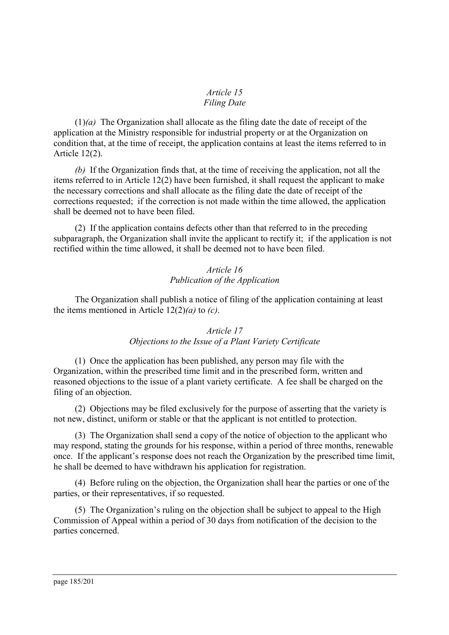#### *Article 15 Filing Date*

(1)*(a)* The Organization shall allocate as the filing date the date of receipt of the application at the Ministry responsible for industrial property or at the Organization on condition that, at the time of receipt, the application contains at least the items referred to in Article 12(2).

*(b)* If the Organization finds that, at the time of receiving the application, not all the items referred to in Article 12(2) have been furnished, it shall request the applicant to make the necessary corrections and shall allocate as the filing date the date of receipt of the corrections requested; if the correction is not made within the time allowed, the application shall be deemed not to have been filed.

(2) If the application contains defects other than that referred to in the preceding subparagraph, the Organization shall invite the applicant to rectify it; if the application is not rectified within the time allowed, it shall be deemed not to have been filed.

# *Article 16 Publication of the Application*

The Organization shall publish a notice of filing of the application containing at least the items mentioned in Article 12(2)*(a)* to *(c)*.

# *Article 17 Objections to the Issue of a Plant Variety Certificate*

(1) Once the application has been published, any person may file with the Organization, within the prescribed time limit and in the prescribed form, written and reasoned objections to the issue of a plant variety certificate. A fee shall be charged on the filing of an objection.

(2) Objections may be filed exclusively for the purpose of asserting that the variety is not new, distinct, uniform or stable or that the applicant is not entitled to protection.

(3) The Organization shall send a copy of the notice of objection to the applicant who may respond, stating the grounds for his response, within a period of three months, renewable once. If the applicant's response does not reach the Organization by the prescribed time limit, he shall be deemed to have withdrawn his application for registration.

(4) Before ruling on the objection, the Organization shall hear the parties or one of the parties, or their representatives, if so requested.

(5) The Organization's ruling on the objection shall be subject to appeal to the High Commission of Appeal within a period of 30 days from notification of the decision to the parties concerned.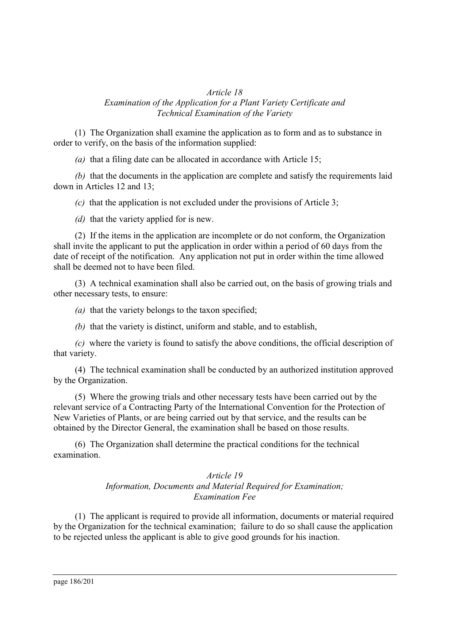#### *Article 18 Examination of the Application for a Plant Variety Certificate and Technical Examination of the Variety*

(1) The Organization shall examine the application as to form and as to substance in order to verify, on the basis of the information supplied:

*(a)* that a filing date can be allocated in accordance with Article 15;

*(b)* that the documents in the application are complete and satisfy the requirements laid down in Articles 12 and 13;

*(c)* that the application is not excluded under the provisions of Article 3;

*(d)* that the variety applied for is new.

(2) If the items in the application are incomplete or do not conform, the Organization shall invite the applicant to put the application in order within a period of 60 days from the date of receipt of the notification. Any application not put in order within the time allowed shall be deemed not to have been filed.

(3) A technical examination shall also be carried out, on the basis of growing trials and other necessary tests, to ensure:

*(a)* that the variety belongs to the taxon specified;

*(b)* that the variety is distinct, uniform and stable, and to establish,

*(c)* where the variety is found to satisfy the above conditions, the official description of that variety.

(4) The technical examination shall be conducted by an authorized institution approved by the Organization.

(5) Where the growing trials and other necessary tests have been carried out by the relevant service of a Contracting Party of the International Convention for the Protection of New Varieties of Plants, or are being carried out by that service, and the results can be obtained by the Director General, the examination shall be based on those results.

(6) The Organization shall determine the practical conditions for the technical examination.

#### *Article 19 Information, Documents and Material Required for Examination; Examination Fee*

(1) The applicant is required to provide all information, documents or material required by the Organization for the technical examination; failure to do so shall cause the application to be rejected unless the applicant is able to give good grounds for his inaction.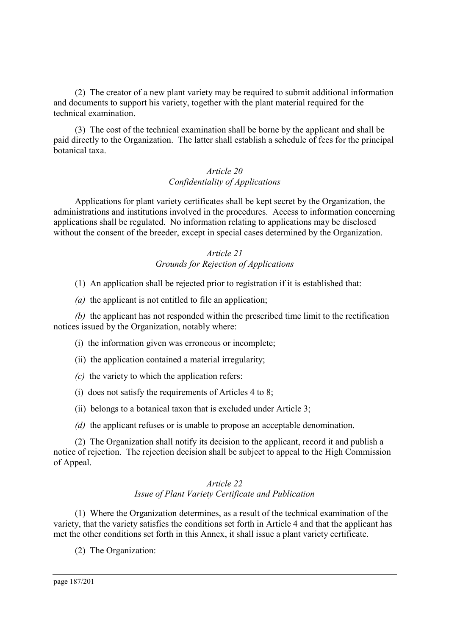(2) The creator of a new plant variety may be required to submit additional information and documents to support his variety, together with the plant material required for the technical examination.

(3) The cost of the technical examination shall be borne by the applicant and shall be paid directly to the Organization. The latter shall establish a schedule of fees for the principal botanical taxa.

## *Article 20 Confidentiality of Applications*

Applications for plant variety certificates shall be kept secret by the Organization, the administrations and institutions involved in the procedures. Access to information concerning applications shall be regulated. No information relating to applications may be disclosed without the consent of the breeder, except in special cases determined by the Organization.

## *Article 21 Grounds for Rejection of Applications*

(1) An application shall be rejected prior to registration if it is established that:

*(a)* the applicant is not entitled to file an application;

*(b)* the applicant has not responded within the prescribed time limit to the rectification notices issued by the Organization, notably where:

(i) the information given was erroneous or incomplete;

(ii) the application contained a material irregularity;

- *(c)* the variety to which the application refers:
- (i) does not satisfy the requirements of Articles 4 to 8;
- (ii) belongs to a botanical taxon that is excluded under Article 3;
- *(d)* the applicant refuses or is unable to propose an acceptable denomination.

(2) The Organization shall notify its decision to the applicant, record it and publish a notice of rejection. The rejection decision shall be subject to appeal to the High Commission of Appeal.

## *Article 22 Issue of Plant Variety Certificate and Publication*

(1) Where the Organization determines, as a result of the technical examination of the variety, that the variety satisfies the conditions set forth in Article 4 and that the applicant has met the other conditions set forth in this Annex, it shall issue a plant variety certificate.

(2) The Organization: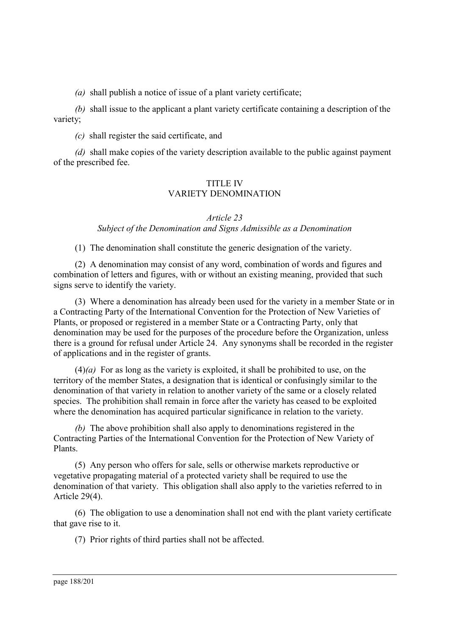*(a)* shall publish a notice of issue of a plant variety certificate;

*(b)* shall issue to the applicant a plant variety certificate containing a description of the variety;

*(c)* shall register the said certificate, and

*(d)* shall make copies of the variety description available to the public against payment of the prescribed fee.

## TITLE IV VARIETY DENOMINATION

#### *Article 23*

*Subject of the Denomination and Signs Admissible as a Denomination*

(1) The denomination shall constitute the generic designation of the variety.

(2) A denomination may consist of any word, combination of words and figures and combination of letters and figures, with or without an existing meaning, provided that such signs serve to identify the variety.

(3) Where a denomination has already been used for the variety in a member State or in a Contracting Party of the International Convention for the Protection of New Varieties of Plants, or proposed or registered in a member State or a Contracting Party, only that denomination may be used for the purposes of the procedure before the Organization, unless there is a ground for refusal under Article 24. Any synonyms shall be recorded in the register of applications and in the register of grants.

 $(4)(a)$  For as long as the variety is exploited, it shall be prohibited to use, on the territory of the member States, a designation that is identical or confusingly similar to the denomination of that variety in relation to another variety of the same or a closely related species. The prohibition shall remain in force after the variety has ceased to be exploited where the denomination has acquired particular significance in relation to the variety.

*(b)* The above prohibition shall also apply to denominations registered in the Contracting Parties of the International Convention for the Protection of New Variety of Plants.

(5) Any person who offers for sale, sells or otherwise markets reproductive or vegetative propagating material of a protected variety shall be required to use the denomination of that variety. This obligation shall also apply to the varieties referred to in Article 29(4).

(6) The obligation to use a denomination shall not end with the plant variety certificate that gave rise to it.

(7) Prior rights of third parties shall not be affected.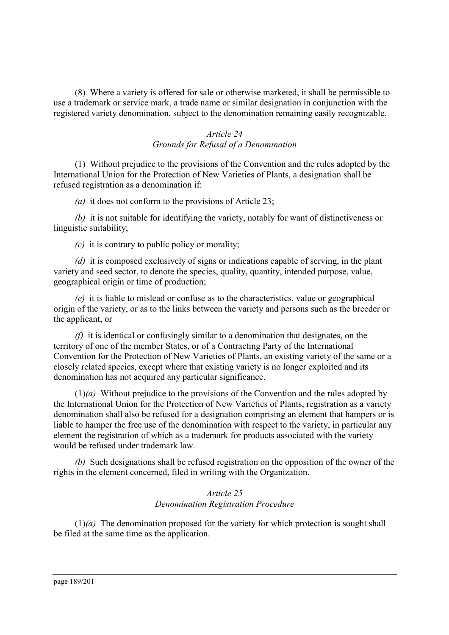(8) Where a variety is offered for sale or otherwise marketed, it shall be permissible to use a trademark or service mark, a trade name or similar designation in conjunction with the registered variety denomination, subject to the denomination remaining easily recognizable.

# *Article 24 Grounds for Refusal of a Denomination*

(1) Without prejudice to the provisions of the Convention and the rules adopted by the International Union for the Protection of New Varieties of Plants, a designation shall be refused registration as a denomination if:

*(a)* it does not conform to the provisions of Article 23;

*(b)* it is not suitable for identifying the variety, notably for want of distinctiveness or linguistic suitability;

*(c)* it is contrary to public policy or morality;

*(d)* it is composed exclusively of signs or indications capable of serving, in the plant variety and seed sector, to denote the species, quality, quantity, intended purpose, value, geographical origin or time of production;

*(e)* it is liable to mislead or confuse as to the characteristics, value or geographical origin of the variety, or as to the links between the variety and persons such as the breeder or the applicant, or

*(f)* it is identical or confusingly similar to a denomination that designates, on the territory of one of the member States, or of a Contracting Party of the International Convention for the Protection of New Varieties of Plants, an existing variety of the same or a closely related species, except where that existing variety is no longer exploited and its denomination has not acquired any particular significance.

(1)*(a)* Without prejudice to the provisions of the Convention and the rules adopted by the International Union for the Protection of New Varieties of Plants, registration as a variety denomination shall also be refused for a designation comprising an element that hampers or is liable to hamper the free use of the denomination with respect to the variety, in particular any element the registration of which as a trademark for products associated with the variety would be refused under trademark law.

*(b)* Such designations shall be refused registration on the opposition of the owner of the rights in the element concerned, filed in writing with the Organization.

## *Article 25 Denomination Registration Procedure*

(1)*(a)* The denomination proposed for the variety for which protection is sought shall be filed at the same time as the application.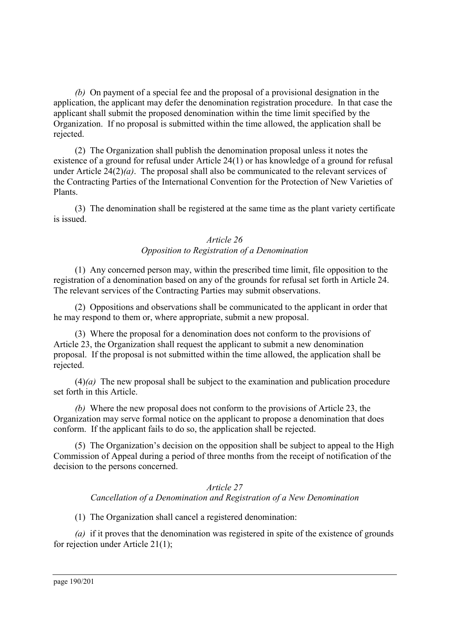*(b)* On payment of a special fee and the proposal of a provisional designation in the application, the applicant may defer the denomination registration procedure. In that case the applicant shall submit the proposed denomination within the time limit specified by the Organization. If no proposal is submitted within the time allowed, the application shall be rejected.

(2) The Organization shall publish the denomination proposal unless it notes the existence of a ground for refusal under Article 24(1) or has knowledge of a ground for refusal under Article 24(2)*(a)*. The proposal shall also be communicated to the relevant services of the Contracting Parties of the International Convention for the Protection of New Varieties of Plants.

(3) The denomination shall be registered at the same time as the plant variety certificate is issued.

#### *Article 26 Opposition to Registration of a Denomination*

(1) Any concerned person may, within the prescribed time limit, file opposition to the registration of a denomination based on any of the grounds for refusal set forth in Article 24. The relevant services of the Contracting Parties may submit observations.

(2) Oppositions and observations shall be communicated to the applicant in order that he may respond to them or, where appropriate, submit a new proposal.

(3) Where the proposal for a denomination does not conform to the provisions of Article 23, the Organization shall request the applicant to submit a new denomination proposal. If the proposal is not submitted within the time allowed, the application shall be rejected.

(4)*(a)* The new proposal shall be subject to the examination and publication procedure set forth in this Article.

*(b)* Where the new proposal does not conform to the provisions of Article 23, the Organization may serve formal notice on the applicant to propose a denomination that does conform. If the applicant fails to do so, the application shall be rejected.

(5) The Organization's decision on the opposition shall be subject to appeal to the High Commission of Appeal during a period of three months from the receipt of notification of the decision to the persons concerned.

# *Article 27 Cancellation of a Denomination and Registration of a New Denomination*

(1) The Organization shall cancel a registered denomination:

*(a)* if it proves that the denomination was registered in spite of the existence of grounds for rejection under Article 21(1);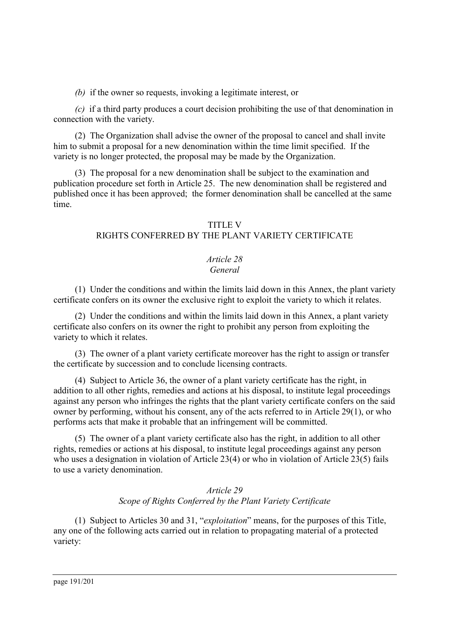*(b)* if the owner so requests, invoking a legitimate interest, or

*(c)* if a third party produces a court decision prohibiting the use of that denomination in connection with the variety.

(2) The Organization shall advise the owner of the proposal to cancel and shall invite him to submit a proposal for a new denomination within the time limit specified. If the variety is no longer protected, the proposal may be made by the Organization.

(3) The proposal for a new denomination shall be subject to the examination and publication procedure set forth in Article 25. The new denomination shall be registered and published once it has been approved; the former denomination shall be cancelled at the same time.

## TITLE V

# RIGHTS CONFERRED BY THE PLANT VARIETY CERTIFICATE

# *Article 28*

## *General*

(1) Under the conditions and within the limits laid down in this Annex, the plant variety certificate confers on its owner the exclusive right to exploit the variety to which it relates.

(2) Under the conditions and within the limits laid down in this Annex, a plant variety certificate also confers on its owner the right to prohibit any person from exploiting the variety to which it relates.

(3) The owner of a plant variety certificate moreover has the right to assign or transfer the certificate by succession and to conclude licensing contracts.

(4) Subject to Article 36, the owner of a plant variety certificate has the right, in addition to all other rights, remedies and actions at his disposal, to institute legal proceedings against any person who infringes the rights that the plant variety certificate confers on the said owner by performing, without his consent, any of the acts referred to in Article 29(1), or who performs acts that make it probable that an infringement will be committed.

(5) The owner of a plant variety certificate also has the right, in addition to all other rights, remedies or actions at his disposal, to institute legal proceedings against any person who uses a designation in violation of Article 23(4) or who in violation of Article 23(5) fails to use a variety denomination.

# *Article 29 Scope of Rights Conferred by the Plant Variety Certificate*

(1) Subject to Articles 30 and 31, "*exploitation*" means, for the purposes of this Title, any one of the following acts carried out in relation to propagating material of a protected variety: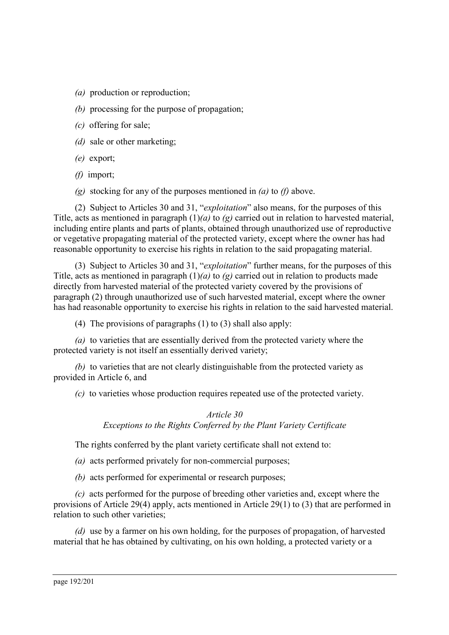- *(a)* production or reproduction;
- *(b)* processing for the purpose of propagation;
- *(c)* offering for sale;
- *(d)* sale or other marketing;
- *(e)* export;
- *(f)* import;
- *(g)* stocking for any of the purposes mentioned in *(a)* to *(f)* above.

(2) Subject to Articles 30 and 31, "*exploitation*" also means, for the purposes of this Title, acts as mentioned in paragraph (1)*(a)* to *(g)* carried out in relation to harvested material, including entire plants and parts of plants, obtained through unauthorized use of reproductive or vegetative propagating material of the protected variety, except where the owner has had reasonable opportunity to exercise his rights in relation to the said propagating material.

(3) Subject to Articles 30 and 31, "*exploitation*" further means, for the purposes of this Title, acts as mentioned in paragraph (1)*(a)* to *(g)* carried out in relation to products made directly from harvested material of the protected variety covered by the provisions of paragraph (2) through unauthorized use of such harvested material, except where the owner has had reasonable opportunity to exercise his rights in relation to the said harvested material.

(4) The provisions of paragraphs (1) to (3) shall also apply:

*(a)* to varieties that are essentially derived from the protected variety where the protected variety is not itself an essentially derived variety;

*(b)* to varieties that are not clearly distinguishable from the protected variety as provided in Article 6, and

*(c)* to varieties whose production requires repeated use of the protected variety.

*Article 30 Exceptions to the Rights Conferred by the Plant Variety Certificate*

The rights conferred by the plant variety certificate shall not extend to:

*(a)* acts performed privately for non-commercial purposes;

*(b)* acts performed for experimental or research purposes;

*(c)* acts performed for the purpose of breeding other varieties and, except where the provisions of Article 29(4) apply, acts mentioned in Article 29(1) to (3) that are performed in relation to such other varieties;

*(d)* use by a farmer on his own holding, for the purposes of propagation, of harvested material that he has obtained by cultivating, on his own holding, a protected variety or a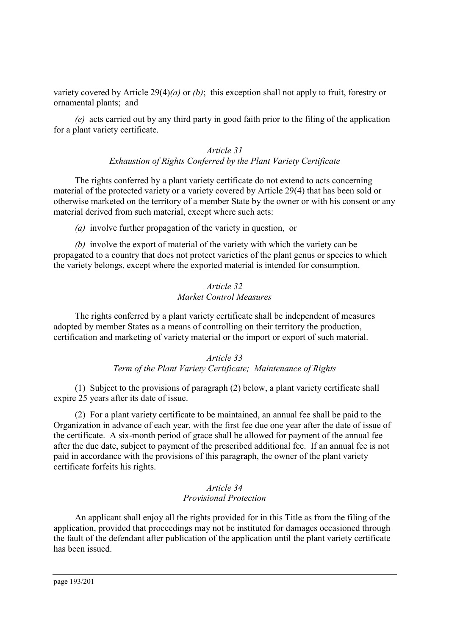variety covered by Article 29(4)*(a)* or *(b)*; this exception shall not apply to fruit, forestry or ornamental plants; and

*(e)* acts carried out by any third party in good faith prior to the filing of the application for a plant variety certificate.

## *Article 31 Exhaustion of Rights Conferred by the Plant Variety Certificate*

The rights conferred by a plant variety certificate do not extend to acts concerning material of the protected variety or a variety covered by Article 29(4) that has been sold or otherwise marketed on the territory of a member State by the owner or with his consent or any material derived from such material, except where such acts:

*(a)* involve further propagation of the variety in question, or

*(b)* involve the export of material of the variety with which the variety can be propagated to a country that does not protect varieties of the plant genus or species to which the variety belongs, except where the exported material is intended for consumption.

#### *Article 32 Market Control Measures*

The rights conferred by a plant variety certificate shall be independent of measures adopted by member States as a means of controlling on their territory the production, certification and marketing of variety material or the import or export of such material.

#### *Article 33 Term of the Plant Variety Certificate; Maintenance of Rights*

(1) Subject to the provisions of paragraph (2) below, a plant variety certificate shall expire 25 years after its date of issue.

(2) For a plant variety certificate to be maintained, an annual fee shall be paid to the Organization in advance of each year, with the first fee due one year after the date of issue of the certificate. A six-month period of grace shall be allowed for payment of the annual fee after the due date, subject to payment of the prescribed additional fee. If an annual fee is not paid in accordance with the provisions of this paragraph, the owner of the plant variety certificate forfeits his rights.

## *Article 34 Provisional Protection*

An applicant shall enjoy all the rights provided for in this Title as from the filing of the application, provided that proceedings may not be instituted for damages occasioned through the fault of the defendant after publication of the application until the plant variety certificate has been issued.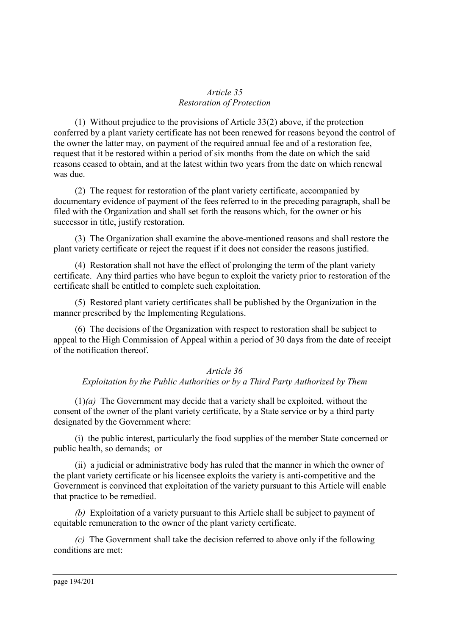#### *Article 35 Restoration of Protection*

(1) Without prejudice to the provisions of Article 33(2) above, if the protection conferred by a plant variety certificate has not been renewed for reasons beyond the control of the owner the latter may, on payment of the required annual fee and of a restoration fee, request that it be restored within a period of six months from the date on which the said reasons ceased to obtain, and at the latest within two years from the date on which renewal was due.

(2) The request for restoration of the plant variety certificate, accompanied by documentary evidence of payment of the fees referred to in the preceding paragraph, shall be filed with the Organization and shall set forth the reasons which, for the owner or his successor in title, justify restoration.

(3) The Organization shall examine the above-mentioned reasons and shall restore the plant variety certificate or reject the request if it does not consider the reasons justified.

(4) Restoration shall not have the effect of prolonging the term of the plant variety certificate. Any third parties who have begun to exploit the variety prior to restoration of the certificate shall be entitled to complete such exploitation.

(5) Restored plant variety certificates shall be published by the Organization in the manner prescribed by the Implementing Regulations.

(6) The decisions of the Organization with respect to restoration shall be subject to appeal to the High Commission of Appeal within a period of 30 days from the date of receipt of the notification thereof.

# *Article 36 Exploitation by the Public Authorities or by a Third Party Authorized by Them*

(1)*(a)* The Government may decide that a variety shall be exploited, without the consent of the owner of the plant variety certificate, by a State service or by a third party designated by the Government where:

(i) the public interest, particularly the food supplies of the member State concerned or public health, so demands; or

(ii) a judicial or administrative body has ruled that the manner in which the owner of the plant variety certificate or his licensee exploits the variety is anti-competitive and the Government is convinced that exploitation of the variety pursuant to this Article will enable that practice to be remedied.

*(b)* Exploitation of a variety pursuant to this Article shall be subject to payment of equitable remuneration to the owner of the plant variety certificate.

*(c)* The Government shall take the decision referred to above only if the following conditions are met: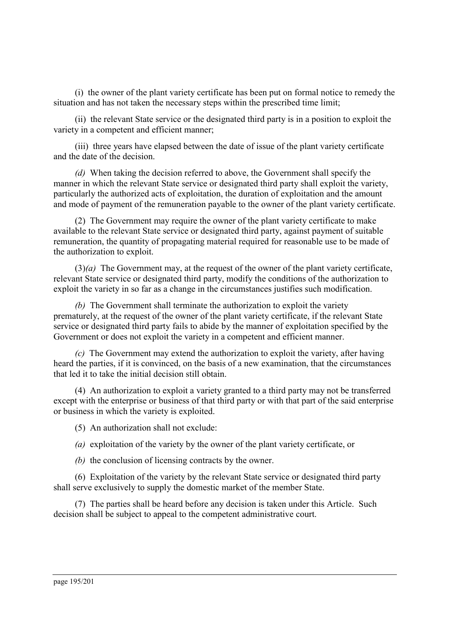(i) the owner of the plant variety certificate has been put on formal notice to remedy the situation and has not taken the necessary steps within the prescribed time limit;

(ii) the relevant State service or the designated third party is in a position to exploit the variety in a competent and efficient manner;

(iii) three years have elapsed between the date of issue of the plant variety certificate and the date of the decision.

*(d)* When taking the decision referred to above, the Government shall specify the manner in which the relevant State service or designated third party shall exploit the variety, particularly the authorized acts of exploitation, the duration of exploitation and the amount and mode of payment of the remuneration payable to the owner of the plant variety certificate.

(2) The Government may require the owner of the plant variety certificate to make available to the relevant State service or designated third party, against payment of suitable remuneration, the quantity of propagating material required for reasonable use to be made of the authorization to exploit.

(3)*(a)* The Government may, at the request of the owner of the plant variety certificate, relevant State service or designated third party, modify the conditions of the authorization to exploit the variety in so far as a change in the circumstances justifies such modification.

*(b)* The Government shall terminate the authorization to exploit the variety prematurely, at the request of the owner of the plant variety certificate, if the relevant State service or designated third party fails to abide by the manner of exploitation specified by the Government or does not exploit the variety in a competent and efficient manner.

*(c)* The Government may extend the authorization to exploit the variety, after having heard the parties, if it is convinced, on the basis of a new examination, that the circumstances that led it to take the initial decision still obtain.

(4) An authorization to exploit a variety granted to a third party may not be transferred except with the enterprise or business of that third party or with that part of the said enterprise or business in which the variety is exploited.

(5) An authorization shall not exclude:

*(a)* exploitation of the variety by the owner of the plant variety certificate, or

*(b)* the conclusion of licensing contracts by the owner.

(6) Exploitation of the variety by the relevant State service or designated third party shall serve exclusively to supply the domestic market of the member State.

(7) The parties shall be heard before any decision is taken under this Article. Such decision shall be subject to appeal to the competent administrative court.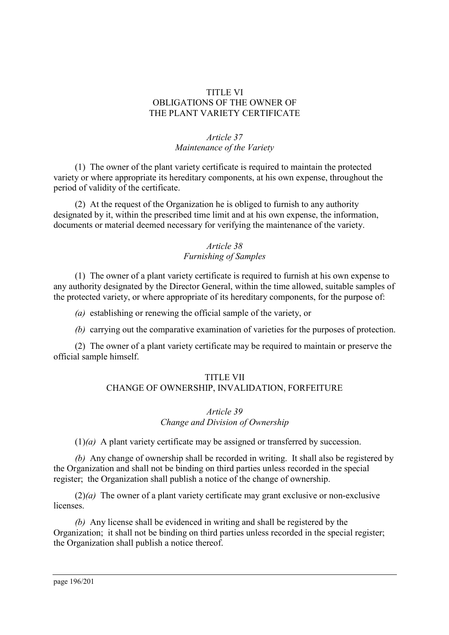#### TITLE VI OBLIGATIONS OF THE OWNER OF THE PLANT VARIETY CERTIFICATE

# *Article 37 Maintenance of the Variety*

(1) The owner of the plant variety certificate is required to maintain the protected variety or where appropriate its hereditary components, at his own expense, throughout the period of validity of the certificate.

(2) At the request of the Organization he is obliged to furnish to any authority designated by it, within the prescribed time limit and at his own expense, the information, documents or material deemed necessary for verifying the maintenance of the variety.

## *Article 38 Furnishing of Samples*

(1) The owner of a plant variety certificate is required to furnish at his own expense to any authority designated by the Director General, within the time allowed, suitable samples of the protected variety, or where appropriate of its hereditary components, for the purpose of:

*(a)* establishing or renewing the official sample of the variety, or

*(b)* carrying out the comparative examination of varieties for the purposes of protection.

(2) The owner of a plant variety certificate may be required to maintain or preserve the official sample himself.

## TITLE VII

# CHANGE OF OWNERSHIP, INVALIDATION, FORFEITURE

#### *Article 39 Change and Division of Ownership*

(1)*(a)* A plant variety certificate may be assigned or transferred by succession.

*(b)* Any change of ownership shall be recorded in writing. It shall also be registered by the Organization and shall not be binding on third parties unless recorded in the special register; the Organization shall publish a notice of the change of ownership.

(2)*(a)* The owner of a plant variety certificate may grant exclusive or non-exclusive licenses.

*(b)* Any license shall be evidenced in writing and shall be registered by the Organization; it shall not be binding on third parties unless recorded in the special register; the Organization shall publish a notice thereof.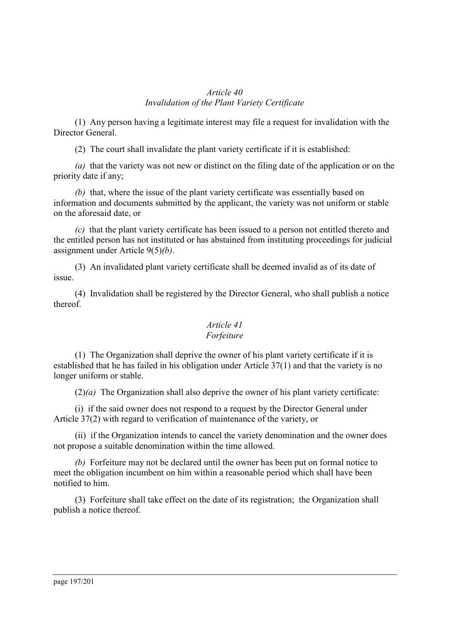#### *Article 40 Invalidation of the Plant Variety Certificate*

(1) Any person having a legitimate interest may file a request for invalidation with the Director General.

(2) The court shall invalidate the plant variety certificate if it is established:

*(a)* that the variety was not new or distinct on the filing date of the application or on the priority date if any;

*(b)* that, where the issue of the plant variety certificate was essentially based on information and documents submitted by the applicant, the variety was not uniform or stable on the aforesaid date, or

*(c)* that the plant variety certificate has been issued to a person not entitled thereto and the entitled person has not instituted or has abstained from instituting proceedings for judicial assignment under Article 9(5)*(b)*.

(3) An invalidated plant variety certificate shall be deemed invalid as of its date of issue.

(4) Invalidation shall be registered by the Director General, who shall publish a notice thereof.

## *Article 41 Forfeiture*

(1) The Organization shall deprive the owner of his plant variety certificate if it is established that he has failed in his obligation under Article 37(1) and that the variety is no longer uniform or stable.

(2)*(a)* The Organization shall also deprive the owner of his plant variety certificate:

(i) if the said owner does not respond to a request by the Director General under Article 37(2) with regard to verification of maintenance of the variety, or

(ii) if the Organization intends to cancel the variety denomination and the owner does not propose a suitable denomination within the time allowed.

*(b)* Forfeiture may not be declared until the owner has been put on formal notice to meet the obligation incumbent on him within a reasonable period which shall have been notified to him.

(3) Forfeiture shall take effect on the date of its registration; the Organization shall publish a notice thereof.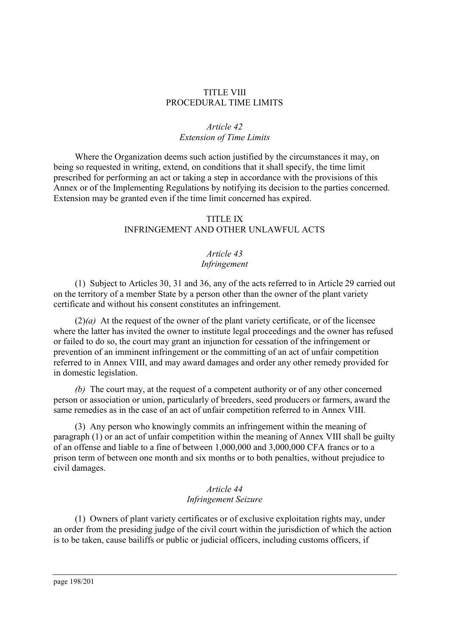#### TITLE VIII PROCEDURAL TIME LIMITS

# *Article 42 Extension of Time Limits*

Where the Organization deems such action justified by the circumstances it may, on being so requested in writing, extend, on conditions that it shall specify, the time limit prescribed for performing an act or taking a step in accordance with the provisions of this Annex or of the Implementing Regulations by notifying its decision to the parties concerned. Extension may be granted even if the time limit concerned has expired.

## TITLE IX

# INFRINGEMENT AND OTHER UNLAWFUL ACTS

# *Article 43*

#### *Infringement*

(1) Subject to Articles 30, 31 and 36, any of the acts referred to in Article 29 carried out on the territory of a member State by a person other than the owner of the plant variety certificate and without his consent constitutes an infringement.

(2)*(a)* At the request of the owner of the plant variety certificate, or of the licensee where the latter has invited the owner to institute legal proceedings and the owner has refused or failed to do so, the court may grant an injunction for cessation of the infringement or prevention of an imminent infringement or the committing of an act of unfair competition referred to in Annex VIII, and may award damages and order any other remedy provided for in domestic legislation.

*(b)* The court may, at the request of a competent authority or of any other concerned person or association or union, particularly of breeders, seed producers or farmers, award the same remedies as in the case of an act of unfair competition referred to in Annex VIII.

(3) Any person who knowingly commits an infringement within the meaning of paragraph (1) or an act of unfair competition within the meaning of Annex VIII shall be guilty of an offense and liable to a fine of between 1,000,000 and 3,000,000 CFA francs or to a prison term of between one month and six months or to both penalties, without prejudice to civil damages.

# *Article 44 Infringement Seizure*

(1) Owners of plant variety certificates or of exclusive exploitation rights may, under an order from the presiding judge of the civil court within the jurisdiction of which the action is to be taken, cause bailiffs or public or judicial officers, including customs officers, if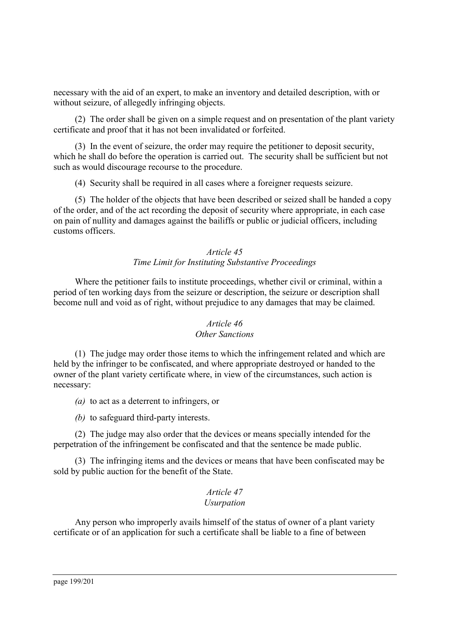necessary with the aid of an expert, to make an inventory and detailed description, with or without seizure, of allegedly infringing objects.

(2) The order shall be given on a simple request and on presentation of the plant variety certificate and proof that it has not been invalidated or forfeited.

(3) In the event of seizure, the order may require the petitioner to deposit security, which he shall do before the operation is carried out. The security shall be sufficient but not such as would discourage recourse to the procedure.

(4) Security shall be required in all cases where a foreigner requests seizure.

(5) The holder of the objects that have been described or seized shall be handed a copy of the order, and of the act recording the deposit of security where appropriate, in each case on pain of nullity and damages against the bailiffs or public or judicial officers, including customs officers.

## *Article 45 Time Limit for Instituting Substantive Proceedings*

Where the petitioner fails to institute proceedings, whether civil or criminal, within a period of ten working days from the seizure or description, the seizure or description shall become null and void as of right, without prejudice to any damages that may be claimed.

## *Article 46 Other Sanctions*

(1) The judge may order those items to which the infringement related and which are held by the infringer to be confiscated, and where appropriate destroyed or handed to the owner of the plant variety certificate where, in view of the circumstances, such action is necessary:

- *(a)* to act as a deterrent to infringers, or
- *(b)* to safeguard third-party interests.

(2) The judge may also order that the devices or means specially intended for the perpetration of the infringement be confiscated and that the sentence be made public.

(3) The infringing items and the devices or means that have been confiscated may be sold by public auction for the benefit of the State.

#### *Article 47 Usurpation*

Any person who improperly avails himself of the status of owner of a plant variety certificate or of an application for such a certificate shall be liable to a fine of between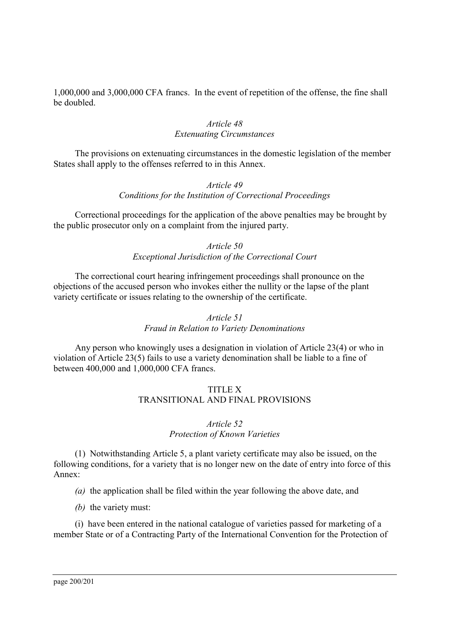1,000,000 and 3,000,000 CFA francs. In the event of repetition of the offense, the fine shall be doubled.

## *Article 48 Extenuating Circumstances*

The provisions on extenuating circumstances in the domestic legislation of the member States shall apply to the offenses referred to in this Annex.

## *Article 49 Conditions for the Institution of Correctional Proceedings*

Correctional proceedings for the application of the above penalties may be brought by the public prosecutor only on a complaint from the injured party.

## *Article 50 Exceptional Jurisdiction of the Correctional Court*

The correctional court hearing infringement proceedings shall pronounce on the objections of the accused person who invokes either the nullity or the lapse of the plant variety certificate or issues relating to the ownership of the certificate.

## *Article 51 Fraud in Relation to Variety Denominations*

Any person who knowingly uses a designation in violation of Article 23(4) or who in violation of Article 23(5) fails to use a variety denomination shall be liable to a fine of between 400,000 and 1,000,000 CFA francs.

# TITLE X TRANSITIONAL AND FINAL PROVISIONS

#### *Article 52 Protection of Known Varieties*

(1) Notwithstanding Article 5, a plant variety certificate may also be issued, on the following conditions, for a variety that is no longer new on the date of entry into force of this Annex:

*(a)* the application shall be filed within the year following the above date, and

*(b)* the variety must:

(i) have been entered in the national catalogue of varieties passed for marketing of a member State or of a Contracting Party of the International Convention for the Protection of